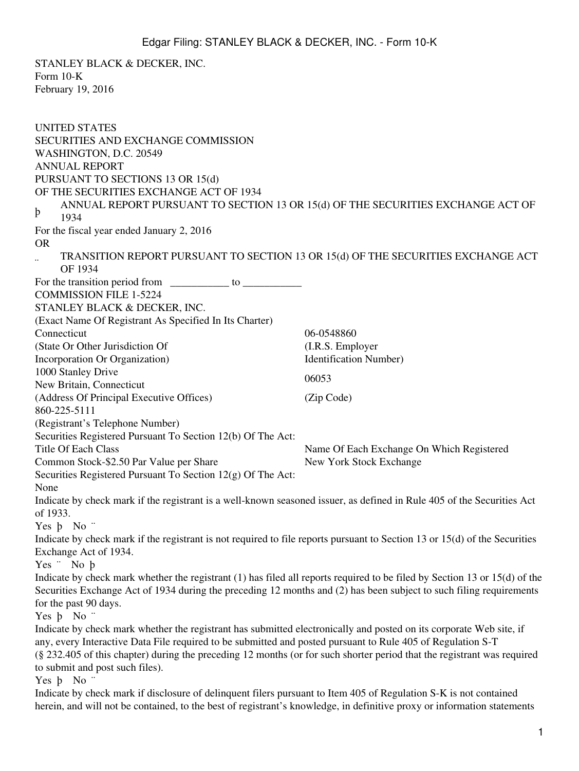STANLEY BLACK & DECKER, INC. Form 10-K February 19, 2016

| <b>UNITED STATES</b><br>SECURITIES AND EXCHANGE COMMISSION<br>WASHINGTON, D.C. 20549<br><b>ANNUAL REPORT</b><br>PURSUANT TO SECTIONS 13 OR 15(d)<br>OF THE SECURITIES EXCHANGE ACT OF 1934<br>ANNUAL REPORT PURSUANT TO SECTION 13 OR 15(d) OF THE SECURITIES EXCHANGE ACT OF<br>þ<br>1934                                                                                                                     |                                                                      |
|----------------------------------------------------------------------------------------------------------------------------------------------------------------------------------------------------------------------------------------------------------------------------------------------------------------------------------------------------------------------------------------------------------------|----------------------------------------------------------------------|
| For the fiscal year ended January 2, 2016<br><b>OR</b><br>TRANSITION REPORT PURSUANT TO SECTION 13 OR 15(d) OF THE SECURITIES EXCHANGE ACT<br>$\ddot{\phantom{a}}$                                                                                                                                                                                                                                             |                                                                      |
| OF 1934<br><b>COMMISSION FILE 1-5224</b><br>STANLEY BLACK & DECKER, INC.                                                                                                                                                                                                                                                                                                                                       |                                                                      |
| (Exact Name Of Registrant As Specified In Its Charter)<br>Connecticut<br>(State Or Other Jurisdiction Of<br>Incorporation Or Organization)                                                                                                                                                                                                                                                                     | 06-0548860<br>(I.R.S. Employer<br><b>Identification Number)</b>      |
| 1000 Stanley Drive<br>New Britain, Connecticut<br>(Address Of Principal Executive Offices)<br>860-225-5111                                                                                                                                                                                                                                                                                                     | 06053<br>(Zip Code)                                                  |
| (Registrant's Telephone Number)<br>Securities Registered Pursuant To Section 12(b) Of The Act:<br><b>Title Of Each Class</b><br>Common Stock-\$2.50 Par Value per Share<br>Securities Registered Pursuant To Section 12(g) Of The Act:<br>None                                                                                                                                                                 | Name Of Each Exchange On Which Registered<br>New York Stock Exchange |
| Indicate by check mark if the registrant is a well-known seasoned issuer, as defined in Rule 405 of the Securities Act<br>of 1933.                                                                                                                                                                                                                                                                             |                                                                      |
| Yes b No "<br>Indicate by check mark if the registrant is not required to file reports pursuant to Section 13 or 15(d) of the Securities<br>Exchange Act of 1934.<br>Yes " No b                                                                                                                                                                                                                                |                                                                      |
| Indicate by check mark whether the registrant $(1)$ has filed all reports required to be filed by Section 13 or 15(d) of the<br>Securities Exchange Act of 1934 during the preceding 12 months and (2) has been subject to such filing requirements<br>for the past 90 days.<br>Yes b No "                                                                                                                     |                                                                      |
| Indicate by check mark whether the registrant has submitted electronically and posted on its corporate Web site, if<br>any, every Interactive Data File required to be submitted and posted pursuant to Rule 405 of Regulation S-T<br>(§ 232.405 of this chapter) during the preceding 12 months (or for such shorter period that the registrant was required<br>to submit and post such files).<br>Yes b No " |                                                                      |
| Indicate by check mark if disclosure of delinquent filers pursuant to Item 405 of Regulation S-K is not contained<br>herein, and will not be contained, to the best of registrant's knowledge, in definitive proxy or information statements                                                                                                                                                                   |                                                                      |
|                                                                                                                                                                                                                                                                                                                                                                                                                | 1                                                                    |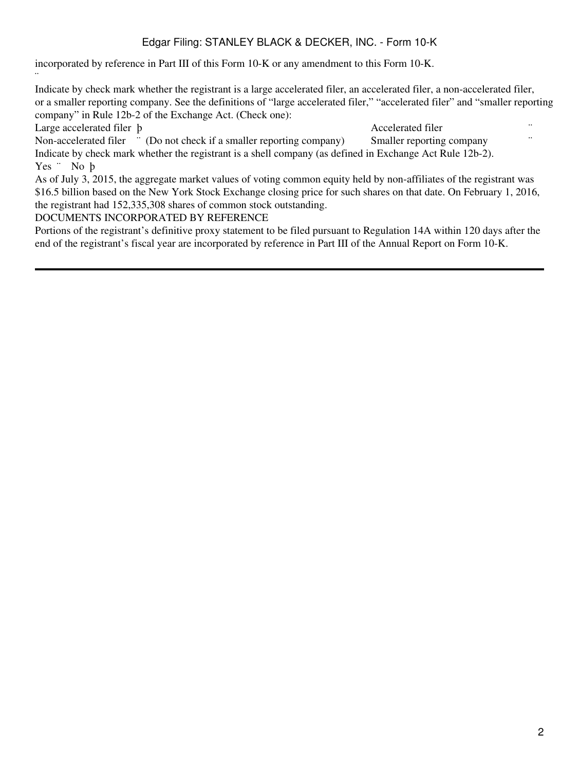incorporated by reference in Part III of this Form 10-K or any amendment to this Form 10-K.

Indicate by check mark whether the registrant is a large accelerated filer, an accelerated filer, a non-accelerated filer, or a smaller reporting company. See the definitions of "large accelerated filer," "accelerated filer" and "smaller reporting company" in Rule 12b-2 of the Exchange Act. (Check one):

¨

Large accelerated filer **b**<br>New conclusted filer  $\ddot{r}$  ( $\ddot{r}$ ) ( $\ddot{r}$ ) ( $\ddot{r}$ ) ( $\ddot{r}$ ) ( $\ddot{r}$ ) ( $\ddot{r}$ ) ( $\ddot{r}$ ) ( $\ddot{r}$ ) ( $\ddot{r}$ ) ( $\ddot{r}$ ) ( $\ddot{r}$ ) ( $\ddot{r}$ ) ( $\ddot{r}$ ) ( $\ddot{r}$ ) ( $\ddot{r}$ ) Non-accelerated filer  $\cdot$  (Do not check if a smaller reporting company) Smaller reporting company Indicate by check mark whether the registrant is a shell company (as defined in Exchange Act Rule 12b-2). Yes ¨ No þ

As of July 3, 2015, the aggregate market values of voting common equity held by non-affiliates of the registrant was \$16.5 billion based on the New York Stock Exchange closing price for such shares on that date. On February 1, 2016, the registrant had 152,335,308 shares of common stock outstanding.

DOCUMENTS INCORPORATED BY REFERENCE

Portions of the registrant's definitive proxy statement to be filed pursuant to Regulation 14A within 120 days after the end of the registrant's fiscal year are incorporated by reference in Part III of the Annual Report on Form 10-K.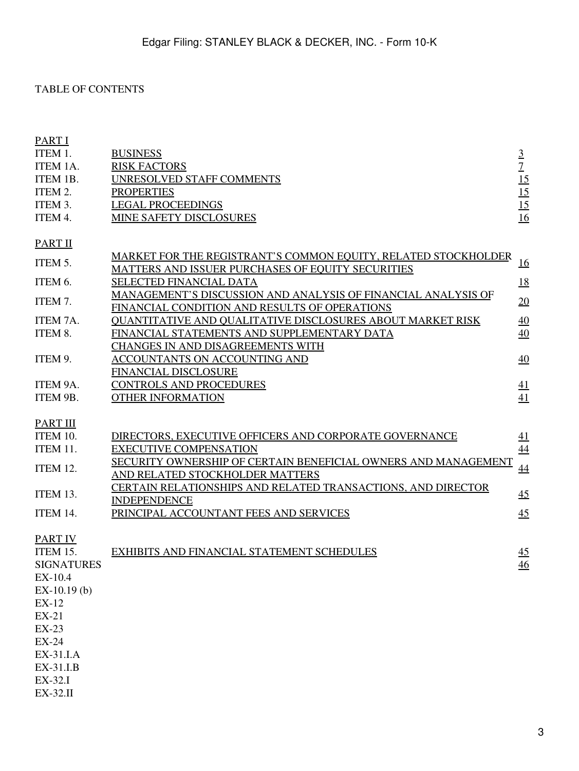### TABLE OF CONTENTS

| <b>PART I</b>     |                                                                                                                            |             |
|-------------------|----------------------------------------------------------------------------------------------------------------------------|-------------|
| ITEM 1.           | <b>BUSINESS</b>                                                                                                            |             |
| ITEM 1A.          | <b>RISK FACTORS</b>                                                                                                        | $rac{3}{7}$ |
| ITEM 1B.          | UNRESOLVED STAFF COMMENTS                                                                                                  | 15          |
| ITEM 2.           | <b>PROPERTIES</b>                                                                                                          | 15          |
| ITEM 3.           | <b>LEGAL PROCEEDINGS</b>                                                                                                   | 15          |
| ITEM 4.           | MINE SAFETY DISCLOSURES                                                                                                    | <u>16</u>   |
|                   |                                                                                                                            |             |
| PART II           |                                                                                                                            |             |
| ITEM 5.           | <b>MARKET FOR THE REGISTRANT'S COMMON EQUITY, RELATED STOCKHOLDER</b><br>MATTERS AND ISSUER PURCHASES OF EQUITY SECURITIES | <u>16</u>   |
| ITEM 6.           | SELECTED FINANCIAL DATA                                                                                                    | 18          |
|                   | MANAGEMENT'S DISCUSSION AND ANALYSIS OF FINANCIAL ANALYSIS OF                                                              |             |
| ITEM 7.           | FINANCIAL CONDITION AND RESULTS OF OPERATIONS                                                                              | 20          |
| ITEM 7A.          | <b>OUANTITATIVE AND OUALITATIVE DISCLOSURES ABOUT MARKET RISK</b>                                                          | 40          |
| ITEM 8.           | FINANCIAL STATEMENTS AND SUPPLEMENTARY DATA                                                                                | 40          |
|                   | CHANGES IN AND DISAGREEMENTS WITH                                                                                          |             |
| ITEM 9.           | <b>ACCOUNTANTS ON ACCOUNTING AND</b>                                                                                       | 40          |
|                   | <b>FINANCIAL DISCLOSURE</b>                                                                                                |             |
| ITEM 9A.          | <b>CONTROLS AND PROCEDURES</b>                                                                                             | 41          |
| ITEM 9B.          | <b>OTHER INFORMATION</b>                                                                                                   | 41          |
|                   |                                                                                                                            |             |
| PART III          |                                                                                                                            |             |
| <b>ITEM 10.</b>   | DIRECTORS, EXECUTIVE OFFICERS AND CORPORATE GOVERNANCE                                                                     | 41          |
| ITEM 11.          | <b>EXECUTIVE COMPENSATION</b>                                                                                              | 44          |
| <b>ITEM 12.</b>   | SECURITY OWNERSHIP OF CERTAIN BENEFICIAL OWNERS AND MANAGEMENT                                                             | 44          |
|                   | AND RELATED STOCKHOLDER MATTERS                                                                                            |             |
| ITEM 13.          | CERTAIN RELATIONSHIPS AND RELATED TRANSACTIONS, AND DIRECTOR                                                               | 45          |
|                   | <b>INDEPENDENCE</b>                                                                                                        |             |
| ITEM 14.          | PRINCIPAL ACCOUNTANT FEES AND SERVICES                                                                                     | 45          |
|                   |                                                                                                                            |             |
| <b>PART IV</b>    |                                                                                                                            |             |
| ITEM 15.          | EXHIBITS AND FINANCIAL STATEMENT SCHEDULES                                                                                 | 45          |
| <b>SIGNATURES</b> |                                                                                                                            | 46          |
| EX-10.4           |                                                                                                                            |             |
| $EX-10.19$ (b)    |                                                                                                                            |             |
| $EX-12$           |                                                                                                                            |             |
| $EX-21$           |                                                                                                                            |             |
| $EX-23$           |                                                                                                                            |             |
| <b>EX-24</b>      |                                                                                                                            |             |
| EX-31.I.A         |                                                                                                                            |             |
| EX-31.I.B         |                                                                                                                            |             |
| EX-32.I           |                                                                                                                            |             |
| $EX-32.II$        |                                                                                                                            |             |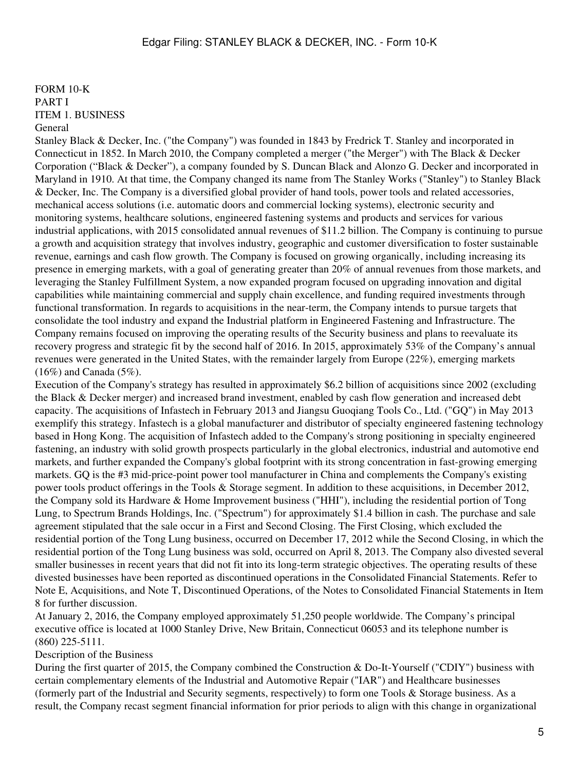#### <span id="page-4-1"></span><span id="page-4-0"></span>FORM 10-K PART I ITEM 1. BUSINESS General

Stanley Black & Decker, Inc. ("the Company") was founded in 1843 by Fredrick T. Stanley and incorporated in Connecticut in 1852. In March 2010, the Company completed a merger ("the Merger") with The Black & Decker Corporation ("Black & Decker"), a company founded by S. Duncan Black and Alonzo G. Decker and incorporated in Maryland in 1910. At that time, the Company changed its name from The Stanley Works ("Stanley") to Stanley Black & Decker, Inc. The Company is a diversified global provider of hand tools, power tools and related accessories, mechanical access solutions (i.e. automatic doors and commercial locking systems), electronic security and monitoring systems, healthcare solutions, engineered fastening systems and products and services for various industrial applications, with 2015 consolidated annual revenues of \$11.2 billion. The Company is continuing to pursue a growth and acquisition strategy that involves industry, geographic and customer diversification to foster sustainable revenue, earnings and cash flow growth. The Company is focused on growing organically, including increasing its presence in emerging markets, with a goal of generating greater than 20% of annual revenues from those markets, and leveraging the Stanley Fulfillment System, a now expanded program focused on upgrading innovation and digital capabilities while maintaining commercial and supply chain excellence, and funding required investments through functional transformation. In regards to acquisitions in the near-term, the Company intends to pursue targets that consolidate the tool industry and expand the Industrial platform in Engineered Fastening and Infrastructure. The Company remains focused on improving the operating results of the Security business and plans to reevaluate its recovery progress and strategic fit by the second half of 2016. In 2015, approximately 53% of the Company's annual revenues were generated in the United States, with the remainder largely from Europe (22%), emerging markets (16%) and Canada (5%).

Execution of the Company's strategy has resulted in approximately \$6.2 billion of acquisitions since 2002 (excluding the Black & Decker merger) and increased brand investment, enabled by cash flow generation and increased debt capacity. The acquisitions of Infastech in February 2013 and Jiangsu Guoqiang Tools Co., Ltd. ("GQ") in May 2013 exemplify this strategy. Infastech is a global manufacturer and distributor of specialty engineered fastening technology based in Hong Kong. The acquisition of Infastech added to the Company's strong positioning in specialty engineered fastening, an industry with solid growth prospects particularly in the global electronics, industrial and automotive end markets, and further expanded the Company's global footprint with its strong concentration in fast-growing emerging markets. GQ is the #3 mid-price-point power tool manufacturer in China and complements the Company's existing power tools product offerings in the Tools & Storage segment. In addition to these acquisitions, in December 2012, the Company sold its Hardware & Home Improvement business ("HHI"), including the residential portion of Tong Lung, to Spectrum Brands Holdings, Inc. ("Spectrum") for approximately \$1.4 billion in cash. The purchase and sale agreement stipulated that the sale occur in a First and Second Closing. The First Closing, which excluded the residential portion of the Tong Lung business, occurred on December 17, 2012 while the Second Closing, in which the residential portion of the Tong Lung business was sold, occurred on April 8, 2013. The Company also divested several smaller businesses in recent years that did not fit into its long-term strategic objectives. The operating results of these divested businesses have been reported as discontinued operations in the Consolidated Financial Statements. Refer to Note E, Acquisitions, and Note T, Discontinued Operations, of the Notes to Consolidated Financial Statements in Item 8 for further discussion.

At January 2, 2016, the Company employed approximately 51,250 people worldwide. The Company's principal executive office is located at 1000 Stanley Drive, New Britain, Connecticut 06053 and its telephone number is (860) 225-5111.

#### Description of the Business

During the first quarter of 2015, the Company combined the Construction & Do-It-Yourself ("CDIY") business with certain complementary elements of the Industrial and Automotive Repair ("IAR") and Healthcare businesses (formerly part of the Industrial and Security segments, respectively) to form one Tools & Storage business. As a result, the Company recast segment financial information for prior periods to align with this change in organizational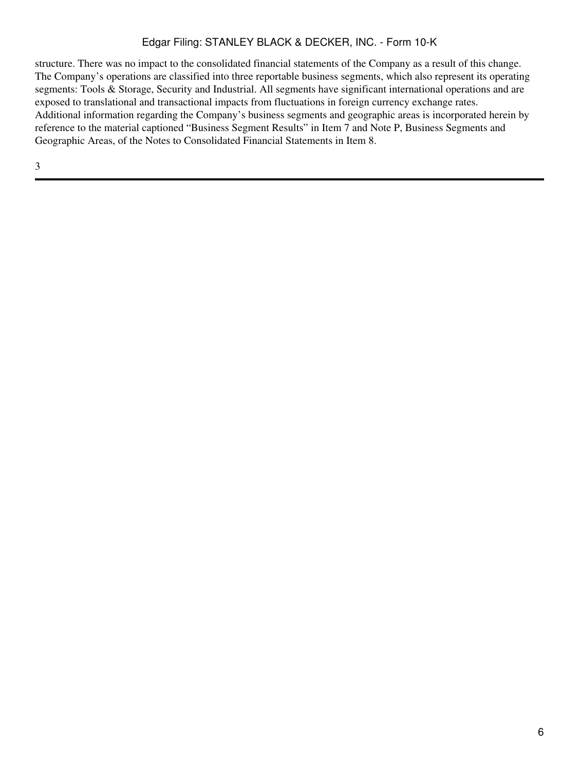structure. There was no impact to the consolidated financial statements of the Company as a result of this change. The Company's operations are classified into three reportable business segments, which also represent its operating segments: Tools & Storage, Security and Industrial. All segments have significant international operations and are exposed to translational and transactional impacts from fluctuations in foreign currency exchange rates. Additional information regarding the Company's business segments and geographic areas is incorporated herein by reference to the material captioned "Business Segment Results" in Item 7 and Note P, Business Segments and Geographic Areas, of the Notes to Consolidated Financial Statements in Item 8.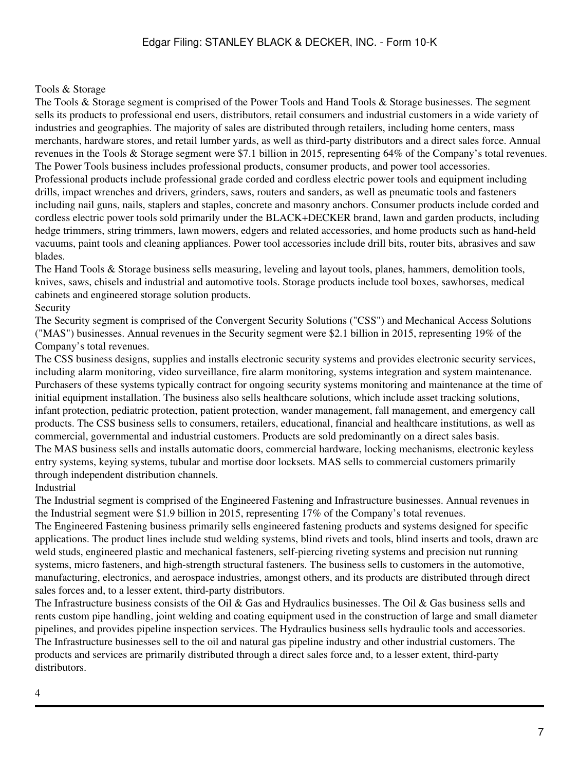### Tools & Storage

The Tools & Storage segment is comprised of the Power Tools and Hand Tools & Storage businesses. The segment sells its products to professional end users, distributors, retail consumers and industrial customers in a wide variety of industries and geographies. The majority of sales are distributed through retailers, including home centers, mass merchants, hardware stores, and retail lumber yards, as well as third-party distributors and a direct sales force. Annual revenues in the Tools & Storage segment were \$7.1 billion in 2015, representing 64% of the Company's total revenues. The Power Tools business includes professional products, consumer products, and power tool accessories. Professional products include professional grade corded and cordless electric power tools and equipment including drills, impact wrenches and drivers, grinders, saws, routers and sanders, as well as pneumatic tools and fasteners including nail guns, nails, staplers and staples, concrete and masonry anchors. Consumer products include corded and cordless electric power tools sold primarily under the BLACK+DECKER brand, lawn and garden products, including hedge trimmers, string trimmers, lawn mowers, edgers and related accessories, and home products such as hand-held vacuums, paint tools and cleaning appliances. Power tool accessories include drill bits, router bits, abrasives and saw blades.

The Hand Tools & Storage business sells measuring, leveling and layout tools, planes, hammers, demolition tools, knives, saws, chisels and industrial and automotive tools. Storage products include tool boxes, sawhorses, medical cabinets and engineered storage solution products.

#### Security

The Security segment is comprised of the Convergent Security Solutions ("CSS") and Mechanical Access Solutions ("MAS") businesses. Annual revenues in the Security segment were \$2.1 billion in 2015, representing 19% of the Company's total revenues.

The CSS business designs, supplies and installs electronic security systems and provides electronic security services, including alarm monitoring, video surveillance, fire alarm monitoring, systems integration and system maintenance. Purchasers of these systems typically contract for ongoing security systems monitoring and maintenance at the time of initial equipment installation. The business also sells healthcare solutions, which include asset tracking solutions, infant protection, pediatric protection, patient protection, wander management, fall management, and emergency call products. The CSS business sells to consumers, retailers, educational, financial and healthcare institutions, as well as commercial, governmental and industrial customers. Products are sold predominantly on a direct sales basis. The MAS business sells and installs automatic doors, commercial hardware, locking mechanisms, electronic keyless entry systems, keying systems, tubular and mortise door locksets. MAS sells to commercial customers primarily through independent distribution channels.

### Industrial

The Industrial segment is comprised of the Engineered Fastening and Infrastructure businesses. Annual revenues in the Industrial segment were \$1.9 billion in 2015, representing 17% of the Company's total revenues.

The Engineered Fastening business primarily sells engineered fastening products and systems designed for specific applications. The product lines include stud welding systems, blind rivets and tools, blind inserts and tools, drawn arc weld studs, engineered plastic and mechanical fasteners, self-piercing riveting systems and precision nut running systems, micro fasteners, and high-strength structural fasteners. The business sells to customers in the automotive, manufacturing, electronics, and aerospace industries, amongst others, and its products are distributed through direct sales forces and, to a lesser extent, third-party distributors.

The Infrastructure business consists of the Oil & Gas and Hydraulics businesses. The Oil & Gas business sells and rents custom pipe handling, joint welding and coating equipment used in the construction of large and small diameter pipelines, and provides pipeline inspection services. The Hydraulics business sells hydraulic tools and accessories. The Infrastructure businesses sell to the oil and natural gas pipeline industry and other industrial customers. The products and services are primarily distributed through a direct sales force and, to a lesser extent, third-party distributors.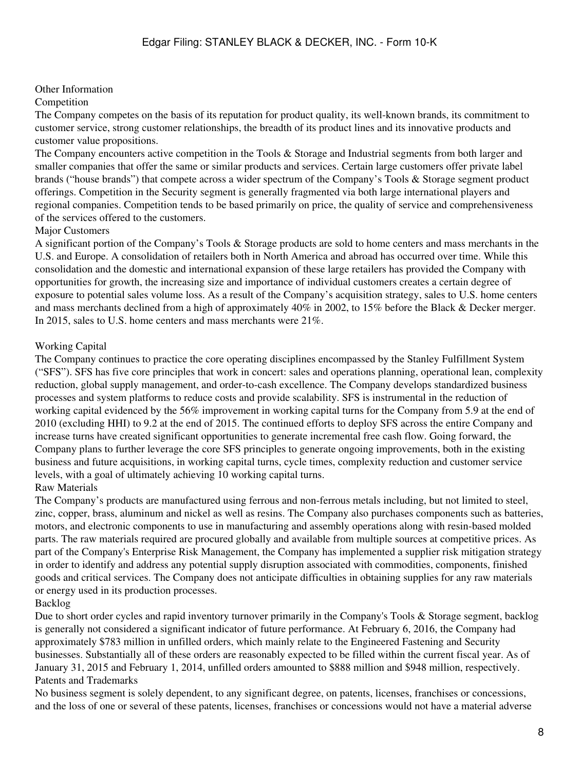### Other Information

### Competition

The Company competes on the basis of its reputation for product quality, its well-known brands, its commitment to customer service, strong customer relationships, the breadth of its product lines and its innovative products and customer value propositions.

The Company encounters active competition in the Tools & Storage and Industrial segments from both larger and smaller companies that offer the same or similar products and services. Certain large customers offer private label brands ("house brands") that compete across a wider spectrum of the Company's Tools & Storage segment product offerings. Competition in the Security segment is generally fragmented via both large international players and regional companies. Competition tends to be based primarily on price, the quality of service and comprehensiveness of the services offered to the customers.

#### Major Customers

A significant portion of the Company's Tools & Storage products are sold to home centers and mass merchants in the U.S. and Europe. A consolidation of retailers both in North America and abroad has occurred over time. While this consolidation and the domestic and international expansion of these large retailers has provided the Company with opportunities for growth, the increasing size and importance of individual customers creates a certain degree of exposure to potential sales volume loss. As a result of the Company's acquisition strategy, sales to U.S. home centers and mass merchants declined from a high of approximately 40% in 2002, to 15% before the Black & Decker merger. In 2015, sales to U.S. home centers and mass merchants were 21%.

### Working Capital

The Company continues to practice the core operating disciplines encompassed by the Stanley Fulfillment System ("SFS"). SFS has five core principles that work in concert: sales and operations planning, operational lean, complexity reduction, global supply management, and order-to-cash excellence. The Company develops standardized business processes and system platforms to reduce costs and provide scalability. SFS is instrumental in the reduction of working capital evidenced by the 56% improvement in working capital turns for the Company from 5.9 at the end of 2010 (excluding HHI) to 9.2 at the end of 2015. The continued efforts to deploy SFS across the entire Company and increase turns have created significant opportunities to generate incremental free cash flow. Going forward, the Company plans to further leverage the core SFS principles to generate ongoing improvements, both in the existing business and future acquisitions, in working capital turns, cycle times, complexity reduction and customer service levels, with a goal of ultimately achieving 10 working capital turns. Raw Materials

The Company's products are manufactured using ferrous and non-ferrous metals including, but not limited to steel, zinc, copper, brass, aluminum and nickel as well as resins. The Company also purchases components such as batteries, motors, and electronic components to use in manufacturing and assembly operations along with resin-based molded parts. The raw materials required are procured globally and available from multiple sources at competitive prices. As part of the Company's Enterprise Risk Management, the Company has implemented a supplier risk mitigation strategy in order to identify and address any potential supply disruption associated with commodities, components, finished goods and critical services. The Company does not anticipate difficulties in obtaining supplies for any raw materials or energy used in its production processes.

### Backlog

Due to short order cycles and rapid inventory turnover primarily in the Company's Tools & Storage segment, backlog is generally not considered a significant indicator of future performance. At February 6, 2016, the Company had approximately \$783 million in unfilled orders, which mainly relate to the Engineered Fastening and Security businesses. Substantially all of these orders are reasonably expected to be filled within the current fiscal year. As of January 31, 2015 and February 1, 2014, unfilled orders amounted to \$888 million and \$948 million, respectively. Patents and Trademarks

No business segment is solely dependent, to any significant degree, on patents, licenses, franchises or concessions, and the loss of one or several of these patents, licenses, franchises or concessions would not have a material adverse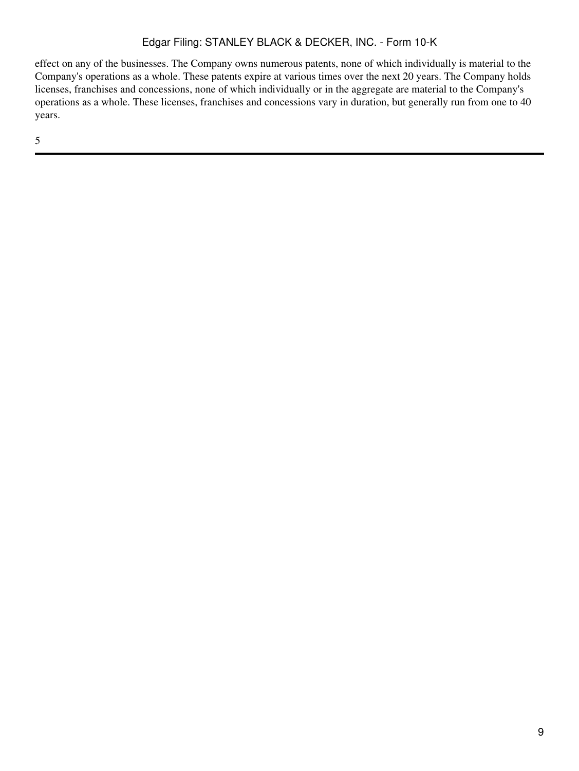effect on any of the businesses. The Company owns numerous patents, none of which individually is material to the Company's operations as a whole. These patents expire at various times over the next 20 years. The Company holds licenses, franchises and concessions, none of which individually or in the aggregate are material to the Company's operations as a whole. These licenses, franchises and concessions vary in duration, but generally run from one to 40 years.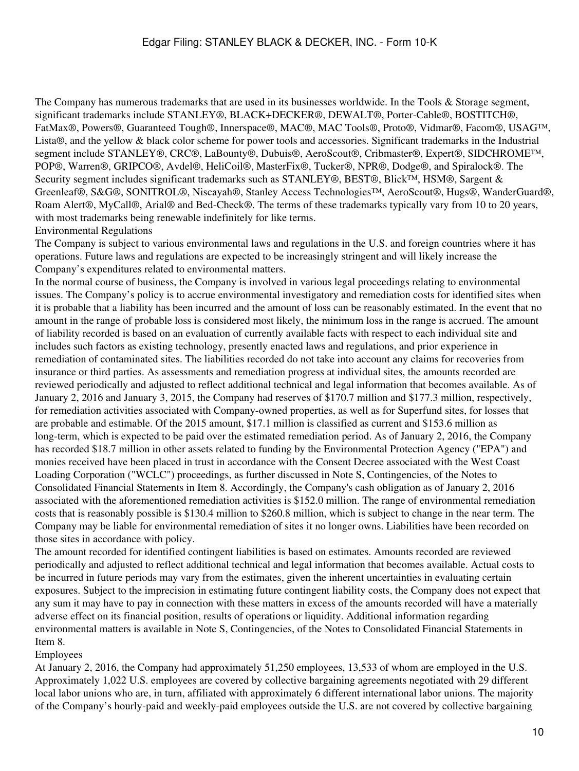The Company has numerous trademarks that are used in its businesses worldwide. In the Tools & Storage segment, significant trademarks include STANLEY®, BLACK+DECKER®, DEWALT®, Porter-Cable®, BOSTITCH®, FatMax®, Powers®, Guaranteed Tough®, Innerspace®, MAC®, MAC Tools®, Proto®, Vidmar®, Facom®, USAG™, Lista®, and the yellow & black color scheme for power tools and accessories. Significant trademarks in the Industrial segment include STANLEY®, CRC®, LaBounty®, Dubuis®, AeroScout®, Cribmaster®, Expert®, SIDCHROME™, POP®, Warren®, GRIPCO®, Avdel®, HeliCoil®, MasterFix®, Tucker®, NPR®, Dodge®, and Spiralock®. The Security segment includes significant trademarks such as STANLEY®, BEST®, Blick™, HSM®, Sargent & Greenleaf®, S&G®, SONITROL®, Niscayah®, Stanley Access Technologies™, AeroScout®, Hugs®, WanderGuard®, Roam Alert®, MyCall®, Arial® and Bed-Check®. The terms of these trademarks typically vary from 10 to 20 years, with most trademarks being renewable indefinitely for like terms. Environmental Regulations

The Company is subject to various environmental laws and regulations in the U.S. and foreign countries where it has operations. Future laws and regulations are expected to be increasingly stringent and will likely increase the Company's expenditures related to environmental matters.

In the normal course of business, the Company is involved in various legal proceedings relating to environmental issues. The Company's policy is to accrue environmental investigatory and remediation costs for identified sites when it is probable that a liability has been incurred and the amount of loss can be reasonably estimated. In the event that no amount in the range of probable loss is considered most likely, the minimum loss in the range is accrued. The amount of liability recorded is based on an evaluation of currently available facts with respect to each individual site and includes such factors as existing technology, presently enacted laws and regulations, and prior experience in remediation of contaminated sites. The liabilities recorded do not take into account any claims for recoveries from insurance or third parties. As assessments and remediation progress at individual sites, the amounts recorded are reviewed periodically and adjusted to reflect additional technical and legal information that becomes available. As of January 2, 2016 and January 3, 2015, the Company had reserves of \$170.7 million and \$177.3 million, respectively, for remediation activities associated with Company-owned properties, as well as for Superfund sites, for losses that are probable and estimable. Of the 2015 amount, \$17.1 million is classified as current and \$153.6 million as long-term, which is expected to be paid over the estimated remediation period. As of January 2, 2016, the Company has recorded \$18.7 million in other assets related to funding by the Environmental Protection Agency ("EPA") and monies received have been placed in trust in accordance with the Consent Decree associated with the West Coast Loading Corporation ("WCLC") proceedings, as further discussed in Note S, Contingencies, of the Notes to Consolidated Financial Statements in Item 8. Accordingly, the Company's cash obligation as of January 2, 2016 associated with the aforementioned remediation activities is \$152.0 million. The range of environmental remediation costs that is reasonably possible is \$130.4 million to \$260.8 million, which is subject to change in the near term. The Company may be liable for environmental remediation of sites it no longer owns. Liabilities have been recorded on those sites in accordance with policy.

The amount recorded for identified contingent liabilities is based on estimates. Amounts recorded are reviewed periodically and adjusted to reflect additional technical and legal information that becomes available. Actual costs to be incurred in future periods may vary from the estimates, given the inherent uncertainties in evaluating certain exposures. Subject to the imprecision in estimating future contingent liability costs, the Company does not expect that any sum it may have to pay in connection with these matters in excess of the amounts recorded will have a materially adverse effect on its financial position, results of operations or liquidity. Additional information regarding environmental matters is available in Note S, Contingencies, of the Notes to Consolidated Financial Statements in Item 8.

### Employees

At January 2, 2016, the Company had approximately 51,250 employees, 13,533 of whom are employed in the U.S. Approximately 1,022 U.S. employees are covered by collective bargaining agreements negotiated with 29 different local labor unions who are, in turn, affiliated with approximately 6 different international labor unions. The majority of the Company's hourly-paid and weekly-paid employees outside the U.S. are not covered by collective bargaining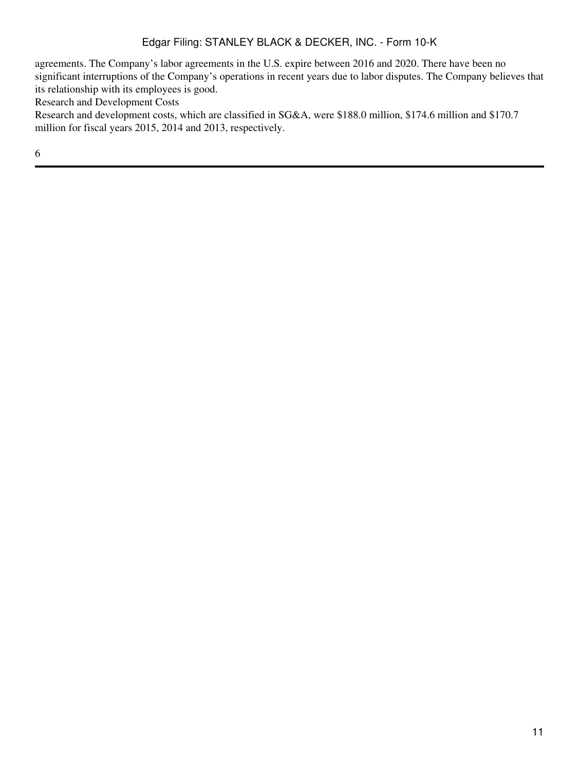agreements. The Company's labor agreements in the U.S. expire between 2016 and 2020. There have been no significant interruptions of the Company's operations in recent years due to labor disputes. The Company believes that its relationship with its employees is good.

Research and Development Costs

Research and development costs, which are classified in SG&A, were \$188.0 million, \$174.6 million and \$170.7 million for fiscal years 2015, 2014 and 2013, respectively.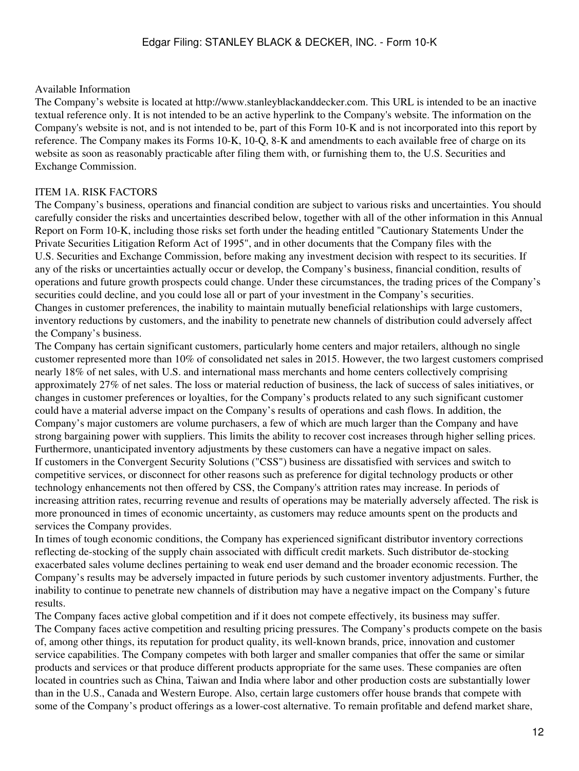### Available Information

The Company's website is located at http://www.stanleyblackanddecker.com. This URL is intended to be an inactive textual reference only. It is not intended to be an active hyperlink to the Company's website. The information on the Company's website is not, and is not intended to be, part of this Form 10-K and is not incorporated into this report by reference. The Company makes its Forms 10-K, 10-Q, 8-K and amendments to each available free of charge on its website as soon as reasonably practicable after filing them with, or furnishing them to, the U.S. Securities and Exchange Commission.

### <span id="page-11-0"></span>ITEM 1A. RISK FACTORS

The Company's business, operations and financial condition are subject to various risks and uncertainties. You should carefully consider the risks and uncertainties described below, together with all of the other information in this Annual Report on Form 10-K, including those risks set forth under the heading entitled "Cautionary Statements Under the Private Securities Litigation Reform Act of 1995", and in other documents that the Company files with the U.S. Securities and Exchange Commission, before making any investment decision with respect to its securities. If any of the risks or uncertainties actually occur or develop, the Company's business, financial condition, results of operations and future growth prospects could change. Under these circumstances, the trading prices of the Company's securities could decline, and you could lose all or part of your investment in the Company's securities. Changes in customer preferences, the inability to maintain mutually beneficial relationships with large customers, inventory reductions by customers, and the inability to penetrate new channels of distribution could adversely affect the Company's business.

The Company has certain significant customers, particularly home centers and major retailers, although no single customer represented more than 10% of consolidated net sales in 2015. However, the two largest customers comprised nearly 18% of net sales, with U.S. and international mass merchants and home centers collectively comprising approximately 27% of net sales. The loss or material reduction of business, the lack of success of sales initiatives, or changes in customer preferences or loyalties, for the Company's products related to any such significant customer could have a material adverse impact on the Company's results of operations and cash flows. In addition, the Company's major customers are volume purchasers, a few of which are much larger than the Company and have strong bargaining power with suppliers. This limits the ability to recover cost increases through higher selling prices. Furthermore, unanticipated inventory adjustments by these customers can have a negative impact on sales. If customers in the Convergent Security Solutions ("CSS") business are dissatisfied with services and switch to competitive services, or disconnect for other reasons such as preference for digital technology products or other technology enhancements not then offered by CSS, the Company's attrition rates may increase. In periods of increasing attrition rates, recurring revenue and results of operations may be materially adversely affected. The risk is more pronounced in times of economic uncertainty, as customers may reduce amounts spent on the products and services the Company provides.

In times of tough economic conditions, the Company has experienced significant distributor inventory corrections reflecting de-stocking of the supply chain associated with difficult credit markets. Such distributor de-stocking exacerbated sales volume declines pertaining to weak end user demand and the broader economic recession. The Company's results may be adversely impacted in future periods by such customer inventory adjustments. Further, the inability to continue to penetrate new channels of distribution may have a negative impact on the Company's future results.

The Company faces active global competition and if it does not compete effectively, its business may suffer. The Company faces active competition and resulting pricing pressures. The Company's products compete on the basis of, among other things, its reputation for product quality, its well-known brands, price, innovation and customer service capabilities. The Company competes with both larger and smaller companies that offer the same or similar products and services or that produce different products appropriate for the same uses. These companies are often located in countries such as China, Taiwan and India where labor and other production costs are substantially lower than in the U.S., Canada and Western Europe. Also, certain large customers offer house brands that compete with some of the Company's product offerings as a lower-cost alternative. To remain profitable and defend market share,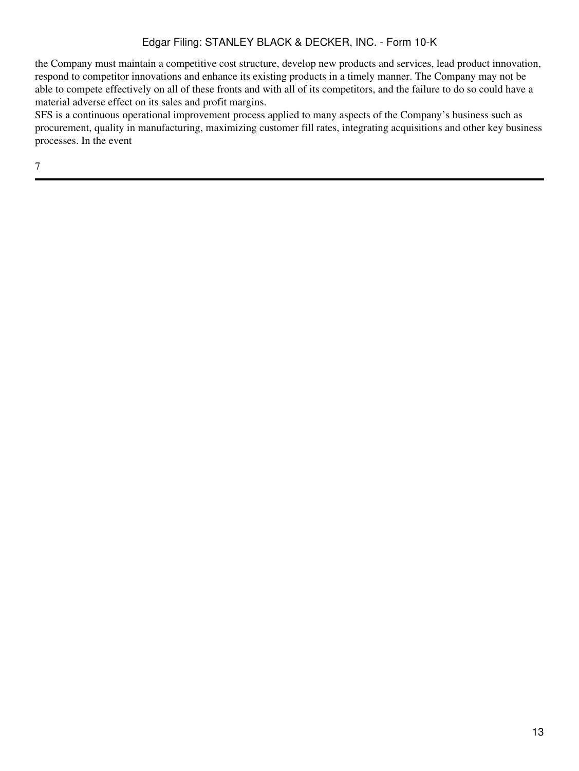the Company must maintain a competitive cost structure, develop new products and services, lead product innovation, respond to competitor innovations and enhance its existing products in a timely manner. The Company may not be able to compete effectively on all of these fronts and with all of its competitors, and the failure to do so could have a material adverse effect on its sales and profit margins.

SFS is a continuous operational improvement process applied to many aspects of the Company's business such as procurement, quality in manufacturing, maximizing customer fill rates, integrating acquisitions and other key business processes. In the event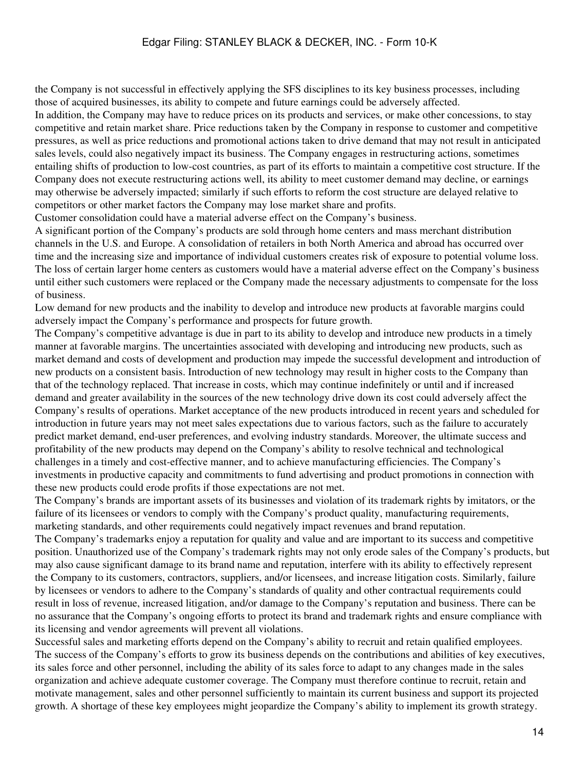the Company is not successful in effectively applying the SFS disciplines to its key business processes, including those of acquired businesses, its ability to compete and future earnings could be adversely affected.

In addition, the Company may have to reduce prices on its products and services, or make other concessions, to stay competitive and retain market share. Price reductions taken by the Company in response to customer and competitive pressures, as well as price reductions and promotional actions taken to drive demand that may not result in anticipated sales levels, could also negatively impact its business. The Company engages in restructuring actions, sometimes entailing shifts of production to low-cost countries, as part of its efforts to maintain a competitive cost structure. If the Company does not execute restructuring actions well, its ability to meet customer demand may decline, or earnings may otherwise be adversely impacted; similarly if such efforts to reform the cost structure are delayed relative to competitors or other market factors the Company may lose market share and profits.

Customer consolidation could have a material adverse effect on the Company's business.

A significant portion of the Company's products are sold through home centers and mass merchant distribution channels in the U.S. and Europe. A consolidation of retailers in both North America and abroad has occurred over time and the increasing size and importance of individual customers creates risk of exposure to potential volume loss. The loss of certain larger home centers as customers would have a material adverse effect on the Company's business until either such customers were replaced or the Company made the necessary adjustments to compensate for the loss of business.

Low demand for new products and the inability to develop and introduce new products at favorable margins could adversely impact the Company's performance and prospects for future growth.

The Company's competitive advantage is due in part to its ability to develop and introduce new products in a timely manner at favorable margins. The uncertainties associated with developing and introducing new products, such as market demand and costs of development and production may impede the successful development and introduction of new products on a consistent basis. Introduction of new technology may result in higher costs to the Company than that of the technology replaced. That increase in costs, which may continue indefinitely or until and if increased demand and greater availability in the sources of the new technology drive down its cost could adversely affect the Company's results of operations. Market acceptance of the new products introduced in recent years and scheduled for introduction in future years may not meet sales expectations due to various factors, such as the failure to accurately predict market demand, end-user preferences, and evolving industry standards. Moreover, the ultimate success and profitability of the new products may depend on the Company's ability to resolve technical and technological challenges in a timely and cost-effective manner, and to achieve manufacturing efficiencies. The Company's investments in productive capacity and commitments to fund advertising and product promotions in connection with these new products could erode profits if those expectations are not met.

The Company's brands are important assets of its businesses and violation of its trademark rights by imitators, or the failure of its licensees or vendors to comply with the Company's product quality, manufacturing requirements, marketing standards, and other requirements could negatively impact revenues and brand reputation.

The Company's trademarks enjoy a reputation for quality and value and are important to its success and competitive position. Unauthorized use of the Company's trademark rights may not only erode sales of the Company's products, but may also cause significant damage to its brand name and reputation, interfere with its ability to effectively represent the Company to its customers, contractors, suppliers, and/or licensees, and increase litigation costs. Similarly, failure by licensees or vendors to adhere to the Company's standards of quality and other contractual requirements could result in loss of revenue, increased litigation, and/or damage to the Company's reputation and business. There can be no assurance that the Company's ongoing efforts to protect its brand and trademark rights and ensure compliance with its licensing and vendor agreements will prevent all violations.

Successful sales and marketing efforts depend on the Company's ability to recruit and retain qualified employees. The success of the Company's efforts to grow its business depends on the contributions and abilities of key executives, its sales force and other personnel, including the ability of its sales force to adapt to any changes made in the sales organization and achieve adequate customer coverage. The Company must therefore continue to recruit, retain and motivate management, sales and other personnel sufficiently to maintain its current business and support its projected growth. A shortage of these key employees might jeopardize the Company's ability to implement its growth strategy.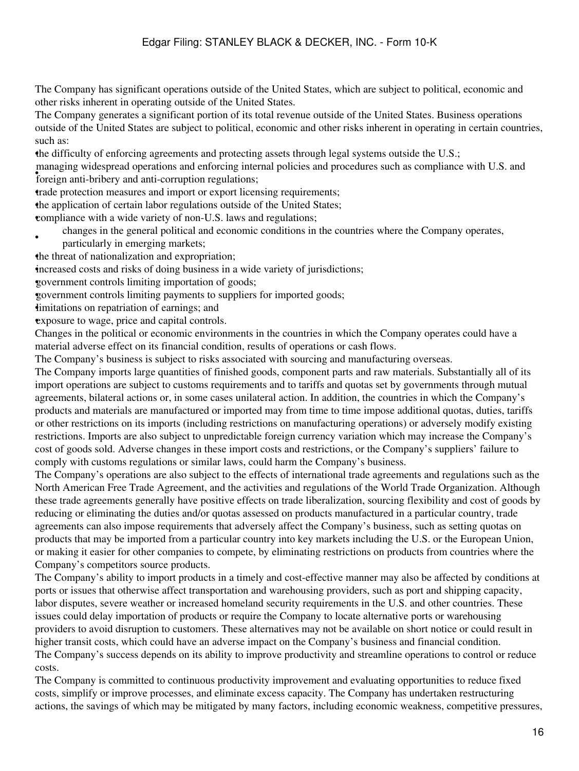The Company has significant operations outside of the United States, which are subject to political, economic and other risks inherent in operating outside of the United States.

The Company generates a significant portion of its total revenue outside of the United States. Business operations outside of the United States are subject to political, economic and other risks inherent in operating in certain countries, such as:

•the difficulty of enforcing agreements and protecting assets through legal systems outside the U.S.;

managing widespread operations and emoleng michaelectric foreign anti-bribery and anti-corruption regulations; managing widespread operations and enforcing internal policies and procedures such as compliance with U.S. and

•trade protection measures and import or export licensing requirements;

•the application of certain labor regulations outside of the United States;

•compliance with a wide variety of non-U.S. laws and regulations;

• changes in the general political and economic conditions in the countries where the Company operates, particularly in emerging markets;

the threat of nationalization and expropriation;

•increased costs and risks of doing business in a wide variety of jurisdictions;

•government controls limiting importation of goods;

•government controls limiting payments to suppliers for imported goods;

•limitations on repatriation of earnings; and

**exposure to wage, price and capital controls.** 

Changes in the political or economic environments in the countries in which the Company operates could have a material adverse effect on its financial condition, results of operations or cash flows.

The Company's business is subject to risks associated with sourcing and manufacturing overseas.

The Company imports large quantities of finished goods, component parts and raw materials. Substantially all of its import operations are subject to customs requirements and to tariffs and quotas set by governments through mutual agreements, bilateral actions or, in some cases unilateral action. In addition, the countries in which the Company's products and materials are manufactured or imported may from time to time impose additional quotas, duties, tariffs or other restrictions on its imports (including restrictions on manufacturing operations) or adversely modify existing restrictions. Imports are also subject to unpredictable foreign currency variation which may increase the Company's cost of goods sold. Adverse changes in these import costs and restrictions, or the Company's suppliers' failure to comply with customs regulations or similar laws, could harm the Company's business.

The Company's operations are also subject to the effects of international trade agreements and regulations such as the North American Free Trade Agreement, and the activities and regulations of the World Trade Organization. Although these trade agreements generally have positive effects on trade liberalization, sourcing flexibility and cost of goods by reducing or eliminating the duties and/or quotas assessed on products manufactured in a particular country, trade agreements can also impose requirements that adversely affect the Company's business, such as setting quotas on products that may be imported from a particular country into key markets including the U.S. or the European Union, or making it easier for other companies to compete, by eliminating restrictions on products from countries where the Company's competitors source products.

The Company's ability to import products in a timely and cost-effective manner may also be affected by conditions at ports or issues that otherwise affect transportation and warehousing providers, such as port and shipping capacity, labor disputes, severe weather or increased homeland security requirements in the U.S. and other countries. These issues could delay importation of products or require the Company to locate alternative ports or warehousing providers to avoid disruption to customers. These alternatives may not be available on short notice or could result in higher transit costs, which could have an adverse impact on the Company's business and financial condition. The Company's success depends on its ability to improve productivity and streamline operations to control or reduce costs.

The Company is committed to continuous productivity improvement and evaluating opportunities to reduce fixed costs, simplify or improve processes, and eliminate excess capacity. The Company has undertaken restructuring actions, the savings of which may be mitigated by many factors, including economic weakness, competitive pressures,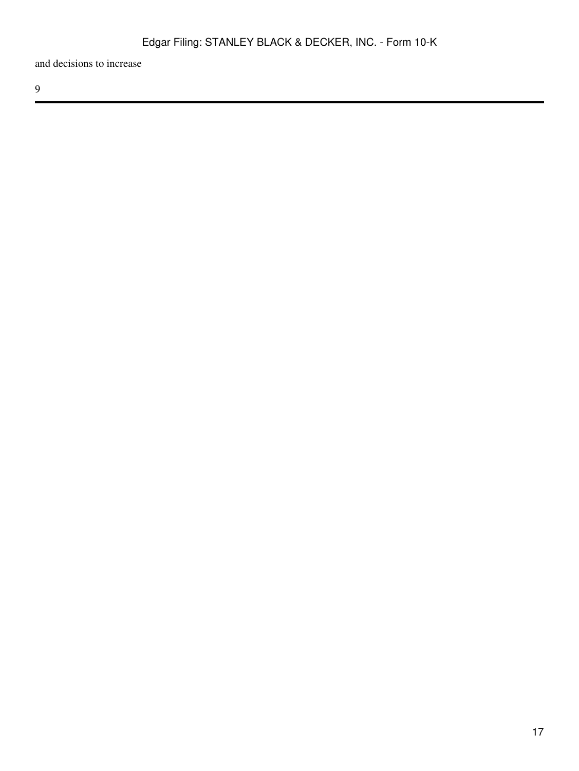and decisions to increase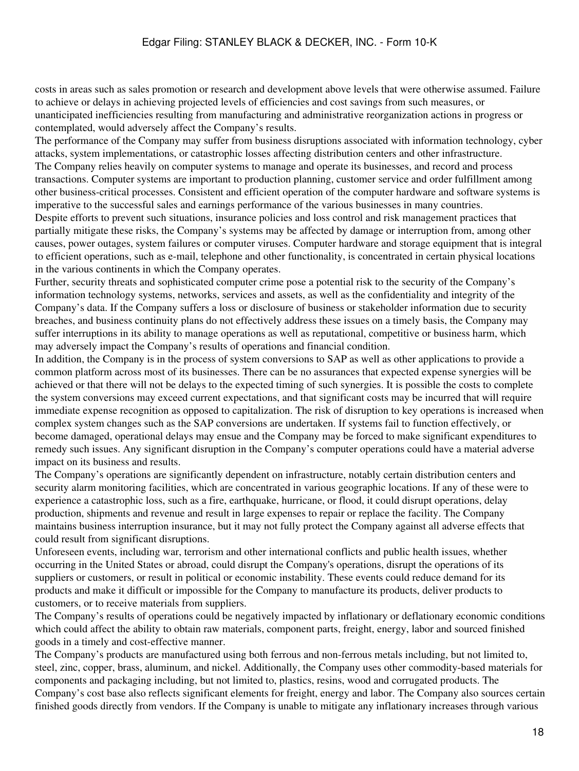costs in areas such as sales promotion or research and development above levels that were otherwise assumed. Failure to achieve or delays in achieving projected levels of efficiencies and cost savings from such measures, or unanticipated inefficiencies resulting from manufacturing and administrative reorganization actions in progress or contemplated, would adversely affect the Company's results.

The performance of the Company may suffer from business disruptions associated with information technology, cyber attacks, system implementations, or catastrophic losses affecting distribution centers and other infrastructure. The Company relies heavily on computer systems to manage and operate its businesses, and record and process transactions. Computer systems are important to production planning, customer service and order fulfillment among other business-critical processes. Consistent and efficient operation of the computer hardware and software systems is imperative to the successful sales and earnings performance of the various businesses in many countries. Despite efforts to prevent such situations, insurance policies and loss control and risk management practices that partially mitigate these risks, the Company's systems may be affected by damage or interruption from, among other causes, power outages, system failures or computer viruses. Computer hardware and storage equipment that is integral to efficient operations, such as e-mail, telephone and other functionality, is concentrated in certain physical locations in the various continents in which the Company operates.

Further, security threats and sophisticated computer crime pose a potential risk to the security of the Company's information technology systems, networks, services and assets, as well as the confidentiality and integrity of the Company's data. If the Company suffers a loss or disclosure of business or stakeholder information due to security breaches, and business continuity plans do not effectively address these issues on a timely basis, the Company may suffer interruptions in its ability to manage operations as well as reputational, competitive or business harm, which may adversely impact the Company's results of operations and financial condition.

In addition, the Company is in the process of system conversions to SAP as well as other applications to provide a common platform across most of its businesses. There can be no assurances that expected expense synergies will be achieved or that there will not be delays to the expected timing of such synergies. It is possible the costs to complete the system conversions may exceed current expectations, and that significant costs may be incurred that will require immediate expense recognition as opposed to capitalization. The risk of disruption to key operations is increased when complex system changes such as the SAP conversions are undertaken. If systems fail to function effectively, or become damaged, operational delays may ensue and the Company may be forced to make significant expenditures to remedy such issues. Any significant disruption in the Company's computer operations could have a material adverse impact on its business and results.

The Company's operations are significantly dependent on infrastructure, notably certain distribution centers and security alarm monitoring facilities, which are concentrated in various geographic locations. If any of these were to experience a catastrophic loss, such as a fire, earthquake, hurricane, or flood, it could disrupt operations, delay production, shipments and revenue and result in large expenses to repair or replace the facility. The Company maintains business interruption insurance, but it may not fully protect the Company against all adverse effects that could result from significant disruptions.

Unforeseen events, including war, terrorism and other international conflicts and public health issues, whether occurring in the United States or abroad, could disrupt the Company's operations, disrupt the operations of its suppliers or customers, or result in political or economic instability. These events could reduce demand for its products and make it difficult or impossible for the Company to manufacture its products, deliver products to customers, or to receive materials from suppliers.

The Company's results of operations could be negatively impacted by inflationary or deflationary economic conditions which could affect the ability to obtain raw materials, component parts, freight, energy, labor and sourced finished goods in a timely and cost-effective manner.

The Company's products are manufactured using both ferrous and non-ferrous metals including, but not limited to, steel, zinc, copper, brass, aluminum, and nickel. Additionally, the Company uses other commodity-based materials for components and packaging including, but not limited to, plastics, resins, wood and corrugated products. The Company's cost base also reflects significant elements for freight, energy and labor. The Company also sources certain finished goods directly from vendors. If the Company is unable to mitigate any inflationary increases through various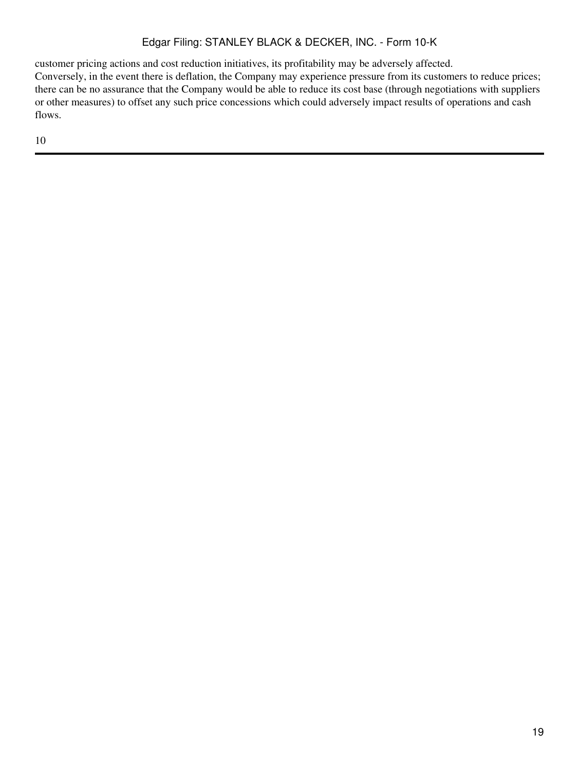customer pricing actions and cost reduction initiatives, its profitability may be adversely affected. Conversely, in the event there is deflation, the Company may experience pressure from its customers to reduce prices; there can be no assurance that the Company would be able to reduce its cost base (through negotiations with suppliers or other measures) to offset any such price concessions which could adversely impact results of operations and cash

10

flows.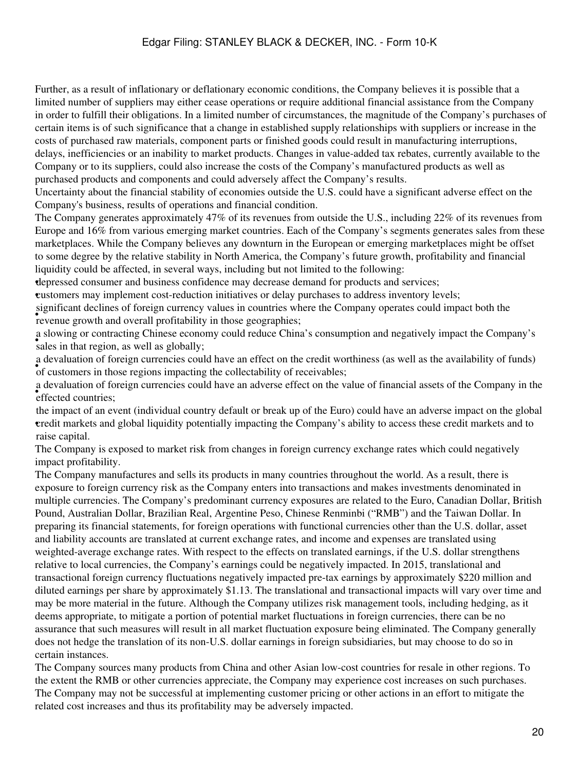Further, as a result of inflationary or deflationary economic conditions, the Company believes it is possible that a limited number of suppliers may either cease operations or require additional financial assistance from the Company in order to fulfill their obligations. In a limited number of circumstances, the magnitude of the Company's purchases of certain items is of such significance that a change in established supply relationships with suppliers or increase in the costs of purchased raw materials, component parts or finished goods could result in manufacturing interruptions, delays, inefficiencies or an inability to market products. Changes in value-added tax rebates, currently available to the Company or to its suppliers, could also increase the costs of the Company's manufactured products as well as purchased products and components and could adversely affect the Company's results.

Uncertainty about the financial stability of economies outside the U.S. could have a significant adverse effect on the Company's business, results of operations and financial condition.

The Company generates approximately 47% of its revenues from outside the U.S., including 22% of its revenues from Europe and 16% from various emerging market countries. Each of the Company's segments generates sales from these marketplaces. While the Company believes any downturn in the European or emerging marketplaces might be offset to some degree by the relative stability in North America, the Company's future growth, profitability and financial liquidity could be affected, in several ways, including but not limited to the following:

•depressed consumer and business confidence may decrease demand for products and services;

•customers may implement cost-reduction initiatives or delay purchases to address inventory levels;

**regimed to determine the control of the control of the control of the control of the control of the control of the control of the control of the control of the control of the control of the control of the control of the c** significant declines of foreign currency values in countries where the Company operates could impact both the

a slowing or contacting emilese econds a slowing or contracting Chinese economy could reduce China's consumption and negatively impact the Company's

**The contractor of foreign currences could have an effect on the credit word of customers in those regions impacting the collectability of receivables;** a devaluation of foreign currencies could have an effect on the credit worthiness (as well as the availability of funds)

**effected countries;** a devaluation of foreign currencies could have an adverse effect on the value of financial assets of the Company in the

• credit markets and global liquidity potentially impacting the Company's ability to access these credit markets and to the impact of an event (individual country default or break up of the Euro) could have an adverse impact on the global raise capital.

The Company is exposed to market risk from changes in foreign currency exchange rates which could negatively impact profitability.

The Company manufactures and sells its products in many countries throughout the world. As a result, there is exposure to foreign currency risk as the Company enters into transactions and makes investments denominated in multiple currencies. The Company's predominant currency exposures are related to the Euro, Canadian Dollar, British Pound, Australian Dollar, Brazilian Real, Argentine Peso, Chinese Renminbi ("RMB") and the Taiwan Dollar. In preparing its financial statements, for foreign operations with functional currencies other than the U.S. dollar, asset and liability accounts are translated at current exchange rates, and income and expenses are translated using weighted-average exchange rates. With respect to the effects on translated earnings, if the U.S. dollar strengthens relative to local currencies, the Company's earnings could be negatively impacted. In 2015, translational and transactional foreign currency fluctuations negatively impacted pre-tax earnings by approximately \$220 million and diluted earnings per share by approximately \$1.13. The translational and transactional impacts will vary over time and may be more material in the future. Although the Company utilizes risk management tools, including hedging, as it deems appropriate, to mitigate a portion of potential market fluctuations in foreign currencies, there can be no assurance that such measures will result in all market fluctuation exposure being eliminated. The Company generally does not hedge the translation of its non-U.S. dollar earnings in foreign subsidiaries, but may choose to do so in certain instances.

The Company sources many products from China and other Asian low-cost countries for resale in other regions. To the extent the RMB or other currencies appreciate, the Company may experience cost increases on such purchases. The Company may not be successful at implementing customer pricing or other actions in an effort to mitigate the related cost increases and thus its profitability may be adversely impacted.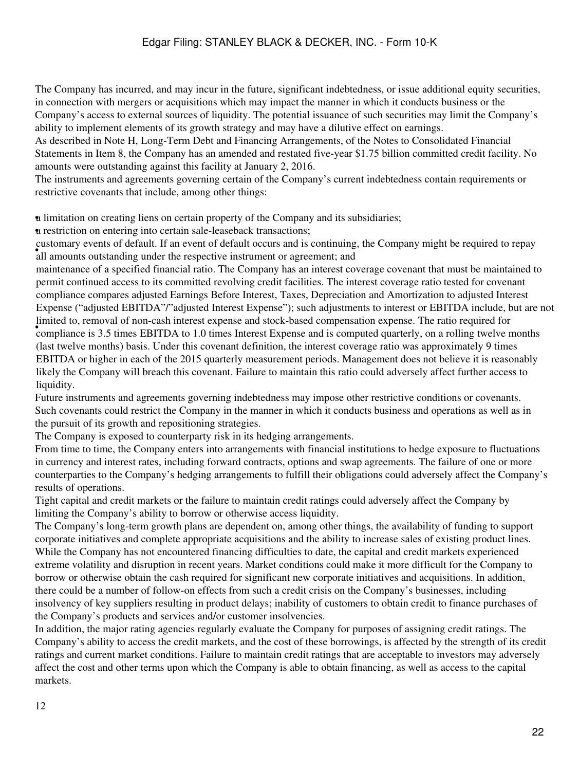The Company has incurred, and may incur in the future, significant indebtedness, or issue additional equity securities, in connection with mergers or acquisitions which may impact the manner in which it conducts business or the Company's access to external sources of liquidity. The potential issuance of such securities may limit the Company's ability to implement elements of its growth strategy and may have a dilutive effect on earnings.

As described in Note H, Long-Term Debt and Financing Arrangements, of the Notes to Consolidated Financial Statements in Item 8, the Company has an amended and restated five-year \$1.75 billion committed credit facility. No amounts were outstanding against this facility at January 2, 2016.

The instruments and agreements governing certain of the Company's current indebtedness contain requirements or restrictive covenants that include, among other things:

•a limitation on creating liens on certain property of the Company and its subsidiaries;

•a restriction on entering into certain sale-leaseback transactions;

**Existending** because of detail. He all event of details details and is community all amounts outstanding under the respective instrument or agreement; and customary events of default. If an event of default occurs and is continuing, the Company might be required to repay

Anneed to, tembolar of non-easily interest expense and stock based compensation expense. The ratio required for<br>compliance is 3.5 times EBITDA to 1.0 times Interest Expense and is computed quarterly, on a rolling twelve mo maintenance of a specified financial ratio. The Company has an interest coverage covenant that must be maintained to permit continued access to its committed revolving credit facilities. The interest coverage ratio tested for covenant compliance compares adjusted Earnings Before Interest, Taxes, Depreciation and Amortization to adjusted Interest Expense ("adjusted EBITDA"/"adjusted Interest Expense"); such adjustments to interest or EBITDA include, but are not limited to, removal of non-cash interest expense and stock-based compensation expense. The ratio required for (last twelve months) basis. Under this covenant definition, the interest coverage ratio was approximately 9 times EBITDA or higher in each of the 2015 quarterly measurement periods. Management does not believe it is reasonably likely the Company will breach this covenant. Failure to maintain this ratio could adversely affect further access to liquidity.

Future instruments and agreements governing indebtedness may impose other restrictive conditions or covenants. Such covenants could restrict the Company in the manner in which it conducts business and operations as well as in the pursuit of its growth and repositioning strategies.

The Company is exposed to counterparty risk in its hedging arrangements.

From time to time, the Company enters into arrangements with financial institutions to hedge exposure to fluctuations in currency and interest rates, including forward contracts, options and swap agreements. The failure of one or more counterparties to the Company's hedging arrangements to fulfill their obligations could adversely affect the Company's results of operations.

Tight capital and credit markets or the failure to maintain credit ratings could adversely affect the Company by limiting the Company's ability to borrow or otherwise access liquidity.

The Company's long-term growth plans are dependent on, among other things, the availability of funding to support corporate initiatives and complete appropriate acquisitions and the ability to increase sales of existing product lines. While the Company has not encountered financing difficulties to date, the capital and credit markets experienced extreme volatility and disruption in recent years. Market conditions could make it more difficult for the Company to borrow or otherwise obtain the cash required for significant new corporate initiatives and acquisitions. In addition, there could be a number of follow-on effects from such a credit crisis on the Company's businesses, including insolvency of key suppliers resulting in product delays; inability of customers to obtain credit to finance purchases of the Company's products and services and/or customer insolvencies.

In addition, the major rating agencies regularly evaluate the Company for purposes of assigning credit ratings. The Company's ability to access the credit markets, and the cost of these borrowings, is affected by the strength of its credit ratings and current market conditions. Failure to maintain credit ratings that are acceptable to investors may adversely affect the cost and other terms upon which the Company is able to obtain financing, as well as access to the capital markets.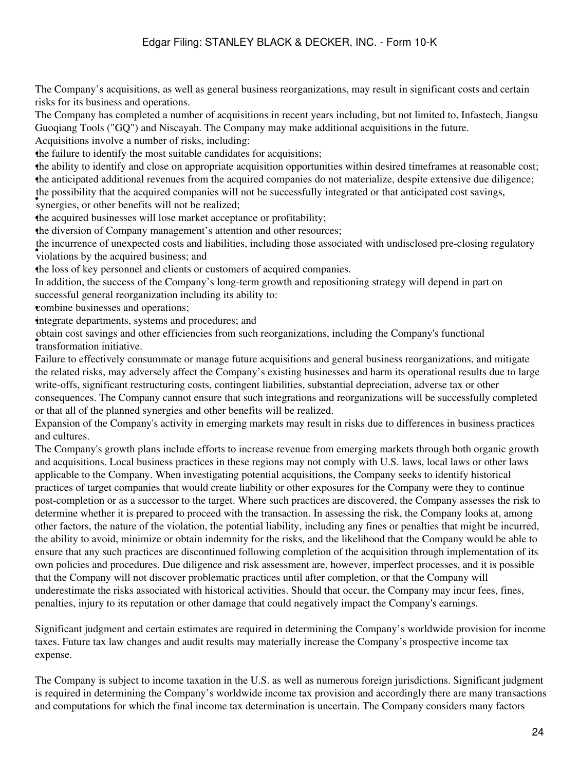The Company's acquisitions, as well as general business reorganizations, may result in significant costs and certain risks for its business and operations.

The Company has completed a number of acquisitions in recent years including, but not limited to, Infastech, Jiangsu Guoqiang Tools ("GQ") and Niscayah. The Company may make additional acquisitions in the future.

Acquisitions involve a number of risks, including:

•the failure to identify the most suitable candidates for acquisitions;

•the ability to identify and close on appropriate acquisition opportunities within desired timeframes at reasonable cost; •the anticipated additional revenues from the acquired companies do not materialize, despite extensive due diligence; the possibility that the acquired companies will not be successfully integrated or that anticipated cost savings,

synergies, or other benefits will not be realized;

•the acquired businesses will lose market acceptance or profitability;

•the diversion of Company management's attention and other resources;

• violations by the acquired business; and the incurrence of unexpected costs and liabilities, including those associated with undisclosed pre-closing regulatory

•the loss of key personnel and clients or customers of acquired companies.

In addition, the success of the Company's long-term growth and repositioning strategy will depend in part on successful general reorganization including its ability to:

**combine businesses and operations;** 

integrate departments, systems and procedures; and

• transformation initiative. obtain cost savings and other efficiencies from such reorganizations, including the Company's functional

Failure to effectively consummate or manage future acquisitions and general business reorganizations, and mitigate the related risks, may adversely affect the Company's existing businesses and harm its operational results due to large write-offs, significant restructuring costs, contingent liabilities, substantial depreciation, adverse tax or other consequences. The Company cannot ensure that such integrations and reorganizations will be successfully completed or that all of the planned synergies and other benefits will be realized.

Expansion of the Company's activity in emerging markets may result in risks due to differences in business practices and cultures.

The Company's growth plans include efforts to increase revenue from emerging markets through both organic growth and acquisitions. Local business practices in these regions may not comply with U.S. laws, local laws or other laws applicable to the Company. When investigating potential acquisitions, the Company seeks to identify historical practices of target companies that would create liability or other exposures for the Company were they to continue post-completion or as a successor to the target. Where such practices are discovered, the Company assesses the risk to determine whether it is prepared to proceed with the transaction. In assessing the risk, the Company looks at, among other factors, the nature of the violation, the potential liability, including any fines or penalties that might be incurred, the ability to avoid, minimize or obtain indemnity for the risks, and the likelihood that the Company would be able to ensure that any such practices are discontinued following completion of the acquisition through implementation of its own policies and procedures. Due diligence and risk assessment are, however, imperfect processes, and it is possible that the Company will not discover problematic practices until after completion, or that the Company will underestimate the risks associated with historical activities. Should that occur, the Company may incur fees, fines, penalties, injury to its reputation or other damage that could negatively impact the Company's earnings.

Significant judgment and certain estimates are required in determining the Company's worldwide provision for income taxes. Future tax law changes and audit results may materially increase the Company's prospective income tax expense.

The Company is subject to income taxation in the U.S. as well as numerous foreign jurisdictions. Significant judgment is required in determining the Company's worldwide income tax provision and accordingly there are many transactions and computations for which the final income tax determination is uncertain. The Company considers many factors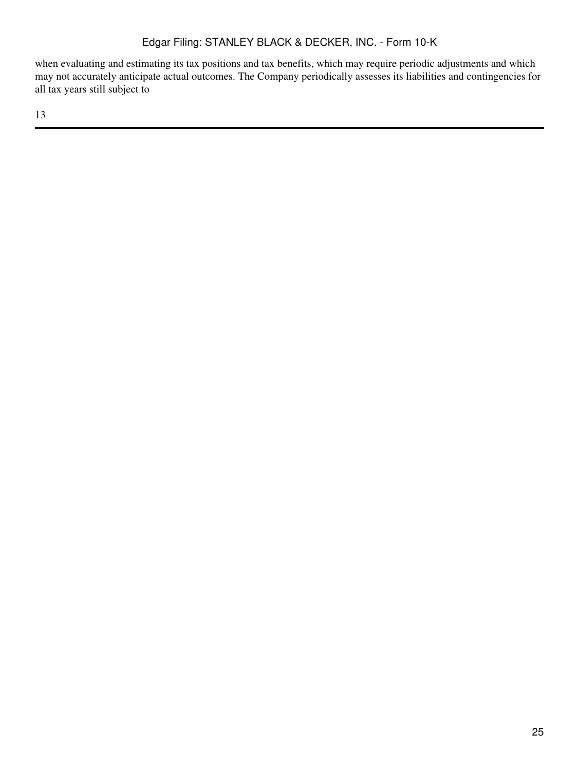when evaluating and estimating its tax positions and tax benefits, which may require periodic adjustments and which may not accurately anticipate actual outcomes. The Company periodically assesses its liabilities and contingencies for all tax years still subject to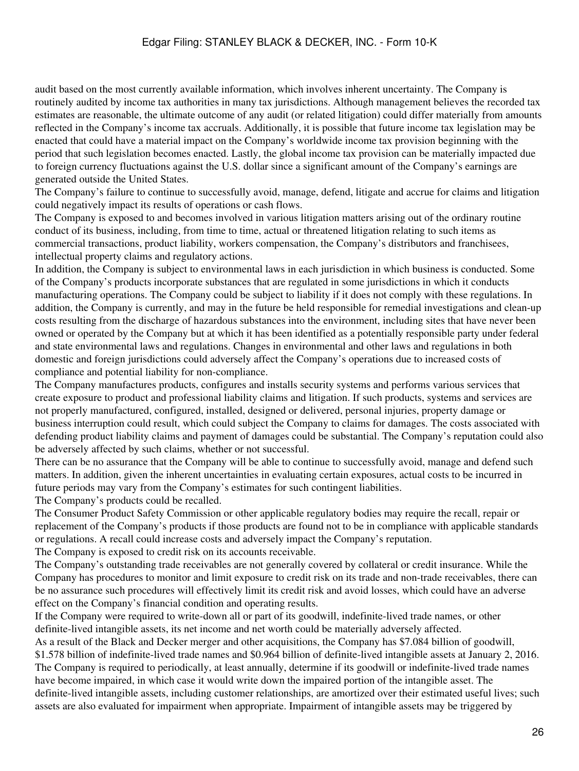audit based on the most currently available information, which involves inherent uncertainty. The Company is routinely audited by income tax authorities in many tax jurisdictions. Although management believes the recorded tax estimates are reasonable, the ultimate outcome of any audit (or related litigation) could differ materially from amounts reflected in the Company's income tax accruals. Additionally, it is possible that future income tax legislation may be enacted that could have a material impact on the Company's worldwide income tax provision beginning with the period that such legislation becomes enacted. Lastly, the global income tax provision can be materially impacted due to foreign currency fluctuations against the U.S. dollar since a significant amount of the Company's earnings are generated outside the United States.

The Company's failure to continue to successfully avoid, manage, defend, litigate and accrue for claims and litigation could negatively impact its results of operations or cash flows.

The Company is exposed to and becomes involved in various litigation matters arising out of the ordinary routine conduct of its business, including, from time to time, actual or threatened litigation relating to such items as commercial transactions, product liability, workers compensation, the Company's distributors and franchisees, intellectual property claims and regulatory actions.

In addition, the Company is subject to environmental laws in each jurisdiction in which business is conducted. Some of the Company's products incorporate substances that are regulated in some jurisdictions in which it conducts manufacturing operations. The Company could be subject to liability if it does not comply with these regulations. In addition, the Company is currently, and may in the future be held responsible for remedial investigations and clean-up costs resulting from the discharge of hazardous substances into the environment, including sites that have never been owned or operated by the Company but at which it has been identified as a potentially responsible party under federal and state environmental laws and regulations. Changes in environmental and other laws and regulations in both domestic and foreign jurisdictions could adversely affect the Company's operations due to increased costs of compliance and potential liability for non-compliance.

The Company manufactures products, configures and installs security systems and performs various services that create exposure to product and professional liability claims and litigation. If such products, systems and services are not properly manufactured, configured, installed, designed or delivered, personal injuries, property damage or business interruption could result, which could subject the Company to claims for damages. The costs associated with defending product liability claims and payment of damages could be substantial. The Company's reputation could also be adversely affected by such claims, whether or not successful.

There can be no assurance that the Company will be able to continue to successfully avoid, manage and defend such matters. In addition, given the inherent uncertainties in evaluating certain exposures, actual costs to be incurred in future periods may vary from the Company's estimates for such contingent liabilities.

The Company's products could be recalled.

The Consumer Product Safety Commission or other applicable regulatory bodies may require the recall, repair or replacement of the Company's products if those products are found not to be in compliance with applicable standards or regulations. A recall could increase costs and adversely impact the Company's reputation.

The Company is exposed to credit risk on its accounts receivable.

The Company's outstanding trade receivables are not generally covered by collateral or credit insurance. While the Company has procedures to monitor and limit exposure to credit risk on its trade and non-trade receivables, there can be no assurance such procedures will effectively limit its credit risk and avoid losses, which could have an adverse effect on the Company's financial condition and operating results.

If the Company were required to write-down all or part of its goodwill, indefinite-lived trade names, or other definite-lived intangible assets, its net income and net worth could be materially adversely affected.

As a result of the Black and Decker merger and other acquisitions, the Company has \$7.084 billion of goodwill, \$1.578 billion of indefinite-lived trade names and \$0.964 billion of definite-lived intangible assets at January 2, 2016. The Company is required to periodically, at least annually, determine if its goodwill or indefinite-lived trade names have become impaired, in which case it would write down the impaired portion of the intangible asset. The definite-lived intangible assets, including customer relationships, are amortized over their estimated useful lives; such assets are also evaluated for impairment when appropriate. Impairment of intangible assets may be triggered by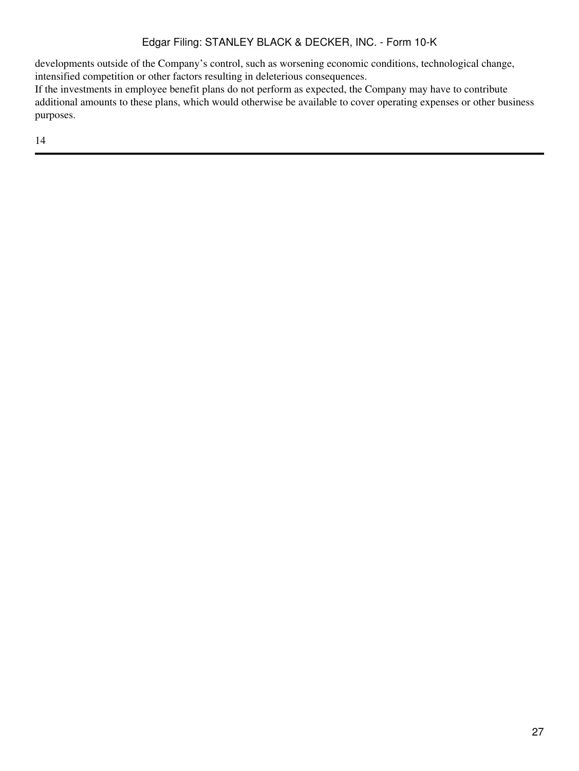developments outside of the Company's control, such as worsening economic conditions, technological change, intensified competition or other factors resulting in deleterious consequences.

If the investments in employee benefit plans do not perform as expected, the Company may have to contribute additional amounts to these plans, which would otherwise be available to cover operating expenses or other business purposes.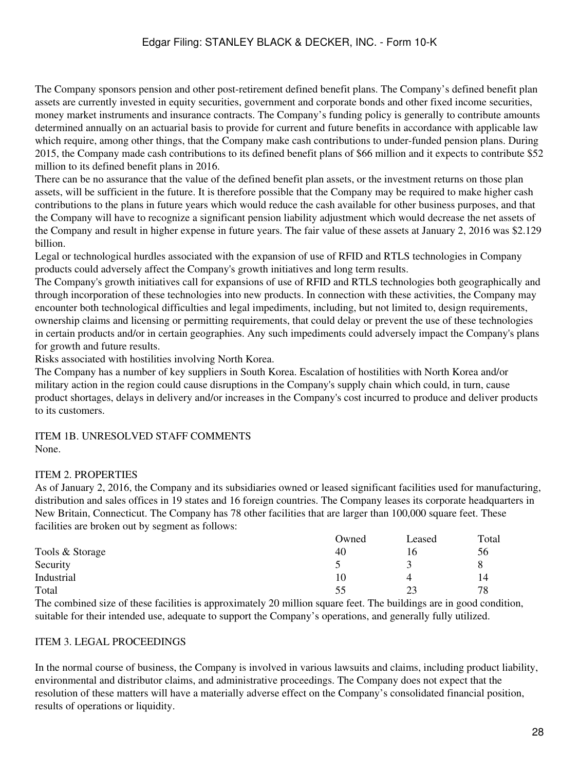The Company sponsors pension and other post-retirement defined benefit plans. The Company's defined benefit plan assets are currently invested in equity securities, government and corporate bonds and other fixed income securities, money market instruments and insurance contracts. The Company's funding policy is generally to contribute amounts determined annually on an actuarial basis to provide for current and future benefits in accordance with applicable law which require, among other things, that the Company make cash contributions to under-funded pension plans. During 2015, the Company made cash contributions to its defined benefit plans of \$66 million and it expects to contribute \$52 million to its defined benefit plans in 2016.

There can be no assurance that the value of the defined benefit plan assets, or the investment returns on those plan assets, will be sufficient in the future. It is therefore possible that the Company may be required to make higher cash contributions to the plans in future years which would reduce the cash available for other business purposes, and that the Company will have to recognize a significant pension liability adjustment which would decrease the net assets of the Company and result in higher expense in future years. The fair value of these assets at January 2, 2016 was \$2.129 billion.

Legal or technological hurdles associated with the expansion of use of RFID and RTLS technologies in Company products could adversely affect the Company's growth initiatives and long term results.

The Company's growth initiatives call for expansions of use of RFID and RTLS technologies both geographically and through incorporation of these technologies into new products. In connection with these activities, the Company may encounter both technological difficulties and legal impediments, including, but not limited to, design requirements, ownership claims and licensing or permitting requirements, that could delay or prevent the use of these technologies in certain products and/or in certain geographies. Any such impediments could adversely impact the Company's plans for growth and future results.

Risks associated with hostilities involving North Korea.

The Company has a number of key suppliers in South Korea. Escalation of hostilities with North Korea and/or military action in the region could cause disruptions in the Company's supply chain which could, in turn, cause product shortages, delays in delivery and/or increases in the Company's cost incurred to produce and deliver products to its customers.

<span id="page-27-0"></span>ITEM 1B. UNRESOLVED STAFF COMMENTS None.

### <span id="page-27-1"></span>ITEM 2. PROPERTIES

As of January 2, 2016, the Company and its subsidiaries owned or leased significant facilities used for manufacturing, distribution and sales offices in 19 states and 16 foreign countries. The Company leases its corporate headquarters in New Britain, Connecticut. The Company has 78 other facilities that are larger than 100,000 square feet. These facilities are broken out by segment as follows:

| Owned | Leased | Total |
|-------|--------|-------|
| 40    | 16     | 56    |
|       |        | 8     |
| 10    |        | 14    |
| 55    | 23     | 78    |
|       |        |       |

The combined size of these facilities is approximately 20 million square feet. The buildings are in good condition, suitable for their intended use, adequate to support the Company's operations, and generally fully utilized.

#### <span id="page-27-2"></span>ITEM 3. LEGAL PROCEEDINGS

In the normal course of business, the Company is involved in various lawsuits and claims, including product liability, environmental and distributor claims, and administrative proceedings. The Company does not expect that the resolution of these matters will have a materially adverse effect on the Company's consolidated financial position, results of operations or liquidity.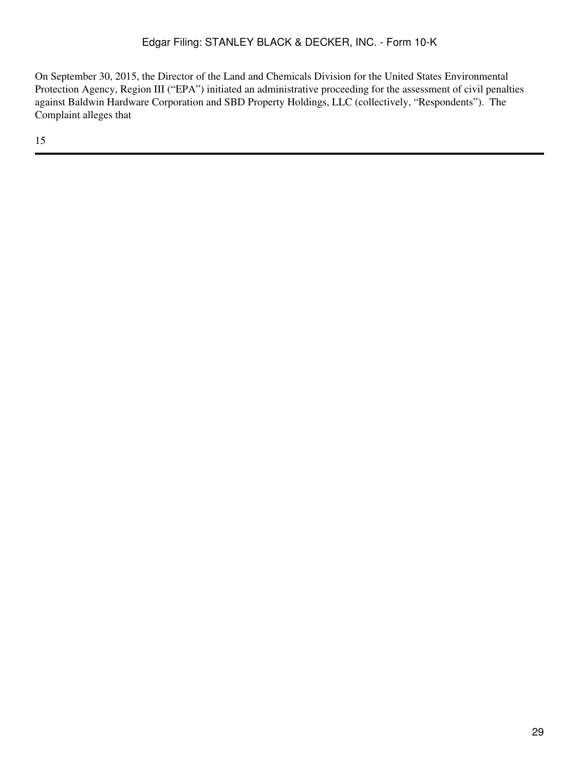On September 30, 2015, the Director of the Land and Chemicals Division for the United States Environmental Protection Agency, Region III ("EPA") initiated an administrative proceeding for the assessment of civil penalties against Baldwin Hardware Corporation and SBD Property Holdings, LLC (collectively, "Respondents"). The Complaint alleges that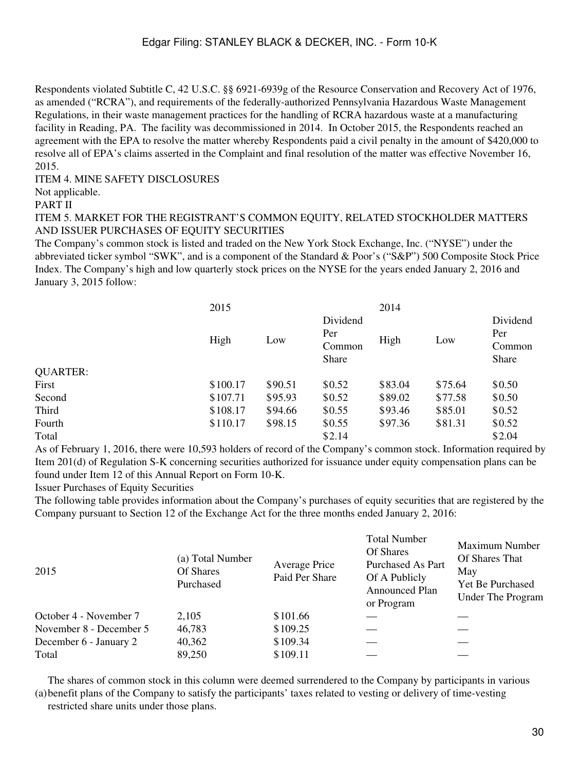Respondents violated Subtitle C, 42 U.S.C. §§ 6921-6939g of the Resource Conservation and Recovery Act of 1976, as amended ("RCRA"), and requirements of the federally-authorized Pennsylvania Hazardous Waste Management Regulations, in their waste management practices for the handling of RCRA hazardous waste at a manufacturing facility in Reading, PA. The facility was decommissioned in 2014. In October 2015, the Respondents reached an agreement with the EPA to resolve the matter whereby Respondents paid a civil penalty in the amount of \$420,000 to resolve all of EPA's claims asserted in the Complaint and final resolution of the matter was effective November 16, 2015.

### <span id="page-29-0"></span>ITEM 4. MINE SAFETY DISCLOSURES

Not applicable.

#### <span id="page-29-1"></span>PART II

<span id="page-29-2"></span>ITEM 5. MARKET FOR THE REGISTRANT'S COMMON EQUITY, RELATED STOCKHOLDER MATTERS AND ISSUER PURCHASES OF EQUITY SECURITIES

The Company's common stock is listed and traded on the New York Stock Exchange, Inc. ("NYSE") under the abbreviated ticker symbol "SWK", and is a component of the Standard & Poor's ("S&P") 500 Composite Stock Price Index. The Company's high and low quarterly stock prices on the NYSE for the years ended January 2, 2016 and January 3, 2015 follow:

|                 | 2015     |         |                                           | 2014    |         |                                    |
|-----------------|----------|---------|-------------------------------------------|---------|---------|------------------------------------|
|                 | High     | Low     | Dividend<br>Per<br>Common<br><b>Share</b> | High    | Low     | Dividend<br>Per<br>Common<br>Share |
| <b>QUARTER:</b> |          |         |                                           |         |         |                                    |
| First           | \$100.17 | \$90.51 | \$0.52                                    | \$83.04 | \$75.64 | \$0.50                             |
| Second          | \$107.71 | \$95.93 | \$0.52                                    | \$89.02 | \$77.58 | \$0.50                             |
| Third           | \$108.17 | \$94.66 | \$0.55                                    | \$93.46 | \$85.01 | \$0.52                             |
| Fourth          | \$110.17 | \$98.15 | \$0.55                                    | \$97.36 | \$81.31 | \$0.52                             |
| Total           |          |         | \$2.14                                    |         |         | \$2.04                             |

As of February 1, 2016, there were 10,593 holders of record of the Company's common stock. Information required by Item 201(d) of Regulation S-K concerning securities authorized for issuance under equity compensation plans can be found under Item 12 of this Annual Report on Form 10-K.

Issuer Purchases of Equity Securities

The following table provides information about the Company's purchases of equity securities that are registered by the Company pursuant to Section 12 of the Exchange Act for the three months ended January 2, 2016:

| 2015                    | (a) Total Number<br>Of Shares<br>Purchased | Average Price<br>Paid Per Share | <b>Total Number</b><br>Of Shares<br><b>Purchased As Part</b><br>Of A Publicly<br><b>Announced Plan</b><br>or Program | Maximum Number<br>Of Shares That<br>May<br><b>Yet Be Purchased</b><br>Under The Program |
|-------------------------|--------------------------------------------|---------------------------------|----------------------------------------------------------------------------------------------------------------------|-----------------------------------------------------------------------------------------|
| October 4 - November 7  | 2,105                                      | \$101.66                        |                                                                                                                      |                                                                                         |
| November 8 - December 5 | 46,783                                     | \$109.25                        |                                                                                                                      |                                                                                         |
| December 6 - January 2  | 40,362                                     | \$109.34                        |                                                                                                                      |                                                                                         |
| Total                   | 89,250                                     | \$109.11                        |                                                                                                                      |                                                                                         |

(a) benefit plans of the Company to satisfy the participants' taxes related to vesting or delivery of time-vesting The shares of common stock in this column were deemed surrendered to the Company by participants in various restricted share units under those plans.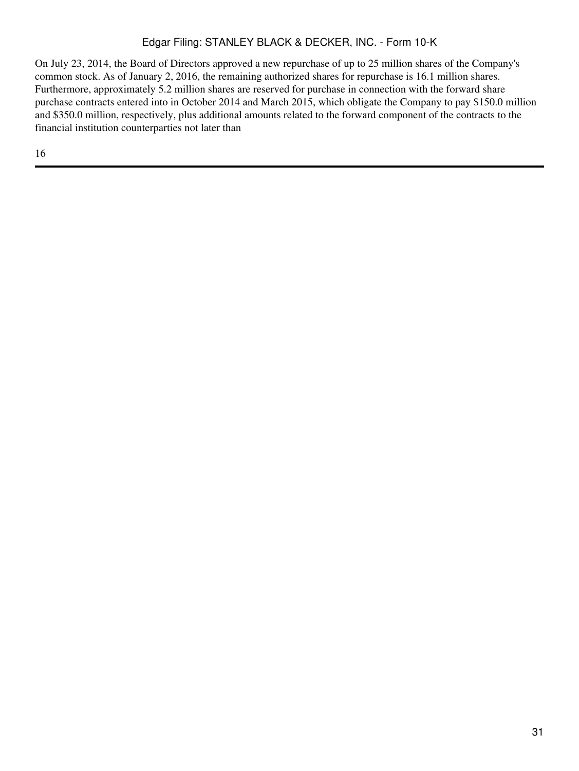On July 23, 2014, the Board of Directors approved a new repurchase of up to 25 million shares of the Company's common stock. As of January 2, 2016, the remaining authorized shares for repurchase is 16.1 million shares. Furthermore, approximately 5.2 million shares are reserved for purchase in connection with the forward share purchase contracts entered into in October 2014 and March 2015, which obligate the Company to pay \$150.0 million and \$350.0 million, respectively, plus additional amounts related to the forward component of the contracts to the financial institution counterparties not later than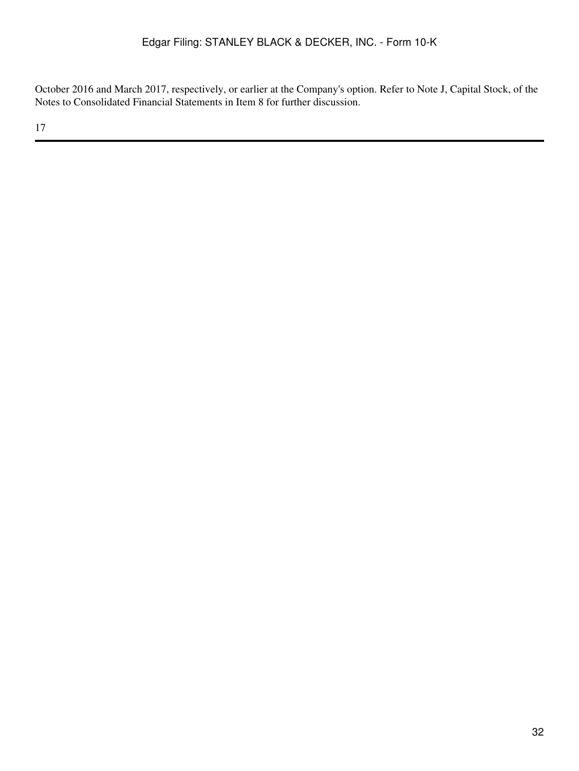October 2016 and March 2017, respectively, or earlier at the Company's option. Refer to Note J, Capital Stock, of the Notes to Consolidated Financial Statements in Item 8 for further discussion.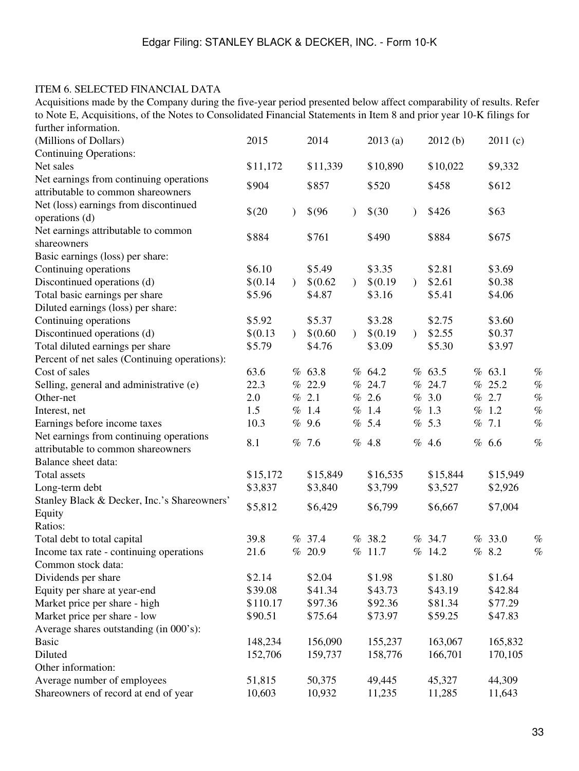### ITEM 6. SELECTED FINANCIAL DATA

Acquisitions made by the Company during the five-year period presented below affect comparability of results. Refer to Note E, Acquisitions, of the Notes to Consolidated Financial Statements in Item 8 and prior year 10-K filings for further information. (Millions of Dollars) 2015 2014 2013 (a) 2012 (b) 2011 (c) Continuing Operations: Net sales \$11,172 \$11,339 \$10,890 \$10,022 \$9,332 Net earnings from continuing operations attributable to common shareowners \$904 \$857 \$520 \$458 \$612 Net (loss) earnings from discontinued operations (d)  $$(20 \text{)}$ $(96 \text{)}$ $(30 \text{)}$ $426$ $63$ Net earnings attributable to common shareowners \$884 \$761 \$884 \$675 Basic earnings (loss) per share: Continuing operations  $\begin{array}{cccc} 86.10 & 55.49 & 53.35 & 52.81 & 53.69 \end{array}$ Discontinued operations (d)  $\{(0.14)$   $\{(0.14)$   $\{(0.62)$   $\}(0.19)$   $\{(0.19)$   $\{(0.19)$   $\{(0.19)$   $\}(0.38)$ Total basic earnings per share \$5.96 \$4.87 \$3.16 \$5.41 \$4.06 Diluted earnings (loss) per share: Continuing operations \$5.92 \$5.37 \$3.28 \$2.75 \$3.60 Discontinued operations (d)  $\{(0.13)$   $\{(0.60)$   $\{(0.19)$   $\{(0.19)$   $\{(0.19)$   $\{(0.19)$   $\{(0.19)$   $\{(0.19)$   $\{(0.19)$   $\{(0.19)$   $\{(0.19)$   $\{(0.19)$   $\{(0.19)$   $\{(0.19)$   $\{(0.19)$   $\{(0.19)$   $\{(0.19)$   $\{(0.19)$   $\{(0.19)$   $\{(0$ Total diluted earnings per share  $$5.79$  \$4.76 \$3.09 \$5.30 \$3.97 Percent of net sales (Continuing operations): Cost of sales 63.6 % 63.8 % 64.2 % 63.5 % 63.1 % Selling, general and administrative (e) 22.3 % 22.9 % 24.7 % 24.7 % 25.2 % Other-net 2.0 % 2.1 % 2.6 % 3.0 % 2.7 % Interest, net 1.5 % 1.4 % 1.4 % 1.3 % 1.2 % Earnings before income taxes 10.3 % 9.6 % 5.4 % 5.3 % 7.1 % Net earnings from continuing operations Exercision community operations<br>attributable to common shareowners  $8.1$  % 7.6 % 4.8 % 4.6 % 6.6 % Balance sheet data: Total assets  $$15,172$   $$15,849$   $$16,535$   $$15,844$   $$15,949$ Long-term debt  $$3,837$   $$3,840$   $$3,799$   $$3,527$   $$2,926$ Stanley Black & Decker, Inc.'s Shareowners' Equity Black & Beeker, Inc. 5 Shareowners  $$5,812$   $$6,429$   $$6,799$   $$6,667$   $$7,004$ Ratios: Total debt to total capital 39.8 % 37.4 % 38.2 % 34.7 % 33.0 % Income tax rate - continuing operations 21.6 % 20.9 % 11.7 % 14.2 % 8.2 % Common stock data: Dividends per share  $$2.14$   $$2.04$   $$1.98$   $$1.80$   $$1.64$ Equity per share at year-end  $$39.08$   $$41.34$   $$43.73$   $$43.19$   $$42.84$ Market price per share - high  $$110.17$   $$97.36$   $$92.36$   $$81.34$   $$77.29$ Market price per share - low \$90.51 \$75.64 \$73.97 \$59.25 \$47.83 Average shares outstanding (in 000's): Basic 148,234 156,090 155,237 163,067 165,832 Diluted 152,706 159,737 158,776 166,701 170,105 Other information: Average number of employees 51,815 50,375 49,445 45,327 44,309 Shareowners of record at end of year 10,603 10,932 11,235 11,285 11,643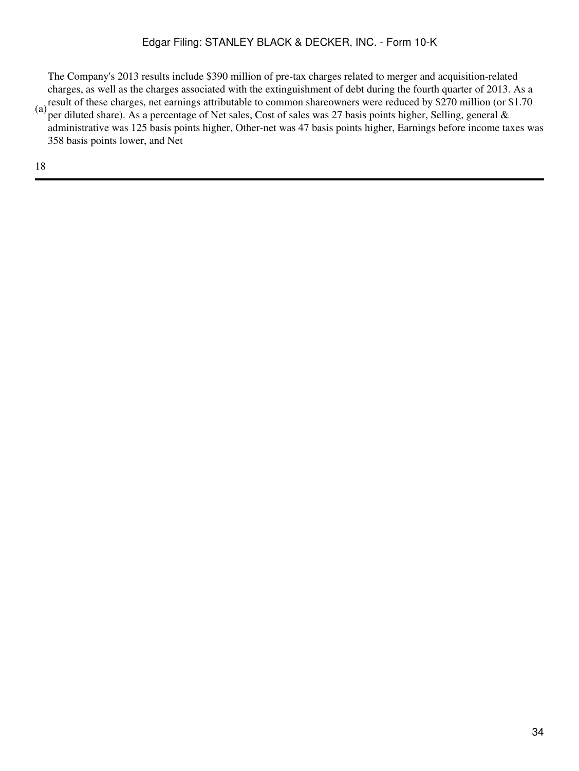The Company's 2013 results include \$390 million of pre-tax charges related to merger and acquisition-related charges, as well as the charges associated with the extinguishment of debt during the fourth quarter of 2013. As a

(a) result of these charges, net earnings attributable to common shareowners were reduced by \$270 million (or \$1.70)<br>and diluted chara). As a parameters of Net soles. Gest of soles wes 27 hesis points higher. Solling, canc per diluted share). As a percentage of Net sales, Cost of sales was 27 basis points higher, Selling, general  $\&$ administrative was 125 basis points higher, Other-net was 47 basis points higher, Earnings before income taxes was 358 basis points lower, and Net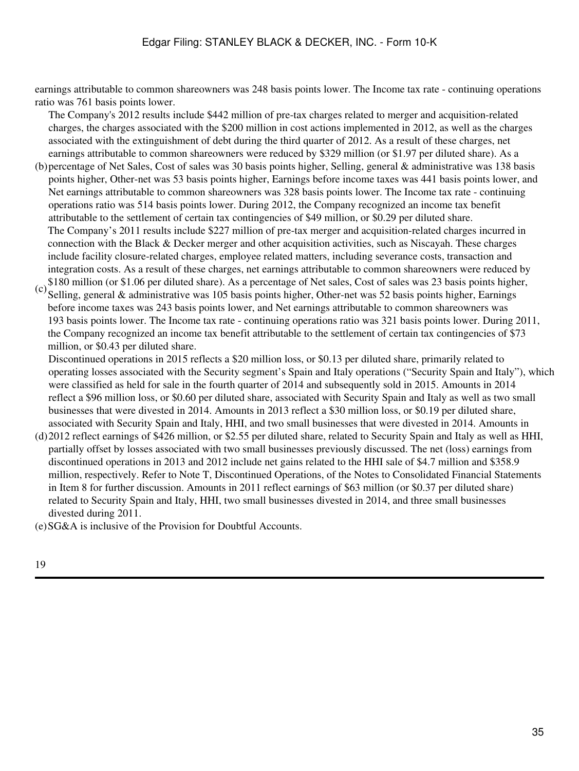<span id="page-34-0"></span>earnings attributable to common shareowners was 248 basis points lower. The Income tax rate - continuing operations ratio was 761 basis points lower.

The Company's 2012 results include \$442 million of pre-tax charges related to merger and acquisition-related charges, the charges associated with the \$200 million in cost actions implemented in 2012, as well as the charges associated with the extinguishment of debt during the third quarter of 2012. As a result of these charges, net earnings attributable to common shareowners were reduced by \$329 million (or \$1.97 per diluted share). As a

- (b) percentage of Net Sales, Cost of sales was 30 basis points higher, Selling, general & administrative was 138 basis points higher, Other-net was 53 basis points higher, Earnings before income taxes was 441 basis points lower, and Net earnings attributable to common shareowners was 328 basis points lower. The Income tax rate - continuing operations ratio was 514 basis points lower. During 2012, the Company recognized an income tax benefit attributable to the settlement of certain tax contingencies of \$49 million, or \$0.29 per diluted share. The Company's 2011 results include \$227 million of pre-tax merger and acquisition-related charges incurred in connection with the Black & Decker merger and other acquisition activities, such as Niscayah. These charges include facility closure-related charges, employee related matters, including severance costs, transaction and integration costs. As a result of these charges, net earnings attributable to common shareowners were reduced by
- \$180 million (or \$1.06 per diluted share). As a percentage of Net sales, Cost of sales was 23 basis points higher,<br>(c) Salling general & edministrative was 105 basis points higher. Other not wes 52 basis points higher. Fe Selling, general & administrative was 105 basis points higher, Other-net was 52 basis points higher, Earnings before income taxes was 243 basis points lower, and Net earnings attributable to common shareowners was 193 basis points lower. The Income tax rate - continuing operations ratio was 321 basis points lower. During 2011, the Company recognized an income tax benefit attributable to the settlement of certain tax contingencies of \$73 million, or \$0.43 per diluted share.

Discontinued operations in 2015 reflects a \$20 million loss, or \$0.13 per diluted share, primarily related to operating losses associated with the Security segment's Spain and Italy operations ("Security Spain and Italy"), which were classified as held for sale in the fourth quarter of 2014 and subsequently sold in 2015. Amounts in 2014 reflect a \$96 million loss, or \$0.60 per diluted share, associated with Security Spain and Italy as well as two small businesses that were divested in 2014. Amounts in 2013 reflect a \$30 million loss, or \$0.19 per diluted share, associated with Security Spain and Italy, HHI, and two small businesses that were divested in 2014. Amounts in

- (d) 2012 reflect earnings of \$426 million, or \$2.55 per diluted share, related to Security Spain and Italy as well as HHI, partially offset by losses associated with two small businesses previously discussed. The net (loss) earnings from discontinued operations in 2013 and 2012 include net gains related to the HHI sale of \$4.7 million and \$358.9 million, respectively. Refer to Note T, Discontinued Operations, of the Notes to Consolidated Financial Statements in Item 8 for further discussion. Amounts in 2011 reflect earnings of \$63 million (or \$0.37 per diluted share) related to Security Spain and Italy, HHI, two small businesses divested in 2014, and three small businesses divested during 2011.
- (e)SG&A is inclusive of the Provision for Doubtful Accounts.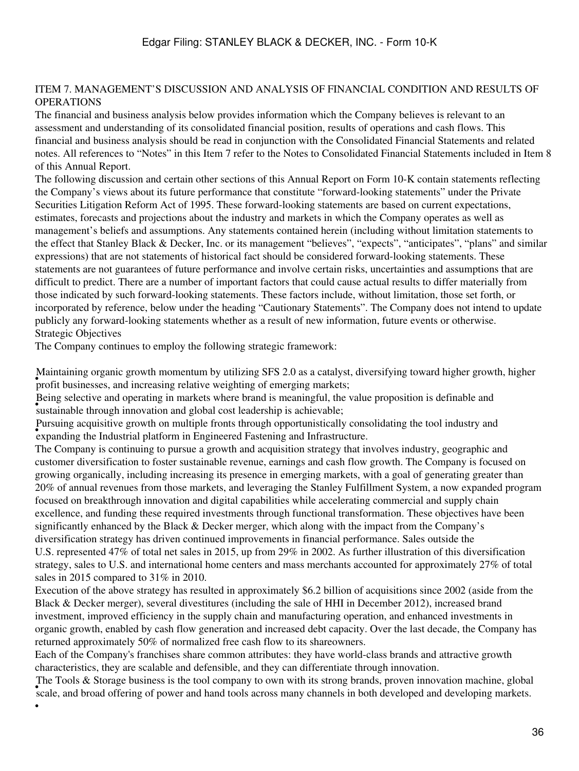### ITEM 7. MANAGEMENT'S DISCUSSION AND ANALYSIS OF FINANCIAL CONDITION AND RESULTS OF **OPERATIONS**

The financial and business analysis below provides information which the Company believes is relevant to an assessment and understanding of its consolidated financial position, results of operations and cash flows. This financial and business analysis should be read in conjunction with the Consolidated Financial Statements and related notes. All references to "Notes" in this Item 7 refer to the Notes to Consolidated Financial Statements included in Item 8 of this Annual Report.

The following discussion and certain other sections of this Annual Report on Form 10-K contain statements reflecting the Company's views about its future performance that constitute "forward-looking statements" under the Private Securities Litigation Reform Act of 1995. These forward-looking statements are based on current expectations, estimates, forecasts and projections about the industry and markets in which the Company operates as well as management's beliefs and assumptions. Any statements contained herein (including without limitation statements to the effect that Stanley Black & Decker, Inc. or its management "believes", "expects", "anticipates", "plans" and similar expressions) that are not statements of historical fact should be considered forward-looking statements. These statements are not guarantees of future performance and involve certain risks, uncertainties and assumptions that are difficult to predict. There are a number of important factors that could cause actual results to differ materially from those indicated by such forward-looking statements. These factors include, without limitation, those set forth, or incorporated by reference, below under the heading "Cautionary Statements". The Company does not intend to update publicly any forward-looking statements whether as a result of new information, future events or otherwise. Strategic Objectives

The Company continues to employ the following strategic framework:

profit businesses, and increasing relative weighting of emerging markets; Maintaining organic growth momentum by utilizing SFS 2.0 as a catalyst, diversifying toward higher growth, higher

being selective and operating in markets where orand is meaningful, the sustainable through innovation and global cost leadership is achievable; Being selective and operating in markets where brand is meaningful, the value proposition is definable and

• assume acquisitive growth on mattepic from a though opportunistically consequently consequently Pursuing acquisitive growth on multiple fronts through opportunistically consolidating the tool industry and

The Company is continuing to pursue a growth and acquisition strategy that involves industry, geographic and customer diversification to foster sustainable revenue, earnings and cash flow growth. The Company is focused on growing organically, including increasing its presence in emerging markets, with a goal of generating greater than 20% of annual revenues from those markets, and leveraging the Stanley Fulfillment System, a now expanded program focused on breakthrough innovation and digital capabilities while accelerating commercial and supply chain excellence, and funding these required investments through functional transformation. These objectives have been significantly enhanced by the Black & Decker merger, which along with the impact from the Company's diversification strategy has driven continued improvements in financial performance. Sales outside the U.S. represented 47% of total net sales in 2015, up from 29% in 2002. As further illustration of this diversification strategy, sales to U.S. and international home centers and mass merchants accounted for approximately 27% of total

sales in 2015 compared to 31% in 2010.

•

Execution of the above strategy has resulted in approximately \$6.2 billion of acquisitions since 2002 (aside from the Black & Decker merger), several divestitures (including the sale of HHI in December 2012), increased brand investment, improved efficiency in the supply chain and manufacturing operation, and enhanced investments in organic growth, enabled by cash flow generation and increased debt capacity. Over the last decade, the Company has returned approximately 50% of normalized free cash flow to its shareowners.

Each of the Company's franchises share common attributes: they have world-class brands and attractive growth characteristics, they are scalable and defensible, and they can differentiate through innovation.

Fire Tools & Storage business is the tool company to own with its strong brands, proven inhovation machine, groba<br>scale, and broad offering of power and hand tools across many channels in both developed and developing mark The Tools & Storage business is the tool company to own with its strong brands, proven innovation machine, global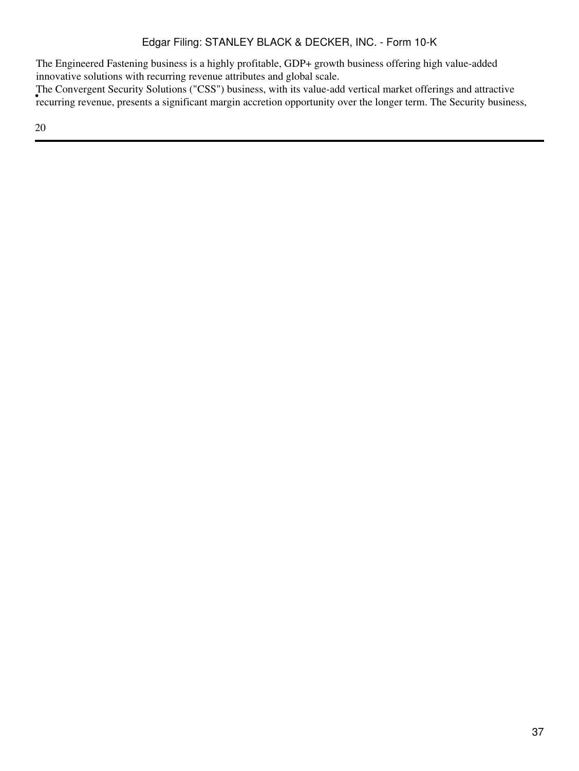The Engineered Fastening business is a highly profitable, GDP+ growth business offering high value-added innovative solutions with recurring revenue attributes and global scale.

Fire convergent seeding solutions (CSS), business, while is value and vertical market offerings and attactive<br>recurring revenue, presents a significant margin accretion opportunity over the longer term. The Security busine The Convergent Security Solutions ("CSS") business, with its value-add vertical market offerings and attractive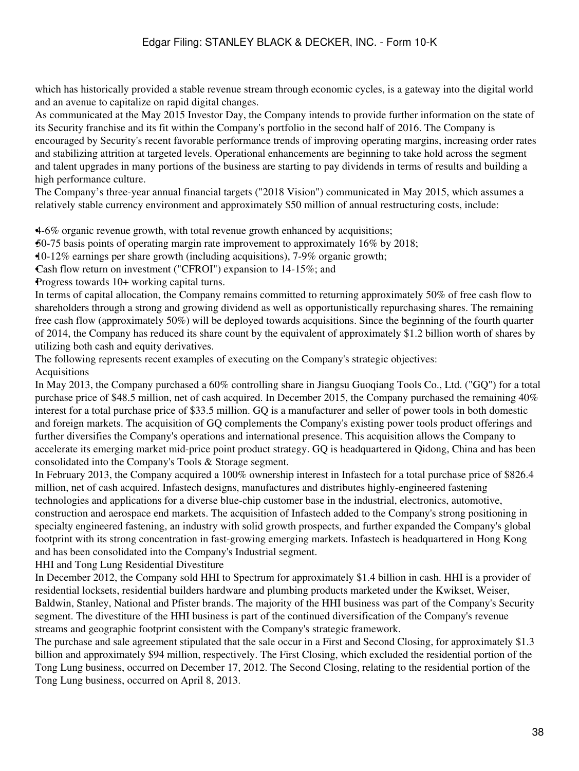which has historically provided a stable revenue stream through economic cycles, is a gateway into the digital world and an avenue to capitalize on rapid digital changes.

As communicated at the May 2015 Investor Day, the Company intends to provide further information on the state of its Security franchise and its fit within the Company's portfolio in the second half of 2016. The Company is encouraged by Security's recent favorable performance trends of improving operating margins, increasing order rates and stabilizing attrition at targeted levels. Operational enhancements are beginning to take hold across the segment and talent upgrades in many portions of the business are starting to pay dividends in terms of results and building a high performance culture.

The Company's three-year annual financial targets ("2018 Vision") communicated in May 2015, which assumes a relatively stable currency environment and approximately \$50 million of annual restructuring costs, include:

•4-6% organic revenue growth, with total revenue growth enhanced by acquisitions;

•50-75 basis points of operating margin rate improvement to approximately 16% by 2018;

•10-12% earnings per share growth (including acquisitions), 7-9% organic growth;

•Cash flow return on investment ("CFROI") expansion to 14-15%; and

•Progress towards 10+ working capital turns.

In terms of capital allocation, the Company remains committed to returning approximately 50% of free cash flow to shareholders through a strong and growing dividend as well as opportunistically repurchasing shares. The remaining free cash flow (approximately 50%) will be deployed towards acquisitions. Since the beginning of the fourth quarter of 2014, the Company has reduced its share count by the equivalent of approximately \$1.2 billion worth of shares by utilizing both cash and equity derivatives.

The following represents recent examples of executing on the Company's strategic objectives: Acquisitions

In May 2013, the Company purchased a 60% controlling share in Jiangsu Guoqiang Tools Co., Ltd. ("GQ") for a total purchase price of \$48.5 million, net of cash acquired. In December 2015, the Company purchased the remaining 40% interest for a total purchase price of \$33.5 million. GQ is a manufacturer and seller of power tools in both domestic and foreign markets. The acquisition of GQ complements the Company's existing power tools product offerings and further diversifies the Company's operations and international presence. This acquisition allows the Company to accelerate its emerging market mid-price point product strategy. GQ is headquartered in Qidong, China and has been consolidated into the Company's Tools & Storage segment.

In February 2013, the Company acquired a 100% ownership interest in Infastech for a total purchase price of \$826.4 million, net of cash acquired. Infastech designs, manufactures and distributes highly-engineered fastening technologies and applications for a diverse blue-chip customer base in the industrial, electronics, automotive, construction and aerospace end markets. The acquisition of Infastech added to the Company's strong positioning in specialty engineered fastening, an industry with solid growth prospects, and further expanded the Company's global footprint with its strong concentration in fast-growing emerging markets. Infastech is headquartered in Hong Kong and has been consolidated into the Company's Industrial segment.

HHI and Tong Lung Residential Divestiture

In December 2012, the Company sold HHI to Spectrum for approximately \$1.4 billion in cash. HHI is a provider of residential locksets, residential builders hardware and plumbing products marketed under the Kwikset, Weiser, Baldwin, Stanley, National and Pfister brands. The majority of the HHI business was part of the Company's Security segment. The divestiture of the HHI business is part of the continued diversification of the Company's revenue streams and geographic footprint consistent with the Company's strategic framework.

The purchase and sale agreement stipulated that the sale occur in a First and Second Closing, for approximately \$1.3 billion and approximately \$94 million, respectively. The First Closing, which excluded the residential portion of the Tong Lung business, occurred on December 17, 2012. The Second Closing, relating to the residential portion of the Tong Lung business, occurred on April 8, 2013.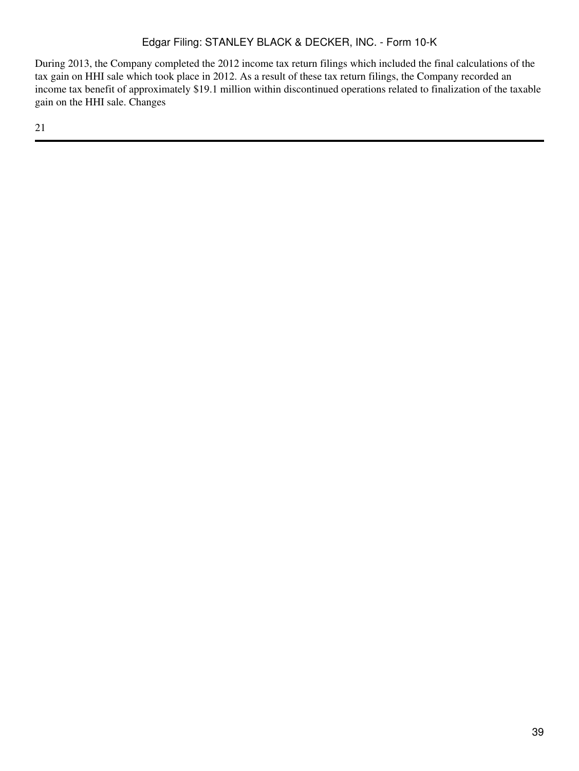During 2013, the Company completed the 2012 income tax return filings which included the final calculations of the tax gain on HHI sale which took place in 2012. As a result of these tax return filings, the Company recorded an income tax benefit of approximately \$19.1 million within discontinued operations related to finalization of the taxable gain on the HHI sale. Changes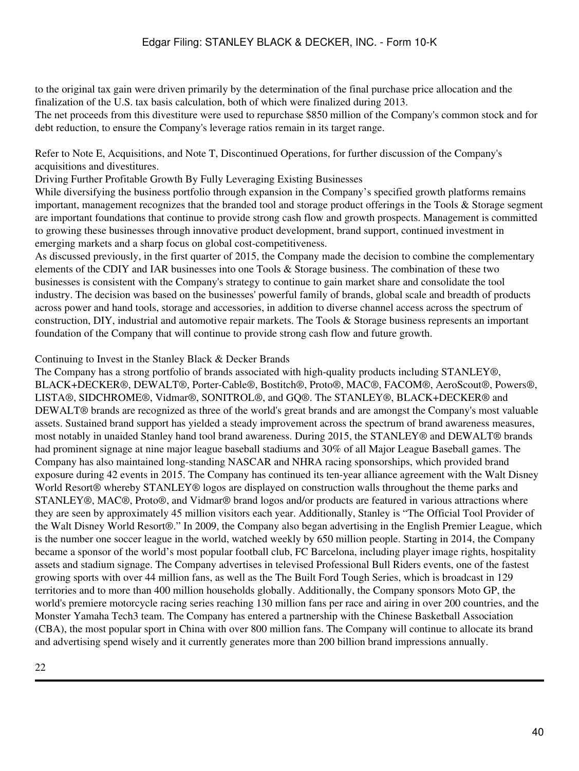to the original tax gain were driven primarily by the determination of the final purchase price allocation and the finalization of the U.S. tax basis calculation, both of which were finalized during 2013.

The net proceeds from this divestiture were used to repurchase \$850 million of the Company's common stock and for debt reduction, to ensure the Company's leverage ratios remain in its target range.

Refer to Note E, Acquisitions, and Note T, Discontinued Operations, for further discussion of the Company's acquisitions and divestitures.

Driving Further Profitable Growth By Fully Leveraging Existing Businesses

While diversifying the business portfolio through expansion in the Company's specified growth platforms remains important, management recognizes that the branded tool and storage product offerings in the Tools & Storage segment are important foundations that continue to provide strong cash flow and growth prospects. Management is committed to growing these businesses through innovative product development, brand support, continued investment in emerging markets and a sharp focus on global cost-competitiveness.

As discussed previously, in the first quarter of 2015, the Company made the decision to combine the complementary elements of the CDIY and IAR businesses into one Tools & Storage business. The combination of these two businesses is consistent with the Company's strategy to continue to gain market share and consolidate the tool industry. The decision was based on the businesses' powerful family of brands, global scale and breadth of products across power and hand tools, storage and accessories, in addition to diverse channel access across the spectrum of construction, DIY, industrial and automotive repair markets. The Tools & Storage business represents an important foundation of the Company that will continue to provide strong cash flow and future growth.

Continuing to Invest in the Stanley Black & Decker Brands

The Company has a strong portfolio of brands associated with high-quality products including STANLEY®, BLACK+DECKER®, DEWALT®, Porter-Cable®, Bostitch®, Proto®, MAC®, FACOM®, AeroScout®, Powers®, LISTA®, SIDCHROME®, Vidmar®, SONITROL®, and GQ®. The STANLEY®, BLACK+DECKER® and DEWALT® brands are recognized as three of the world's great brands and are amongst the Company's most valuable assets. Sustained brand support has yielded a steady improvement across the spectrum of brand awareness measures, most notably in unaided Stanley hand tool brand awareness. During 2015, the STANLEY® and DEWALT® brands had prominent signage at nine major league baseball stadiums and 30% of all Major League Baseball games. The Company has also maintained long-standing NASCAR and NHRA racing sponsorships, which provided brand exposure during 42 events in 2015. The Company has continued its ten-year alliance agreement with the Walt Disney World Resort<sup>®</sup> whereby STANLEY<sup>®</sup> logos are displayed on construction walls throughout the theme parks and STANLEY®, MAC®, Proto®, and Vidmar® brand logos and/or products are featured in various attractions where they are seen by approximately 45 million visitors each year. Additionally, Stanley is "The Official Tool Provider of the Walt Disney World Resort®." In 2009, the Company also began advertising in the English Premier League, which is the number one soccer league in the world, watched weekly by 650 million people. Starting in 2014, the Company became a sponsor of the world's most popular football club, FC Barcelona, including player image rights, hospitality assets and stadium signage. The Company advertises in televised Professional Bull Riders events, one of the fastest growing sports with over 44 million fans, as well as the The Built Ford Tough Series, which is broadcast in 129 territories and to more than 400 million households globally. Additionally, the Company sponsors Moto GP, the world's premiere motorcycle racing series reaching 130 million fans per race and airing in over 200 countries, and the Monster Yamaha Tech3 team. The Company has entered a partnership with the Chinese Basketball Association (CBA), the most popular sport in China with over 800 million fans. The Company will continue to allocate its brand and advertising spend wisely and it currently generates more than 200 billion brand impressions annually.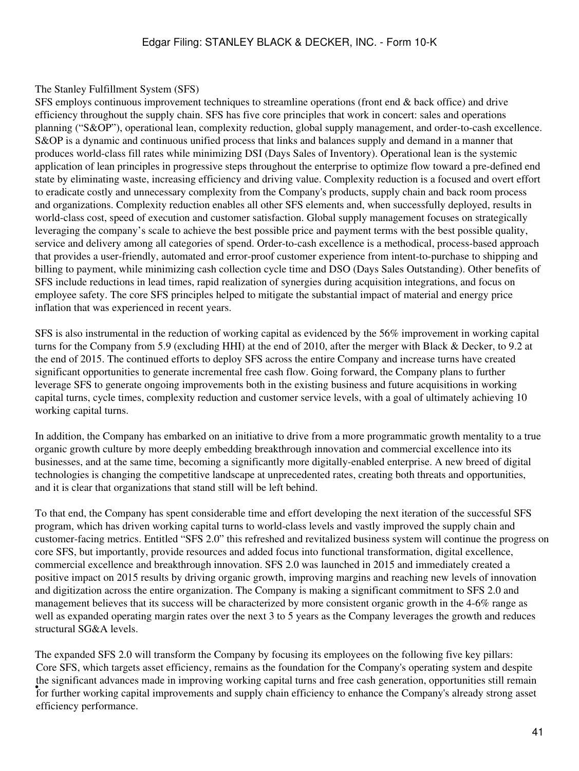#### The Stanley Fulfillment System (SFS)

SFS employs continuous improvement techniques to streamline operations (front end & back office) and drive efficiency throughout the supply chain. SFS has five core principles that work in concert: sales and operations planning ("S&OP"), operational lean, complexity reduction, global supply management, and order-to-cash excellence. S&OP is a dynamic and continuous unified process that links and balances supply and demand in a manner that produces world-class fill rates while minimizing DSI (Days Sales of Inventory). Operational lean is the systemic application of lean principles in progressive steps throughout the enterprise to optimize flow toward a pre-defined end state by eliminating waste, increasing efficiency and driving value. Complexity reduction is a focused and overt effort to eradicate costly and unnecessary complexity from the Company's products, supply chain and back room process and organizations. Complexity reduction enables all other SFS elements and, when successfully deployed, results in world-class cost, speed of execution and customer satisfaction. Global supply management focuses on strategically leveraging the company's scale to achieve the best possible price and payment terms with the best possible quality, service and delivery among all categories of spend. Order-to-cash excellence is a methodical, process-based approach that provides a user-friendly, automated and error-proof customer experience from intent-to-purchase to shipping and billing to payment, while minimizing cash collection cycle time and DSO (Days Sales Outstanding). Other benefits of SFS include reductions in lead times, rapid realization of synergies during acquisition integrations, and focus on employee safety. The core SFS principles helped to mitigate the substantial impact of material and energy price inflation that was experienced in recent years.

SFS is also instrumental in the reduction of working capital as evidenced by the 56% improvement in working capital turns for the Company from 5.9 (excluding HHI) at the end of 2010, after the merger with Black & Decker, to 9.2 at the end of 2015. The continued efforts to deploy SFS across the entire Company and increase turns have created significant opportunities to generate incremental free cash flow. Going forward, the Company plans to further leverage SFS to generate ongoing improvements both in the existing business and future acquisitions in working capital turns, cycle times, complexity reduction and customer service levels, with a goal of ultimately achieving 10 working capital turns.

In addition, the Company has embarked on an initiative to drive from a more programmatic growth mentality to a true organic growth culture by more deeply embedding breakthrough innovation and commercial excellence into its businesses, and at the same time, becoming a significantly more digitally-enabled enterprise. A new breed of digital technologies is changing the competitive landscape at unprecedented rates, creating both threats and opportunities, and it is clear that organizations that stand still will be left behind.

To that end, the Company has spent considerable time and effort developing the next iteration of the successful SFS program, which has driven working capital turns to world-class levels and vastly improved the supply chain and customer-facing metrics. Entitled "SFS 2.0" this refreshed and revitalized business system will continue the progress on core SFS, but importantly, provide resources and added focus into functional transformation, digital excellence, commercial excellence and breakthrough innovation. SFS 2.0 was launched in 2015 and immediately created a positive impact on 2015 results by driving organic growth, improving margins and reaching new levels of innovation and digitization across the entire organization. The Company is making a significant commitment to SFS 2.0 and management believes that its success will be characterized by more consistent organic growth in the 4-6% range as well as expanded operating margin rates over the next 3 to 5 years as the Company leverages the growth and reduces structural SG&A levels.

The expanded SFS 2.0 will transform the Company by focusing its employees on the following five key pillars: For further working capital improvements and supply chain efficiency to enhance the Company's already strong asset Core SFS, which targets asset efficiency, remains as the foundation for the Company's operating system and despite the significant advances made in improving working capital turns and free cash generation, opportunities still remain efficiency performance.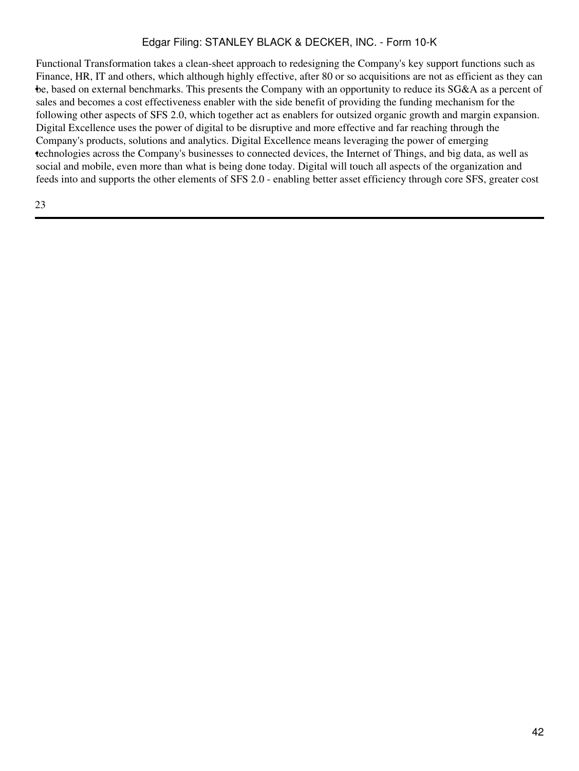• be, based on external benchmarks. This presents the Company with an opportunity to reduce its SG&A as a percent of Functional Transformation takes a clean-sheet approach to redesigning the Company's key support functions such as Finance, HR, IT and others, which although highly effective, after 80 or so acquisitions are not as efficient as they can sales and becomes a cost effectiveness enabler with the side benefit of providing the funding mechanism for the following other aspects of SFS 2.0, which together act as enablers for outsized organic growth and margin expansion. • technologies across the Company's businesses to connected devices, the Internet of Things, and big data, as well as Digital Excellence uses the power of digital to be disruptive and more effective and far reaching through the Company's products, solutions and analytics. Digital Excellence means leveraging the power of emerging social and mobile, even more than what is being done today. Digital will touch all aspects of the organization and feeds into and supports the other elements of SFS 2.0 - enabling better asset efficiency through core SFS, greater cost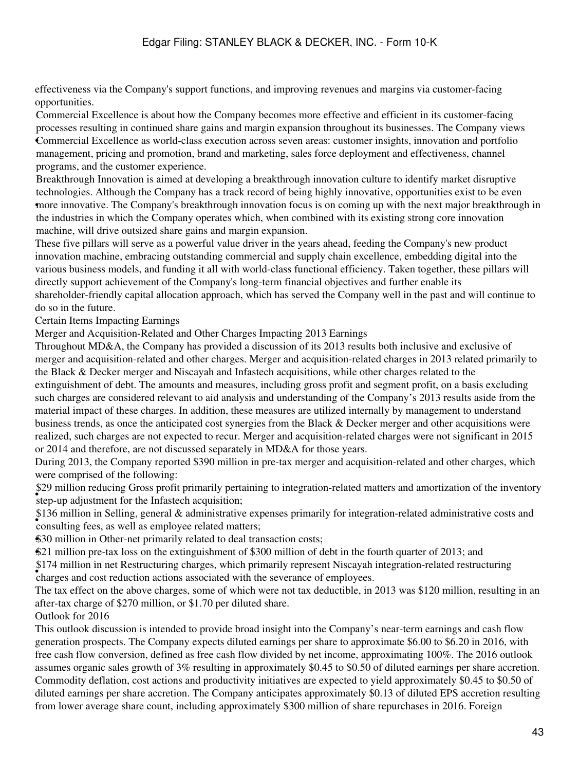effectiveness via the Company's support functions, and improving revenues and margins via customer-facing opportunities.

• Commercial Excellence as world-class execution across seven areas: customer insights, innovation and portfolio Commercial Excellence is about how the Company becomes more effective and efficient in its customer-facing processes resulting in continued share gains and margin expansion throughout its businesses. The Company views management, pricing and promotion, brand and marketing, sales force deployment and effectiveness, channel programs, and the customer experience.

• more innovative. The Company's breakthrough innovation focus is on coming up with the next major breakthrough in Breakthrough Innovation is aimed at developing a breakthrough innovation culture to identify market disruptive technologies. Although the Company has a track record of being highly innovative, opportunities exist to be even the industries in which the Company operates which, when combined with its existing strong core innovation machine, will drive outsized share gains and margin expansion.

These five pillars will serve as a powerful value driver in the years ahead, feeding the Company's new product innovation machine, embracing outstanding commercial and supply chain excellence, embedding digital into the various business models, and funding it all with world-class functional efficiency. Taken together, these pillars will directly support achievement of the Company's long-term financial objectives and further enable its shareholder-friendly capital allocation approach, which has served the Company well in the past and will continue to do so in the future.

Certain Items Impacting Earnings

Merger and Acquisition-Related and Other Charges Impacting 2013 Earnings

Throughout MD&A, the Company has provided a discussion of its 2013 results both inclusive and exclusive of merger and acquisition-related and other charges. Merger and acquisition-related charges in 2013 related primarily to the Black & Decker merger and Niscayah and Infastech acquisitions, while other charges related to the extinguishment of debt. The amounts and measures, including gross profit and segment profit, on a basis excluding such charges are considered relevant to aid analysis and understanding of the Company's 2013 results aside from the material impact of these charges. In addition, these measures are utilized internally by management to understand business trends, as once the anticipated cost synergies from the Black & Decker merger and other acquisitions were realized, such charges are not expected to recur. Merger and acquisition-related charges were not significant in 2015 or 2014 and therefore, are not discussed separately in MD&A for those years.

During 2013, the Company reported \$390 million in pre-tax merger and acquisition-related and other charges, which were comprised of the following:

**EVALUATE:** Step-up adjustment for the Infastech acquisition; \$29 million reducing Gross profit primarily pertaining to integration-related matters and amortization of the inventory

**FIGURE 190 HIMGH IN SERVIET CONSULTING THE CONSULTING THE CONSULTING THE CONSULTING THE CONSULTING THE CONSUMING THE CONSUMING THE CONSUMING THE CONSUMING THE CONSUMING THE CONSUMING THE CONSUMING THE CONSUMING THE CONSUM** \$136 million in Selling, general & administrative expenses primarily for integration-related administrative costs and

•\$30 million in Other-net primarily related to deal transaction costs;

•\$21 million pre-tax loss on the extinguishment of \$300 million of debt in the fourth quarter of 2013; and

• charges and cost reduction actions associated with the severance of employees. \$174 million in net Restructuring charges, which primarily represent Niscayah integration-related restructuring

The tax effect on the above charges, some of which were not tax deductible, in 2013 was \$120 million, resulting in an after-tax charge of \$270 million, or \$1.70 per diluted share.

Outlook for 2016

This outlook discussion is intended to provide broad insight into the Company's near-term earnings and cash flow generation prospects. The Company expects diluted earnings per share to approximate \$6.00 to \$6.20 in 2016, with free cash flow conversion, defined as free cash flow divided by net income, approximating 100%. The 2016 outlook assumes organic sales growth of 3% resulting in approximately \$0.45 to \$0.50 of diluted earnings per share accretion. Commodity deflation, cost actions and productivity initiatives are expected to yield approximately \$0.45 to \$0.50 of diluted earnings per share accretion. The Company anticipates approximately \$0.13 of diluted EPS accretion resulting from lower average share count, including approximately \$300 million of share repurchases in 2016. Foreign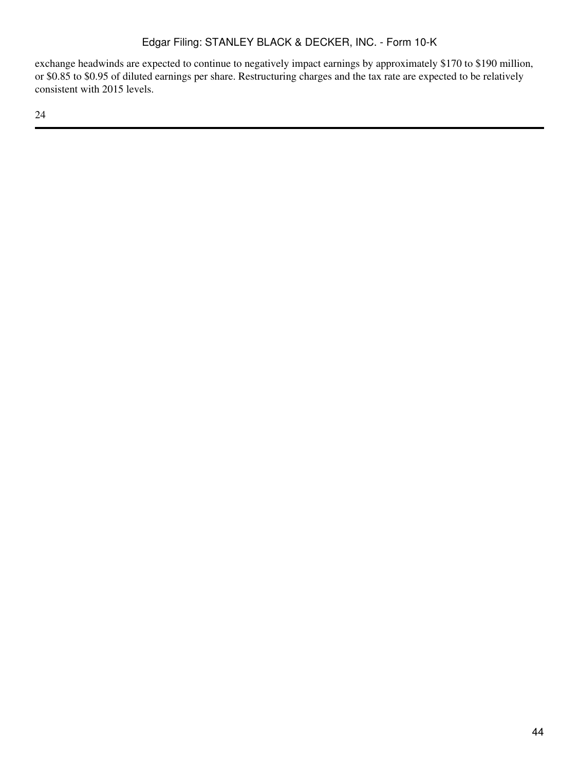exchange headwinds are expected to continue to negatively impact earnings by approximately \$170 to \$190 million, or \$0.85 to \$0.95 of diluted earnings per share. Restructuring charges and the tax rate are expected to be relatively consistent with 2015 levels.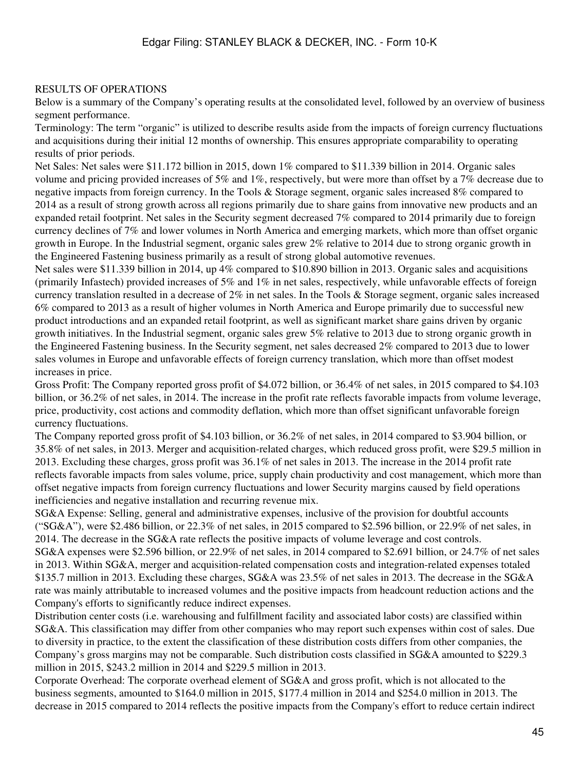#### RESULTS OF OPERATIONS

Below is a summary of the Company's operating results at the consolidated level, followed by an overview of business segment performance.

Terminology: The term "organic" is utilized to describe results aside from the impacts of foreign currency fluctuations and acquisitions during their initial 12 months of ownership. This ensures appropriate comparability to operating results of prior periods.

Net Sales: Net sales were \$11.172 billion in 2015, down 1% compared to \$11.339 billion in 2014. Organic sales volume and pricing provided increases of 5% and 1%, respectively, but were more than offset by a 7% decrease due to negative impacts from foreign currency. In the Tools & Storage segment, organic sales increased 8% compared to 2014 as a result of strong growth across all regions primarily due to share gains from innovative new products and an expanded retail footprint. Net sales in the Security segment decreased 7% compared to 2014 primarily due to foreign currency declines of 7% and lower volumes in North America and emerging markets, which more than offset organic growth in Europe. In the Industrial segment, organic sales grew 2% relative to 2014 due to strong organic growth in the Engineered Fastening business primarily as a result of strong global automotive revenues.

Net sales were \$11.339 billion in 2014, up 4% compared to \$10.890 billion in 2013. Organic sales and acquisitions (primarily Infastech) provided increases of 5% and 1% in net sales, respectively, while unfavorable effects of foreign currency translation resulted in a decrease of 2% in net sales. In the Tools & Storage segment, organic sales increased 6% compared to 2013 as a result of higher volumes in North America and Europe primarily due to successful new product introductions and an expanded retail footprint, as well as significant market share gains driven by organic growth initiatives. In the Industrial segment, organic sales grew 5% relative to 2013 due to strong organic growth in the Engineered Fastening business. In the Security segment, net sales decreased 2% compared to 2013 due to lower sales volumes in Europe and unfavorable effects of foreign currency translation, which more than offset modest increases in price.

Gross Profit: The Company reported gross profit of \$4.072 billion, or 36.4% of net sales, in 2015 compared to \$4.103 billion, or 36.2% of net sales, in 2014. The increase in the profit rate reflects favorable impacts from volume leverage, price, productivity, cost actions and commodity deflation, which more than offset significant unfavorable foreign currency fluctuations.

The Company reported gross profit of \$4.103 billion, or 36.2% of net sales, in 2014 compared to \$3.904 billion, or 35.8% of net sales, in 2013. Merger and acquisition-related charges, which reduced gross profit, were \$29.5 million in 2013. Excluding these charges, gross profit was 36.1% of net sales in 2013. The increase in the 2014 profit rate reflects favorable impacts from sales volume, price, supply chain productivity and cost management, which more than offset negative impacts from foreign currency fluctuations and lower Security margins caused by field operations inefficiencies and negative installation and recurring revenue mix.

SG&A Expense: Selling, general and administrative expenses, inclusive of the provision for doubtful accounts ("SG&A"), were \$2.486 billion, or 22.3% of net sales, in 2015 compared to \$2.596 billion, or 22.9% of net sales, in 2014. The decrease in the SG&A rate reflects the positive impacts of volume leverage and cost controls.

SG&A expenses were \$2.596 billion, or 22.9% of net sales, in 2014 compared to \$2.691 billion, or 24.7% of net sales in 2013. Within SG&A, merger and acquisition-related compensation costs and integration-related expenses totaled \$135.7 million in 2013. Excluding these charges, SG&A was 23.5% of net sales in 2013. The decrease in the SG&A rate was mainly attributable to increased volumes and the positive impacts from headcount reduction actions and the Company's efforts to significantly reduce indirect expenses.

Distribution center costs (i.e. warehousing and fulfillment facility and associated labor costs) are classified within SG&A. This classification may differ from other companies who may report such expenses within cost of sales. Due to diversity in practice, to the extent the classification of these distribution costs differs from other companies, the Company's gross margins may not be comparable. Such distribution costs classified in SG&A amounted to \$229.3 million in 2015, \$243.2 million in 2014 and \$229.5 million in 2013.

Corporate Overhead: The corporate overhead element of SG&A and gross profit, which is not allocated to the business segments, amounted to \$164.0 million in 2015, \$177.4 million in 2014 and \$254.0 million in 2013. The decrease in 2015 compared to 2014 reflects the positive impacts from the Company's effort to reduce certain indirect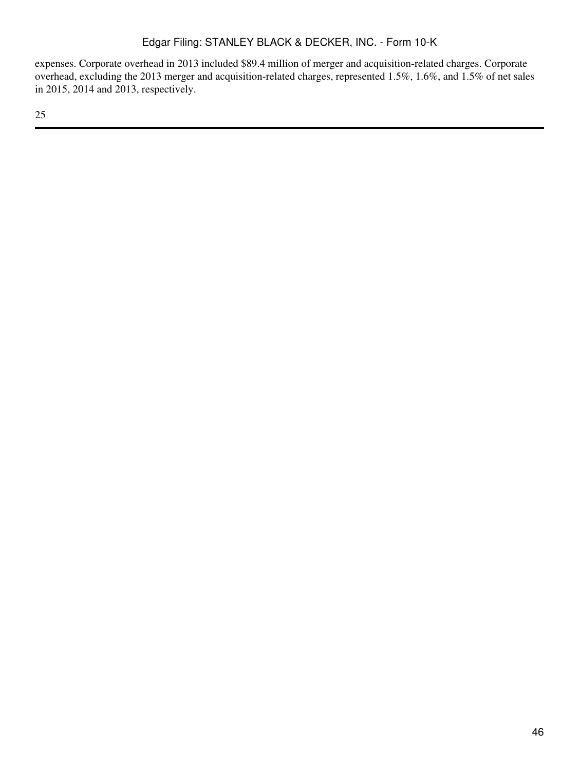expenses. Corporate overhead in 2013 included \$89.4 million of merger and acquisition-related charges. Corporate overhead, excluding the 2013 merger and acquisition-related charges, represented 1.5%, 1.6%, and 1.5% of net sales in 2015, 2014 and 2013, respectively.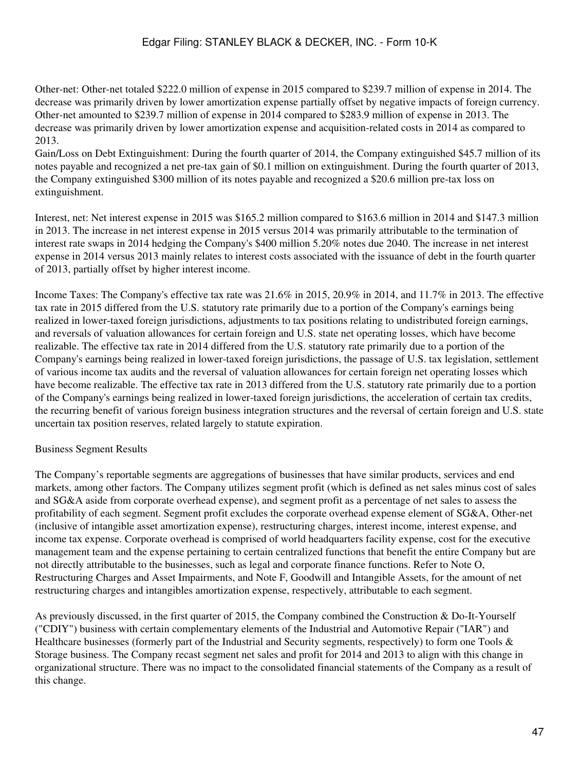Other-net: Other-net totaled \$222.0 million of expense in 2015 compared to \$239.7 million of expense in 2014. The decrease was primarily driven by lower amortization expense partially offset by negative impacts of foreign currency. Other-net amounted to \$239.7 million of expense in 2014 compared to \$283.9 million of expense in 2013. The decrease was primarily driven by lower amortization expense and acquisition-related costs in 2014 as compared to 2013.

Gain/Loss on Debt Extinguishment: During the fourth quarter of 2014, the Company extinguished \$45.7 million of its notes payable and recognized a net pre-tax gain of \$0.1 million on extinguishment. During the fourth quarter of 2013, the Company extinguished \$300 million of its notes payable and recognized a \$20.6 million pre-tax loss on extinguishment.

Interest, net: Net interest expense in 2015 was \$165.2 million compared to \$163.6 million in 2014 and \$147.3 million in 2013. The increase in net interest expense in 2015 versus 2014 was primarily attributable to the termination of interest rate swaps in 2014 hedging the Company's \$400 million 5.20% notes due 2040. The increase in net interest expense in 2014 versus 2013 mainly relates to interest costs associated with the issuance of debt in the fourth quarter of 2013, partially offset by higher interest income.

Income Taxes: The Company's effective tax rate was 21.6% in 2015, 20.9% in 2014, and 11.7% in 2013. The effective tax rate in 2015 differed from the U.S. statutory rate primarily due to a portion of the Company's earnings being realized in lower-taxed foreign jurisdictions, adjustments to tax positions relating to undistributed foreign earnings, and reversals of valuation allowances for certain foreign and U.S. state net operating losses, which have become realizable. The effective tax rate in 2014 differed from the U.S. statutory rate primarily due to a portion of the Company's earnings being realized in lower-taxed foreign jurisdictions, the passage of U.S. tax legislation, settlement of various income tax audits and the reversal of valuation allowances for certain foreign net operating losses which have become realizable. The effective tax rate in 2013 differed from the U.S. statutory rate primarily due to a portion of the Company's earnings being realized in lower-taxed foreign jurisdictions, the acceleration of certain tax credits, the recurring benefit of various foreign business integration structures and the reversal of certain foreign and U.S. state uncertain tax position reserves, related largely to statute expiration.

#### Business Segment Results

The Company's reportable segments are aggregations of businesses that have similar products, services and end markets, among other factors. The Company utilizes segment profit (which is defined as net sales minus cost of sales and SG&A aside from corporate overhead expense), and segment profit as a percentage of net sales to assess the profitability of each segment. Segment profit excludes the corporate overhead expense element of SG&A, Other-net (inclusive of intangible asset amortization expense), restructuring charges, interest income, interest expense, and income tax expense. Corporate overhead is comprised of world headquarters facility expense, cost for the executive management team and the expense pertaining to certain centralized functions that benefit the entire Company but are not directly attributable to the businesses, such as legal and corporate finance functions. Refer to Note O, Restructuring Charges and Asset Impairments, and Note F, Goodwill and Intangible Assets, for the amount of net restructuring charges and intangibles amortization expense, respectively, attributable to each segment.

As previously discussed, in the first quarter of 2015, the Company combined the Construction & Do-It-Yourself ("CDIY") business with certain complementary elements of the Industrial and Automotive Repair ("IAR") and Healthcare businesses (formerly part of the Industrial and Security segments, respectively) to form one Tools & Storage business. The Company recast segment net sales and profit for 2014 and 2013 to align with this change in organizational structure. There was no impact to the consolidated financial statements of the Company as a result of this change.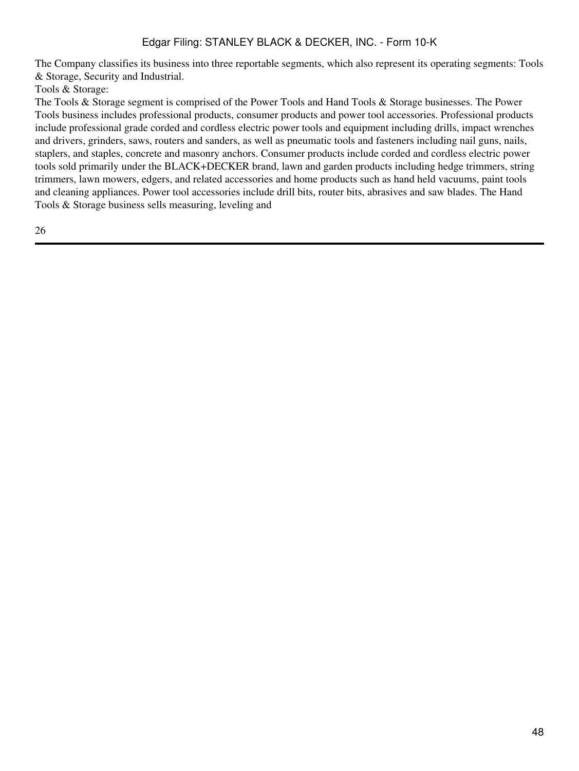The Company classifies its business into three reportable segments, which also represent its operating segments: Tools & Storage, Security and Industrial.

Tools & Storage:

The Tools & Storage segment is comprised of the Power Tools and Hand Tools & Storage businesses. The Power Tools business includes professional products, consumer products and power tool accessories. Professional products include professional grade corded and cordless electric power tools and equipment including drills, impact wrenches and drivers, grinders, saws, routers and sanders, as well as pneumatic tools and fasteners including nail guns, nails, staplers, and staples, concrete and masonry anchors. Consumer products include corded and cordless electric power tools sold primarily under the BLACK+DECKER brand, lawn and garden products including hedge trimmers, string trimmers, lawn mowers, edgers, and related accessories and home products such as hand held vacuums, paint tools and cleaning appliances. Power tool accessories include drill bits, router bits, abrasives and saw blades. The Hand Tools & Storage business sells measuring, leveling and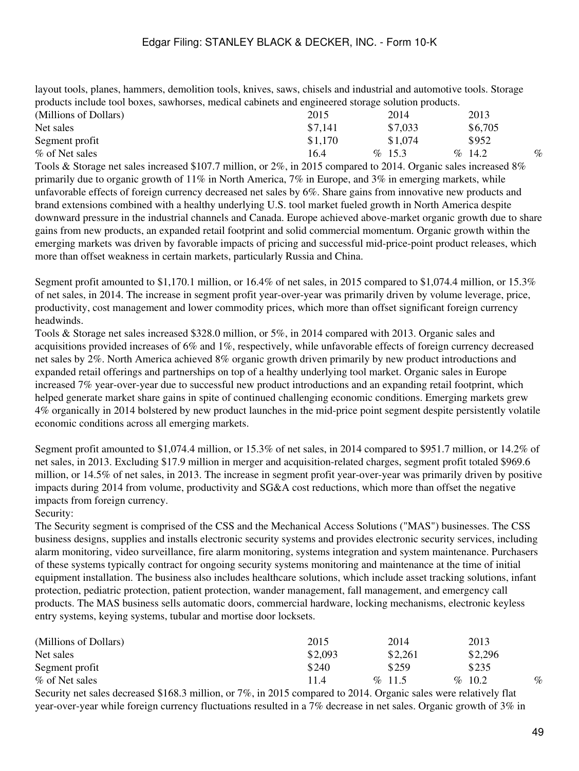layout tools, planes, hammers, demolition tools, knives, saws, chisels and industrial and automotive tools. Storage products include tool boxes, sawhorses, medical cabinets and engineered storage solution products.

| (Millions of Dollars) | 2015    | 2014    | 2013      |      |
|-----------------------|---------|---------|-----------|------|
| Net sales             | \$7.141 | \$7,033 | \$6,705   |      |
| Segment profit        | \$1,170 | \$1,074 | \$952     |      |
| % of Net sales        | 16.4    | % 15.3  | $\%$ 14.2 | $\%$ |

Tools & Storage net sales increased \$107.7 million, or 2%, in 2015 compared to 2014. Organic sales increased 8% primarily due to organic growth of 11% in North America, 7% in Europe, and 3% in emerging markets, while unfavorable effects of foreign currency decreased net sales by 6%. Share gains from innovative new products and brand extensions combined with a healthy underlying U.S. tool market fueled growth in North America despite downward pressure in the industrial channels and Canada. Europe achieved above-market organic growth due to share gains from new products, an expanded retail footprint and solid commercial momentum. Organic growth within the emerging markets was driven by favorable impacts of pricing and successful mid-price-point product releases, which more than offset weakness in certain markets, particularly Russia and China.

Segment profit amounted to \$1,170.1 million, or 16.4% of net sales, in 2015 compared to \$1,074.4 million, or 15.3% of net sales, in 2014. The increase in segment profit year-over-year was primarily driven by volume leverage, price, productivity, cost management and lower commodity prices, which more than offset significant foreign currency headwinds.

Tools & Storage net sales increased \$328.0 million, or 5%, in 2014 compared with 2013. Organic sales and acquisitions provided increases of 6% and 1%, respectively, while unfavorable effects of foreign currency decreased net sales by 2%. North America achieved 8% organic growth driven primarily by new product introductions and expanded retail offerings and partnerships on top of a healthy underlying tool market. Organic sales in Europe increased 7% year-over-year due to successful new product introductions and an expanding retail footprint, which helped generate market share gains in spite of continued challenging economic conditions. Emerging markets grew 4% organically in 2014 bolstered by new product launches in the mid-price point segment despite persistently volatile economic conditions across all emerging markets.

Segment profit amounted to \$1,074.4 million, or 15.3% of net sales, in 2014 compared to \$951.7 million, or 14.2% of net sales, in 2013. Excluding \$17.9 million in merger and acquisition-related charges, segment profit totaled \$969.6 million, or 14.5% of net sales, in 2013. The increase in segment profit year-over-year was primarily driven by positive impacts during 2014 from volume, productivity and SG&A cost reductions, which more than offset the negative impacts from foreign currency.

Security:

The Security segment is comprised of the CSS and the Mechanical Access Solutions ("MAS") businesses. The CSS business designs, supplies and installs electronic security systems and provides electronic security services, including alarm monitoring, video surveillance, fire alarm monitoring, systems integration and system maintenance. Purchasers of these systems typically contract for ongoing security systems monitoring and maintenance at the time of initial equipment installation. The business also includes healthcare solutions, which include asset tracking solutions, infant protection, pediatric protection, patient protection, wander management, fall management, and emergency call products. The MAS business sells automatic doors, commercial hardware, locking mechanisms, electronic keyless entry systems, keying systems, tubular and mortise door locksets.

| (Millions of Dollars)                                                                                            | 2015    | 2014      | 2013      |      |
|------------------------------------------------------------------------------------------------------------------|---------|-----------|-----------|------|
| Net sales                                                                                                        | \$2,093 | \$2,261   | \$2,296   |      |
| Segment profit                                                                                                   | \$240   | \$259     | \$235     |      |
| % of Net sales                                                                                                   | 11.4    | $\%$ 11.5 | $\%$ 10.2 | $\%$ |
| Conventor and only decreased 0160.2 million on 70% in 2015 componed to 2014. Opening solar runs infectively flat |         |           |           |      |

Security net sales decreased \$168.3 million, or 7%, in 2015 compared to 2014. Organic sales were relatively flat year-over-year while foreign currency fluctuations resulted in a 7% decrease in net sales. Organic growth of 3% in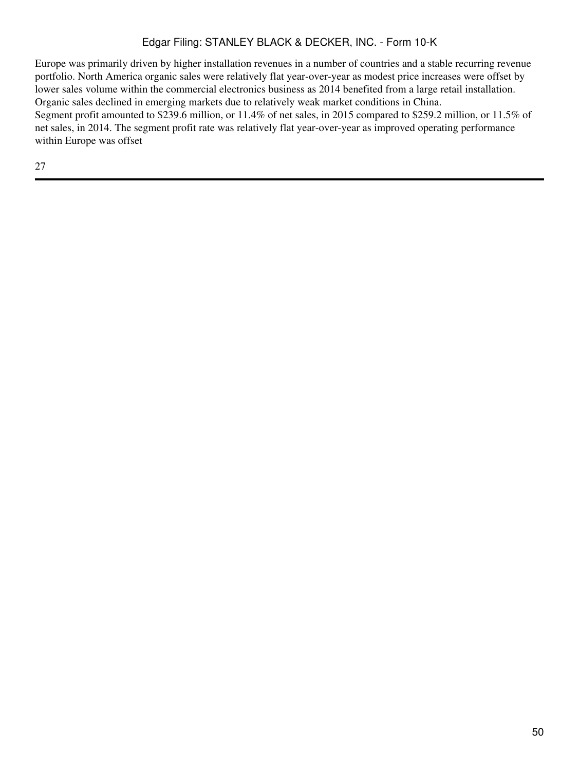Europe was primarily driven by higher installation revenues in a number of countries and a stable recurring revenue portfolio. North America organic sales were relatively flat year-over-year as modest price increases were offset by lower sales volume within the commercial electronics business as 2014 benefited from a large retail installation. Organic sales declined in emerging markets due to relatively weak market conditions in China. Segment profit amounted to \$239.6 million, or 11.4% of net sales, in 2015 compared to \$259.2 million, or 11.5% of net sales, in 2014. The segment profit rate was relatively flat year-over-year as improved operating performance within Europe was offset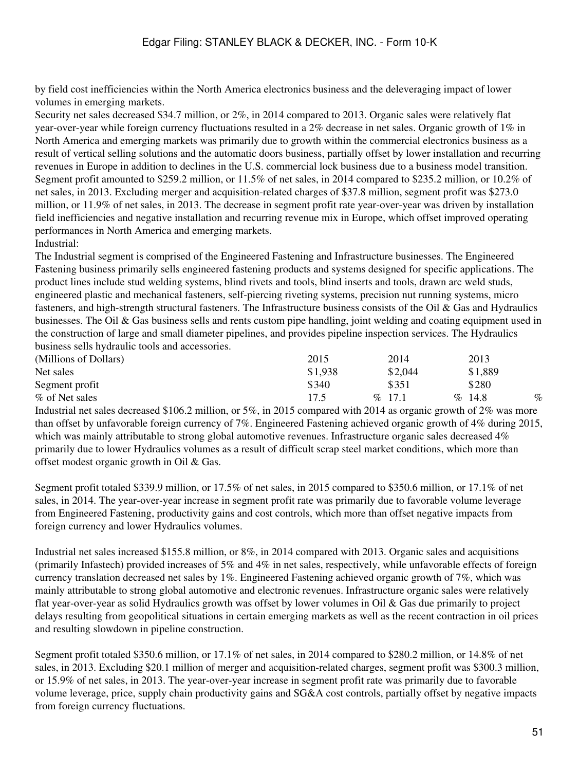by field cost inefficiencies within the North America electronics business and the deleveraging impact of lower volumes in emerging markets.

Security net sales decreased \$34.7 million, or 2%, in 2014 compared to 2013. Organic sales were relatively flat year-over-year while foreign currency fluctuations resulted in a 2% decrease in net sales. Organic growth of 1% in North America and emerging markets was primarily due to growth within the commercial electronics business as a result of vertical selling solutions and the automatic doors business, partially offset by lower installation and recurring revenues in Europe in addition to declines in the U.S. commercial lock business due to a business model transition. Segment profit amounted to \$259.2 million, or 11.5% of net sales, in 2014 compared to \$235.2 million, or 10.2% of net sales, in 2013. Excluding merger and acquisition-related charges of \$37.8 million, segment profit was \$273.0 million, or 11.9% of net sales, in 2013. The decrease in segment profit rate year-over-year was driven by installation field inefficiencies and negative installation and recurring revenue mix in Europe, which offset improved operating performances in North America and emerging markets. Industrial:

The Industrial segment is comprised of the Engineered Fastening and Infrastructure businesses. The Engineered Fastening business primarily sells engineered fastening products and systems designed for specific applications. The product lines include stud welding systems, blind rivets and tools, blind inserts and tools, drawn arc weld studs, engineered plastic and mechanical fasteners, self-piercing riveting systems, precision nut running systems, micro fasteners, and high-strength structural fasteners. The Infrastructure business consists of the Oil & Gas and Hydraulics businesses. The Oil & Gas business sells and rents custom pipe handling, joint welding and coating equipment used in the construction of large and small diameter pipelines, and provides pipeline inspection services. The Hydraulics business sells hydraulic tools and accessories.

| (Millions of Dollars)                                                                                                    | 2015    | 2014              | 2013          |      |
|--------------------------------------------------------------------------------------------------------------------------|---------|-------------------|---------------|------|
| Net sales                                                                                                                | \$1,938 | \$2,044           | \$1,889       |      |
| Segment profit                                                                                                           | \$340   | \$351             | \$280         |      |
| % of Net sales                                                                                                           | 17.5    | $\%$ 17.1         | %14.8         | $\%$ |
| $\rightarrow$ $\rightarrow$ $\rightarrow$ $\rightarrow$ $\rightarrow$<br>.<br>$\sim$ $\sim$<br>.<br>$\sim$ $\sim$ $\sim$ |         | $\cdots$ $\cdots$ | $\sim$ $\sim$ |      |

Industrial net sales decreased \$106.2 million, or 5%, in 2015 compared with 2014 as organic growth of 2% was more than offset by unfavorable foreign currency of 7%. Engineered Fastening achieved organic growth of 4% during 2015, which was mainly attributable to strong global automotive revenues. Infrastructure organic sales decreased 4% primarily due to lower Hydraulics volumes as a result of difficult scrap steel market conditions, which more than offset modest organic growth in Oil & Gas.

Segment profit totaled \$339.9 million, or 17.5% of net sales, in 2015 compared to \$350.6 million, or 17.1% of net sales, in 2014. The year-over-year increase in segment profit rate was primarily due to favorable volume leverage from Engineered Fastening, productivity gains and cost controls, which more than offset negative impacts from foreign currency and lower Hydraulics volumes.

Industrial net sales increased \$155.8 million, or 8%, in 2014 compared with 2013. Organic sales and acquisitions (primarily Infastech) provided increases of 5% and 4% in net sales, respectively, while unfavorable effects of foreign currency translation decreased net sales by 1%. Engineered Fastening achieved organic growth of 7%, which was mainly attributable to strong global automotive and electronic revenues. Infrastructure organic sales were relatively flat year-over-year as solid Hydraulics growth was offset by lower volumes in Oil & Gas due primarily to project delays resulting from geopolitical situations in certain emerging markets as well as the recent contraction in oil prices and resulting slowdown in pipeline construction.

Segment profit totaled \$350.6 million, or 17.1% of net sales, in 2014 compared to \$280.2 million, or 14.8% of net sales, in 2013. Excluding \$20.1 million of merger and acquisition-related charges, segment profit was \$300.3 million, or 15.9% of net sales, in 2013. The year-over-year increase in segment profit rate was primarily due to favorable volume leverage, price, supply chain productivity gains and SG&A cost controls, partially offset by negative impacts from foreign currency fluctuations.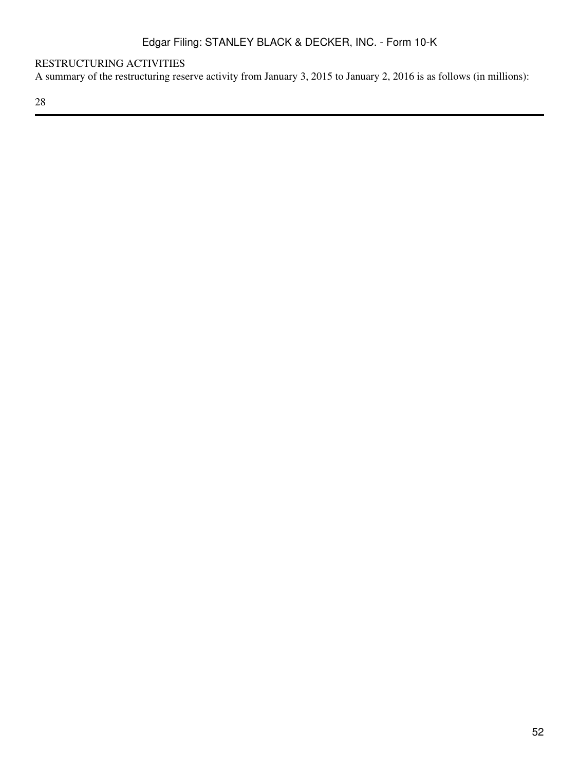# RESTRUCTURING ACTIVITIES

A summary of the restructuring reserve activity from January 3, 2015 to January 2, 2016 is as follows (in millions):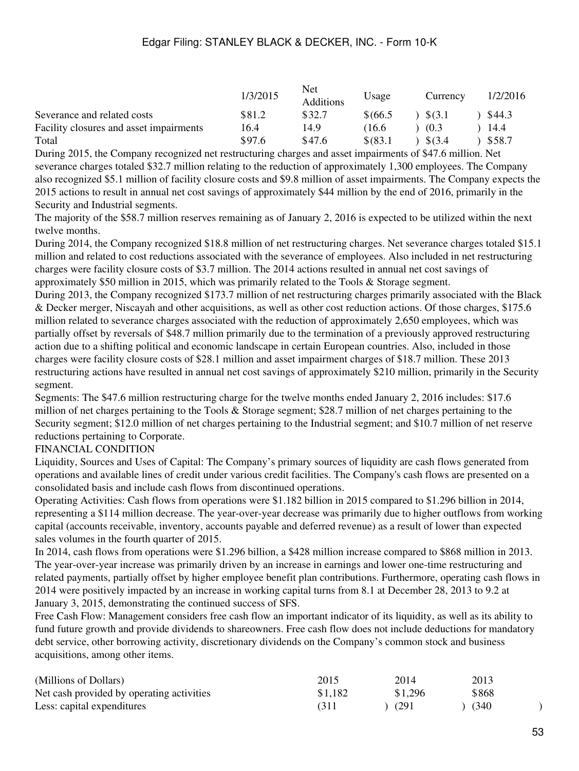|                                         | 1/3/2015 | Net<br><b>Additions</b> | Usage        | Currency | 1/2/2016 |
|-----------------------------------------|----------|-------------------------|--------------|----------|----------|
| Severance and related costs             | \$81.2   | \$32.7                  | \$(66.5)     | \$63.1   | \$44.3   |
| Facility closures and asset impairments | 16.4     | 14.9                    | (16.6        | (0.3)    | 14.4     |
| Total                                   | \$97.6   | \$47.6                  | $$$ $(83.1)$ | \$(3.4   | \$58.7   |

During 2015, the Company recognized net restructuring charges and asset impairments of \$47.6 million. Net severance charges totaled \$32.7 million relating to the reduction of approximately 1,300 employees. The Company also recognized \$5.1 million of facility closure costs and \$9.8 million of asset impairments. The Company expects the 2015 actions to result in annual net cost savings of approximately \$44 million by the end of 2016, primarily in the Security and Industrial segments.

The majority of the \$58.7 million reserves remaining as of January 2, 2016 is expected to be utilized within the next twelve months.

During 2014, the Company recognized \$18.8 million of net restructuring charges. Net severance charges totaled \$15.1 million and related to cost reductions associated with the severance of employees. Also included in net restructuring charges were facility closure costs of \$3.7 million. The 2014 actions resulted in annual net cost savings of approximately \$50 million in 2015, which was primarily related to the Tools & Storage segment.

During 2013, the Company recognized \$173.7 million of net restructuring charges primarily associated with the Black & Decker merger, Niscayah and other acquisitions, as well as other cost reduction actions. Of those charges, \$175.6 million related to severance charges associated with the reduction of approximately 2,650 employees, which was partially offset by reversals of \$48.7 million primarily due to the termination of a previously approved restructuring action due to a shifting political and economic landscape in certain European countries. Also, included in those charges were facility closure costs of \$28.1 million and asset impairment charges of \$18.7 million. These 2013 restructuring actions have resulted in annual net cost savings of approximately \$210 million, primarily in the Security segment.

Segments: The \$47.6 million restructuring charge for the twelve months ended January 2, 2016 includes: \$17.6 million of net charges pertaining to the Tools & Storage segment; \$28.7 million of net charges pertaining to the Security segment; \$12.0 million of net charges pertaining to the Industrial segment; and \$10.7 million of net reserve reductions pertaining to Corporate.

#### FINANCIAL CONDITION

Liquidity, Sources and Uses of Capital: The Company's primary sources of liquidity are cash flows generated from operations and available lines of credit under various credit facilities. The Company's cash flows are presented on a consolidated basis and include cash flows from discontinued operations.

Operating Activities: Cash flows from operations were \$1.182 billion in 2015 compared to \$1.296 billion in 2014, representing a \$114 million decrease. The year-over-year decrease was primarily due to higher outflows from working capital (accounts receivable, inventory, accounts payable and deferred revenue) as a result of lower than expected sales volumes in the fourth quarter of 2015.

In 2014, cash flows from operations were \$1.296 billion, a \$428 million increase compared to \$868 million in 2013. The year-over-year increase was primarily driven by an increase in earnings and lower one-time restructuring and related payments, partially offset by higher employee benefit plan contributions. Furthermore, operating cash flows in 2014 were positively impacted by an increase in working capital turns from 8.1 at December 28, 2013 to 9.2 at January 3, 2015, demonstrating the continued success of SFS.

Free Cash Flow: Management considers free cash flow an important indicator of its liquidity, as well as its ability to fund future growth and provide dividends to shareowners. Free cash flow does not include deductions for mandatory debt service, other borrowing activity, discretionary dividends on the Company's common stock and business acquisitions, among other items.

| (Millions of Dollars)                     | 2015    | 2014    | 2013  |  |
|-------------------------------------------|---------|---------|-------|--|
| Net cash provided by operating activities | \$1,182 | \$1,296 | \$868 |  |
| Less: capital expenditures                | (311)   | (291    | (340) |  |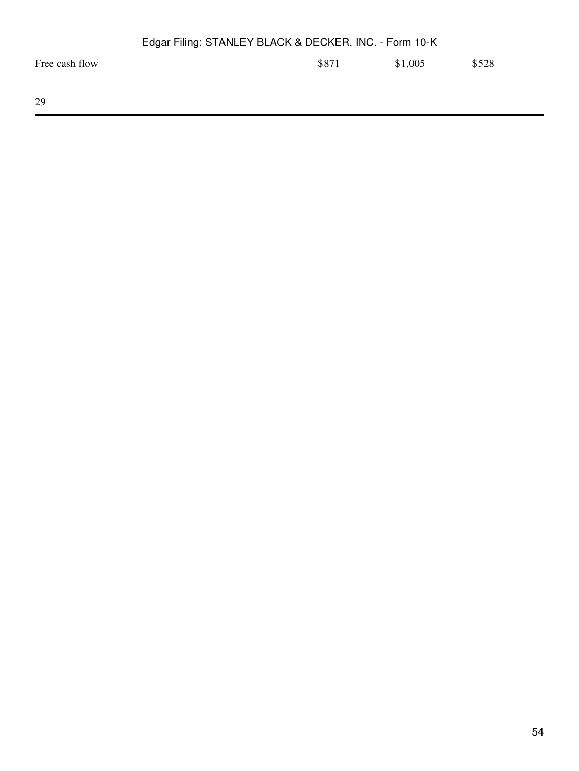| Free cash flow | \$871 | \$1,005 | \$528 |
|----------------|-------|---------|-------|
|                |       |         |       |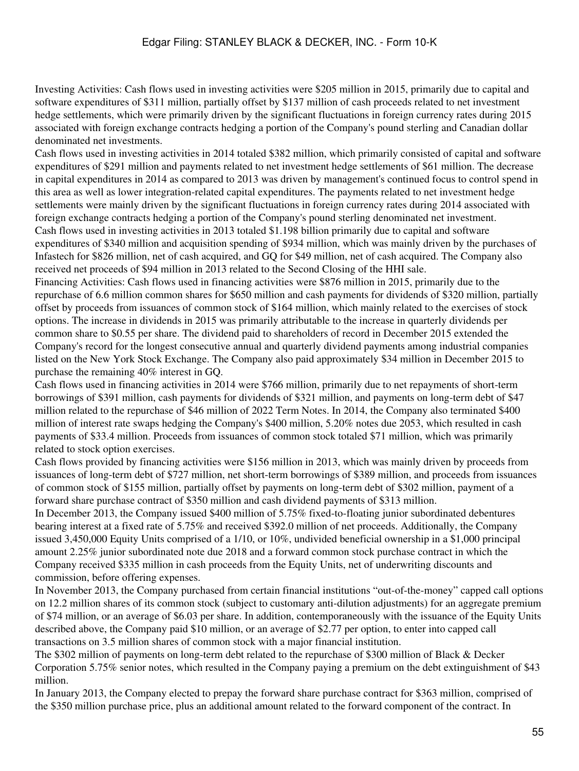Investing Activities: Cash flows used in investing activities were \$205 million in 2015, primarily due to capital and software expenditures of \$311 million, partially offset by \$137 million of cash proceeds related to net investment hedge settlements, which were primarily driven by the significant fluctuations in foreign currency rates during 2015 associated with foreign exchange contracts hedging a portion of the Company's pound sterling and Canadian dollar denominated net investments.

Cash flows used in investing activities in 2014 totaled \$382 million, which primarily consisted of capital and software expenditures of \$291 million and payments related to net investment hedge settlements of \$61 million. The decrease in capital expenditures in 2014 as compared to 2013 was driven by management's continued focus to control spend in this area as well as lower integration-related capital expenditures. The payments related to net investment hedge settlements were mainly driven by the significant fluctuations in foreign currency rates during 2014 associated with foreign exchange contracts hedging a portion of the Company's pound sterling denominated net investment. Cash flows used in investing activities in 2013 totaled \$1.198 billion primarily due to capital and software expenditures of \$340 million and acquisition spending of \$934 million, which was mainly driven by the purchases of Infastech for \$826 million, net of cash acquired, and GQ for \$49 million, net of cash acquired. The Company also received net proceeds of \$94 million in 2013 related to the Second Closing of the HHI sale.

Financing Activities: Cash flows used in financing activities were \$876 million in 2015, primarily due to the repurchase of 6.6 million common shares for \$650 million and cash payments for dividends of \$320 million, partially offset by proceeds from issuances of common stock of \$164 million, which mainly related to the exercises of stock options. The increase in dividends in 2015 was primarily attributable to the increase in quarterly dividends per common share to \$0.55 per share. The dividend paid to shareholders of record in December 2015 extended the Company's record for the longest consecutive annual and quarterly dividend payments among industrial companies listed on the New York Stock Exchange. The Company also paid approximately \$34 million in December 2015 to purchase the remaining 40% interest in GQ.

Cash flows used in financing activities in 2014 were \$766 million, primarily due to net repayments of short-term borrowings of \$391 million, cash payments for dividends of \$321 million, and payments on long-term debt of \$47 million related to the repurchase of \$46 million of 2022 Term Notes. In 2014, the Company also terminated \$400 million of interest rate swaps hedging the Company's \$400 million, 5.20% notes due 2053, which resulted in cash payments of \$33.4 million. Proceeds from issuances of common stock totaled \$71 million, which was primarily related to stock option exercises.

Cash flows provided by financing activities were \$156 million in 2013, which was mainly driven by proceeds from issuances of long-term debt of \$727 million, net short-term borrowings of \$389 million, and proceeds from issuances of common stock of \$155 million, partially offset by payments on long-term debt of \$302 million, payment of a forward share purchase contract of \$350 million and cash dividend payments of \$313 million.

In December 2013, the Company issued \$400 million of 5.75% fixed-to-floating junior subordinated debentures bearing interest at a fixed rate of 5.75% and received \$392.0 million of net proceeds. Additionally, the Company issued 3,450,000 Equity Units comprised of a 1/10, or 10%, undivided beneficial ownership in a \$1,000 principal amount 2.25% junior subordinated note due 2018 and a forward common stock purchase contract in which the Company received \$335 million in cash proceeds from the Equity Units, net of underwriting discounts and commission, before offering expenses.

In November 2013, the Company purchased from certain financial institutions "out-of-the-money" capped call options on 12.2 million shares of its common stock (subject to customary anti-dilution adjustments) for an aggregate premium of \$74 million, or an average of \$6.03 per share. In addition, contemporaneously with the issuance of the Equity Units described above, the Company paid \$10 million, or an average of \$2.77 per option, to enter into capped call transactions on 3.5 million shares of common stock with a major financial institution.

The \$302 million of payments on long-term debt related to the repurchase of \$300 million of Black & Decker Corporation 5.75% senior notes, which resulted in the Company paying a premium on the debt extinguishment of \$43 million.

In January 2013, the Company elected to prepay the forward share purchase contract for \$363 million, comprised of the \$350 million purchase price, plus an additional amount related to the forward component of the contract. In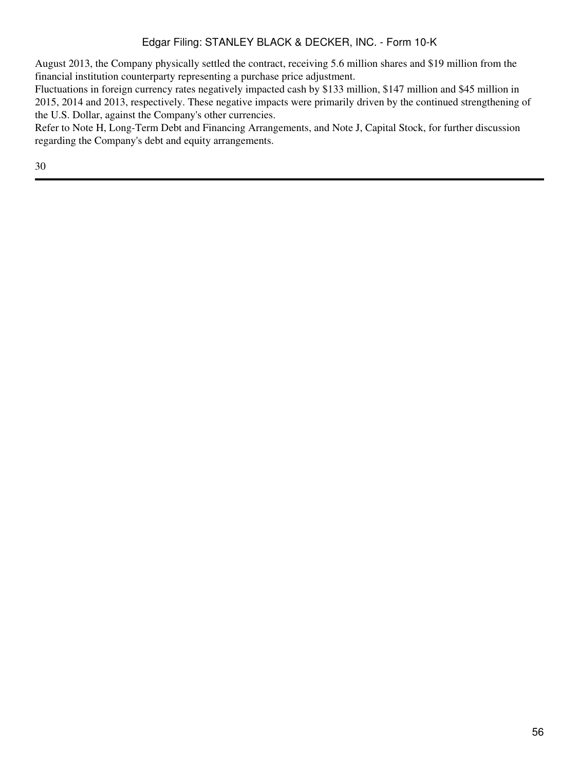August 2013, the Company physically settled the contract, receiving 5.6 million shares and \$19 million from the financial institution counterparty representing a purchase price adjustment.

Fluctuations in foreign currency rates negatively impacted cash by \$133 million, \$147 million and \$45 million in 2015, 2014 and 2013, respectively. These negative impacts were primarily driven by the continued strengthening of the U.S. Dollar, against the Company's other currencies.

Refer to Note H, Long-Term Debt and Financing Arrangements, and Note J, Capital Stock, for further discussion regarding the Company's debt and equity arrangements.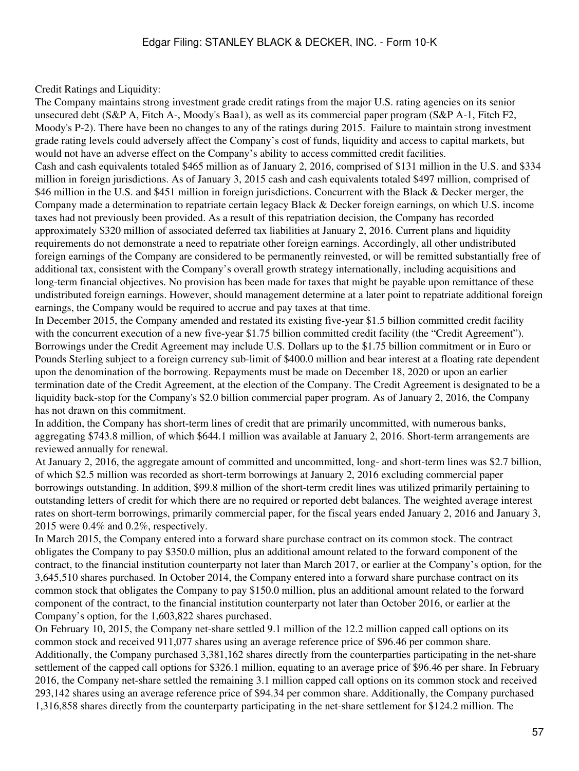Credit Ratings and Liquidity:

The Company maintains strong investment grade credit ratings from the major U.S. rating agencies on its senior unsecured debt (S&P A, Fitch A-, Moody's Baa1), as well as its commercial paper program (S&P A-1, Fitch F2, Moody's P-2). There have been no changes to any of the ratings during 2015. Failure to maintain strong investment grade rating levels could adversely affect the Company's cost of funds, liquidity and access to capital markets, but would not have an adverse effect on the Company's ability to access committed credit facilities. Cash and cash equivalents totaled \$465 million as of January 2, 2016, comprised of \$131 million in the U.S. and \$334 million in foreign jurisdictions. As of January 3, 2015 cash and cash equivalents totaled \$497 million, comprised of \$46 million in the U.S. and \$451 million in foreign jurisdictions. Concurrent with the Black & Decker merger, the Company made a determination to repatriate certain legacy Black & Decker foreign earnings, on which U.S. income taxes had not previously been provided. As a result of this repatriation decision, the Company has recorded approximately \$320 million of associated deferred tax liabilities at January 2, 2016. Current plans and liquidity requirements do not demonstrate a need to repatriate other foreign earnings. Accordingly, all other undistributed foreign earnings of the Company are considered to be permanently reinvested, or will be remitted substantially free of additional tax, consistent with the Company's overall growth strategy internationally, including acquisitions and long-term financial objectives. No provision has been made for taxes that might be payable upon remittance of these undistributed foreign earnings. However, should management determine at a later point to repatriate additional foreign earnings, the Company would be required to accrue and pay taxes at that time.

In December 2015, the Company amended and restated its existing five-year \$1.5 billion committed credit facility with the concurrent execution of a new five-year \$1.75 billion committed credit facility (the "Credit Agreement"). Borrowings under the Credit Agreement may include U.S. Dollars up to the \$1.75 billion commitment or in Euro or Pounds Sterling subject to a foreign currency sub-limit of \$400.0 million and bear interest at a floating rate dependent upon the denomination of the borrowing. Repayments must be made on December 18, 2020 or upon an earlier termination date of the Credit Agreement, at the election of the Company. The Credit Agreement is designated to be a liquidity back-stop for the Company's \$2.0 billion commercial paper program. As of January 2, 2016, the Company has not drawn on this commitment.

In addition, the Company has short-term lines of credit that are primarily uncommitted, with numerous banks, aggregating \$743.8 million, of which \$644.1 million was available at January 2, 2016. Short-term arrangements are reviewed annually for renewal.

At January 2, 2016, the aggregate amount of committed and uncommitted, long- and short-term lines was \$2.7 billion, of which \$2.5 million was recorded as short-term borrowings at January 2, 2016 excluding commercial paper borrowings outstanding. In addition, \$99.8 million of the short-term credit lines was utilized primarily pertaining to outstanding letters of credit for which there are no required or reported debt balances. The weighted average interest rates on short-term borrowings, primarily commercial paper, for the fiscal years ended January 2, 2016 and January 3, 2015 were 0.4% and 0.2%, respectively.

In March 2015, the Company entered into a forward share purchase contract on its common stock. The contract obligates the Company to pay \$350.0 million, plus an additional amount related to the forward component of the contract, to the financial institution counterparty not later than March 2017, or earlier at the Company's option, for the 3,645,510 shares purchased. In October 2014, the Company entered into a forward share purchase contract on its common stock that obligates the Company to pay \$150.0 million, plus an additional amount related to the forward component of the contract, to the financial institution counterparty not later than October 2016, or earlier at the Company's option, for the 1,603,822 shares purchased.

On February 10, 2015, the Company net-share settled 9.1 million of the 12.2 million capped call options on its common stock and received 911,077 shares using an average reference price of \$96.46 per common share. Additionally, the Company purchased 3,381,162 shares directly from the counterparties participating in the net-share settlement of the capped call options for \$326.1 million, equating to an average price of \$96.46 per share. In February 2016, the Company net-share settled the remaining 3.1 million capped call options on its common stock and received 293,142 shares using an average reference price of \$94.34 per common share. Additionally, the Company purchased 1,316,858 shares directly from the counterparty participating in the net-share settlement for \$124.2 million. The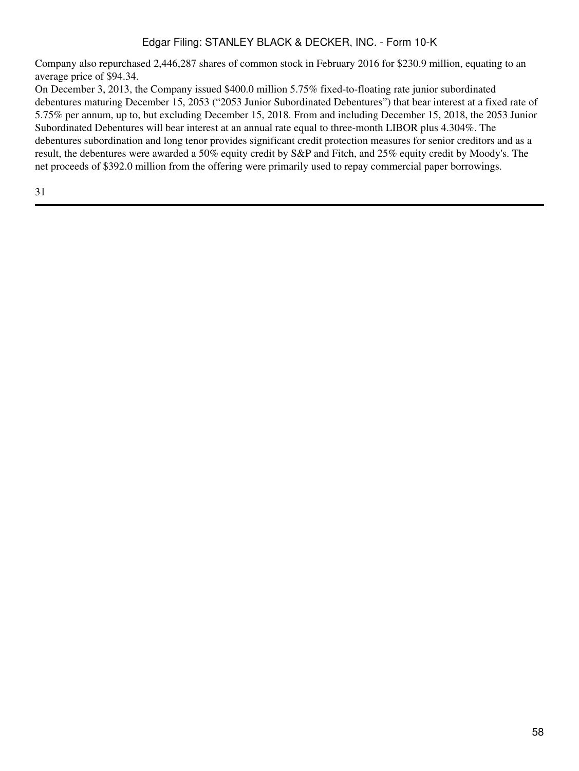Company also repurchased 2,446,287 shares of common stock in February 2016 for \$230.9 million, equating to an average price of \$94.34.

On December 3, 2013, the Company issued \$400.0 million 5.75% fixed-to-floating rate junior subordinated debentures maturing December 15, 2053 ("2053 Junior Subordinated Debentures") that bear interest at a fixed rate of 5.75% per annum, up to, but excluding December 15, 2018. From and including December 15, 2018, the 2053 Junior Subordinated Debentures will bear interest at an annual rate equal to three-month LIBOR plus 4.304%. The debentures subordination and long tenor provides significant credit protection measures for senior creditors and as a result, the debentures were awarded a 50% equity credit by S&P and Fitch, and 25% equity credit by Moody's. The net proceeds of \$392.0 million from the offering were primarily used to repay commercial paper borrowings.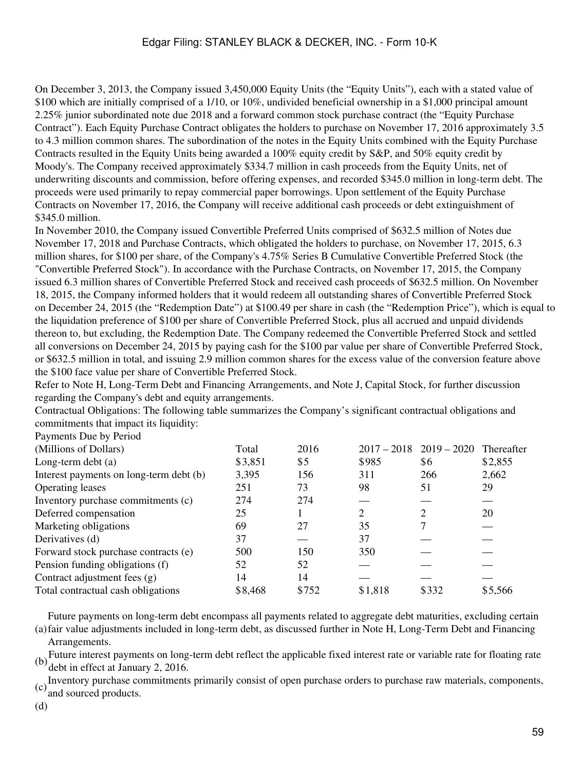On December 3, 2013, the Company issued 3,450,000 Equity Units (the "Equity Units"), each with a stated value of \$100 which are initially comprised of a 1/10, or 10%, undivided beneficial ownership in a \$1,000 principal amount 2.25% junior subordinated note due 2018 and a forward common stock purchase contract (the "Equity Purchase Contract"). Each Equity Purchase Contract obligates the holders to purchase on November 17, 2016 approximately 3.5 to 4.3 million common shares. The subordination of the notes in the Equity Units combined with the Equity Purchase Contracts resulted in the Equity Units being awarded a 100% equity credit by S&P, and 50% equity credit by Moody's. The Company received approximately \$334.7 million in cash proceeds from the Equity Units, net of underwriting discounts and commission, before offering expenses, and recorded \$345.0 million in long-term debt. The proceeds were used primarily to repay commercial paper borrowings. Upon settlement of the Equity Purchase Contracts on November 17, 2016, the Company will receive additional cash proceeds or debt extinguishment of \$345.0 million.

In November 2010, the Company issued Convertible Preferred Units comprised of \$632.5 million of Notes due November 17, 2018 and Purchase Contracts, which obligated the holders to purchase, on November 17, 2015, 6.3 million shares, for \$100 per share, of the Company's 4.75% Series B Cumulative Convertible Preferred Stock (the "Convertible Preferred Stock"). In accordance with the Purchase Contracts, on November 17, 2015, the Company issued 6.3 million shares of Convertible Preferred Stock and received cash proceeds of \$632.5 million. On November 18, 2015, the Company informed holders that it would redeem all outstanding shares of Convertible Preferred Stock on December 24, 2015 (the "Redemption Date") at \$100.49 per share in cash (the "Redemption Price"), which is equal to the liquidation preference of \$100 per share of Convertible Preferred Stock, plus all accrued and unpaid dividends thereon to, but excluding, the Redemption Date. The Company redeemed the Convertible Preferred Stock and settled all conversions on December 24, 2015 by paying cash for the \$100 par value per share of Convertible Preferred Stock, or \$632.5 million in total, and issuing 2.9 million common shares for the excess value of the conversion feature above the \$100 face value per share of Convertible Preferred Stock.

Refer to Note H, Long-Term Debt and Financing Arrangements, and Note J, Capital Stock, for further discussion regarding the Company's debt and equity arrangements.

Contractual Obligations: The following table summarizes the Company's significant contractual obligations and commitments that impact its liquidity:

Payments Due by Period

| (Millions of Dollars)                   | Total   | 2016  | $2017 - 2018$ | $2019 - 2020$ | Thereafter |
|-----------------------------------------|---------|-------|---------------|---------------|------------|
| Long-term debt $(a)$                    | \$3,851 | \$5   | \$985         | \$6           | \$2,855    |
| Interest payments on long-term debt (b) | 3,395   | 156   | 311           | 266           | 2,662      |
| <b>Operating leases</b>                 | 251     | 73    | 98            | 51            | 29         |
| Inventory purchase commitments (c)      | 274     | 274   |               |               |            |
| Deferred compensation                   | 25      |       | 2             |               | 20         |
| Marketing obligations                   | 69      | 27    | 35            |               |            |
| Derivatives (d)                         | 37      |       | 37            |               |            |
| Forward stock purchase contracts (e)    | 500     | 150   | 350           |               |            |
| Pension funding obligations (f)         | 52      | 52    |               |               |            |
| Contract adjustment fees (g)            | 14      | 14    |               |               |            |
| Total contractual cash obligations      | \$8,468 | \$752 | \$1,818       | \$332         | \$5,566    |
|                                         |         |       |               |               |            |

Future payments on long-term debt encompass all payments related to aggregate debt maturities, excluding certain

(a) fair value adjustments included in long-term debt, as discussed further in Note H, Long-Term Debt and Financing Arrangements.

(b)Future interest payments on long-term debt reflect the applicable fixed interest rate or variable rate for floating rate debt in effect at January 2, 2016.

Inventory purchase commitments primarily consist of open purchase orders to purchase raw materials, components,  $(c)$ <sup>Invented</sup>  $r$  and sourced products.

(d)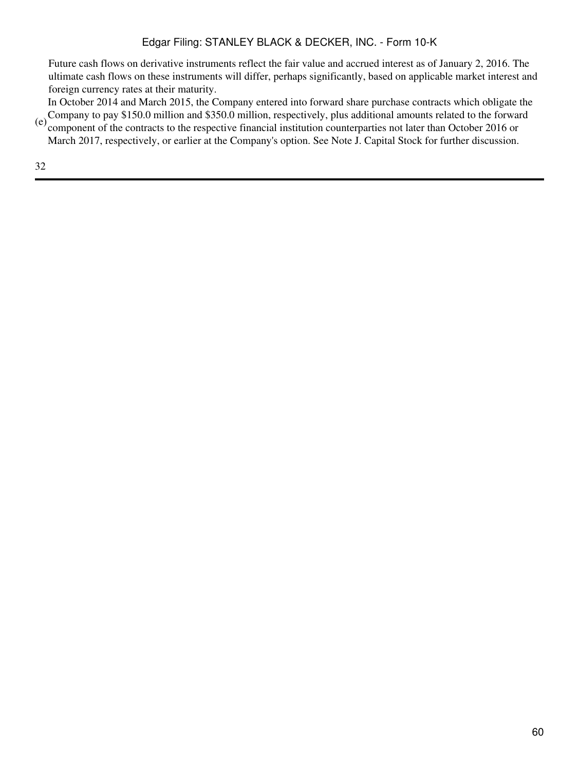Future cash flows on derivative instruments reflect the fair value and accrued interest as of January 2, 2016. The ultimate cash flows on these instruments will differ, perhaps significantly, based on applicable market interest and foreign currency rates at their maturity.

(e) Company to pay \$150.0 million and \$350.0 million, respectively, plus additional amounts related to the forward In October 2014 and March 2015, the Company entered into forward share purchase contracts which obligate the

component of the contracts to the respective financial institution counterparties not later than October 2016 or March 2017, respectively, or earlier at the Company's option. See Note J. Capital Stock for further discussion.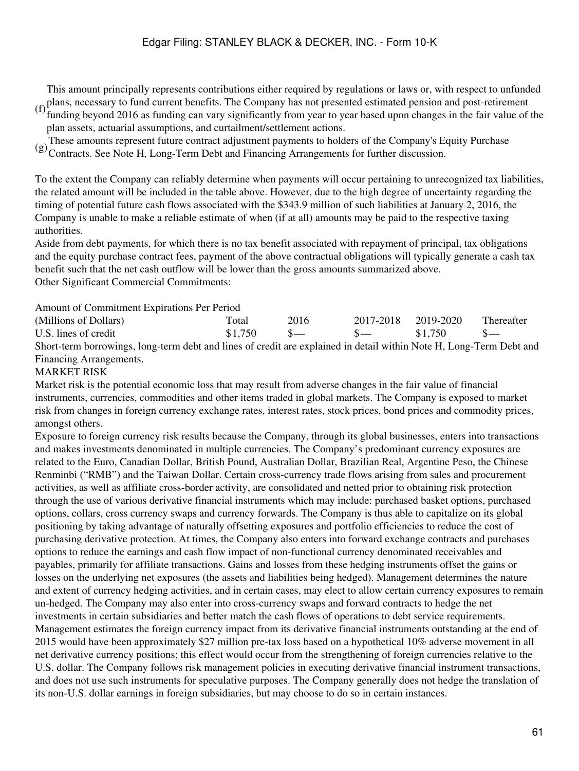This amount principally represents contributions either required by regulations or laws or, with respect to unfunded plans, necessary to fund current benefits. The Company has not presented estimated pension and post-retirement

- (f) funding beyond 2016 as funding can vary significantly from year to year based upon changes in the fair value of the plan assets, actuarial assumptions, and curtailment/settlement actions.
- (g) These amounts represent future contract adjustment payments to holders of the Company's Equity Purchase Contracts. See Note H, Long-Term Debt and Financing Arrangements for further discussion.

To the extent the Company can reliably determine when payments will occur pertaining to unrecognized tax liabilities, the related amount will be included in the table above. However, due to the high degree of uncertainty regarding the timing of potential future cash flows associated with the \$343.9 million of such liabilities at January 2, 2016, the Company is unable to make a reliable estimate of when (if at all) amounts may be paid to the respective taxing authorities.

Aside from debt payments, for which there is no tax benefit associated with repayment of principal, tax obligations and the equity purchase contract fees, payment of the above contractual obligations will typically generate a cash tax benefit such that the net cash outflow will be lower than the gross amounts summarized above. Other Significant Commercial Commitments:

Amount of Commitment Expirations Per Period

(Millions of Dollars) Total 2016 2017-2018 2019-2020 Thereafter U.S. lines of credit  $$1,750$   $$—$   $$—$   $$1,750$   $$—$ Short-term borrowings, long-term debt and lines of credit are explained in detail within Note H, Long-Term Debt and Financing Arrangements.

#### MARKET RISK

Market risk is the potential economic loss that may result from adverse changes in the fair value of financial instruments, currencies, commodities and other items traded in global markets. The Company is exposed to market risk from changes in foreign currency exchange rates, interest rates, stock prices, bond prices and commodity prices, amongst others.

Exposure to foreign currency risk results because the Company, through its global businesses, enters into transactions and makes investments denominated in multiple currencies. The Company's predominant currency exposures are related to the Euro, Canadian Dollar, British Pound, Australian Dollar, Brazilian Real, Argentine Peso, the Chinese Renminbi ("RMB") and the Taiwan Dollar. Certain cross-currency trade flows arising from sales and procurement activities, as well as affiliate cross-border activity, are consolidated and netted prior to obtaining risk protection through the use of various derivative financial instruments which may include: purchased basket options, purchased options, collars, cross currency swaps and currency forwards. The Company is thus able to capitalize on its global positioning by taking advantage of naturally offsetting exposures and portfolio efficiencies to reduce the cost of purchasing derivative protection. At times, the Company also enters into forward exchange contracts and purchases options to reduce the earnings and cash flow impact of non-functional currency denominated receivables and payables, primarily for affiliate transactions. Gains and losses from these hedging instruments offset the gains or losses on the underlying net exposures (the assets and liabilities being hedged). Management determines the nature and extent of currency hedging activities, and in certain cases, may elect to allow certain currency exposures to remain un-hedged. The Company may also enter into cross-currency swaps and forward contracts to hedge the net investments in certain subsidiaries and better match the cash flows of operations to debt service requirements. Management estimates the foreign currency impact from its derivative financial instruments outstanding at the end of 2015 would have been approximately \$27 million pre-tax loss based on a hypothetical 10% adverse movement in all net derivative currency positions; this effect would occur from the strengthening of foreign currencies relative to the U.S. dollar. The Company follows risk management policies in executing derivative financial instrument transactions, and does not use such instruments for speculative purposes. The Company generally does not hedge the translation of its non-U.S. dollar earnings in foreign subsidiaries, but may choose to do so in certain instances.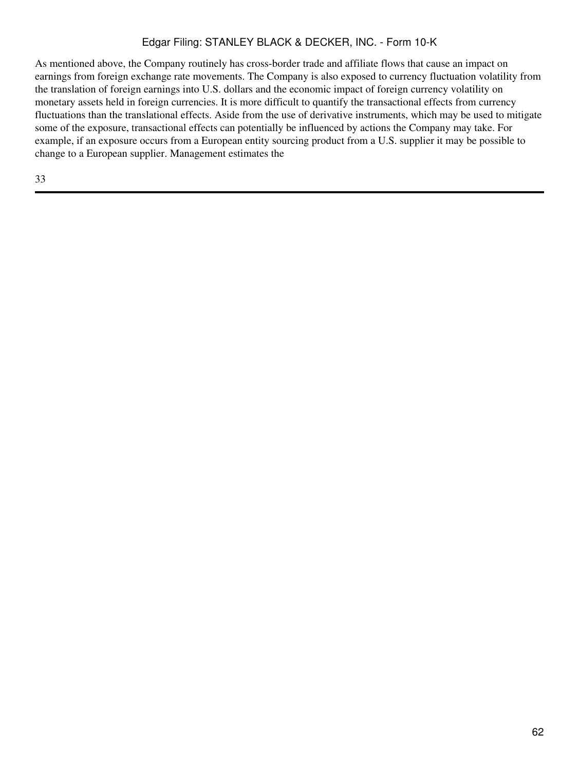As mentioned above, the Company routinely has cross-border trade and affiliate flows that cause an impact on earnings from foreign exchange rate movements. The Company is also exposed to currency fluctuation volatility from the translation of foreign earnings into U.S. dollars and the economic impact of foreign currency volatility on monetary assets held in foreign currencies. It is more difficult to quantify the transactional effects from currency fluctuations than the translational effects. Aside from the use of derivative instruments, which may be used to mitigate some of the exposure, transactional effects can potentially be influenced by actions the Company may take. For example, if an exposure occurs from a European entity sourcing product from a U.S. supplier it may be possible to change to a European supplier. Management estimates the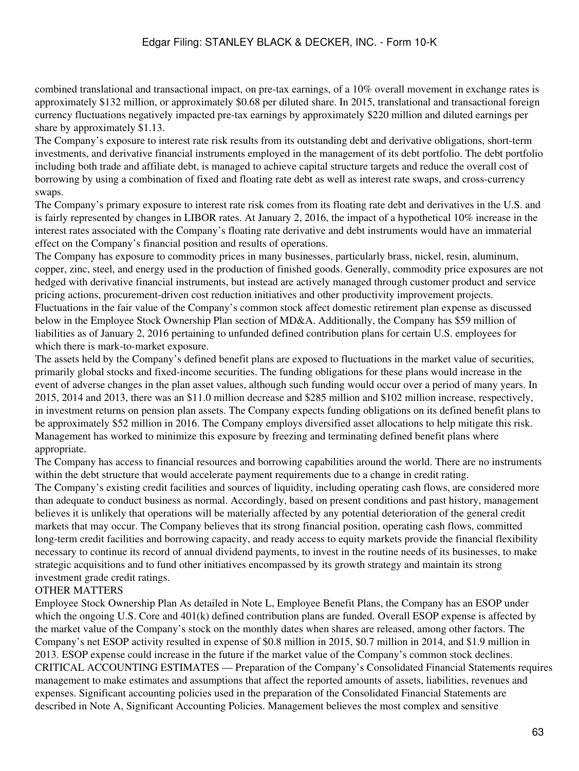combined translational and transactional impact, on pre-tax earnings, of a 10% overall movement in exchange rates is approximately \$132 million, or approximately \$0.68 per diluted share. In 2015, translational and transactional foreign currency fluctuations negatively impacted pre-tax earnings by approximately \$220 million and diluted earnings per share by approximately \$1.13.

The Company's exposure to interest rate risk results from its outstanding debt and derivative obligations, short-term investments, and derivative financial instruments employed in the management of its debt portfolio. The debt portfolio including both trade and affiliate debt, is managed to achieve capital structure targets and reduce the overall cost of borrowing by using a combination of fixed and floating rate debt as well as interest rate swaps, and cross-currency swaps.

The Company's primary exposure to interest rate risk comes from its floating rate debt and derivatives in the U.S. and is fairly represented by changes in LIBOR rates. At January 2, 2016, the impact of a hypothetical 10% increase in the interest rates associated with the Company's floating rate derivative and debt instruments would have an immaterial effect on the Company's financial position and results of operations.

The Company has exposure to commodity prices in many businesses, particularly brass, nickel, resin, aluminum, copper, zinc, steel, and energy used in the production of finished goods. Generally, commodity price exposures are not hedged with derivative financial instruments, but instead are actively managed through customer product and service pricing actions, procurement-driven cost reduction initiatives and other productivity improvement projects. Fluctuations in the fair value of the Company's common stock affect domestic retirement plan expense as discussed below in the Employee Stock Ownership Plan section of MD&A. Additionally, the Company has \$59 million of liabilities as of January 2, 2016 pertaining to unfunded defined contribution plans for certain U.S. employees for which there is mark-to-market exposure.

The assets held by the Company's defined benefit plans are exposed to fluctuations in the market value of securities, primarily global stocks and fixed-income securities. The funding obligations for these plans would increase in the event of adverse changes in the plan asset values, although such funding would occur over a period of many years. In 2015, 2014 and 2013, there was an \$11.0 million decrease and \$285 million and \$102 million increase, respectively, in investment returns on pension plan assets. The Company expects funding obligations on its defined benefit plans to be approximately \$52 million in 2016. The Company employs diversified asset allocations to help mitigate this risk. Management has worked to minimize this exposure by freezing and terminating defined benefit plans where appropriate.

The Company has access to financial resources and borrowing capabilities around the world. There are no instruments within the debt structure that would accelerate payment requirements due to a change in credit rating.

The Company's existing credit facilities and sources of liquidity, including operating cash flows, are considered more than adequate to conduct business as normal. Accordingly, based on present conditions and past history, management believes it is unlikely that operations will be materially affected by any potential deterioration of the general credit markets that may occur. The Company believes that its strong financial position, operating cash flows, committed long-term credit facilities and borrowing capacity, and ready access to equity markets provide the financial flexibility necessary to continue its record of annual dividend payments, to invest in the routine needs of its businesses, to make strategic acquisitions and to fund other initiatives encompassed by its growth strategy and maintain its strong investment grade credit ratings.

#### OTHER MATTERS

Employee Stock Ownership Plan As detailed in Note L, Employee Benefit Plans, the Company has an ESOP under which the ongoing U.S. Core and 401(k) defined contribution plans are funded. Overall ESOP expense is affected by the market value of the Company's stock on the monthly dates when shares are released, among other factors. The Company's net ESOP activity resulted in expense of \$0.8 million in 2015, \$0.7 million in 2014, and \$1.9 million in 2013. ESOP expense could increase in the future if the market value of the Company's common stock declines. CRITICAL ACCOUNTING ESTIMATES — Preparation of the Company's Consolidated Financial Statements requires management to make estimates and assumptions that affect the reported amounts of assets, liabilities, revenues and expenses. Significant accounting policies used in the preparation of the Consolidated Financial Statements are described in Note A, Significant Accounting Policies. Management believes the most complex and sensitive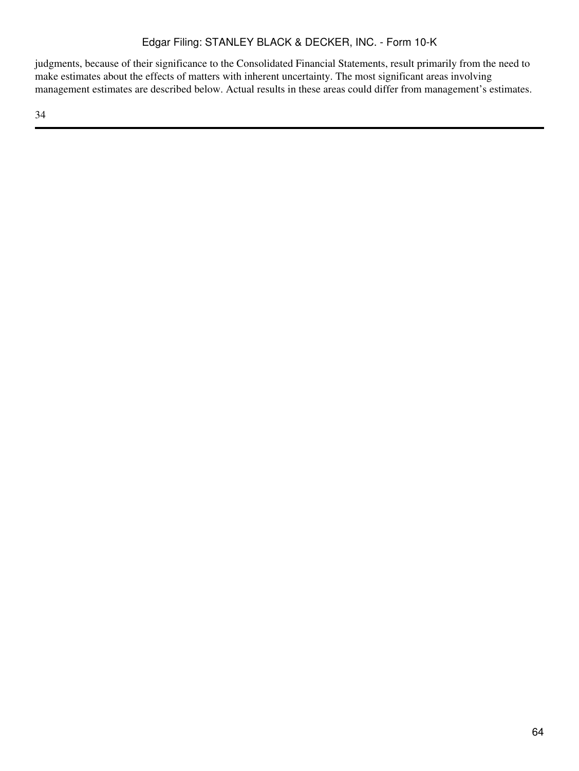judgments, because of their significance to the Consolidated Financial Statements, result primarily from the need to make estimates about the effects of matters with inherent uncertainty. The most significant areas involving management estimates are described below. Actual results in these areas could differ from management's estimates.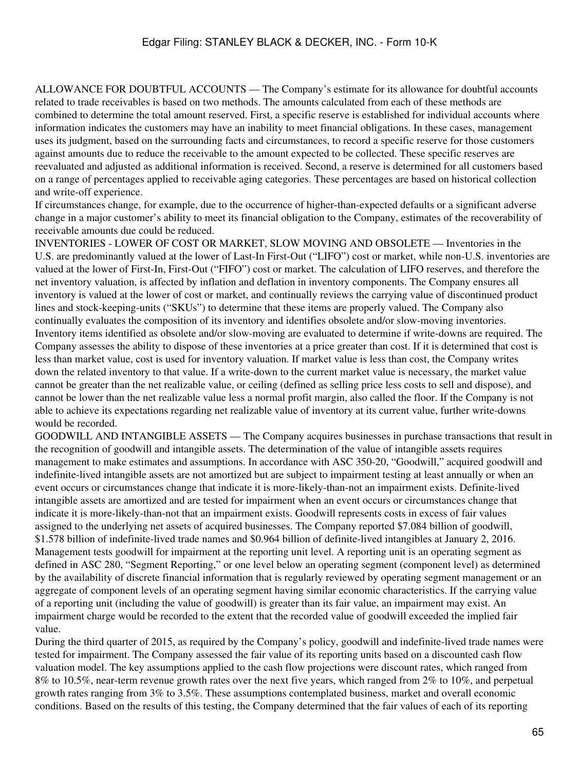ALLOWANCE FOR DOUBTFUL ACCOUNTS — The Company's estimate for its allowance for doubtful accounts related to trade receivables is based on two methods. The amounts calculated from each of these methods are combined to determine the total amount reserved. First, a specific reserve is established for individual accounts where information indicates the customers may have an inability to meet financial obligations. In these cases, management uses its judgment, based on the surrounding facts and circumstances, to record a specific reserve for those customers against amounts due to reduce the receivable to the amount expected to be collected. These specific reserves are reevaluated and adjusted as additional information is received. Second, a reserve is determined for all customers based on a range of percentages applied to receivable aging categories. These percentages are based on historical collection and write-off experience.

If circumstances change, for example, due to the occurrence of higher-than-expected defaults or a significant adverse change in a major customer's ability to meet its financial obligation to the Company, estimates of the recoverability of receivable amounts due could be reduced.

INVENTORIES - LOWER OF COST OR MARKET, SLOW MOVING AND OBSOLETE — Inventories in the U.S. are predominantly valued at the lower of Last-In First-Out ("LIFO") cost or market, while non-U.S. inventories are valued at the lower of First-In, First-Out ("FIFO") cost or market. The calculation of LIFO reserves, and therefore the net inventory valuation, is affected by inflation and deflation in inventory components. The Company ensures all inventory is valued at the lower of cost or market, and continually reviews the carrying value of discontinued product lines and stock-keeping-units ("SKUs") to determine that these items are properly valued. The Company also continually evaluates the composition of its inventory and identifies obsolete and/or slow-moving inventories. Inventory items identified as obsolete and/or slow-moving are evaluated to determine if write-downs are required. The Company assesses the ability to dispose of these inventories at a price greater than cost. If it is determined that cost is less than market value, cost is used for inventory valuation. If market value is less than cost, the Company writes down the related inventory to that value. If a write-down to the current market value is necessary, the market value cannot be greater than the net realizable value, or ceiling (defined as selling price less costs to sell and dispose), and cannot be lower than the net realizable value less a normal profit margin, also called the floor. If the Company is not able to achieve its expectations regarding net realizable value of inventory at its current value, further write-downs would be recorded.

GOODWILL AND INTANGIBLE ASSETS — The Company acquires businesses in purchase transactions that result in the recognition of goodwill and intangible assets. The determination of the value of intangible assets requires management to make estimates and assumptions. In accordance with ASC 350-20, "Goodwill," acquired goodwill and indefinite-lived intangible assets are not amortized but are subject to impairment testing at least annually or when an event occurs or circumstances change that indicate it is more-likely-than-not an impairment exists. Definite-lived intangible assets are amortized and are tested for impairment when an event occurs or circumstances change that indicate it is more-likely-than-not that an impairment exists. Goodwill represents costs in excess of fair values assigned to the underlying net assets of acquired businesses. The Company reported \$7.084 billion of goodwill, \$1.578 billion of indefinite-lived trade names and \$0.964 billion of definite-lived intangibles at January 2, 2016. Management tests goodwill for impairment at the reporting unit level. A reporting unit is an operating segment as defined in ASC 280, "Segment Reporting," or one level below an operating segment (component level) as determined by the availability of discrete financial information that is regularly reviewed by operating segment management or an aggregate of component levels of an operating segment having similar economic characteristics. If the carrying value of a reporting unit (including the value of goodwill) is greater than its fair value, an impairment may exist. An impairment charge would be recorded to the extent that the recorded value of goodwill exceeded the implied fair value.

During the third quarter of 2015, as required by the Company's policy, goodwill and indefinite-lived trade names were tested for impairment. The Company assessed the fair value of its reporting units based on a discounted cash flow valuation model. The key assumptions applied to the cash flow projections were discount rates, which ranged from 8% to 10.5%, near-term revenue growth rates over the next five years, which ranged from 2% to 10%, and perpetual growth rates ranging from 3% to 3.5%. These assumptions contemplated business, market and overall economic conditions. Based on the results of this testing, the Company determined that the fair values of each of its reporting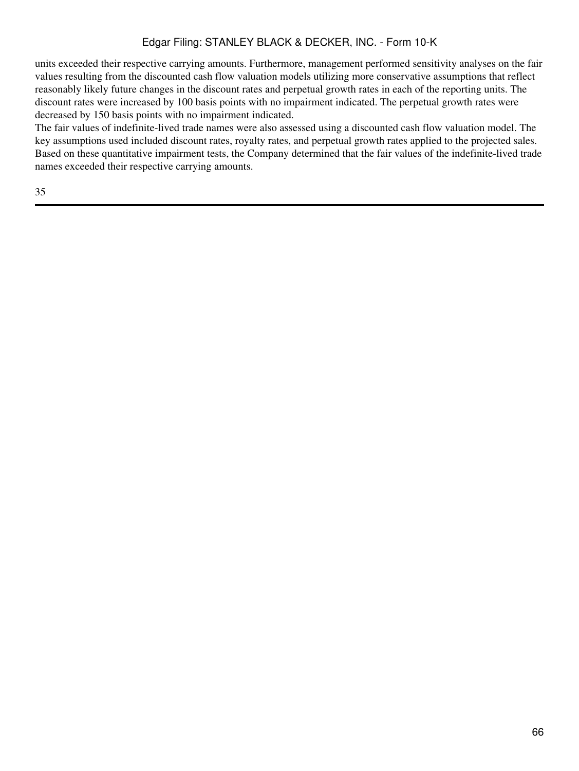units exceeded their respective carrying amounts. Furthermore, management performed sensitivity analyses on the fair values resulting from the discounted cash flow valuation models utilizing more conservative assumptions that reflect reasonably likely future changes in the discount rates and perpetual growth rates in each of the reporting units. The discount rates were increased by 100 basis points with no impairment indicated. The perpetual growth rates were decreased by 150 basis points with no impairment indicated.

The fair values of indefinite-lived trade names were also assessed using a discounted cash flow valuation model. The key assumptions used included discount rates, royalty rates, and perpetual growth rates applied to the projected sales. Based on these quantitative impairment tests, the Company determined that the fair values of the indefinite-lived trade names exceeded their respective carrying amounts.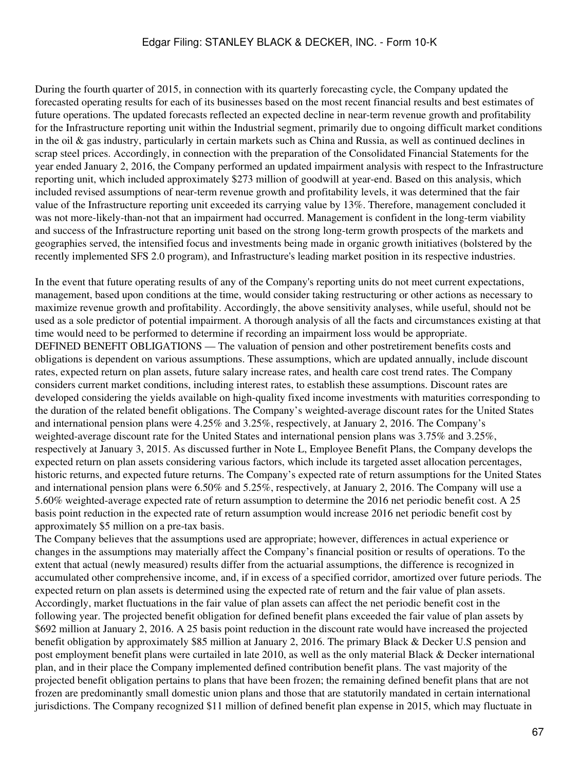During the fourth quarter of 2015, in connection with its quarterly forecasting cycle, the Company updated the forecasted operating results for each of its businesses based on the most recent financial results and best estimates of future operations. The updated forecasts reflected an expected decline in near-term revenue growth and profitability for the Infrastructure reporting unit within the Industrial segment, primarily due to ongoing difficult market conditions in the oil  $\&$  gas industry, particularly in certain markets such as China and Russia, as well as continued declines in scrap steel prices. Accordingly, in connection with the preparation of the Consolidated Financial Statements for the year ended January 2, 2016, the Company performed an updated impairment analysis with respect to the Infrastructure reporting unit, which included approximately \$273 million of goodwill at year-end. Based on this analysis, which included revised assumptions of near-term revenue growth and profitability levels, it was determined that the fair value of the Infrastructure reporting unit exceeded its carrying value by 13%. Therefore, management concluded it was not more-likely-than-not that an impairment had occurred. Management is confident in the long-term viability and success of the Infrastructure reporting unit based on the strong long-term growth prospects of the markets and geographies served, the intensified focus and investments being made in organic growth initiatives (bolstered by the recently implemented SFS 2.0 program), and Infrastructure's leading market position in its respective industries.

In the event that future operating results of any of the Company's reporting units do not meet current expectations, management, based upon conditions at the time, would consider taking restructuring or other actions as necessary to maximize revenue growth and profitability. Accordingly, the above sensitivity analyses, while useful, should not be used as a sole predictor of potential impairment. A thorough analysis of all the facts and circumstances existing at that time would need to be performed to determine if recording an impairment loss would be appropriate. DEFINED BENEFIT OBLIGATIONS — The valuation of pension and other postretirement benefits costs and obligations is dependent on various assumptions. These assumptions, which are updated annually, include discount rates, expected return on plan assets, future salary increase rates, and health care cost trend rates. The Company considers current market conditions, including interest rates, to establish these assumptions. Discount rates are developed considering the yields available on high-quality fixed income investments with maturities corresponding to the duration of the related benefit obligations. The Company's weighted-average discount rates for the United States and international pension plans were 4.25% and 3.25%, respectively, at January 2, 2016. The Company's weighted-average discount rate for the United States and international pension plans was 3.75% and 3.25%, respectively at January 3, 2015. As discussed further in Note L, Employee Benefit Plans, the Company develops the expected return on plan assets considering various factors, which include its targeted asset allocation percentages, historic returns, and expected future returns. The Company's expected rate of return assumptions for the United States and international pension plans were 6.50% and 5.25%, respectively, at January 2, 2016. The Company will use a 5.60% weighted-average expected rate of return assumption to determine the 2016 net periodic benefit cost. A 25 basis point reduction in the expected rate of return assumption would increase 2016 net periodic benefit cost by approximately \$5 million on a pre-tax basis.

The Company believes that the assumptions used are appropriate; however, differences in actual experience or changes in the assumptions may materially affect the Company's financial position or results of operations. To the extent that actual (newly measured) results differ from the actuarial assumptions, the difference is recognized in accumulated other comprehensive income, and, if in excess of a specified corridor, amortized over future periods. The expected return on plan assets is determined using the expected rate of return and the fair value of plan assets. Accordingly, market fluctuations in the fair value of plan assets can affect the net periodic benefit cost in the following year. The projected benefit obligation for defined benefit plans exceeded the fair value of plan assets by \$692 million at January 2, 2016. A 25 basis point reduction in the discount rate would have increased the projected benefit obligation by approximately \$85 million at January 2, 2016. The primary Black & Decker U.S pension and post employment benefit plans were curtailed in late 2010, as well as the only material Black & Decker international plan, and in their place the Company implemented defined contribution benefit plans. The vast majority of the projected benefit obligation pertains to plans that have been frozen; the remaining defined benefit plans that are not frozen are predominantly small domestic union plans and those that are statutorily mandated in certain international jurisdictions. The Company recognized \$11 million of defined benefit plan expense in 2015, which may fluctuate in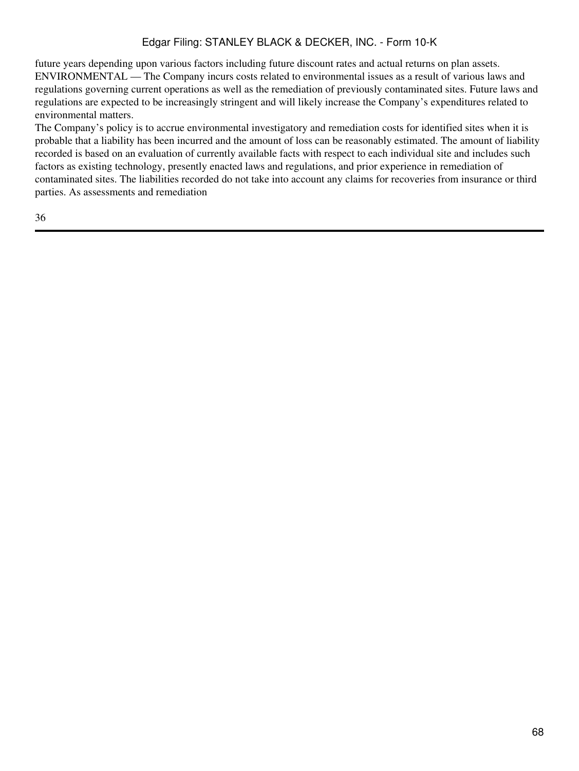future years depending upon various factors including future discount rates and actual returns on plan assets. ENVIRONMENTAL — The Company incurs costs related to environmental issues as a result of various laws and regulations governing current operations as well as the remediation of previously contaminated sites. Future laws and regulations are expected to be increasingly stringent and will likely increase the Company's expenditures related to environmental matters.

The Company's policy is to accrue environmental investigatory and remediation costs for identified sites when it is probable that a liability has been incurred and the amount of loss can be reasonably estimated. The amount of liability recorded is based on an evaluation of currently available facts with respect to each individual site and includes such factors as existing technology, presently enacted laws and regulations, and prior experience in remediation of contaminated sites. The liabilities recorded do not take into account any claims for recoveries from insurance or third parties. As assessments and remediation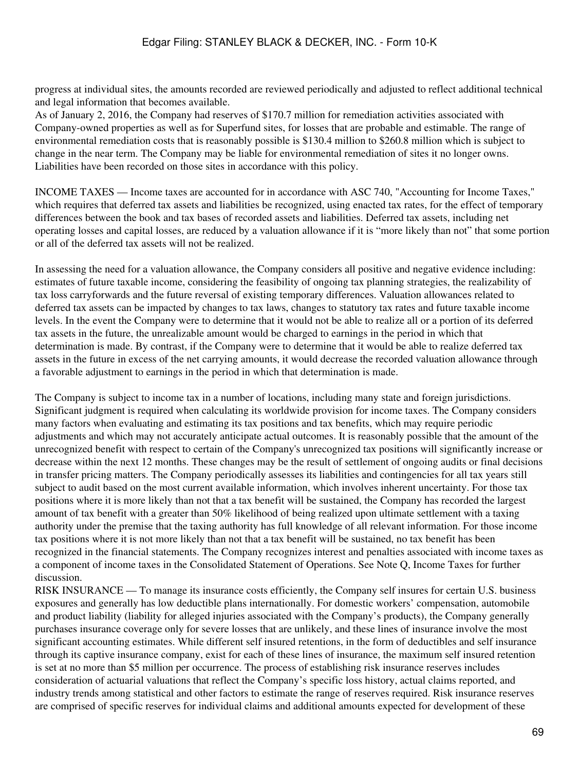progress at individual sites, the amounts recorded are reviewed periodically and adjusted to reflect additional technical and legal information that becomes available.

As of January 2, 2016, the Company had reserves of \$170.7 million for remediation activities associated with Company-owned properties as well as for Superfund sites, for losses that are probable and estimable. The range of environmental remediation costs that is reasonably possible is \$130.4 million to \$260.8 million which is subject to change in the near term. The Company may be liable for environmental remediation of sites it no longer owns. Liabilities have been recorded on those sites in accordance with this policy.

INCOME TAXES — Income taxes are accounted for in accordance with ASC 740, "Accounting for Income Taxes," which requires that deferred tax assets and liabilities be recognized, using enacted tax rates, for the effect of temporary differences between the book and tax bases of recorded assets and liabilities. Deferred tax assets, including net operating losses and capital losses, are reduced by a valuation allowance if it is "more likely than not" that some portion or all of the deferred tax assets will not be realized.

In assessing the need for a valuation allowance, the Company considers all positive and negative evidence including: estimates of future taxable income, considering the feasibility of ongoing tax planning strategies, the realizability of tax loss carryforwards and the future reversal of existing temporary differences. Valuation allowances related to deferred tax assets can be impacted by changes to tax laws, changes to statutory tax rates and future taxable income levels. In the event the Company were to determine that it would not be able to realize all or a portion of its deferred tax assets in the future, the unrealizable amount would be charged to earnings in the period in which that determination is made. By contrast, if the Company were to determine that it would be able to realize deferred tax assets in the future in excess of the net carrying amounts, it would decrease the recorded valuation allowance through a favorable adjustment to earnings in the period in which that determination is made.

The Company is subject to income tax in a number of locations, including many state and foreign jurisdictions. Significant judgment is required when calculating its worldwide provision for income taxes. The Company considers many factors when evaluating and estimating its tax positions and tax benefits, which may require periodic adjustments and which may not accurately anticipate actual outcomes. It is reasonably possible that the amount of the unrecognized benefit with respect to certain of the Company's unrecognized tax positions will significantly increase or decrease within the next 12 months. These changes may be the result of settlement of ongoing audits or final decisions in transfer pricing matters. The Company periodically assesses its liabilities and contingencies for all tax years still subject to audit based on the most current available information, which involves inherent uncertainty. For those tax positions where it is more likely than not that a tax benefit will be sustained, the Company has recorded the largest amount of tax benefit with a greater than 50% likelihood of being realized upon ultimate settlement with a taxing authority under the premise that the taxing authority has full knowledge of all relevant information. For those income tax positions where it is not more likely than not that a tax benefit will be sustained, no tax benefit has been recognized in the financial statements. The Company recognizes interest and penalties associated with income taxes as a component of income taxes in the Consolidated Statement of Operations. See Note Q, Income Taxes for further discussion.

RISK INSURANCE — To manage its insurance costs efficiently, the Company self insures for certain U.S. business exposures and generally has low deductible plans internationally. For domestic workers' compensation, automobile and product liability (liability for alleged injuries associated with the Company's products), the Company generally purchases insurance coverage only for severe losses that are unlikely, and these lines of insurance involve the most significant accounting estimates. While different self insured retentions, in the form of deductibles and self insurance through its captive insurance company, exist for each of these lines of insurance, the maximum self insured retention is set at no more than \$5 million per occurrence. The process of establishing risk insurance reserves includes consideration of actuarial valuations that reflect the Company's specific loss history, actual claims reported, and industry trends among statistical and other factors to estimate the range of reserves required. Risk insurance reserves are comprised of specific reserves for individual claims and additional amounts expected for development of these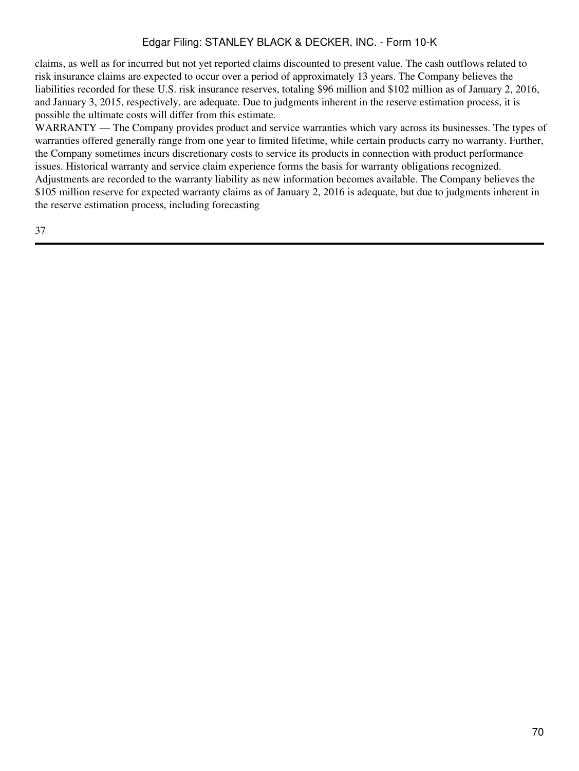claims, as well as for incurred but not yet reported claims discounted to present value. The cash outflows related to risk insurance claims are expected to occur over a period of approximately 13 years. The Company believes the liabilities recorded for these U.S. risk insurance reserves, totaling \$96 million and \$102 million as of January 2, 2016, and January 3, 2015, respectively, are adequate. Due to judgments inherent in the reserve estimation process, it is possible the ultimate costs will differ from this estimate.

WARRANTY — The Company provides product and service warranties which vary across its businesses. The types of warranties offered generally range from one year to limited lifetime, while certain products carry no warranty. Further, the Company sometimes incurs discretionary costs to service its products in connection with product performance issues. Historical warranty and service claim experience forms the basis for warranty obligations recognized. Adjustments are recorded to the warranty liability as new information becomes available. The Company believes the \$105 million reserve for expected warranty claims as of January 2, 2016 is adequate, but due to judgments inherent in the reserve estimation process, including forecasting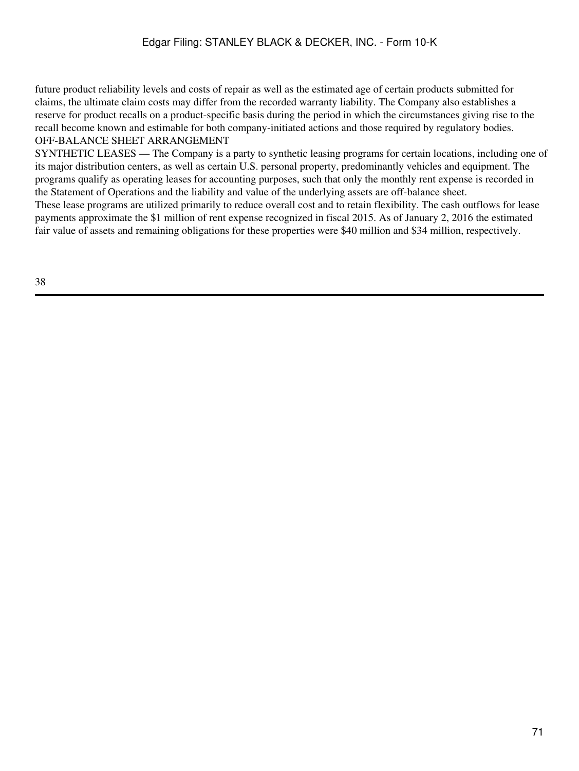future product reliability levels and costs of repair as well as the estimated age of certain products submitted for claims, the ultimate claim costs may differ from the recorded warranty liability. The Company also establishes a reserve for product recalls on a product-specific basis during the period in which the circumstances giving rise to the recall become known and estimable for both company-initiated actions and those required by regulatory bodies. OFF-BALANCE SHEET ARRANGEMENT

SYNTHETIC LEASES — The Company is a party to synthetic leasing programs for certain locations, including one of its major distribution centers, as well as certain U.S. personal property, predominantly vehicles and equipment. The programs qualify as operating leases for accounting purposes, such that only the monthly rent expense is recorded in the Statement of Operations and the liability and value of the underlying assets are off-balance sheet.

These lease programs are utilized primarily to reduce overall cost and to retain flexibility. The cash outflows for lease payments approximate the \$1 million of rent expense recognized in fiscal 2015. As of January 2, 2016 the estimated fair value of assets and remaining obligations for these properties were \$40 million and \$34 million, respectively.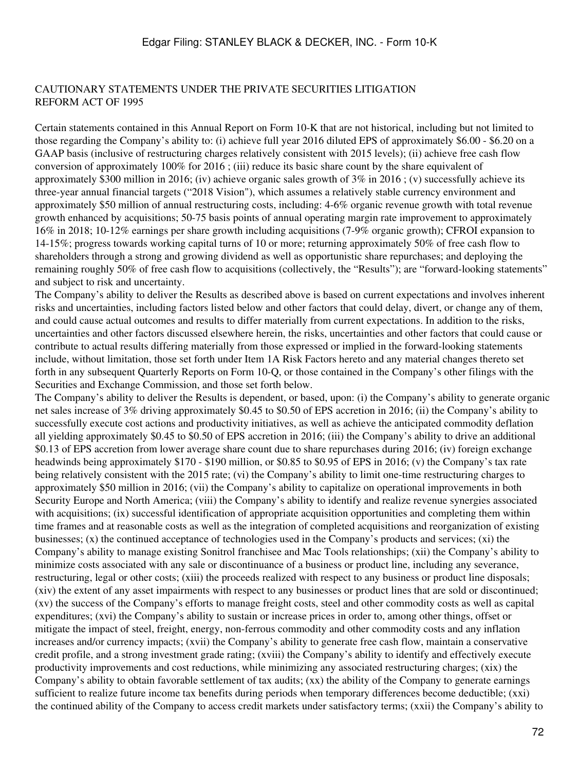#### CAUTIONARY STATEMENTS UNDER THE PRIVATE SECURITIES LITIGATION REFORM ACT OF 1995

Certain statements contained in this Annual Report on Form 10-K that are not historical, including but not limited to those regarding the Company's ability to: (i) achieve full year 2016 diluted EPS of approximately \$6.00 - \$6.20 on a GAAP basis (inclusive of restructuring charges relatively consistent with 2015 levels); (ii) achieve free cash flow conversion of approximately 100% for 2016 ; (iii) reduce its basic share count by the share equivalent of approximately \$300 million in 2016; (iv) achieve organic sales growth of 3% in 2016 ; (v) successfully achieve its three-year annual financial targets ("2018 Vision"), which assumes a relatively stable currency environment and approximately \$50 million of annual restructuring costs, including: 4-6% organic revenue growth with total revenue growth enhanced by acquisitions; 50-75 basis points of annual operating margin rate improvement to approximately 16% in 2018; 10-12% earnings per share growth including acquisitions (7-9% organic growth); CFROI expansion to 14-15%; progress towards working capital turns of 10 or more; returning approximately 50% of free cash flow to shareholders through a strong and growing dividend as well as opportunistic share repurchases; and deploying the remaining roughly 50% of free cash flow to acquisitions (collectively, the "Results"); are "forward-looking statements" and subject to risk and uncertainty.

The Company's ability to deliver the Results as described above is based on current expectations and involves inherent risks and uncertainties, including factors listed below and other factors that could delay, divert, or change any of them, and could cause actual outcomes and results to differ materially from current expectations. In addition to the risks, uncertainties and other factors discussed elsewhere herein, the risks, uncertainties and other factors that could cause or contribute to actual results differing materially from those expressed or implied in the forward-looking statements include, without limitation, those set forth under Item 1A Risk Factors hereto and any material changes thereto set forth in any subsequent Quarterly Reports on Form 10-Q, or those contained in the Company's other filings with the Securities and Exchange Commission, and those set forth below.

The Company's ability to deliver the Results is dependent, or based, upon: (i) the Company's ability to generate organic net sales increase of 3% driving approximately \$0.45 to \$0.50 of EPS accretion in 2016; (ii) the Company's ability to successfully execute cost actions and productivity initiatives, as well as achieve the anticipated commodity deflation all yielding approximately \$0.45 to \$0.50 of EPS accretion in 2016; (iii) the Company's ability to drive an additional \$0.13 of EPS accretion from lower average share count due to share repurchases during 2016; (iv) foreign exchange headwinds being approximately \$170 - \$190 million, or \$0.85 to \$0.95 of EPS in 2016; (v) the Company's tax rate being relatively consistent with the 2015 rate; (vi) the Company's ability to limit one-time restructuring charges to approximately \$50 million in 2016; (vii) the Company's ability to capitalize on operational improvements in both Security Europe and North America; (viii) the Company's ability to identify and realize revenue synergies associated with acquisitions; (ix) successful identification of appropriate acquisition opportunities and completing them within time frames and at reasonable costs as well as the integration of completed acquisitions and reorganization of existing businesses; (x) the continued acceptance of technologies used in the Company's products and services; (xi) the Company's ability to manage existing Sonitrol franchisee and Mac Tools relationships; (xii) the Company's ability to minimize costs associated with any sale or discontinuance of a business or product line, including any severance, restructuring, legal or other costs; (xiii) the proceeds realized with respect to any business or product line disposals; (xiv) the extent of any asset impairments with respect to any businesses or product lines that are sold or discontinued; (xv) the success of the Company's efforts to manage freight costs, steel and other commodity costs as well as capital expenditures; (xvi) the Company's ability to sustain or increase prices in order to, among other things, offset or mitigate the impact of steel, freight, energy, non-ferrous commodity and other commodity costs and any inflation increases and/or currency impacts; (xvii) the Company's ability to generate free cash flow, maintain a conservative credit profile, and a strong investment grade rating; (xviii) the Company's ability to identify and effectively execute productivity improvements and cost reductions, while minimizing any associated restructuring charges; (xix) the Company's ability to obtain favorable settlement of tax audits; (xx) the ability of the Company to generate earnings sufficient to realize future income tax benefits during periods when temporary differences become deductible; (xxi) the continued ability of the Company to access credit markets under satisfactory terms; (xxii) the Company's ability to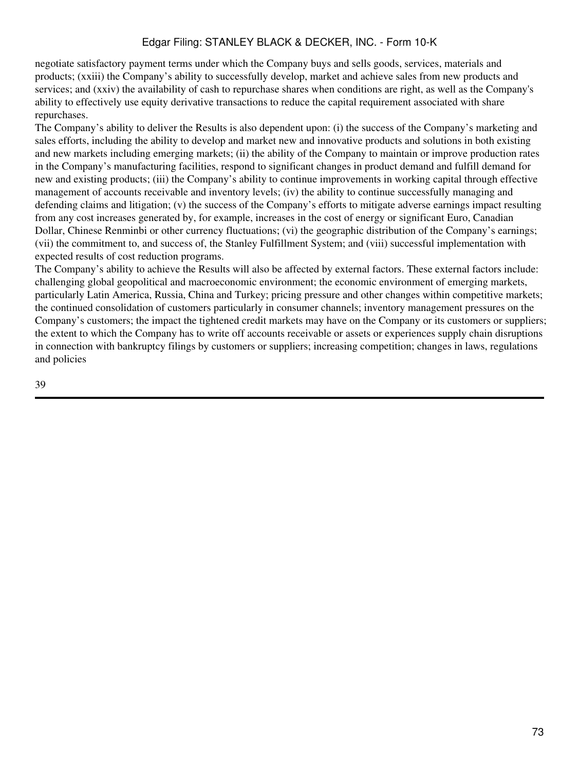negotiate satisfactory payment terms under which the Company buys and sells goods, services, materials and products; (xxiii) the Company's ability to successfully develop, market and achieve sales from new products and services; and (xxiv) the availability of cash to repurchase shares when conditions are right, as well as the Company's ability to effectively use equity derivative transactions to reduce the capital requirement associated with share repurchases.

The Company's ability to deliver the Results is also dependent upon: (i) the success of the Company's marketing and sales efforts, including the ability to develop and market new and innovative products and solutions in both existing and new markets including emerging markets; (ii) the ability of the Company to maintain or improve production rates in the Company's manufacturing facilities, respond to significant changes in product demand and fulfill demand for new and existing products; (iii) the Company's ability to continue improvements in working capital through effective management of accounts receivable and inventory levels; (iv) the ability to continue successfully managing and defending claims and litigation; (v) the success of the Company's efforts to mitigate adverse earnings impact resulting from any cost increases generated by, for example, increases in the cost of energy or significant Euro, Canadian Dollar, Chinese Renminbi or other currency fluctuations; (vi) the geographic distribution of the Company's earnings; (vii) the commitment to, and success of, the Stanley Fulfillment System; and (viii) successful implementation with expected results of cost reduction programs.

The Company's ability to achieve the Results will also be affected by external factors. These external factors include: challenging global geopolitical and macroeconomic environment; the economic environment of emerging markets, particularly Latin America, Russia, China and Turkey; pricing pressure and other changes within competitive markets; the continued consolidation of customers particularly in consumer channels; inventory management pressures on the Company's customers; the impact the tightened credit markets may have on the Company or its customers or suppliers; the extent to which the Company has to write off accounts receivable or assets or experiences supply chain disruptions in connection with bankruptcy filings by customers or suppliers; increasing competition; changes in laws, regulations and policies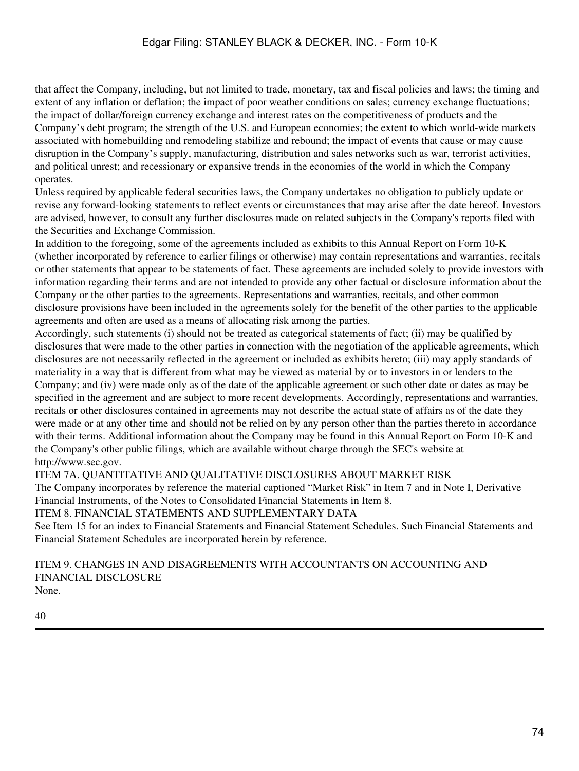that affect the Company, including, but not limited to trade, monetary, tax and fiscal policies and laws; the timing and extent of any inflation or deflation; the impact of poor weather conditions on sales; currency exchange fluctuations; the impact of dollar/foreign currency exchange and interest rates on the competitiveness of products and the Company's debt program; the strength of the U.S. and European economies; the extent to which world-wide markets associated with homebuilding and remodeling stabilize and rebound; the impact of events that cause or may cause disruption in the Company's supply, manufacturing, distribution and sales networks such as war, terrorist activities, and political unrest; and recessionary or expansive trends in the economies of the world in which the Company operates.

Unless required by applicable federal securities laws, the Company undertakes no obligation to publicly update or revise any forward-looking statements to reflect events or circumstances that may arise after the date hereof. Investors are advised, however, to consult any further disclosures made on related subjects in the Company's reports filed with the Securities and Exchange Commission.

In addition to the foregoing, some of the agreements included as exhibits to this Annual Report on Form 10-K (whether incorporated by reference to earlier filings or otherwise) may contain representations and warranties, recitals or other statements that appear to be statements of fact. These agreements are included solely to provide investors with information regarding their terms and are not intended to provide any other factual or disclosure information about the Company or the other parties to the agreements. Representations and warranties, recitals, and other common disclosure provisions have been included in the agreements solely for the benefit of the other parties to the applicable agreements and often are used as a means of allocating risk among the parties.

Accordingly, such statements (i) should not be treated as categorical statements of fact; (ii) may be qualified by disclosures that were made to the other parties in connection with the negotiation of the applicable agreements, which disclosures are not necessarily reflected in the agreement or included as exhibits hereto; (iii) may apply standards of materiality in a way that is different from what may be viewed as material by or to investors in or lenders to the Company; and (iv) were made only as of the date of the applicable agreement or such other date or dates as may be specified in the agreement and are subject to more recent developments. Accordingly, representations and warranties, recitals or other disclosures contained in agreements may not describe the actual state of affairs as of the date they were made or at any other time and should not be relied on by any person other than the parties thereto in accordance with their terms. Additional information about the Company may be found in this Annual Report on Form 10-K and the Company's other public filings, which are available without charge through the SEC's website at http://www.sec.gov.

ITEM 7A. QUANTITATIVE AND QUALITATIVE DISCLOSURES ABOUT MARKET RISK

The Company incorporates by reference the material captioned "Market Risk" in Item 7 and in Note I, Derivative Financial Instruments, of the Notes to Consolidated Financial Statements in Item 8.

ITEM 8. FINANCIAL STATEMENTS AND SUPPLEMENTARY DATA

See Item 15 for an index to Financial Statements and Financial Statement Schedules. Such Financial Statements and Financial Statement Schedules are incorporated herein by reference.

ITEM 9. CHANGES IN AND DISAGREEMENTS WITH ACCOUNTANTS ON ACCOUNTING AND FINANCIAL DISCLOSURE None.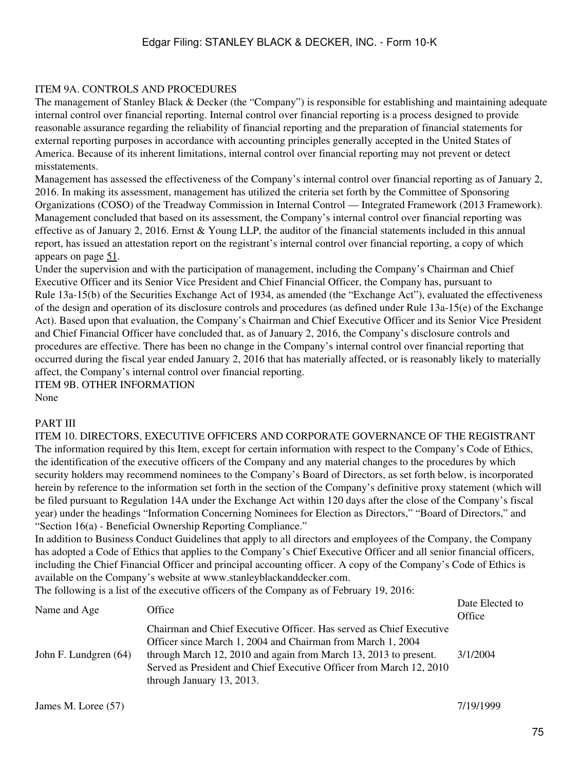#### ITEM 9A. CONTROLS AND PROCEDURES

The management of Stanley Black & Decker (the "Company") is responsible for establishing and maintaining adequate internal control over financial reporting. Internal control over financial reporting is a process designed to provide reasonable assurance regarding the reliability of financial reporting and the preparation of financial statements for external reporting purposes in accordance with accounting principles generally accepted in the United States of America. Because of its inherent limitations, internal control over financial reporting may not prevent or detect misstatements.

Management has assessed the effectiveness of the Company's internal control over financial reporting as of January 2, 2016. In making its assessment, management has utilized the criteria set forth by the Committee of Sponsoring Organizations (COSO) of the Treadway Commission in Internal Control — Integrated Framework (2013 Framework). Management concluded that based on its assessment, the Company's internal control over financial reporting was effective as of January 2, 2016. Ernst & Young LLP, the auditor of the financial statements included in this annual report, has issued an attestation report on the registrant's internal control over financial reporting, a copy of which appears on page [51.](#page-88-0)

Under the supervision and with the participation of management, including the Company's Chairman and Chief Executive Officer and its Senior Vice President and Chief Financial Officer, the Company has, pursuant to Rule 13a-15(b) of the Securities Exchange Act of 1934, as amended (the "Exchange Act"), evaluated the effectiveness of the design and operation of its disclosure controls and procedures (as defined under Rule 13a-15(e) of the Exchange Act). Based upon that evaluation, the Company's Chairman and Chief Executive Officer and its Senior Vice President and Chief Financial Officer have concluded that, as of January 2, 2016, the Company's disclosure controls and procedures are effective. There has been no change in the Company's internal control over financial reporting that occurred during the fiscal year ended January 2, 2016 that has materially affected, or is reasonably likely to materially affect, the Company's internal control over financial reporting.

ITEM 9B. OTHER INFORMATION

None

#### PART III

ITEM 10. DIRECTORS, EXECUTIVE OFFICERS AND CORPORATE GOVERNANCE OF THE REGISTRANT The information required by this Item, except for certain information with respect to the Company's Code of Ethics, the identification of the executive officers of the Company and any material changes to the procedures by which security holders may recommend nominees to the Company's Board of Directors, as set forth below, is incorporated herein by reference to the information set forth in the section of the Company's definitive proxy statement (which will be filed pursuant to Regulation 14A under the Exchange Act within 120 days after the close of the Company's fiscal year) under the headings "Information Concerning Nominees for Election as Directors," "Board of Directors," and "Section 16(a) - Beneficial Ownership Reporting Compliance."

In addition to Business Conduct Guidelines that apply to all directors and employees of the Company, the Company has adopted a Code of Ethics that applies to the Company's Chief Executive Officer and all senior financial officers, including the Chief Financial Officer and principal accounting officer. A copy of the Company's Code of Ethics is available on the Company's website at www.stanleyblackanddecker.com.

The following is a list of the executive officers of the Company as of February 19, 2016:

| Name and Age          | Office                                                                                                                                                                                                                                                                                                     | Date Elected to<br>Office |
|-----------------------|------------------------------------------------------------------------------------------------------------------------------------------------------------------------------------------------------------------------------------------------------------------------------------------------------------|---------------------------|
| John F. Lundgren (64) | Chairman and Chief Executive Officer. Has served as Chief Executive<br>Officer since March 1, 2004 and Chairman from March 1, 2004<br>through March 12, 2010 and again from March 13, 2013 to present.<br>Served as President and Chief Executive Officer from March 12, 2010<br>through January 13, 2013. | 3/1/2004                  |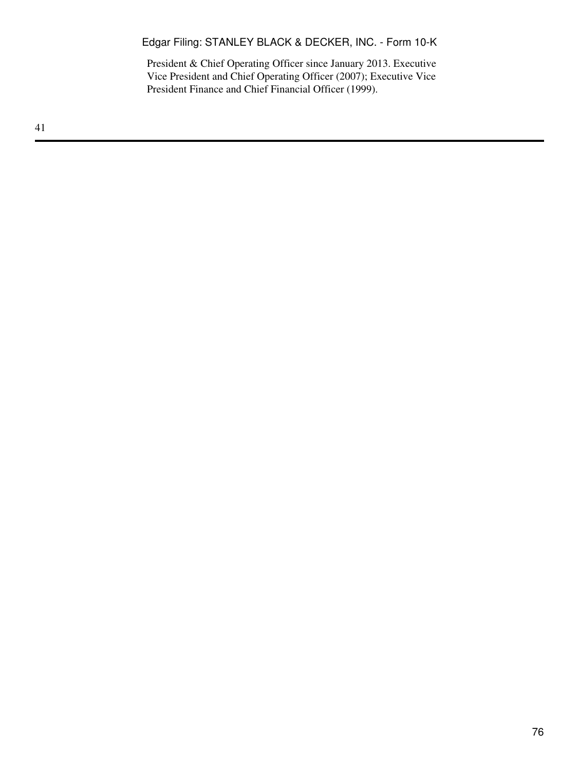President & Chief Operating Officer since January 2013. Executive Vice President and Chief Operating Officer (2007); Executive Vice President Finance and Chief Financial Officer (1999).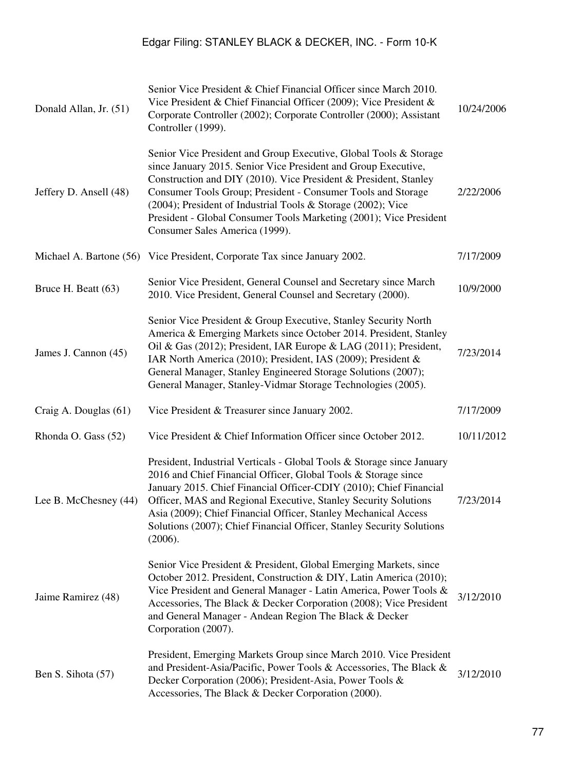| Donald Allan, Jr. (51) | Senior Vice President & Chief Financial Officer since March 2010.<br>Vice President & Chief Financial Officer (2009); Vice President $\&$<br>Corporate Controller (2002); Corporate Controller (2000); Assistant<br>Controller (1999).                                                                                                                                                                                                          | 10/24/2006 |
|------------------------|-------------------------------------------------------------------------------------------------------------------------------------------------------------------------------------------------------------------------------------------------------------------------------------------------------------------------------------------------------------------------------------------------------------------------------------------------|------------|
| Jeffery D. Ansell (48) | Senior Vice President and Group Executive, Global Tools & Storage<br>since January 2015. Senior Vice President and Group Executive,<br>Construction and DIY (2010). Vice President & President, Stanley<br>Consumer Tools Group; President - Consumer Tools and Storage<br>(2004); President of Industrial Tools & Storage (2002); Vice<br>President - Global Consumer Tools Marketing (2001); Vice President<br>Consumer Sales America (1999). | 2/22/2006  |
|                        | Michael A. Bartone (56) Vice President, Corporate Tax since January 2002.                                                                                                                                                                                                                                                                                                                                                                       | 7/17/2009  |
| Bruce H. Beatt (63)    | Senior Vice President, General Counsel and Secretary since March<br>2010. Vice President, General Counsel and Secretary (2000).                                                                                                                                                                                                                                                                                                                 | 10/9/2000  |
| James J. Cannon (45)   | Senior Vice President & Group Executive, Stanley Security North<br>America & Emerging Markets since October 2014. President, Stanley<br>Oil & Gas (2012); President, IAR Europe & LAG (2011); President,<br>IAR North America (2010); President, IAS (2009); President &<br>General Manager, Stanley Engineered Storage Solutions (2007);<br>General Manager, Stanley-Vidmar Storage Technologies (2005).                                       | 7/23/2014  |
| Craig A. Douglas (61)  | Vice President & Treasurer since January 2002.                                                                                                                                                                                                                                                                                                                                                                                                  | 7/17/2009  |
| Rhonda O. Gass (52)    | Vice President & Chief Information Officer since October 2012.                                                                                                                                                                                                                                                                                                                                                                                  | 10/11/2012 |
| Lee B. McChesney (44)  | President, Industrial Verticals - Global Tools & Storage since January<br>2016 and Chief Financial Officer, Global Tools & Storage since<br>January 2015. Chief Financial Officer-CDIY (2010); Chief Financial<br>Officer, MAS and Regional Executive, Stanley Security Solutions<br>Asia (2009); Chief Financial Officer, Stanley Mechanical Access<br>Solutions (2007); Chief Financial Officer, Stanley Security Solutions<br>(2006).        | 7/23/2014  |
| Jaime Ramirez (48)     | Senior Vice President & President, Global Emerging Markets, since<br>October 2012. President, Construction & DIY, Latin America (2010);<br>Vice President and General Manager - Latin America, Power Tools &<br>Accessories, The Black & Decker Corporation (2008); Vice President<br>and General Manager - Andean Region The Black & Decker<br>Corporation (2007).                                                                             | 3/12/2010  |
| Ben S. Sihota (57)     | President, Emerging Markets Group since March 2010. Vice President<br>and President-Asia/Pacific, Power Tools & Accessories, The Black &<br>Decker Corporation (2006); President-Asia, Power Tools &<br>Accessories, The Black & Decker Corporation (2000).                                                                                                                                                                                     | 3/12/2010  |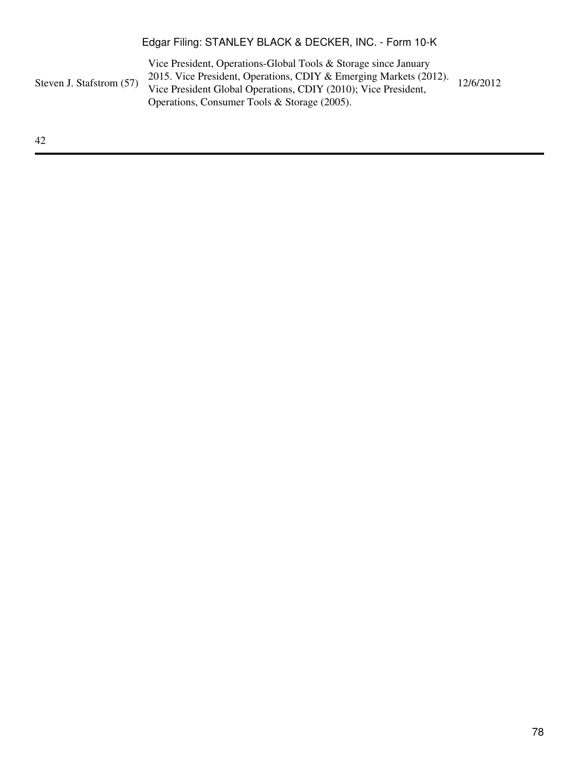Steven J. Stafstrom (57) Vice President, Operations-Global Tools & Storage since January 2015. Vice President, Operations, CDIY & Emerging Markets (2012). Vice President Global Operations, CDIY (2010); Vice President, Operations, Consumer Tools & Storage (2005). 12/6/2012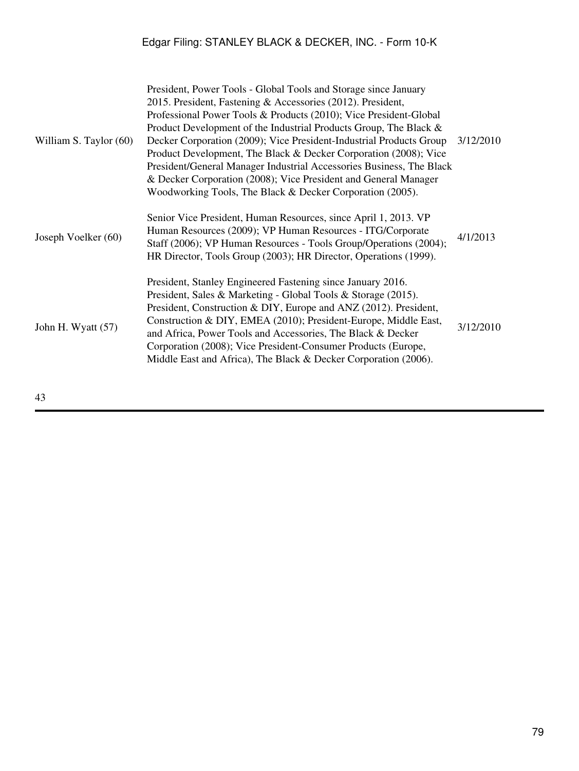| William S. Taylor (60) | President, Power Tools - Global Tools and Storage since January<br>2015. President, Fastening & Accessories (2012). President,<br>Professional Power Tools & Products (2010); Vice President-Global<br>Product Development of the Industrial Products Group, The Black &<br>Decker Corporation (2009); Vice President-Industrial Products Group<br>Product Development, The Black & Decker Corporation (2008); Vice<br>President/General Manager Industrial Accessories Business, The Black<br>& Decker Corporation (2008); Vice President and General Manager<br>Woodworking Tools, The Black & Decker Corporation (2005). | 3/12/2010 |
|------------------------|-----------------------------------------------------------------------------------------------------------------------------------------------------------------------------------------------------------------------------------------------------------------------------------------------------------------------------------------------------------------------------------------------------------------------------------------------------------------------------------------------------------------------------------------------------------------------------------------------------------------------------|-----------|
| Joseph Voelker (60)    | Senior Vice President, Human Resources, since April 1, 2013. VP<br>Human Resources (2009); VP Human Resources - ITG/Corporate<br>Staff (2006); VP Human Resources - Tools Group/Operations (2004);<br>HR Director, Tools Group (2003); HR Director, Operations (1999).                                                                                                                                                                                                                                                                                                                                                      | 4/1/2013  |
| John H. Wyatt (57)     | President, Stanley Engineered Fastening since January 2016.<br>President, Sales & Marketing - Global Tools & Storage (2015).<br>President, Construction & DIY, Europe and ANZ (2012). President,<br>Construction & DIY, EMEA (2010); President-Europe, Middle East,<br>and Africa, Power Tools and Accessories, The Black & Decker<br>Corporation (2008); Vice President-Consumer Products (Europe,<br>Middle East and Africa), The Black & Decker Corporation (2006).                                                                                                                                                      | 3/12/2010 |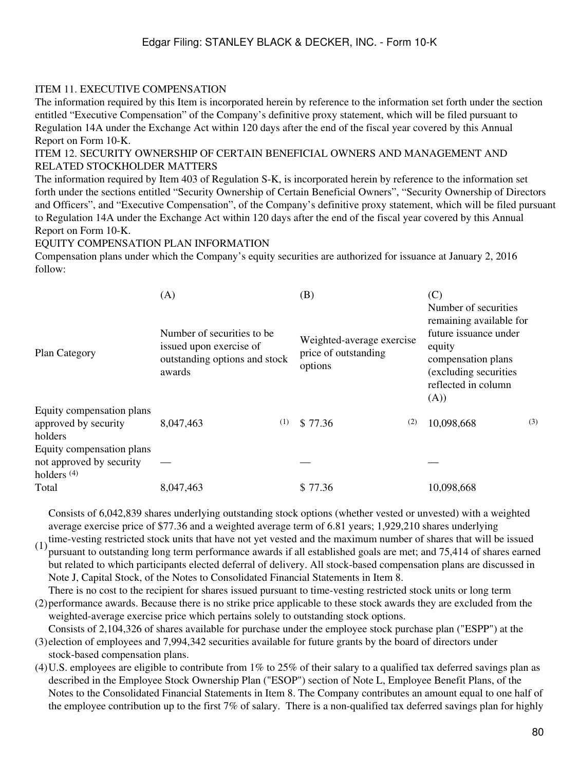#### ITEM 11. EXECUTIVE COMPENSATION

The information required by this Item is incorporated herein by reference to the information set forth under the section entitled "Executive Compensation" of the Company's definitive proxy statement, which will be filed pursuant to Regulation 14A under the Exchange Act within 120 days after the end of the fiscal year covered by this Annual Report on Form 10-K.

#### ITEM 12. SECURITY OWNERSHIP OF CERTAIN BENEFICIAL OWNERS AND MANAGEMENT AND RELATED STOCKHOLDER MATTERS

The information required by Item 403 of Regulation S-K, is incorporated herein by reference to the information set forth under the sections entitled "Security Ownership of Certain Beneficial Owners", "Security Ownership of Directors and Officers", and "Executive Compensation", of the Company's definitive proxy statement, which will be filed pursuant to Regulation 14A under the Exchange Act within 120 days after the end of the fiscal year covered by this Annual Report on Form 10-K.

#### EQUITY COMPENSATION PLAN INFORMATION

Compensation plans under which the Company's equity securities are authorized for issuance at January 2, 2016 follow:

|                                                                        | (A)                                                                                               |     | (B)                                                          |     | (C)<br>Number of securities                                                                                                               |     |
|------------------------------------------------------------------------|---------------------------------------------------------------------------------------------------|-----|--------------------------------------------------------------|-----|-------------------------------------------------------------------------------------------------------------------------------------------|-----|
| Plan Category                                                          | Number of securities to be.<br>issued upon exercise of<br>outstanding options and stock<br>awards |     | Weighted-average exercise<br>price of outstanding<br>options |     | remaining available for<br>future issuance under<br>equity<br>compensation plans<br>(excluding securities)<br>reflected in column<br>(A)) |     |
| Equity compensation plans<br>approved by security<br>holders           | 8,047,463                                                                                         | (1) | \$77.36                                                      | (2) | 10,098,668                                                                                                                                | (3) |
| Equity compensation plans<br>not approved by security<br>holders $(4)$ |                                                                                                   |     |                                                              |     |                                                                                                                                           |     |
| Total                                                                  | 8,047,463                                                                                         |     | \$77.36                                                      |     | 10,098,668                                                                                                                                |     |

Consists of 6,042,839 shares underlying outstanding stock options (whether vested or unvested) with a weighted average exercise price of \$77.36 and a weighted average term of 6.81 years; 1,929,210 shares underlying

- (1) time-vesting restricted stock units that have not yet vested and the maximum number of shares that will be issued  $(1)$  purguant to outstanding lang term narformance suurde if all established goals are matt and  $75,41$ pursuant to outstanding long term performance awards if all established goals are met; and 75,414 of shares earned but related to which participants elected deferral of delivery. All stock-based compensation plans are discussed in Note J, Capital Stock, of the Notes to Consolidated Financial Statements in Item 8.
- (2) performance awards. Because there is no strike price applicable to these stock awards they are excluded from the There is no cost to the recipient for shares issued pursuant to time-vesting restricted stock units or long term weighted-average exercise price which pertains solely to outstanding stock options.

(3) election of employees and 7,994,342 securities available for future grants by the board of directors under Consists of 2,104,326 of shares available for purchase under the employee stock purchase plan ("ESPP") at the stock-based compensation plans.

(4)U.S. employees are eligible to contribute from 1% to 25% of their salary to a qualified tax deferred savings plan as described in the Employee Stock Ownership Plan ("ESOP") section of Note L, Employee Benefit Plans, of the Notes to the Consolidated Financial Statements in Item 8. The Company contributes an amount equal to one half of the employee contribution up to the first 7% of salary. There is a non-qualified tax deferred savings plan for highly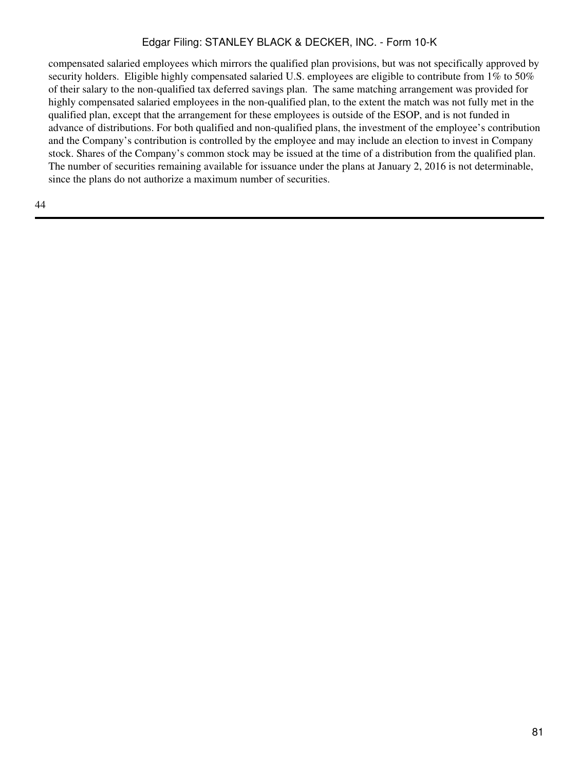compensated salaried employees which mirrors the qualified plan provisions, but was not specifically approved by security holders. Eligible highly compensated salaried U.S. employees are eligible to contribute from 1% to 50% of their salary to the non-qualified tax deferred savings plan. The same matching arrangement was provided for highly compensated salaried employees in the non-qualified plan, to the extent the match was not fully met in the qualified plan, except that the arrangement for these employees is outside of the ESOP, and is not funded in advance of distributions. For both qualified and non-qualified plans, the investment of the employee's contribution and the Company's contribution is controlled by the employee and may include an election to invest in Company stock. Shares of the Company's common stock may be issued at the time of a distribution from the qualified plan. The number of securities remaining available for issuance under the plans at January 2, 2016 is not determinable, since the plans do not authorize a maximum number of securities.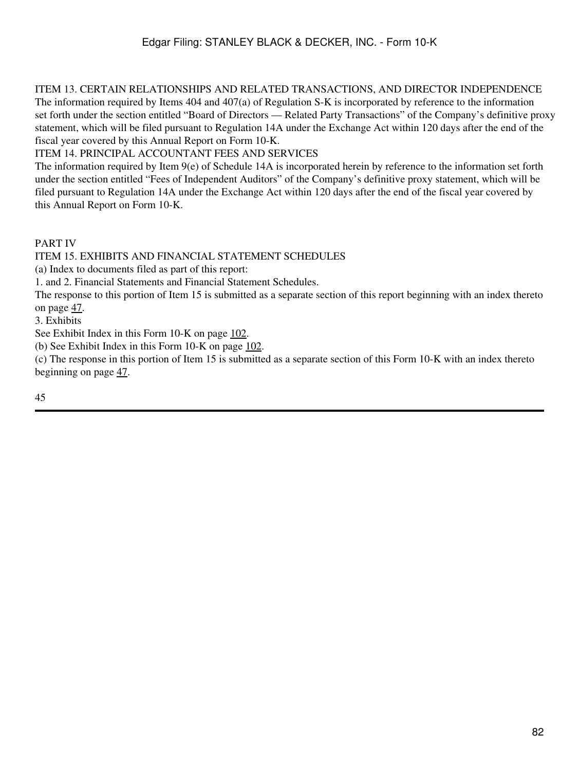ITEM 13. CERTAIN RELATIONSHIPS AND RELATED TRANSACTIONS, AND DIRECTOR INDEPENDENCE

The information required by Items 404 and 407(a) of Regulation S-K is incorporated by reference to the information set forth under the section entitled "Board of Directors — Related Party Transactions" of the Company's definitive proxy statement, which will be filed pursuant to Regulation 14A under the Exchange Act within 120 days after the end of the fiscal year covered by this Annual Report on Form 10-K.

ITEM 14. PRINCIPAL ACCOUNTANT FEES AND SERVICES

The information required by Item 9(e) of Schedule 14A is incorporated herein by reference to the information set forth under the section entitled "Fees of Independent Auditors" of the Company's definitive proxy statement, which will be filed pursuant to Regulation 14A under the Exchange Act within 120 days after the end of the fiscal year covered by this Annual Report on Form 10-K.

PART IV

ITEM 15. EXHIBITS AND FINANCIAL STATEMENT SCHEDULES

(a) Index to documents filed as part of this report:

1. and 2. Financial Statements and Financial Statement Schedules.

The response to this portion of Item 15 is submitted as a separate section of this report beginning with an index thereto on page [47](#page-84-0).

3. Exhibits

See Exhibit Index in this Form 10-K on page [102](#page-190-0).

(b) See Exhibit Index in this Form 10-K on page [102.](#page-190-0)

(c) The response in this portion of Item 15 is submitted as a separate section of this Form 10-K with an index thereto beginning on page [47](#page-84-0).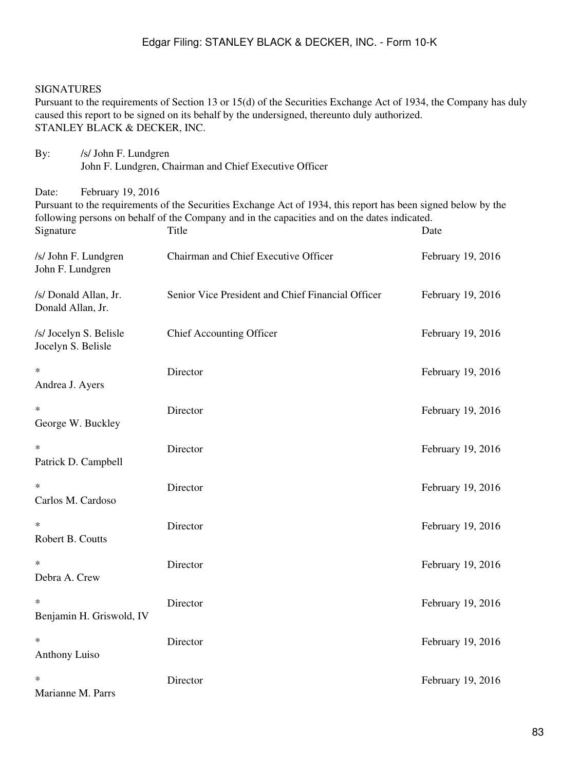#### SIGNATURES

Pursuant to the requirements of Section 13 or 15(d) of the Securities Exchange Act of 1934, the Company has duly caused this report to be signed on its behalf by the undersigned, thereunto duly authorized. STANLEY BLACK & DECKER, INC.

By: /s/ John F. Lundgren John F. Lundgren, Chairman and Chief Executive Officer

Date: February 19, 2016

Pursuant to the requirements of the Securities Exchange Act of 1934, this report has been signed below by the following persons on behalf of the Company and in the capacities and on the dates indicated.<br>Signature Title Signature Date Title Title

| /s/ John F. Lundgren<br>John F. Lundgren     | Chairman and Chief Executive Officer              | February 19, 2016 |
|----------------------------------------------|---------------------------------------------------|-------------------|
| /s/ Donald Allan, Jr.<br>Donald Allan, Jr.   | Senior Vice President and Chief Financial Officer | February 19, 2016 |
| /s/ Jocelyn S. Belisle<br>Jocelyn S. Belisle | <b>Chief Accounting Officer</b>                   | February 19, 2016 |
| $\ast$<br>Andrea J. Ayers                    | Director                                          | February 19, 2016 |
| $\ast$<br>George W. Buckley                  | Director                                          | February 19, 2016 |
| $\ast$<br>Patrick D. Campbell                | Director                                          | February 19, 2016 |
| $\ast$<br>Carlos M. Cardoso                  | Director                                          | February 19, 2016 |
| $\ast$<br>Robert B. Coutts                   | Director                                          | February 19, 2016 |
| $\ast$<br>Debra A. Crew                      | Director                                          | February 19, 2016 |
| $\ast$<br>Benjamin H. Griswold, IV           | Director                                          | February 19, 2016 |
| $\ast$<br><b>Anthony Luiso</b>               | Director                                          | February 19, 2016 |
| $\ast$<br>Marianne M. Parrs                  | Director                                          | February 19, 2016 |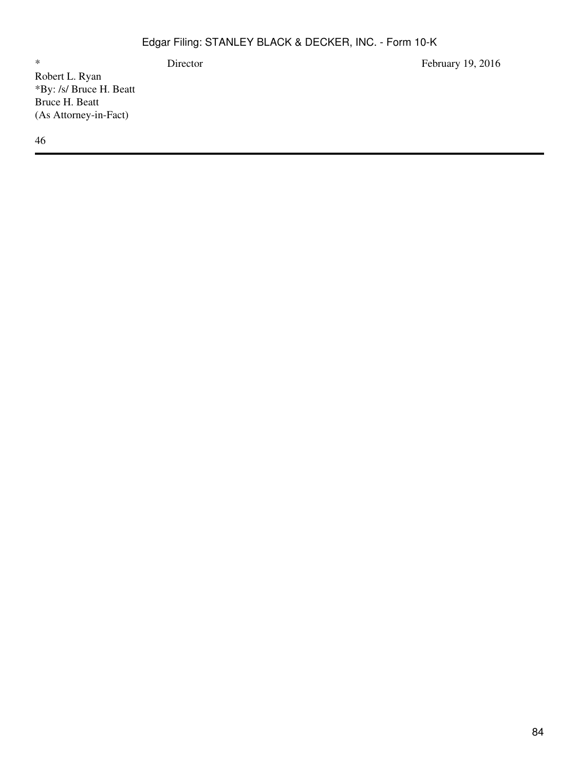Robert L. Ryan \*By: /s/ Bruce H. Beatt Bruce H. Beatt (As Attorney-in-Fact)

46

\* Director February 19, 2016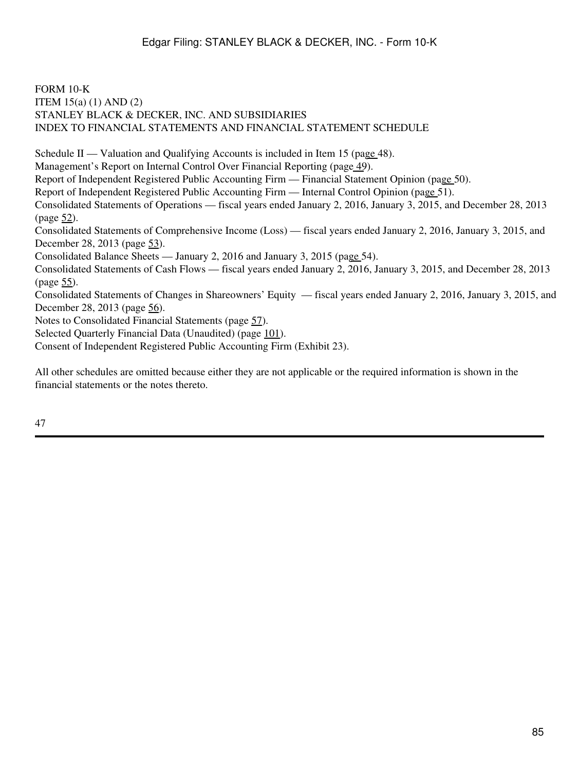#### <span id="page-84-0"></span>FORM 10-K ITEM 15(a) (1) AND (2) STANLEY BLACK & DECKER, INC. AND SUBSIDIARIES INDEX TO FINANCIAL STATEMENTS AND FINANCIAL STATEMENT SCHEDULE

Schedule II — Valuation and Qualifying Accounts is included in Item 15 (pa[ge](#page-85-0) 48).

Management's Report on Internal Control Over Financial Reporting (pag[e 49](#page-86-0)).

Report of Independent Registered Public Accounting Firm — Financial Statement Opinion (pa[ge 5](#page-87-0)0).

Report of Independent Registered Public Accounting Firm — Internal Control Opinion (pa[ge 5](#page-88-0)1).

Consolidated Statements of Operations — fiscal years ended January 2, 2016, January 3, 2015, and December 28, 2013 (page [52](#page-89-0)).

Consolidated Statements of Comprehensive Income (Loss) — fiscal years ended January 2, 2016, January 3, 2015, and December 28, 2013 (page [53](#page-90-0)).

Consolidated Balance Sheets — January 2, 2016 and January 3, 2015 (pa[ge](#page-91-0) 54).

Consolidated Statements of Cash Flows — fiscal years ended January 2, 2016, January 3, 2015, and December 28, 2013 (page [55](#page-93-0)).

Consolidated Statements of Changes in Shareowners' Equity — fiscal years ended January 2, 2016, January 3, 2015, and December 28, 2013 (page [56](#page-95-0)).

Notes to Consolidated Financial Statements (page [57](#page-98-0)).

Selected Quarterly Financial Data (Unaudited) (page [101\)](#page-178-0).

Consent of Independent Registered Public Accounting Firm (Exhibit 23).

All other schedules are omitted because either they are not applicable or the required information is shown in the financial statements or the notes thereto.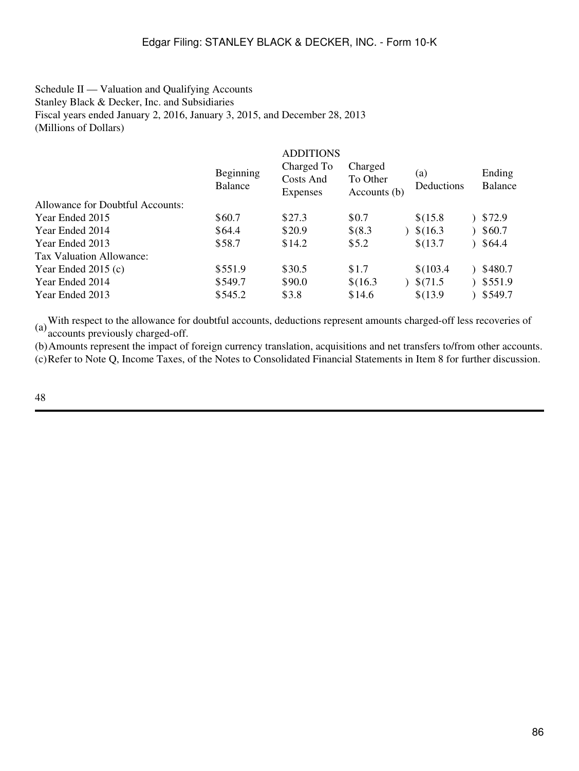#### <span id="page-85-0"></span>Schedule II — Valuation and Qualifying Accounts Stanley Black & Decker, Inc. and Subsidiaries Fiscal years ended January 2, 2016, January 3, 2015, and December 28, 2013 (Millions of Dollars)

|                                  | Beginning<br>Balance | <b>ADDITIONS</b><br>Charged To<br>Costs And<br>Expenses | Charged<br>To Other<br>Accounts (b) | (a)<br>Deductions   | Ending<br><b>Balance</b> |
|----------------------------------|----------------------|---------------------------------------------------------|-------------------------------------|---------------------|--------------------------|
| Allowance for Doubtful Accounts: |                      |                                                         |                                     |                     |                          |
| Year Ended 2015                  | \$60.7               | \$27.3                                                  | \$0.7                               | \$(15.8)            | \$72.9                   |
| Year Ended 2014                  | \$64.4               | \$20.9                                                  | \$ (8.3)                            | $\frac{1}{2}(16.3)$ | \$60.7                   |
| Year Ended 2013                  | \$58.7               | \$14.2                                                  | \$5.2                               | \$(13.7)            | \$64.4                   |
| Tax Valuation Allowance:         |                      |                                                         |                                     |                     |                          |
| Year Ended 2015 (c)              | \$551.9              | \$30.5                                                  | \$1.7                               | \$(103.4)           | \$480.7                  |
| Year Ended 2014                  | \$549.7              | \$90.0                                                  | \$(16.3)                            | 3(71.5)             | 3551.9                   |
| Year Ended 2013                  | \$545.2              | \$3.8                                                   | \$14.6                              | \$(13.9)            | \$549.7                  |
|                                  |                      |                                                         |                                     |                     |                          |

(a)With respect to the allowance for doubtful accounts, deductions represent amounts charged-off less recoveries of accounts previously charged-off.

(b)Amounts represent the impact of foreign currency translation, acquisitions and net transfers to/from other accounts. (c)Refer to Note Q, Income Taxes, of the Notes to Consolidated Financial Statements in Item 8 for further discussion.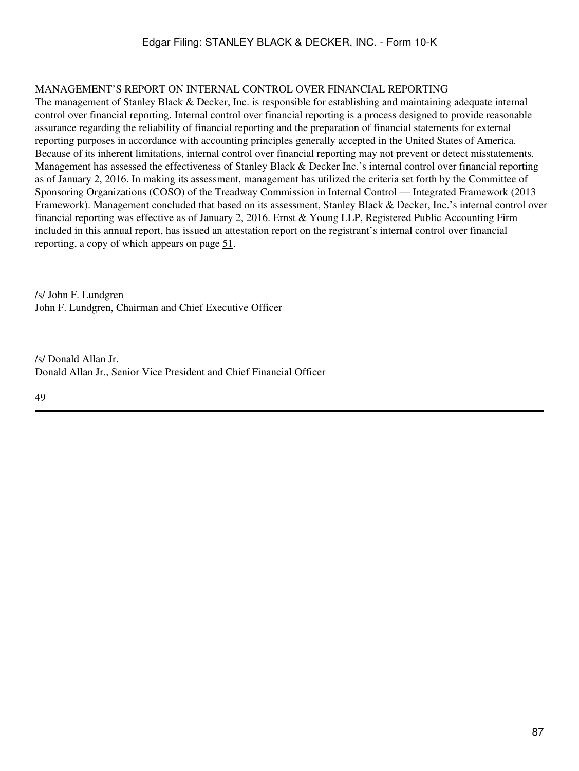#### <span id="page-86-0"></span>MANAGEMENT'S REPORT ON INTERNAL CONTROL OVER FINANCIAL REPORTING

The management of Stanley Black & Decker, Inc. is responsible for establishing and maintaining adequate internal control over financial reporting. Internal control over financial reporting is a process designed to provide reasonable assurance regarding the reliability of financial reporting and the preparation of financial statements for external reporting purposes in accordance with accounting principles generally accepted in the United States of America. Because of its inherent limitations, internal control over financial reporting may not prevent or detect misstatements. Management has assessed the effectiveness of Stanley Black & Decker Inc.'s internal control over financial reporting as of January 2, 2016. In making its assessment, management has utilized the criteria set forth by the Committee of Sponsoring Organizations (COSO) of the Treadway Commission in Internal Control — Integrated Framework (2013 Framework). Management concluded that based on its assessment, Stanley Black & Decker, Inc.'s internal control over financial reporting was effective as of January 2, 2016. Ernst & Young LLP, Registered Public Accounting Firm included in this annual report, has issued an attestation report on the registrant's internal control over financial reporting, a copy of which appears on page [51.](#page-88-0)

/s/ John F. Lundgren John F. Lundgren, Chairman and Chief Executive Officer

/s/ Donald Allan Jr. Donald Allan Jr., Senior Vice President and Chief Financial Officer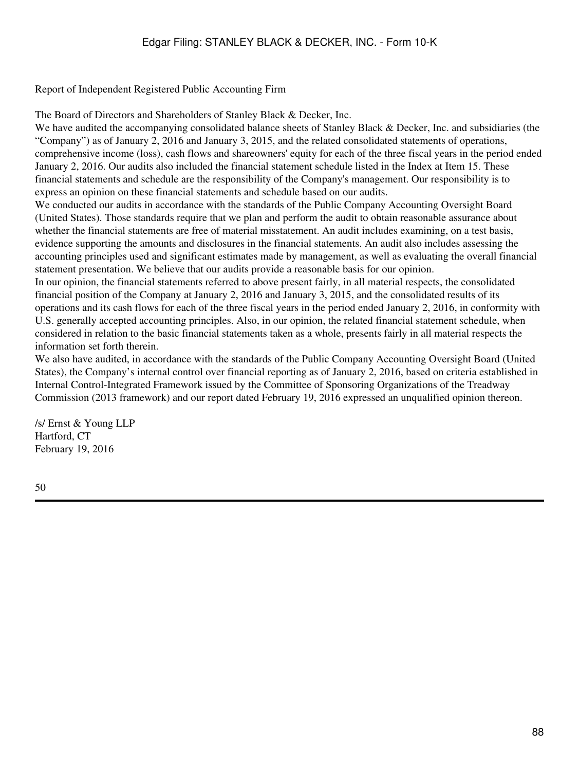<span id="page-87-0"></span>Report of Independent Registered Public Accounting Firm

The Board of Directors and Shareholders of Stanley Black & Decker, Inc.

We have audited the accompanying consolidated balance sheets of Stanley Black & Decker, Inc. and subsidiaries (the "Company") as of January 2, 2016 and January 3, 2015, and the related consolidated statements of operations, comprehensive income (loss), cash flows and shareowners' equity for each of the three fiscal years in the period ended January 2, 2016. Our audits also included the financial statement schedule listed in the Index at Item 15. These financial statements and schedule are the responsibility of the Company's management. Our responsibility is to express an opinion on these financial statements and schedule based on our audits.

We conducted our audits in accordance with the standards of the Public Company Accounting Oversight Board (United States). Those standards require that we plan and perform the audit to obtain reasonable assurance about whether the financial statements are free of material misstatement. An audit includes examining, on a test basis, evidence supporting the amounts and disclosures in the financial statements. An audit also includes assessing the accounting principles used and significant estimates made by management, as well as evaluating the overall financial statement presentation. We believe that our audits provide a reasonable basis for our opinion.

In our opinion, the financial statements referred to above present fairly, in all material respects, the consolidated financial position of the Company at January 2, 2016 and January 3, 2015, and the consolidated results of its operations and its cash flows for each of the three fiscal years in the period ended January 2, 2016, in conformity with U.S. generally accepted accounting principles. Also, in our opinion, the related financial statement schedule, when considered in relation to the basic financial statements taken as a whole, presents fairly in all material respects the information set forth therein.

We also have audited, in accordance with the standards of the Public Company Accounting Oversight Board (United States), the Company's internal control over financial reporting as of January 2, 2016, based on criteria established in Internal Control-Integrated Framework issued by the Committee of Sponsoring Organizations of the Treadway Commission (2013 framework) and our report dated February 19, 2016 expressed an unqualified opinion thereon.

/s/ Ernst & Young LLP Hartford, CT February 19, 2016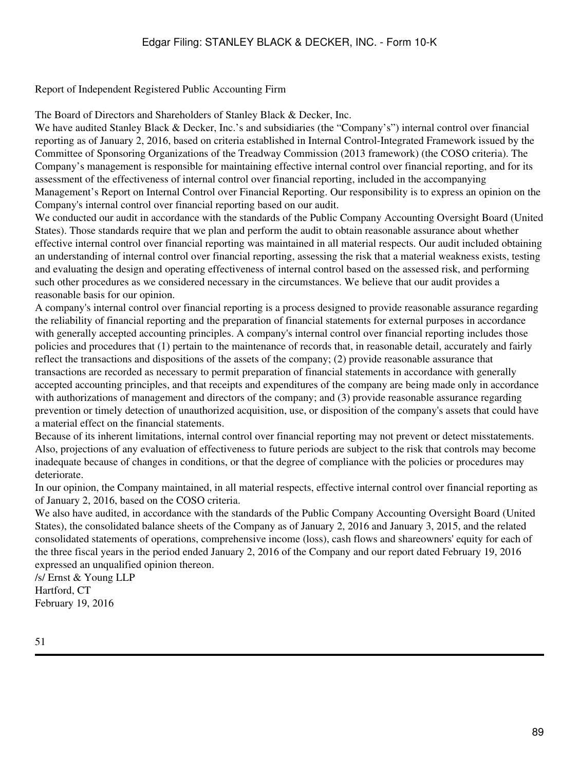<span id="page-88-0"></span>Report of Independent Registered Public Accounting Firm

The Board of Directors and Shareholders of Stanley Black & Decker, Inc.

We have audited Stanley Black & Decker, Inc.'s and subsidiaries (the "Company's") internal control over financial reporting as of January 2, 2016, based on criteria established in Internal Control-Integrated Framework issued by the Committee of Sponsoring Organizations of the Treadway Commission (2013 framework) (the COSO criteria). The Company's management is responsible for maintaining effective internal control over financial reporting, and for its assessment of the effectiveness of internal control over financial reporting, included in the accompanying Management's Report on Internal Control over Financial Reporting. Our responsibility is to express an opinion on the Company's internal control over financial reporting based on our audit.

We conducted our audit in accordance with the standards of the Public Company Accounting Oversight Board (United States). Those standards require that we plan and perform the audit to obtain reasonable assurance about whether effective internal control over financial reporting was maintained in all material respects. Our audit included obtaining an understanding of internal control over financial reporting, assessing the risk that a material weakness exists, testing and evaluating the design and operating effectiveness of internal control based on the assessed risk, and performing such other procedures as we considered necessary in the circumstances. We believe that our audit provides a reasonable basis for our opinion.

A company's internal control over financial reporting is a process designed to provide reasonable assurance regarding the reliability of financial reporting and the preparation of financial statements for external purposes in accordance with generally accepted accounting principles. A company's internal control over financial reporting includes those policies and procedures that (1) pertain to the maintenance of records that, in reasonable detail, accurately and fairly reflect the transactions and dispositions of the assets of the company; (2) provide reasonable assurance that transactions are recorded as necessary to permit preparation of financial statements in accordance with generally accepted accounting principles, and that receipts and expenditures of the company are being made only in accordance with authorizations of management and directors of the company; and (3) provide reasonable assurance regarding prevention or timely detection of unauthorized acquisition, use, or disposition of the company's assets that could have a material effect on the financial statements.

Because of its inherent limitations, internal control over financial reporting may not prevent or detect misstatements. Also, projections of any evaluation of effectiveness to future periods are subject to the risk that controls may become inadequate because of changes in conditions, or that the degree of compliance with the policies or procedures may deteriorate.

In our opinion, the Company maintained, in all material respects, effective internal control over financial reporting as of January 2, 2016, based on the COSO criteria.

We also have audited, in accordance with the standards of the Public Company Accounting Oversight Board (United States), the consolidated balance sheets of the Company as of January 2, 2016 and January 3, 2015, and the related consolidated statements of operations, comprehensive income (loss), cash flows and shareowners' equity for each of the three fiscal years in the period ended January 2, 2016 of the Company and our report dated February 19, 2016 expressed an unqualified opinion thereon.

/s/ Ernst & Young LLP Hartford, CT February 19, 2016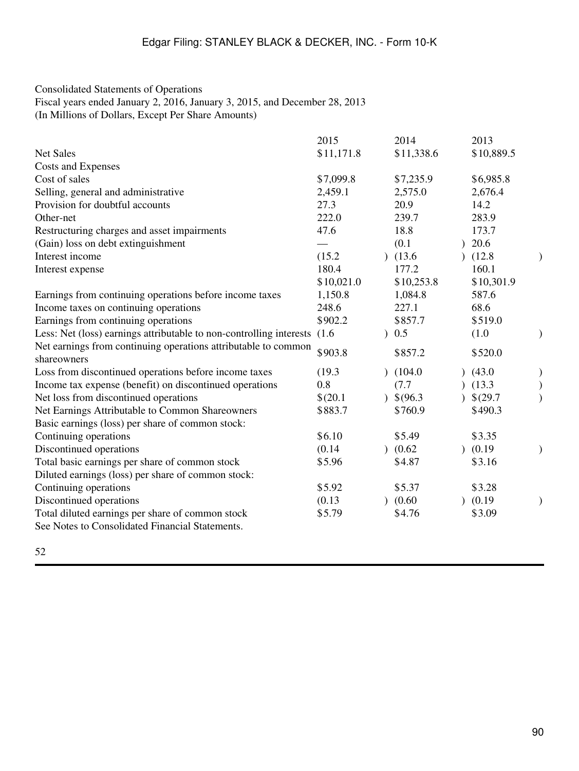# <span id="page-89-0"></span>Consolidated Statements of Operations

Fiscal years ended January 2, 2016, January 3, 2015, and December 28, 2013 (In Millions of Dollars, Except Per Share Amounts)

|                                                                     | 2015       | 2014       | 2013       |  |
|---------------------------------------------------------------------|------------|------------|------------|--|
| Net Sales                                                           | \$11,171.8 | \$11,338.6 | \$10,889.5 |  |
| Costs and Expenses                                                  |            |            |            |  |
| Cost of sales                                                       | \$7,099.8  | \$7,235.9  | \$6,985.8  |  |
| Selling, general and administrative                                 | 2,459.1    | 2,575.0    | 2,676.4    |  |
| Provision for doubtful accounts                                     | 27.3       | 20.9       | 14.2       |  |
| Other-net                                                           | 222.0      | 239.7      | 283.9      |  |
| Restructuring charges and asset impairments                         | 47.6       | 18.8       | 173.7      |  |
| (Gain) loss on debt extinguishment                                  |            | (0.1)      | ) 20.6     |  |
| Interest income                                                     | (15.2)     | (13.6)     | (12.8)     |  |
| Interest expense                                                    | 180.4      | 177.2      | 160.1      |  |
|                                                                     | \$10,021.0 | \$10,253.8 | \$10,301.9 |  |
| Earnings from continuing operations before income taxes             | 1,150.8    | 1,084.8    | 587.6      |  |
| Income taxes on continuing operations                               | 248.6      | 227.1      | 68.6       |  |
| Earnings from continuing operations                                 | \$902.2    | \$857.7    | \$519.0    |  |
| Less: Net (loss) earnings attributable to non-controlling interests | (1.6)      | 0.5        | (1.0)      |  |
| Net earnings from continuing operations attributable to common      | \$903.8    | \$857.2    | \$520.0    |  |
| shareowners                                                         |            |            |            |  |
| Loss from discontinued operations before income taxes               | (19.3)     | (104.0)    | (43.0)     |  |
| Income tax expense (benefit) on discontinued operations             | 0.8        | (7.7)      | (13.3)     |  |
| Net loss from discontinued operations                               | \$(20.1)   | \$ (96.3)  | \$(29.7)   |  |
| Net Earnings Attributable to Common Shareowners                     | \$883.7    | \$760.9    | \$490.3    |  |
| Basic earnings (loss) per share of common stock:                    |            |            |            |  |
| Continuing operations                                               | \$6.10     | \$5.49     | \$3.35     |  |
| Discontinued operations                                             | (0.14)     | (0.62)     | (0.19)     |  |
| Total basic earnings per share of common stock                      | \$5.96     | \$4.87     | \$3.16     |  |
| Diluted earnings (loss) per share of common stock:                  |            |            |            |  |
| Continuing operations                                               | \$5.92     | \$5.37     | \$3.28     |  |
| Discontinued operations                                             | (0.13)     | (0.60)     | (0.19)     |  |
| Total diluted earnings per share of common stock                    | \$5.79     | \$4.76     | \$3.09     |  |
| See Notes to Consolidated Financial Statements.                     |            |            |            |  |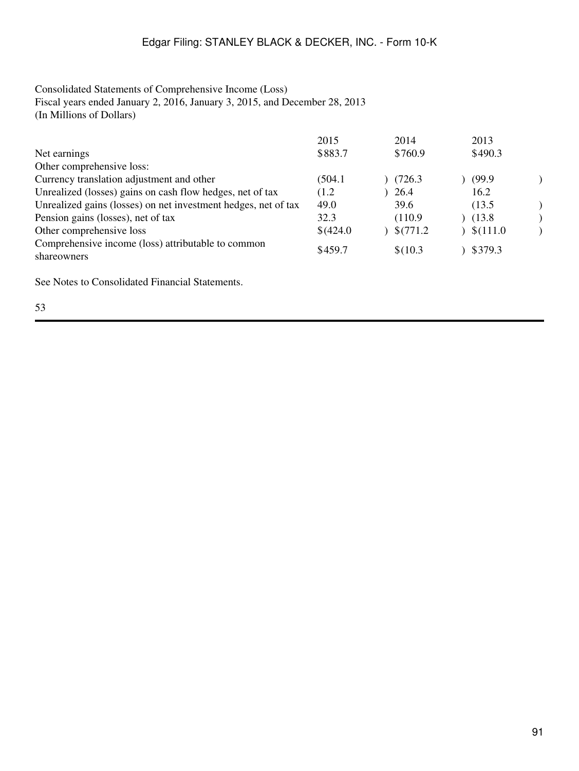### <span id="page-90-0"></span>Consolidated Statements of Comprehensive Income (Loss) Fiscal years ended January 2, 2016, January 3, 2015, and December 28, 2013 (In Millions of Dollars)

|                                                                   | 2015     | 2014      | 2013                  |  |
|-------------------------------------------------------------------|----------|-----------|-----------------------|--|
| Net earnings                                                      | \$883.7  | \$760.9   | \$490.3               |  |
| Other comprehensive loss:                                         |          |           |                       |  |
| Currency translation adjustment and other                         | (504.1   | (726.3)   | (99.9)                |  |
| Unrealized (losses) gains on cash flow hedges, net of tax         | (1.2)    | 26.4      | 16.2                  |  |
| Unrealized gains (losses) on net investment hedges, net of tax    | 49.0     | 39.6      | (13.5)                |  |
| Pension gains (losses), net of tax                                | 32.3     | (110.9)   | (13.8)                |  |
| Other comprehensive loss                                          | \$(424.0 | \$(771.2) | $\frac{\$(111.0)}{2}$ |  |
| Comprehensive income (loss) attributable to common<br>shareowners | \$459.7  | \$(10.3)  | \$379.3               |  |

See Notes to Consolidated Financial Statements.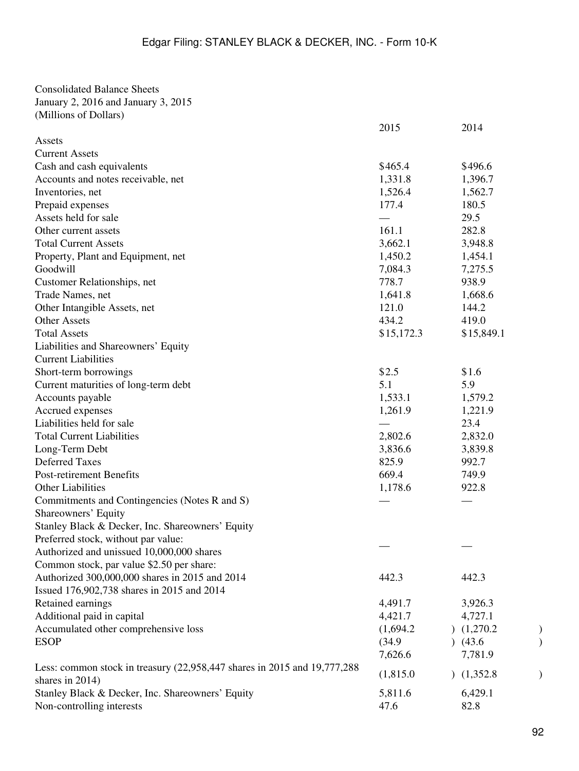### <span id="page-91-0"></span>Consolidated Balance Sheets January 2, 2016 and January 3, 2015 (Millions of Dollars)

|                                                                          | 2015       | 2014       |  |
|--------------------------------------------------------------------------|------------|------------|--|
| Assets                                                                   |            |            |  |
| <b>Current Assets</b>                                                    |            |            |  |
| Cash and cash equivalents                                                | \$465.4    | \$496.6    |  |
| Accounts and notes receivable, net                                       | 1,331.8    | 1,396.7    |  |
| Inventories, net                                                         | 1,526.4    | 1,562.7    |  |
| Prepaid expenses                                                         | 177.4      | 180.5      |  |
| Assets held for sale                                                     |            | 29.5       |  |
| Other current assets                                                     | 161.1      | 282.8      |  |
| <b>Total Current Assets</b>                                              | 3,662.1    | 3,948.8    |  |
| Property, Plant and Equipment, net                                       | 1,450.2    | 1,454.1    |  |
| Goodwill                                                                 | 7,084.3    | 7,275.5    |  |
| Customer Relationships, net                                              | 778.7      | 938.9      |  |
| Trade Names, net                                                         | 1,641.8    | 1,668.6    |  |
| Other Intangible Assets, net                                             | 121.0      | 144.2      |  |
| <b>Other Assets</b>                                                      | 434.2      | 419.0      |  |
| <b>Total Assets</b>                                                      | \$15,172.3 | \$15,849.1 |  |
| Liabilities and Shareowners' Equity                                      |            |            |  |
| <b>Current Liabilities</b>                                               |            |            |  |
| Short-term borrowings                                                    | \$2.5      | \$1.6      |  |
| Current maturities of long-term debt                                     | 5.1        | 5.9        |  |
| Accounts payable                                                         | 1,533.1    | 1,579.2    |  |
| Accrued expenses                                                         | 1,261.9    | 1,221.9    |  |
| Liabilities held for sale                                                |            | 23.4       |  |
| <b>Total Current Liabilities</b>                                         | 2,802.6    | 2,832.0    |  |
| Long-Term Debt                                                           | 3,836.6    | 3,839.8    |  |
| Deferred Taxes                                                           | 825.9      | 992.7      |  |
| <b>Post-retirement Benefits</b>                                          | 669.4      | 749.9      |  |
| Other Liabilities                                                        | 1,178.6    | 922.8      |  |
| Commitments and Contingencies (Notes R and S)                            |            |            |  |
| Shareowners' Equity                                                      |            |            |  |
| Stanley Black & Decker, Inc. Shareowners' Equity                         |            |            |  |
| Preferred stock, without par value:                                      |            |            |  |
| Authorized and unissued 10,000,000 shares                                |            |            |  |
| Common stock, par value \$2.50 per share:                                |            |            |  |
| Authorized 300,000,000 shares in 2015 and 2014                           | 442.3      | 442.3      |  |
| Issued 176,902,738 shares in 2015 and 2014                               |            |            |  |
| Retained earnings                                                        | 4,491.7    | 3,926.3    |  |
| Additional paid in capital                                               | 4,421.7    | 4,727.1    |  |
| Accumulated other comprehensive loss                                     | (1,694.2)  | (1,270.2)  |  |
| <b>ESOP</b>                                                              | (34.9)     | (43.6)     |  |
|                                                                          | 7,626.6    | 7,781.9    |  |
| Less: common stock in treasury (22,958,447 shares in 2015 and 19,777,288 |            |            |  |
| shares in 2014)                                                          | (1,815.0)  | (1,352.8)  |  |
| Stanley Black & Decker, Inc. Shareowners' Equity                         | 5,811.6    | 6,429.1    |  |
| Non-controlling interests                                                | 47.6       | 82.8       |  |
|                                                                          |            |            |  |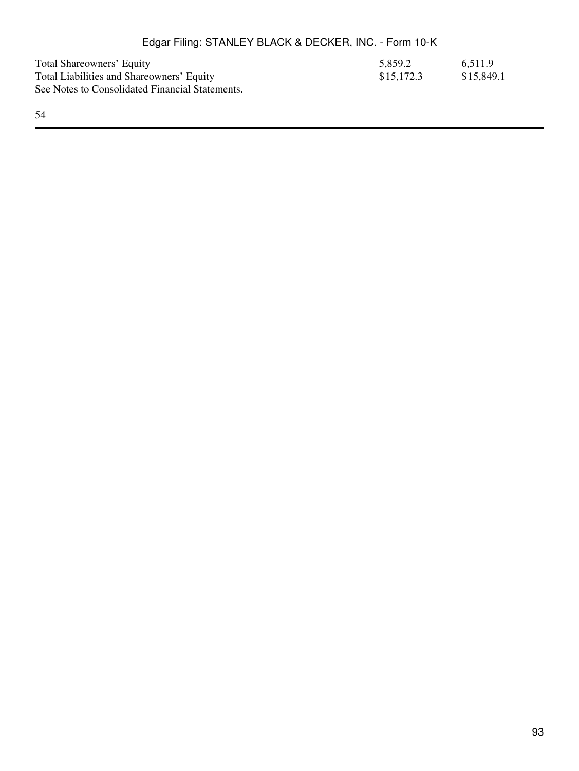| <b>Total Shareowners' Equity</b>                | 5.859.2    | 6.511.9    |
|-------------------------------------------------|------------|------------|
| Total Liabilities and Shareowners' Equity       | \$15,172.3 | \$15,849.1 |
| See Notes to Consolidated Financial Statements. |            |            |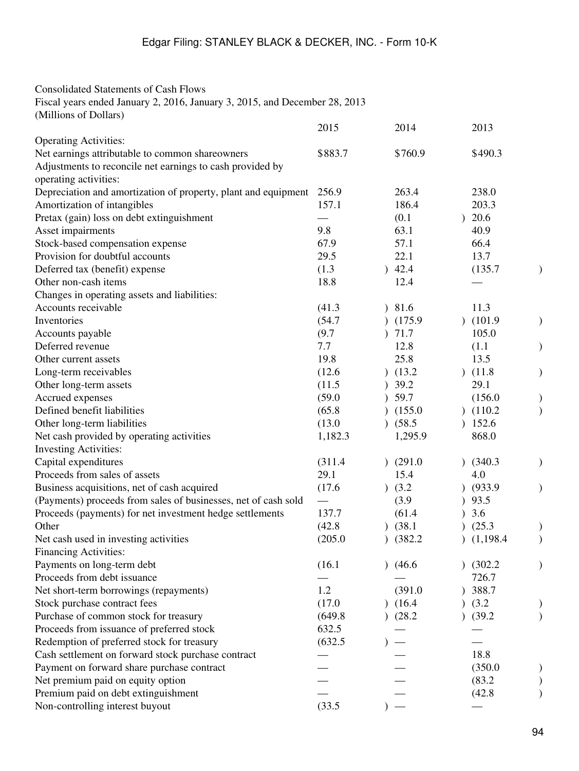<span id="page-93-0"></span>

| <b>Consolidated Statements of Cash Flows</b><br>Fiscal years ended January 2, 2016, January 3, 2015, and December 28, 2013 |         |                          |             |                                                                                                                                                                                              |
|----------------------------------------------------------------------------------------------------------------------------|---------|--------------------------|-------------|----------------------------------------------------------------------------------------------------------------------------------------------------------------------------------------------|
| (Millions of Dollars)                                                                                                      |         |                          |             |                                                                                                                                                                                              |
|                                                                                                                            | 2015    | 2014                     | 2013        |                                                                                                                                                                                              |
| <b>Operating Activities:</b>                                                                                               |         |                          |             |                                                                                                                                                                                              |
| Net earnings attributable to common shareowners                                                                            | \$883.7 | \$760.9                  | \$490.3     |                                                                                                                                                                                              |
| Adjustments to reconcile net earnings to cash provided by                                                                  |         |                          |             |                                                                                                                                                                                              |
| operating activities:                                                                                                      |         |                          |             |                                                                                                                                                                                              |
| Depreciation and amortization of property, plant and equipment                                                             | 256.9   | 263.4                    | 238.0       |                                                                                                                                                                                              |
| Amortization of intangibles                                                                                                | 157.1   | 186.4                    | 203.3       |                                                                                                                                                                                              |
| Pretax (gain) loss on debt extinguishment                                                                                  |         | (0.1)                    | 20.6        |                                                                                                                                                                                              |
| Asset impairments                                                                                                          | 9.8     | 63.1                     | 40.9        |                                                                                                                                                                                              |
| Stock-based compensation expense                                                                                           | 67.9    | 57.1                     | 66.4        |                                                                                                                                                                                              |
| Provision for doubtful accounts                                                                                            | 29.5    | 22.1                     | 13.7        |                                                                                                                                                                                              |
| Deferred tax (benefit) expense                                                                                             | (1.3)   | 42.4<br>$\lambda$        | (135.7)     | $\mathcal{Y}$                                                                                                                                                                                |
| Other non-cash items                                                                                                       | 18.8    | 12.4                     |             |                                                                                                                                                                                              |
| Changes in operating assets and liabilities:                                                                               |         |                          |             |                                                                                                                                                                                              |
| Accounts receivable                                                                                                        | (41.3)  | 81.6                     | 11.3        |                                                                                                                                                                                              |
| Inventories                                                                                                                | (54.7)  | (175.9)                  | (101.9)     | $\mathcal{E}$                                                                                                                                                                                |
| Accounts payable                                                                                                           | (9.7)   | 71.7<br>$\lambda$        | 105.0       |                                                                                                                                                                                              |
| Deferred revenue                                                                                                           | 7.7     | 12.8                     | (1.1)       | $\mathcal{E}$                                                                                                                                                                                |
| Other current assets                                                                                                       | 19.8    | 25.8                     | 13.5        |                                                                                                                                                                                              |
| Long-term receivables                                                                                                      | (12.6)  | (13.2)<br>$\mathcal{L}$  | (11.8)      | $\mathcal{E}$                                                                                                                                                                                |
| Other long-term assets                                                                                                     | (11.5)  | 39.2                     | 29.1        |                                                                                                                                                                                              |
| Accrued expenses                                                                                                           | (59.0)  | 59.7<br>$\lambda$        | (156.0)     | $\mathcal{Y}$                                                                                                                                                                                |
| Defined benefit liabilities                                                                                                | (65.8)  | (155.0)                  | (110.2)     | $\mathcal{E}$                                                                                                                                                                                |
| Other long-term liabilities                                                                                                | (13.0)  | $)$ (58.5)               | 152.6       |                                                                                                                                                                                              |
| Net cash provided by operating activities                                                                                  | 1,182.3 | 1,295.9                  | 868.0       |                                                                                                                                                                                              |
| <b>Investing Activities:</b>                                                                                               |         |                          |             |                                                                                                                                                                                              |
| Capital expenditures                                                                                                       | (311.4) | (291.0)                  | (340.3)     | $\mathcal{Y}$                                                                                                                                                                                |
| Proceeds from sales of assets                                                                                              | 29.1    | 15.4                     | 4.0         |                                                                                                                                                                                              |
| Business acquisitions, net of cash acquired                                                                                | (17.6)  | $)$ (3.2)                | (933.9)     | $\mathcal{)}$                                                                                                                                                                                |
| (Payments) proceeds from sales of businesses, net of cash sold                                                             |         | (3.9)                    | 93.5        |                                                                                                                                                                                              |
| Proceeds (payments) for net investment hedge settlements                                                                   | 137.7   | (61.4)                   | 3.6         |                                                                                                                                                                                              |
| Other                                                                                                                      | (42.8)  | $)$ (38.1)               | (25.3)      |                                                                                                                                                                                              |
| Net cash used in investing activities                                                                                      | (205.0) | (382.2)                  | (1,198.4)   | $\mathcal{E}$                                                                                                                                                                                |
| <b>Financing Activities:</b>                                                                                               |         |                          |             |                                                                                                                                                                                              |
| Payments on long-term debt                                                                                                 | (16.1)  | (46.6)                   | $)$ (302.2) |                                                                                                                                                                                              |
| Proceeds from debt issuance                                                                                                |         |                          | 726.7       |                                                                                                                                                                                              |
| Net short-term borrowings (repayments)                                                                                     | 1.2     | (391.0)                  | 388.7       |                                                                                                                                                                                              |
| Stock purchase contract fees                                                                                               | (17.0)  | (16.4)                   | (3.2)       | $\big)$                                                                                                                                                                                      |
| Purchase of common stock for treasury                                                                                      | (649.8) | (28.2)                   | (39.2)      |                                                                                                                                                                                              |
| Proceeds from issuance of preferred stock                                                                                  | 632.5   |                          |             |                                                                                                                                                                                              |
| Redemption of preferred stock for treasury                                                                                 | (632.5) |                          |             |                                                                                                                                                                                              |
| Cash settlement on forward stock purchase contract                                                                         |         |                          | 18.8        |                                                                                                                                                                                              |
| Payment on forward share purchase contract                                                                                 |         |                          | (350.0)     | $\mathcal{F}^{\mathcal{E}}_{\mathcal{E}}\left( \mathcal{E}^{\mathcal{E}}_{\mathcal{E}}\right) =\mathcal{E}^{\mathcal{E}}_{\mathcal{E}}\left( \mathcal{E}^{\mathcal{E}}_{\mathcal{E}}\right)$ |
| Net premium paid on equity option                                                                                          |         |                          | (83.2)      |                                                                                                                                                                                              |
| Premium paid on debt extinguishment                                                                                        |         |                          | (42.8)      |                                                                                                                                                                                              |
| Non-controlling interest buyout                                                                                            | (33.5)  | $\overline{\phantom{0}}$ |             |                                                                                                                                                                                              |
|                                                                                                                            |         |                          |             |                                                                                                                                                                                              |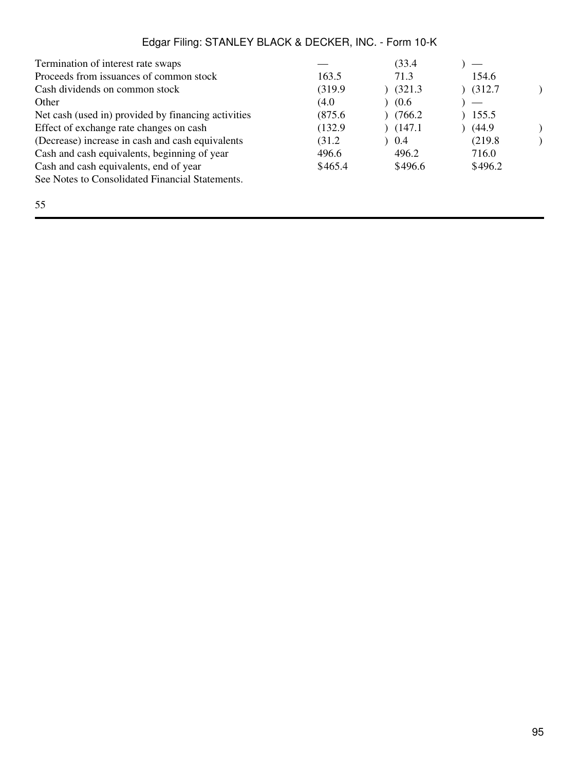|         | (33.4)  |         |  |
|---------|---------|---------|--|
| 163.5   | 71.3    | 154.6   |  |
| (319.9) | (321.3) | (312.7) |  |
| (4.0)   | (0.6)   |         |  |
| (875.6) | (766.2) | 155.5   |  |
| (132.9) | (147.1) | (44.9)  |  |
| (31.2)  | 0.4     | (219.8) |  |
| 496.6   | 496.2   | 716.0   |  |
| \$465.4 | \$496.6 | \$496.2 |  |
|         |         |         |  |
|         |         |         |  |
|         |         |         |  |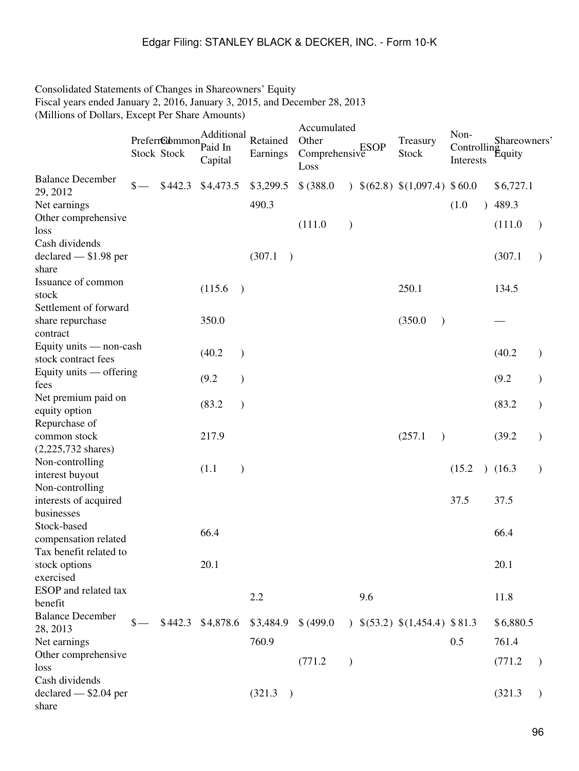### <span id="page-95-0"></span>Consolidated Statements of Changes in Shareowners' Equity Fiscal years ended January 2, 2016, January 3, 2015, and December 28, 2013 (Millions of Dollars, Except Per Share Amounts)

| $\frac{1}{2}$                                                      |               |                                       |                       |               |                      |                                               |               |             |                                    |                                  |               |              |           |
|--------------------------------------------------------------------|---------------|---------------------------------------|-----------------------|---------------|----------------------|-----------------------------------------------|---------------|-------------|------------------------------------|----------------------------------|---------------|--------------|-----------|
|                                                                    |               | Preferredommon Paid In<br>Stock Stock | Additional<br>Capital |               | Retained<br>Earnings | Accumulated<br>Other<br>Comprehensive<br>Loss |               | <b>ESOP</b> | Treasury<br><b>Stock</b>           | Non-<br>Controlling<br>Interests |               | Shareowners' |           |
| <b>Balance December</b><br>29, 2012                                | $\mathsf{\$}$ | \$442.3                               | \$4,473.5             |               | \$3,299.5            | \$ (388.0)                                    |               |             | $\frac{\$(62.8)\$(1,097.4)\$60.0}$ |                                  |               | \$6,727.1    |           |
| Net earnings                                                       |               |                                       |                       |               | 490.3                |                                               |               |             |                                    | (1.0)                            | $\mathcal{L}$ | 489.3        |           |
| Other comprehensive<br>loss                                        |               |                                       |                       |               |                      | (111.0)                                       | $\mathcal{E}$ |             |                                    |                                  |               | (111.0)      | $\lambda$ |
| Cash dividends<br>$\text{declared} - \$1.98 \text{ per}$<br>share  |               |                                       |                       |               | (307.1)<br>$\lambda$ |                                               |               |             |                                    |                                  |               | (307.1)      |           |
| Issuance of common<br>stock                                        |               |                                       | (115.6)               | $\big)$       |                      |                                               |               |             | 250.1                              |                                  |               | 134.5        |           |
| Settlement of forward<br>share repurchase<br>contract              |               |                                       | 350.0                 |               |                      |                                               |               |             | (350.0)<br>$\lambda$               |                                  |               |              |           |
| Equity units - non-cash<br>stock contract fees                     |               |                                       | (40.2)                | $\lambda$     |                      |                                               |               |             |                                    |                                  |               | (40.2)       | $\lambda$ |
| Equity units — offering<br>fees                                    |               |                                       | (9.2)                 | $\mathcal{E}$ |                      |                                               |               |             |                                    |                                  |               | (9.2)        |           |
| Net premium paid on<br>equity option                               |               |                                       | (83.2)                | $\lambda$     |                      |                                               |               |             |                                    |                                  |               | (83.2)       |           |
| Repurchase of<br>common stock                                      |               |                                       | 217.9                 |               |                      |                                               |               |             | (257.1)<br>$\lambda$               |                                  |               | (39.2)       |           |
| $(2,225,732 \text{ shares})$<br>Non-controlling<br>interest buyout |               |                                       | (1.1)                 | $\lambda$     |                      |                                               |               |             |                                    | (15.2)                           | $\mathcal{L}$ | (16.3)       | $\lambda$ |
| Non-controlling<br>interests of acquired<br>businesses             |               |                                       |                       |               |                      |                                               |               |             |                                    | 37.5                             |               | 37.5         |           |
| Stock-based<br>compensation related                                |               |                                       | 66.4                  |               |                      |                                               |               |             |                                    |                                  |               | 66.4         |           |
| Tax benefit related to<br>stock options<br>exercised               |               |                                       | 20.1                  |               |                      |                                               |               |             |                                    |                                  |               | 20.1         |           |
| ESOP and related tax<br>benefit                                    |               |                                       |                       |               | 2.2                  |                                               |               | 9.6         |                                    |                                  |               | 11.8         |           |
| <b>Balance December</b><br>28, 2013                                |               |                                       | $-$ \$442.3 \$4,878.6 |               |                      | $$3,484.9$ $$ (499.0)$                        |               |             | $\frac{\$(53.2)\$(1,454.4)\$81.3}$ |                                  |               | \$6,880.5    |           |
| Net earnings                                                       |               |                                       |                       |               | 760.9                |                                               |               |             |                                    | 0.5                              |               | 761.4        |           |
| Other comprehensive<br>loss                                        |               |                                       |                       |               |                      | (771.2)                                       | $\mathcal{E}$ |             |                                    |                                  |               | (771.2)      |           |
| Cash dividends                                                     |               |                                       |                       |               |                      |                                               |               |             |                                    |                                  |               |              |           |
| declared - \$2.04 per<br>share                                     |               |                                       |                       |               | (321.3)              |                                               |               |             |                                    |                                  |               | (321.3)      |           |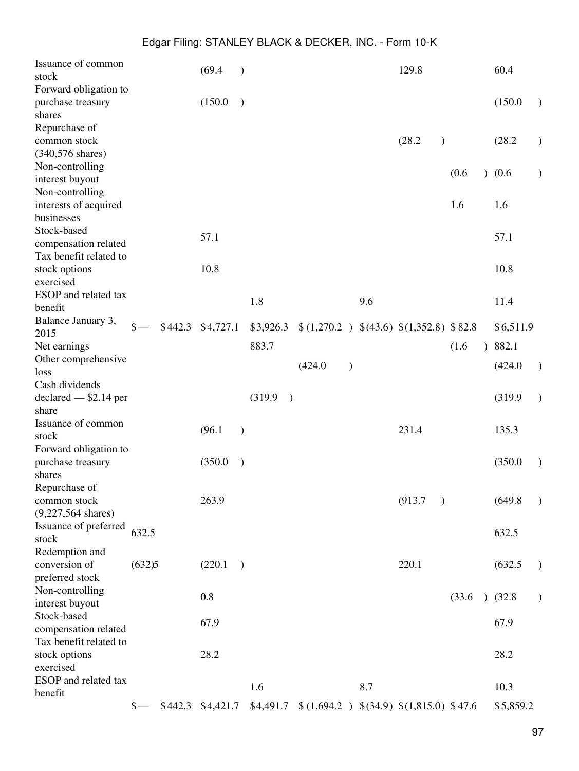| Issuance of common<br>stock      |                 |         | (69.4)              | $\mathcal{E}$ |                    |                                                        |               |     | 129.8              |               |        | 60.4       |               |
|----------------------------------|-----------------|---------|---------------------|---------------|--------------------|--------------------------------------------------------|---------------|-----|--------------------|---------------|--------|------------|---------------|
| Forward obligation to            |                 |         |                     |               |                    |                                                        |               |     |                    |               |        |            |               |
| purchase treasury                |                 |         | (150.0)             | $\lambda$     |                    |                                                        |               |     |                    |               |        | (150.0)    | $\mathcal{L}$ |
| shares                           |                 |         |                     |               |                    |                                                        |               |     |                    |               |        |            |               |
| Repurchase of                    |                 |         |                     |               |                    |                                                        |               |     |                    |               |        |            |               |
| common stock                     |                 |         |                     |               |                    |                                                        |               |     | (28.2)             | $\mathcal{E}$ |        | (28.2)     | $\mathcal{F}$ |
| $(340, 576 \text{ shares})$      |                 |         |                     |               |                    |                                                        |               |     |                    |               |        |            |               |
| Non-controlling                  |                 |         |                     |               |                    |                                                        |               |     |                    |               |        |            |               |
| interest buyout                  |                 |         |                     |               |                    |                                                        |               |     |                    |               | (0.6)  | $)$ (0.6)  | $\mathcal{E}$ |
| Non-controlling                  |                 |         |                     |               |                    |                                                        |               |     |                    |               |        |            |               |
| interests of acquired            |                 |         |                     |               |                    |                                                        |               |     |                    |               | 1.6    | 1.6        |               |
| businesses                       |                 |         |                     |               |                    |                                                        |               |     |                    |               |        |            |               |
| Stock-based                      |                 |         |                     |               |                    |                                                        |               |     |                    |               |        |            |               |
| compensation related             |                 |         | 57.1                |               |                    |                                                        |               |     |                    |               |        | 57.1       |               |
| Tax benefit related to           |                 |         |                     |               |                    |                                                        |               |     |                    |               |        |            |               |
| stock options                    |                 |         | 10.8                |               |                    |                                                        |               |     |                    |               |        | 10.8       |               |
| exercised                        |                 |         |                     |               |                    |                                                        |               |     |                    |               |        |            |               |
| ESOP and related tax             |                 |         |                     |               |                    |                                                        |               |     |                    |               |        |            |               |
| benefit                          |                 |         |                     |               | 1.8                |                                                        |               | 9.6 |                    |               |        | 11.4       |               |
| Balance January 3,               |                 |         |                     |               |                    |                                                        |               |     |                    |               |        |            |               |
| 2015                             | $\frac{\ }{s-}$ | \$442.3 | \$4,727.1           |               | \$3,926.3          | $(1,270.2)$ $(43.6)$ $(1,352.8)$ \$82.8                |               |     |                    |               |        | \$6,511.9  |               |
| Net earnings                     |                 |         |                     |               | 883.7              |                                                        |               |     |                    |               | (1.6)  | ) 882.1    |               |
| Other comprehensive              |                 |         |                     |               |                    |                                                        |               |     |                    |               |        |            |               |
| loss                             |                 |         |                     |               |                    | (424.0)                                                | $\mathcal{E}$ |     |                    |               |        | (424.0)    | $\mathcal{L}$ |
| Cash dividends                   |                 |         |                     |               |                    |                                                        |               |     |                    |               |        |            |               |
| $\text{declared}$ $-$ \$2.14 per |                 |         |                     |               | (319.9)<br>$\big)$ |                                                        |               |     |                    |               |        | (319.9)    | $\lambda$     |
| share                            |                 |         |                     |               |                    |                                                        |               |     |                    |               |        |            |               |
| Issuance of common               |                 |         |                     |               |                    |                                                        |               |     |                    |               |        |            |               |
| stock                            |                 |         | (96.1)              | $\mathcal{E}$ |                    |                                                        |               |     | 231.4              |               |        | 135.3      |               |
| Forward obligation to            |                 |         |                     |               |                    |                                                        |               |     |                    |               |        |            |               |
| purchase treasury                |                 |         | (350.0)             |               |                    |                                                        |               |     |                    |               |        | (350.0)    |               |
| shares                           |                 |         |                     | $\lambda$     |                    |                                                        |               |     |                    |               |        |            | $\lambda$     |
|                                  |                 |         |                     |               |                    |                                                        |               |     |                    |               |        |            |               |
| Repurchase of<br>common stock    |                 |         | 263.9               |               |                    |                                                        |               |     | (913.7)<br>$\big)$ |               |        | (649.8)    | $\lambda$     |
| $(9,227,564 \text{ shares})$     |                 |         |                     |               |                    |                                                        |               |     |                    |               |        |            |               |
| Issuance of preferred            |                 |         |                     |               |                    |                                                        |               |     |                    |               |        |            |               |
| stock                            | 632.5           |         |                     |               |                    |                                                        |               |     |                    |               |        | 632.5      |               |
| Redemption and                   |                 |         |                     |               |                    |                                                        |               |     |                    |               |        |            |               |
| conversion of                    | (632)5          |         | (220.1)             | $\rightarrow$ |                    |                                                        |               |     | 220.1              |               |        | (632.5)    |               |
| preferred stock                  |                 |         |                     |               |                    |                                                        |               |     |                    |               |        |            | $\lambda$     |
| Non-controlling                  |                 |         |                     |               |                    |                                                        |               |     |                    |               |        |            |               |
| interest buyout                  |                 |         | 0.8                 |               |                    |                                                        |               |     |                    |               | (33.6) | $)$ (32.8) |               |
| Stock-based                      |                 |         |                     |               |                    |                                                        |               |     |                    |               |        |            |               |
| compensation related             |                 |         | 67.9                |               |                    |                                                        |               |     |                    |               |        | 67.9       |               |
| Tax benefit related to           |                 |         |                     |               |                    |                                                        |               |     |                    |               |        |            |               |
| stock options                    |                 |         | 28.2                |               |                    |                                                        |               |     |                    |               |        | 28.2       |               |
| exercised                        |                 |         |                     |               |                    |                                                        |               |     |                    |               |        |            |               |
| ESOP and related tax             |                 |         |                     |               |                    |                                                        |               |     |                    |               |        |            |               |
| benefit                          |                 |         |                     |               | 1.6                |                                                        |               | 8.7 |                    |               |        | 10.3       |               |
|                                  | $\frac{1}{2}$   |         | $$442.3$ $$4,421.7$ |               |                    | $$4,491.7 \$ (1,694.2) \$ (34.9) \$ (1,815.0) \$ 47.6$ |               |     |                    |               |        | \$5,859.2  |               |
|                                  |                 |         |                     |               |                    |                                                        |               |     |                    |               |        |            |               |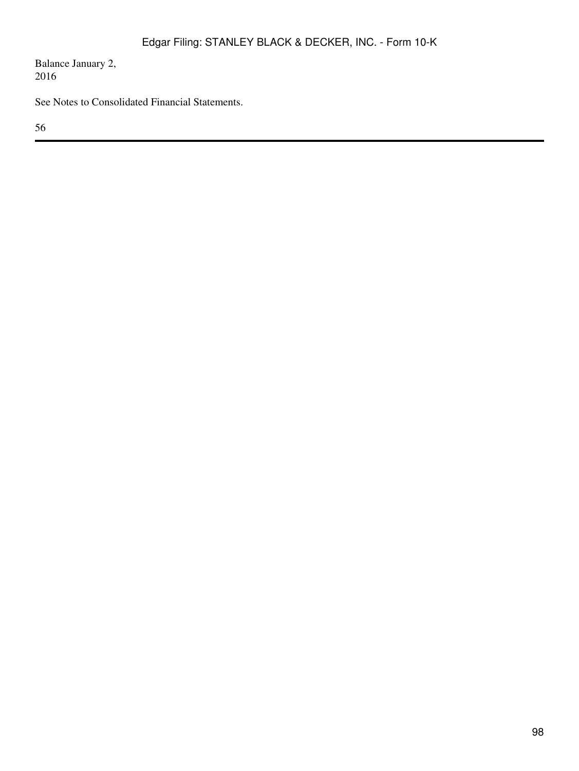Balance January 2, 2016

See Notes to Consolidated Financial Statements.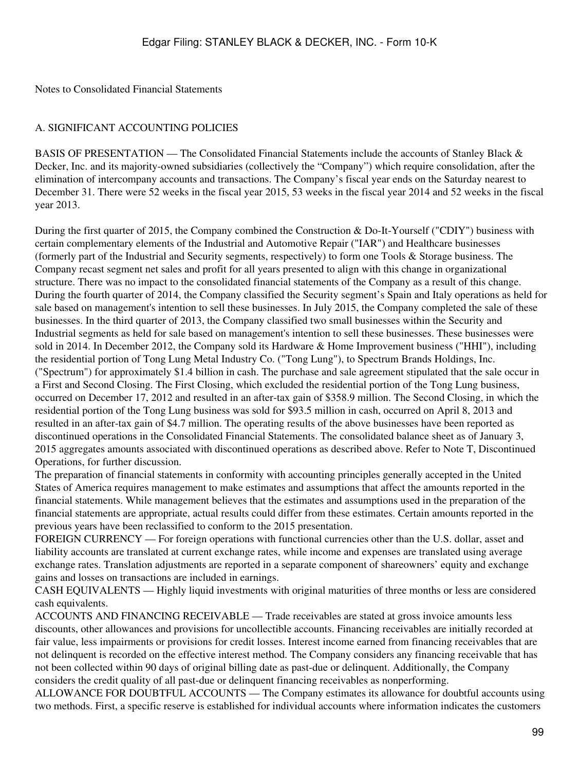<span id="page-98-0"></span>Notes to Consolidated Financial Statements

### A. SIGNIFICANT ACCOUNTING POLICIES

BASIS OF PRESENTATION — The Consolidated Financial Statements include the accounts of Stanley Black & Decker, Inc. and its majority-owned subsidiaries (collectively the "Company") which require consolidation, after the elimination of intercompany accounts and transactions. The Company's fiscal year ends on the Saturday nearest to December 31. There were 52 weeks in the fiscal year 2015, 53 weeks in the fiscal year 2014 and 52 weeks in the fiscal year 2013.

During the first quarter of 2015, the Company combined the Construction & Do-It-Yourself ("CDIY") business with certain complementary elements of the Industrial and Automotive Repair ("IAR") and Healthcare businesses (formerly part of the Industrial and Security segments, respectively) to form one Tools & Storage business. The Company recast segment net sales and profit for all years presented to align with this change in organizational structure. There was no impact to the consolidated financial statements of the Company as a result of this change. During the fourth quarter of 2014, the Company classified the Security segment's Spain and Italy operations as held for sale based on management's intention to sell these businesses. In July 2015, the Company completed the sale of these businesses. In the third quarter of 2013, the Company classified two small businesses within the Security and Industrial segments as held for sale based on management's intention to sell these businesses. These businesses were sold in 2014. In December 2012, the Company sold its Hardware & Home Improvement business ("HHI"), including the residential portion of Tong Lung Metal Industry Co. ("Tong Lung"), to Spectrum Brands Holdings, Inc. ("Spectrum") for approximately \$1.4 billion in cash. The purchase and sale agreement stipulated that the sale occur in a First and Second Closing. The First Closing, which excluded the residential portion of the Tong Lung business, occurred on December 17, 2012 and resulted in an after-tax gain of \$358.9 million. The Second Closing, in which the residential portion of the Tong Lung business was sold for \$93.5 million in cash, occurred on April 8, 2013 and resulted in an after-tax gain of \$4.7 million. The operating results of the above businesses have been reported as discontinued operations in the Consolidated Financial Statements. The consolidated balance sheet as of January 3, 2015 aggregates amounts associated with discontinued operations as described above. Refer to Note T, Discontinued Operations, for further discussion.

The preparation of financial statements in conformity with accounting principles generally accepted in the United States of America requires management to make estimates and assumptions that affect the amounts reported in the financial statements. While management believes that the estimates and assumptions used in the preparation of the financial statements are appropriate, actual results could differ from these estimates. Certain amounts reported in the previous years have been reclassified to conform to the 2015 presentation.

FOREIGN CURRENCY — For foreign operations with functional currencies other than the U.S. dollar, asset and liability accounts are translated at current exchange rates, while income and expenses are translated using average exchange rates. Translation adjustments are reported in a separate component of shareowners' equity and exchange gains and losses on transactions are included in earnings.

CASH EQUIVALENTS — Highly liquid investments with original maturities of three months or less are considered cash equivalents.

ACCOUNTS AND FINANCING RECEIVABLE — Trade receivables are stated at gross invoice amounts less discounts, other allowances and provisions for uncollectible accounts. Financing receivables are initially recorded at fair value, less impairments or provisions for credit losses. Interest income earned from financing receivables that are not delinquent is recorded on the effective interest method. The Company considers any financing receivable that has not been collected within 90 days of original billing date as past-due or delinquent. Additionally, the Company considers the credit quality of all past-due or delinquent financing receivables as nonperforming.

ALLOWANCE FOR DOUBTFUL ACCOUNTS — The Company estimates its allowance for doubtful accounts using two methods. First, a specific reserve is established for individual accounts where information indicates the customers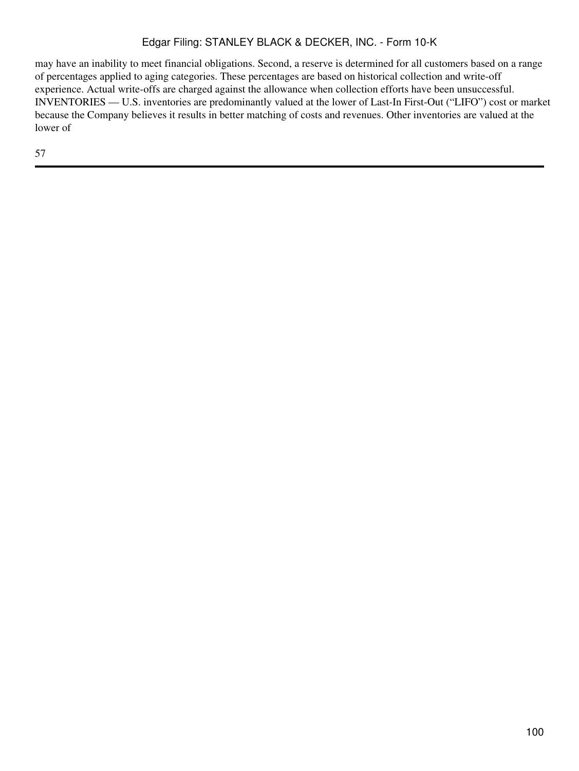may have an inability to meet financial obligations. Second, a reserve is determined for all customers based on a range of percentages applied to aging categories. These percentages are based on historical collection and write-off experience. Actual write-offs are charged against the allowance when collection efforts have been unsuccessful. INVENTORIES — U.S. inventories are predominantly valued at the lower of Last-In First-Out ("LIFO") cost or market because the Company believes it results in better matching of costs and revenues. Other inventories are valued at the lower of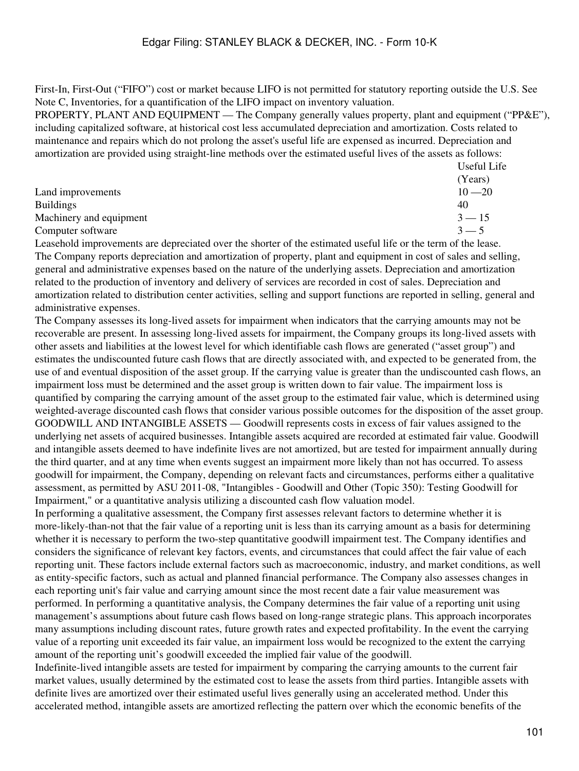First-In, First-Out ("FIFO") cost or market because LIFO is not permitted for statutory reporting outside the U.S. See Note C, Inventories, for a quantification of the LIFO impact on inventory valuation.

PROPERTY, PLANT AND EQUIPMENT — The Company generally values property, plant and equipment ("PP&E"), including capitalized software, at historical cost less accumulated depreciation and amortization. Costs related to maintenance and repairs which do not prolong the asset's useful life are expensed as incurred. Depreciation and amortization are provided using straight-line methods over the estimated useful lives of the assets as follows:

|                                                                                                               | Useful Life |
|---------------------------------------------------------------------------------------------------------------|-------------|
|                                                                                                               | (Years)     |
| Land improvements                                                                                             | $10 - 20$   |
| <b>Buildings</b>                                                                                              | 40          |
| Machinery and equipment                                                                                       | $3 - 15$    |
| Computer software                                                                                             | $3 - 5$     |
| I second intercomparity are democrated even the cherter of the estimated weeful life or the term of the leges |             |

Leasehold improvements are depreciated over the shorter of the estimated useful life or the term of the lease. The Company reports depreciation and amortization of property, plant and equipment in cost of sales and selling, general and administrative expenses based on the nature of the underlying assets. Depreciation and amortization related to the production of inventory and delivery of services are recorded in cost of sales. Depreciation and amortization related to distribution center activities, selling and support functions are reported in selling, general and administrative expenses.

The Company assesses its long-lived assets for impairment when indicators that the carrying amounts may not be recoverable are present. In assessing long-lived assets for impairment, the Company groups its long-lived assets with other assets and liabilities at the lowest level for which identifiable cash flows are generated ("asset group") and estimates the undiscounted future cash flows that are directly associated with, and expected to be generated from, the use of and eventual disposition of the asset group. If the carrying value is greater than the undiscounted cash flows, an impairment loss must be determined and the asset group is written down to fair value. The impairment loss is quantified by comparing the carrying amount of the asset group to the estimated fair value, which is determined using weighted-average discounted cash flows that consider various possible outcomes for the disposition of the asset group. GOODWILL AND INTANGIBLE ASSETS — Goodwill represents costs in excess of fair values assigned to the underlying net assets of acquired businesses. Intangible assets acquired are recorded at estimated fair value. Goodwill and intangible assets deemed to have indefinite lives are not amortized, but are tested for impairment annually during the third quarter, and at any time when events suggest an impairment more likely than not has occurred. To assess goodwill for impairment, the Company, depending on relevant facts and circumstances, performs either a qualitative assessment, as permitted by ASU 2011-08, "Intangibles - Goodwill and Other (Topic 350): Testing Goodwill for Impairment," or a quantitative analysis utilizing a discounted cash flow valuation model.

In performing a qualitative assessment, the Company first assesses relevant factors to determine whether it is more-likely-than-not that the fair value of a reporting unit is less than its carrying amount as a basis for determining whether it is necessary to perform the two-step quantitative goodwill impairment test. The Company identifies and considers the significance of relevant key factors, events, and circumstances that could affect the fair value of each reporting unit. These factors include external factors such as macroeconomic, industry, and market conditions, as well as entity-specific factors, such as actual and planned financial performance. The Company also assesses changes in each reporting unit's fair value and carrying amount since the most recent date a fair value measurement was performed. In performing a quantitative analysis, the Company determines the fair value of a reporting unit using management's assumptions about future cash flows based on long-range strategic plans. This approach incorporates many assumptions including discount rates, future growth rates and expected profitability. In the event the carrying value of a reporting unit exceeded its fair value, an impairment loss would be recognized to the extent the carrying amount of the reporting unit's goodwill exceeded the implied fair value of the goodwill.

Indefinite-lived intangible assets are tested for impairment by comparing the carrying amounts to the current fair market values, usually determined by the estimated cost to lease the assets from third parties. Intangible assets with definite lives are amortized over their estimated useful lives generally using an accelerated method. Under this accelerated method, intangible assets are amortized reflecting the pattern over which the economic benefits of the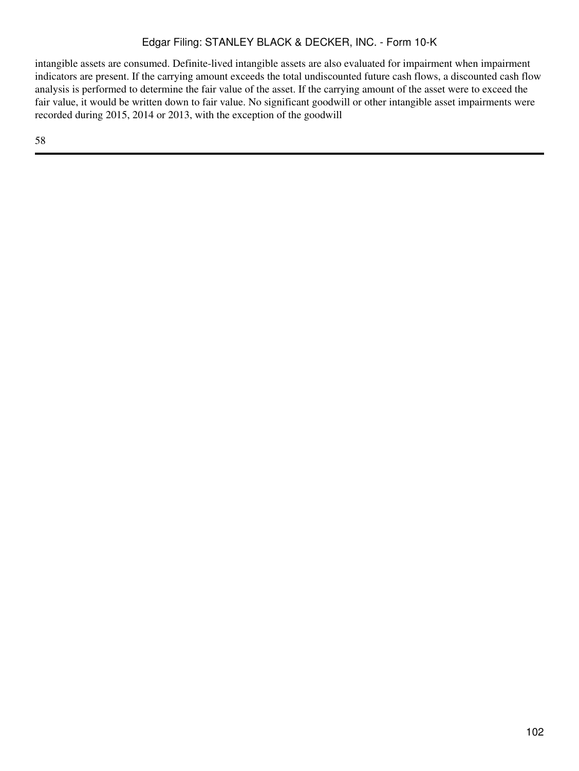intangible assets are consumed. Definite-lived intangible assets are also evaluated for impairment when impairment indicators are present. If the carrying amount exceeds the total undiscounted future cash flows, a discounted cash flow analysis is performed to determine the fair value of the asset. If the carrying amount of the asset were to exceed the fair value, it would be written down to fair value. No significant goodwill or other intangible asset impairments were recorded during 2015, 2014 or 2013, with the exception of the goodwill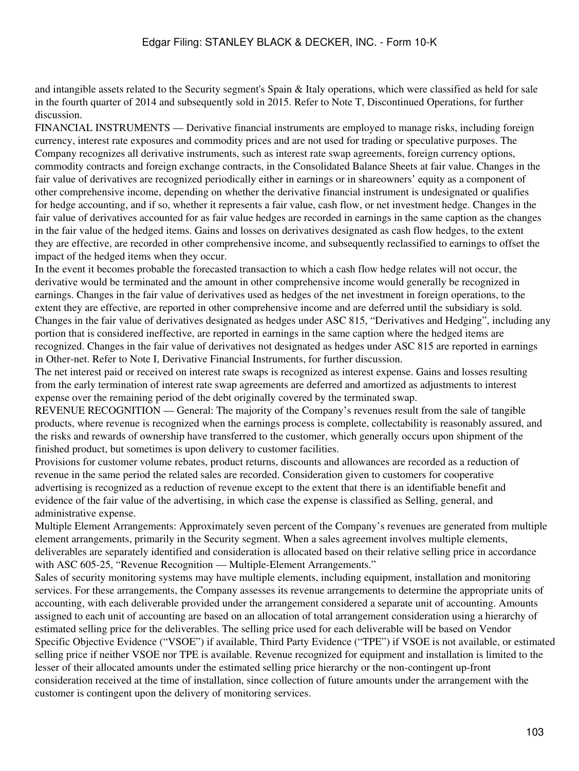and intangible assets related to the Security segment's Spain & Italy operations, which were classified as held for sale in the fourth quarter of 2014 and subsequently sold in 2015. Refer to Note T, Discontinued Operations, for further discussion.

FINANCIAL INSTRUMENTS — Derivative financial instruments are employed to manage risks, including foreign currency, interest rate exposures and commodity prices and are not used for trading or speculative purposes. The Company recognizes all derivative instruments, such as interest rate swap agreements, foreign currency options, commodity contracts and foreign exchange contracts, in the Consolidated Balance Sheets at fair value. Changes in the fair value of derivatives are recognized periodically either in earnings or in shareowners' equity as a component of other comprehensive income, depending on whether the derivative financial instrument is undesignated or qualifies for hedge accounting, and if so, whether it represents a fair value, cash flow, or net investment hedge. Changes in the fair value of derivatives accounted for as fair value hedges are recorded in earnings in the same caption as the changes in the fair value of the hedged items. Gains and losses on derivatives designated as cash flow hedges, to the extent they are effective, are recorded in other comprehensive income, and subsequently reclassified to earnings to offset the impact of the hedged items when they occur.

In the event it becomes probable the forecasted transaction to which a cash flow hedge relates will not occur, the derivative would be terminated and the amount in other comprehensive income would generally be recognized in earnings. Changes in the fair value of derivatives used as hedges of the net investment in foreign operations, to the extent they are effective, are reported in other comprehensive income and are deferred until the subsidiary is sold. Changes in the fair value of derivatives designated as hedges under ASC 815, "Derivatives and Hedging", including any portion that is considered ineffective, are reported in earnings in the same caption where the hedged items are recognized. Changes in the fair value of derivatives not designated as hedges under ASC 815 are reported in earnings in Other-net. Refer to Note I, Derivative Financial Instruments, for further discussion.

The net interest paid or received on interest rate swaps is recognized as interest expense. Gains and losses resulting from the early termination of interest rate swap agreements are deferred and amortized as adjustments to interest expense over the remaining period of the debt originally covered by the terminated swap.

REVENUE RECOGNITION — General: The majority of the Company's revenues result from the sale of tangible products, where revenue is recognized when the earnings process is complete, collectability is reasonably assured, and the risks and rewards of ownership have transferred to the customer, which generally occurs upon shipment of the finished product, but sometimes is upon delivery to customer facilities.

Provisions for customer volume rebates, product returns, discounts and allowances are recorded as a reduction of revenue in the same period the related sales are recorded. Consideration given to customers for cooperative advertising is recognized as a reduction of revenue except to the extent that there is an identifiable benefit and evidence of the fair value of the advertising, in which case the expense is classified as Selling, general, and administrative expense.

Multiple Element Arrangements: Approximately seven percent of the Company's revenues are generated from multiple element arrangements, primarily in the Security segment. When a sales agreement involves multiple elements, deliverables are separately identified and consideration is allocated based on their relative selling price in accordance with ASC 605-25, "Revenue Recognition — Multiple-Element Arrangements."

Sales of security monitoring systems may have multiple elements, including equipment, installation and monitoring services. For these arrangements, the Company assesses its revenue arrangements to determine the appropriate units of accounting, with each deliverable provided under the arrangement considered a separate unit of accounting. Amounts assigned to each unit of accounting are based on an allocation of total arrangement consideration using a hierarchy of estimated selling price for the deliverables. The selling price used for each deliverable will be based on Vendor Specific Objective Evidence ("VSOE") if available, Third Party Evidence ("TPE") if VSOE is not available, or estimated selling price if neither VSOE nor TPE is available. Revenue recognized for equipment and installation is limited to the lesser of their allocated amounts under the estimated selling price hierarchy or the non-contingent up-front consideration received at the time of installation, since collection of future amounts under the arrangement with the customer is contingent upon the delivery of monitoring services.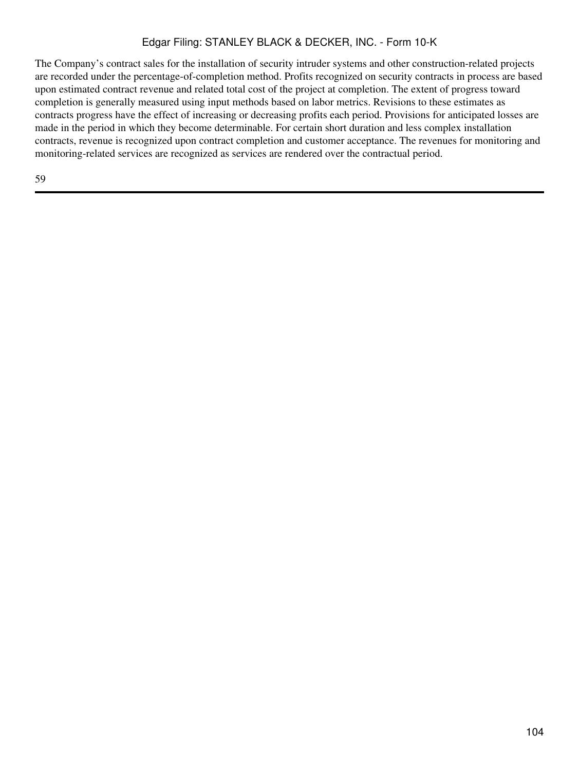The Company's contract sales for the installation of security intruder systems and other construction-related projects are recorded under the percentage-of-completion method. Profits recognized on security contracts in process are based upon estimated contract revenue and related total cost of the project at completion. The extent of progress toward completion is generally measured using input methods based on labor metrics. Revisions to these estimates as contracts progress have the effect of increasing or decreasing profits each period. Provisions for anticipated losses are made in the period in which they become determinable. For certain short duration and less complex installation contracts, revenue is recognized upon contract completion and customer acceptance. The revenues for monitoring and monitoring-related services are recognized as services are rendered over the contractual period.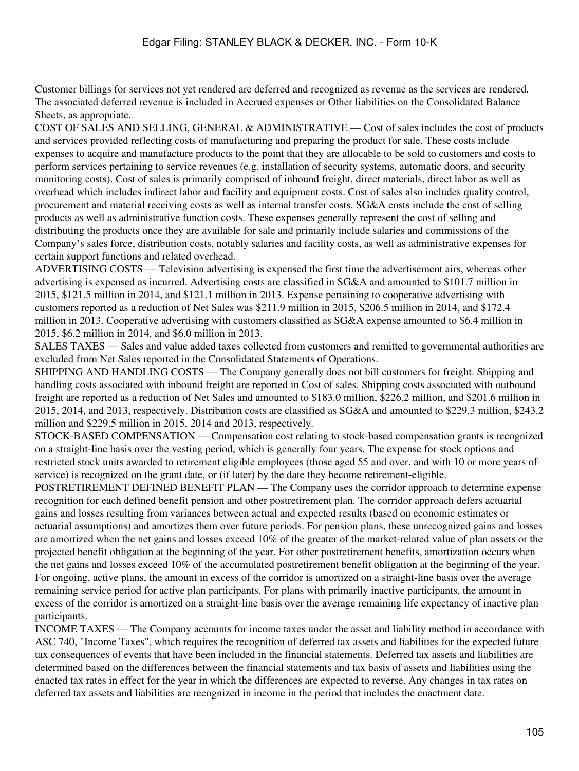Customer billings for services not yet rendered are deferred and recognized as revenue as the services are rendered. The associated deferred revenue is included in Accrued expenses or Other liabilities on the Consolidated Balance Sheets, as appropriate.

COST OF SALES AND SELLING, GENERAL & ADMINISTRATIVE — Cost of sales includes the cost of products and services provided reflecting costs of manufacturing and preparing the product for sale. These costs include expenses to acquire and manufacture products to the point that they are allocable to be sold to customers and costs to perform services pertaining to service revenues (e.g. installation of security systems, automatic doors, and security monitoring costs). Cost of sales is primarily comprised of inbound freight, direct materials, direct labor as well as overhead which includes indirect labor and facility and equipment costs. Cost of sales also includes quality control, procurement and material receiving costs as well as internal transfer costs. SG&A costs include the cost of selling products as well as administrative function costs. These expenses generally represent the cost of selling and distributing the products once they are available for sale and primarily include salaries and commissions of the Company's sales force, distribution costs, notably salaries and facility costs, as well as administrative expenses for certain support functions and related overhead.

ADVERTISING COSTS — Television advertising is expensed the first time the advertisement airs, whereas other advertising is expensed as incurred. Advertising costs are classified in SG&A and amounted to \$101.7 million in 2015, \$121.5 million in 2014, and \$121.1 million in 2013. Expense pertaining to cooperative advertising with customers reported as a reduction of Net Sales was \$211.9 million in 2015, \$206.5 million in 2014, and \$172.4 million in 2013. Cooperative advertising with customers classified as SG&A expense amounted to \$6.4 million in 2015, \$6.2 million in 2014, and \$6.0 million in 2013.

SALES TAXES — Sales and value added taxes collected from customers and remitted to governmental authorities are excluded from Net Sales reported in the Consolidated Statements of Operations.

SHIPPING AND HANDLING COSTS — The Company generally does not bill customers for freight. Shipping and handling costs associated with inbound freight are reported in Cost of sales. Shipping costs associated with outbound freight are reported as a reduction of Net Sales and amounted to \$183.0 million, \$226.2 million, and \$201.6 million in 2015, 2014, and 2013, respectively. Distribution costs are classified as SG&A and amounted to \$229.3 million, \$243.2 million and \$229.5 million in 2015, 2014 and 2013, respectively.

STOCK-BASED COMPENSATION — Compensation cost relating to stock-based compensation grants is recognized on a straight-line basis over the vesting period, which is generally four years. The expense for stock options and restricted stock units awarded to retirement eligible employees (those aged 55 and over, and with 10 or more years of service) is recognized on the grant date, or (if later) by the date they become retirement-eligible.

POSTRETIREMENT DEFINED BENEFIT PLAN — The Company uses the corridor approach to determine expense recognition for each defined benefit pension and other postretirement plan. The corridor approach defers actuarial gains and losses resulting from variances between actual and expected results (based on economic estimates or actuarial assumptions) and amortizes them over future periods. For pension plans, these unrecognized gains and losses are amortized when the net gains and losses exceed 10% of the greater of the market-related value of plan assets or the projected benefit obligation at the beginning of the year. For other postretirement benefits, amortization occurs when the net gains and losses exceed 10% of the accumulated postretirement benefit obligation at the beginning of the year. For ongoing, active plans, the amount in excess of the corridor is amortized on a straight-line basis over the average remaining service period for active plan participants. For plans with primarily inactive participants, the amount in excess of the corridor is amortized on a straight-line basis over the average remaining life expectancy of inactive plan participants.

INCOME TAXES — The Company accounts for income taxes under the asset and liability method in accordance with ASC 740, "Income Taxes", which requires the recognition of deferred tax assets and liabilities for the expected future tax consequences of events that have been included in the financial statements. Deferred tax assets and liabilities are determined based on the differences between the financial statements and tax basis of assets and liabilities using the enacted tax rates in effect for the year in which the differences are expected to reverse. Any changes in tax rates on deferred tax assets and liabilities are recognized in income in the period that includes the enactment date.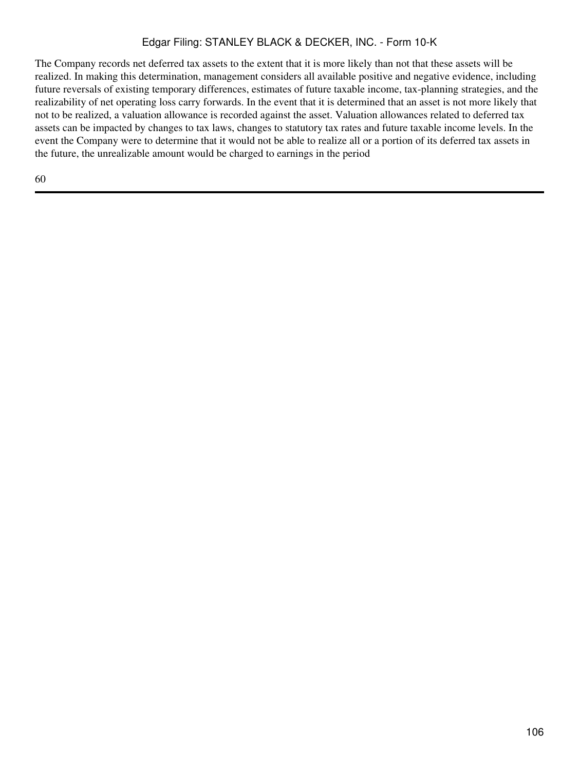The Company records net deferred tax assets to the extent that it is more likely than not that these assets will be realized. In making this determination, management considers all available positive and negative evidence, including future reversals of existing temporary differences, estimates of future taxable income, tax-planning strategies, and the realizability of net operating loss carry forwards. In the event that it is determined that an asset is not more likely that not to be realized, a valuation allowance is recorded against the asset. Valuation allowances related to deferred tax assets can be impacted by changes to tax laws, changes to statutory tax rates and future taxable income levels. In the event the Company were to determine that it would not be able to realize all or a portion of its deferred tax assets in the future, the unrealizable amount would be charged to earnings in the period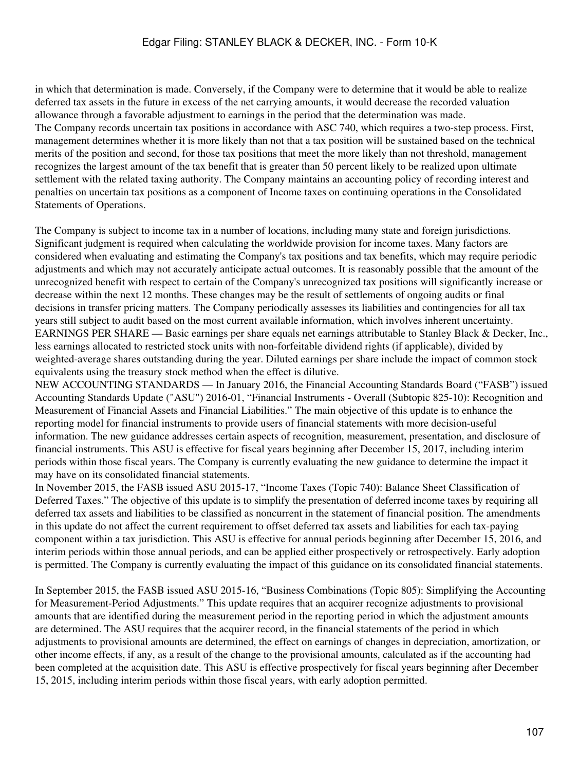in which that determination is made. Conversely, if the Company were to determine that it would be able to realize deferred tax assets in the future in excess of the net carrying amounts, it would decrease the recorded valuation allowance through a favorable adjustment to earnings in the period that the determination was made. The Company records uncertain tax positions in accordance with ASC 740, which requires a two-step process. First, management determines whether it is more likely than not that a tax position will be sustained based on the technical merits of the position and second, for those tax positions that meet the more likely than not threshold, management recognizes the largest amount of the tax benefit that is greater than 50 percent likely to be realized upon ultimate settlement with the related taxing authority. The Company maintains an accounting policy of recording interest and penalties on uncertain tax positions as a component of Income taxes on continuing operations in the Consolidated Statements of Operations.

The Company is subject to income tax in a number of locations, including many state and foreign jurisdictions. Significant judgment is required when calculating the worldwide provision for income taxes. Many factors are considered when evaluating and estimating the Company's tax positions and tax benefits, which may require periodic adjustments and which may not accurately anticipate actual outcomes. It is reasonably possible that the amount of the unrecognized benefit with respect to certain of the Company's unrecognized tax positions will significantly increase or decrease within the next 12 months. These changes may be the result of settlements of ongoing audits or final decisions in transfer pricing matters. The Company periodically assesses its liabilities and contingencies for all tax years still subject to audit based on the most current available information, which involves inherent uncertainty. EARNINGS PER SHARE — Basic earnings per share equals net earnings attributable to Stanley Black & Decker, Inc., less earnings allocated to restricted stock units with non-forfeitable dividend rights (if applicable), divided by weighted-average shares outstanding during the year. Diluted earnings per share include the impact of common stock equivalents using the treasury stock method when the effect is dilutive.

NEW ACCOUNTING STANDARDS — In January 2016, the Financial Accounting Standards Board ("FASB") issued Accounting Standards Update ("ASU") 2016-01, "Financial Instruments - Overall (Subtopic 825-10): Recognition and Measurement of Financial Assets and Financial Liabilities." The main objective of this update is to enhance the reporting model for financial instruments to provide users of financial statements with more decision-useful information. The new guidance addresses certain aspects of recognition, measurement, presentation, and disclosure of financial instruments. This ASU is effective for fiscal years beginning after December 15, 2017, including interim periods within those fiscal years. The Company is currently evaluating the new guidance to determine the impact it may have on its consolidated financial statements.

In November 2015, the FASB issued ASU 2015-17, "Income Taxes (Topic 740): Balance Sheet Classification of Deferred Taxes." The objective of this update is to simplify the presentation of deferred income taxes by requiring all deferred tax assets and liabilities to be classified as noncurrent in the statement of financial position. The amendments in this update do not affect the current requirement to offset deferred tax assets and liabilities for each tax-paying component within a tax jurisdiction. This ASU is effective for annual periods beginning after December 15, 2016, and interim periods within those annual periods, and can be applied either prospectively or retrospectively. Early adoption is permitted. The Company is currently evaluating the impact of this guidance on its consolidated financial statements.

In September 2015, the FASB issued ASU 2015-16, "Business Combinations (Topic 805): Simplifying the Accounting for Measurement-Period Adjustments." This update requires that an acquirer recognize adjustments to provisional amounts that are identified during the measurement period in the reporting period in which the adjustment amounts are determined. The ASU requires that the acquirer record, in the financial statements of the period in which adjustments to provisional amounts are determined, the effect on earnings of changes in depreciation, amortization, or other income effects, if any, as a result of the change to the provisional amounts, calculated as if the accounting had been completed at the acquisition date. This ASU is effective prospectively for fiscal years beginning after December 15, 2015, including interim periods within those fiscal years, with early adoption permitted.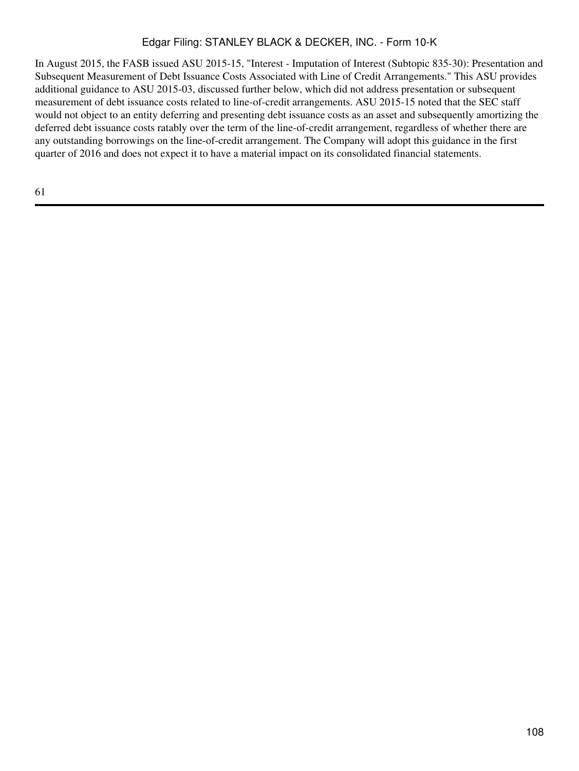In August 2015, the FASB issued ASU 2015-15, "Interest - Imputation of Interest (Subtopic 835-30): Presentation and Subsequent Measurement of Debt Issuance Costs Associated with Line of Credit Arrangements." This ASU provides additional guidance to ASU 2015-03, discussed further below, which did not address presentation or subsequent measurement of debt issuance costs related to line-of-credit arrangements. ASU 2015-15 noted that the SEC staff would not object to an entity deferring and presenting debt issuance costs as an asset and subsequently amortizing the deferred debt issuance costs ratably over the term of the line-of-credit arrangement, regardless of whether there are any outstanding borrowings on the line-of-credit arrangement. The Company will adopt this guidance in the first quarter of 2016 and does not expect it to have a material impact on its consolidated financial statements.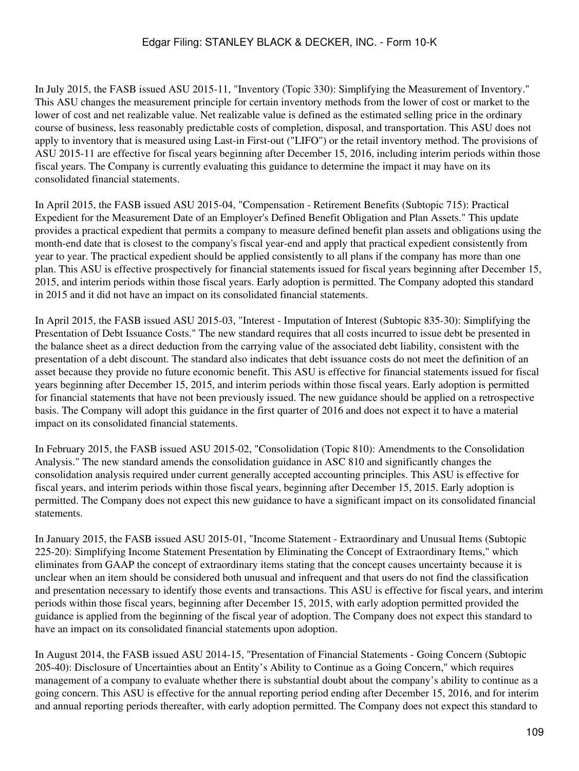In July 2015, the FASB issued ASU 2015-11, "Inventory (Topic 330): Simplifying the Measurement of Inventory." This ASU changes the measurement principle for certain inventory methods from the lower of cost or market to the lower of cost and net realizable value. Net realizable value is defined as the estimated selling price in the ordinary course of business, less reasonably predictable costs of completion, disposal, and transportation. This ASU does not apply to inventory that is measured using Last-in First-out ("LIFO") or the retail inventory method. The provisions of ASU 2015-11 are effective for fiscal years beginning after December 15, 2016, including interim periods within those fiscal years. The Company is currently evaluating this guidance to determine the impact it may have on its consolidated financial statements.

In April 2015, the FASB issued ASU 2015-04, "Compensation - Retirement Benefits (Subtopic 715): Practical Expedient for the Measurement Date of an Employer's Defined Benefit Obligation and Plan Assets." This update provides a practical expedient that permits a company to measure defined benefit plan assets and obligations using the month-end date that is closest to the company's fiscal year-end and apply that practical expedient consistently from year to year. The practical expedient should be applied consistently to all plans if the company has more than one plan. This ASU is effective prospectively for financial statements issued for fiscal years beginning after December 15, 2015, and interim periods within those fiscal years. Early adoption is permitted. The Company adopted this standard in 2015 and it did not have an impact on its consolidated financial statements.

In April 2015, the FASB issued ASU 2015-03, "Interest - Imputation of Interest (Subtopic 835-30): Simplifying the Presentation of Debt Issuance Costs." The new standard requires that all costs incurred to issue debt be presented in the balance sheet as a direct deduction from the carrying value of the associated debt liability, consistent with the presentation of a debt discount. The standard also indicates that debt issuance costs do not meet the definition of an asset because they provide no future economic benefit. This ASU is effective for financial statements issued for fiscal years beginning after December 15, 2015, and interim periods within those fiscal years. Early adoption is permitted for financial statements that have not been previously issued. The new guidance should be applied on a retrospective basis. The Company will adopt this guidance in the first quarter of 2016 and does not expect it to have a material impact on its consolidated financial statements.

In February 2015, the FASB issued ASU 2015-02, "Consolidation (Topic 810): Amendments to the Consolidation Analysis." The new standard amends the consolidation guidance in ASC 810 and significantly changes the consolidation analysis required under current generally accepted accounting principles. This ASU is effective for fiscal years, and interim periods within those fiscal years, beginning after December 15, 2015. Early adoption is permitted. The Company does not expect this new guidance to have a significant impact on its consolidated financial statements.

In January 2015, the FASB issued ASU 2015-01, "Income Statement - Extraordinary and Unusual Items (Subtopic 225-20): Simplifying Income Statement Presentation by Eliminating the Concept of Extraordinary Items," which eliminates from GAAP the concept of extraordinary items stating that the concept causes uncertainty because it is unclear when an item should be considered both unusual and infrequent and that users do not find the classification and presentation necessary to identify those events and transactions. This ASU is effective for fiscal years, and interim periods within those fiscal years, beginning after December 15, 2015, with early adoption permitted provided the guidance is applied from the beginning of the fiscal year of adoption. The Company does not expect this standard to have an impact on its consolidated financial statements upon adoption.

In August 2014, the FASB issued ASU 2014-15, "Presentation of Financial Statements - Going Concern (Subtopic 205-40): Disclosure of Uncertainties about an Entity's Ability to Continue as a Going Concern," which requires management of a company to evaluate whether there is substantial doubt about the company's ability to continue as a going concern. This ASU is effective for the annual reporting period ending after December 15, 2016, and for interim and annual reporting periods thereafter, with early adoption permitted. The Company does not expect this standard to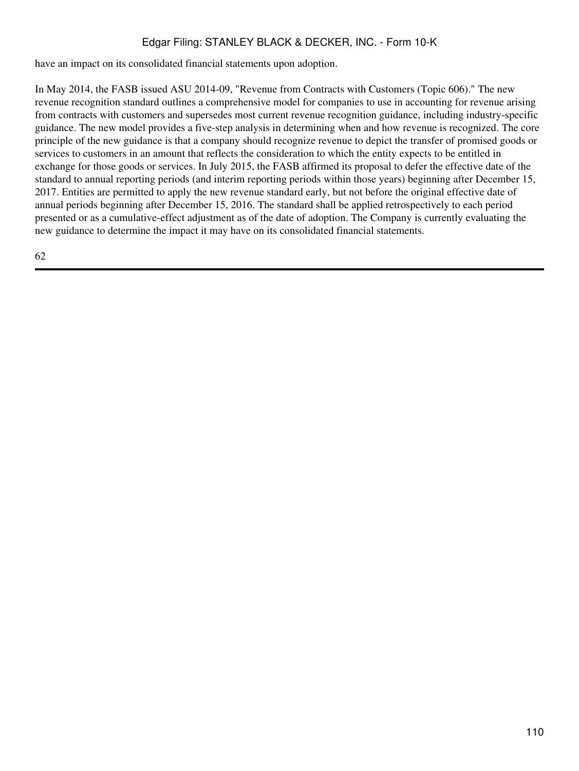have an impact on its consolidated financial statements upon adoption.

In May 2014, the FASB issued ASU 2014-09, "Revenue from Contracts with Customers (Topic 606)." The new revenue recognition standard outlines a comprehensive model for companies to use in accounting for revenue arising from contracts with customers and supersedes most current revenue recognition guidance, including industry-specific guidance. The new model provides a five-step analysis in determining when and how revenue is recognized. The core principle of the new guidance is that a company should recognize revenue to depict the transfer of promised goods or services to customers in an amount that reflects the consideration to which the entity expects to be entitled in exchange for those goods or services. In July 2015, the FASB affirmed its proposal to defer the effective date of the standard to annual reporting periods (and interim reporting periods within those years) beginning after December 15, 2017. Entities are permitted to apply the new revenue standard early, but not before the original effective date of annual periods beginning after December 15, 2016. The standard shall be applied retrospectively to each period presented or as a cumulative-effect adjustment as of the date of adoption. The Company is currently evaluating the new guidance to determine the impact it may have on its consolidated financial statements.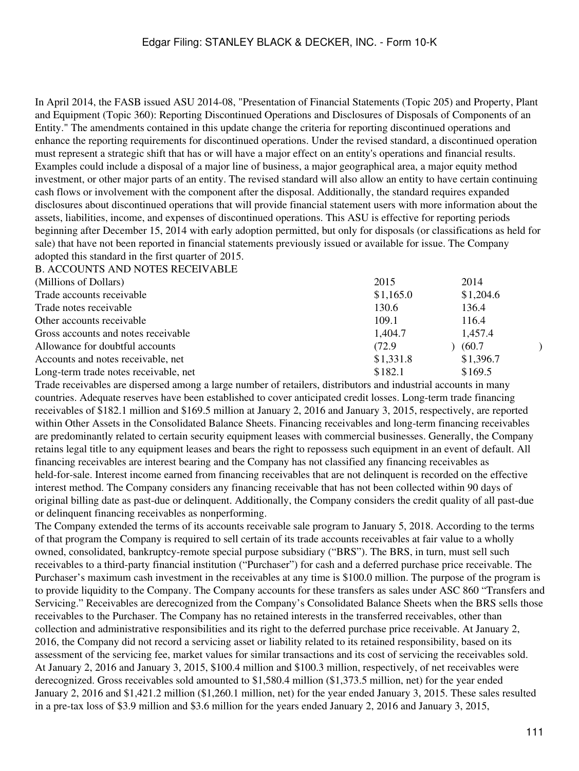In April 2014, the FASB issued ASU 2014-08, "Presentation of Financial Statements (Topic 205) and Property, Plant and Equipment (Topic 360): Reporting Discontinued Operations and Disclosures of Disposals of Components of an Entity." The amendments contained in this update change the criteria for reporting discontinued operations and enhance the reporting requirements for discontinued operations. Under the revised standard, a discontinued operation must represent a strategic shift that has or will have a major effect on an entity's operations and financial results. Examples could include a disposal of a major line of business, a major geographical area, a major equity method investment, or other major parts of an entity. The revised standard will also allow an entity to have certain continuing cash flows or involvement with the component after the disposal. Additionally, the standard requires expanded disclosures about discontinued operations that will provide financial statement users with more information about the assets, liabilities, income, and expenses of discontinued operations. This ASU is effective for reporting periods beginning after December 15, 2014 with early adoption permitted, but only for disposals (or classifications as held for sale) that have not been reported in financial statements previously issued or available for issue. The Company adopted this standard in the first quarter of 2015.

B. ACCOUNTS AND NOTES RECEIVABLE

| (Millions of Dollars)                 | 2015      | 2014      |
|---------------------------------------|-----------|-----------|
| Trade accounts receivable             | \$1,165.0 | \$1,204.6 |
| Trade notes receivable                | 130.6     | 136.4     |
| Other accounts receivable             | 109.1     | 116.4     |
| Gross accounts and notes receivable   | 1,404.7   | 1,457.4   |
| Allowance for doubtful accounts       | (72.9)    | (60.7)    |
| Accounts and notes receivable, net    | \$1,331.8 | \$1,396.7 |
| Long-term trade notes receivable, net | \$182.1   | \$169.5   |

Trade receivables are dispersed among a large number of retailers, distributors and industrial accounts in many countries. Adequate reserves have been established to cover anticipated credit losses. Long-term trade financing receivables of \$182.1 million and \$169.5 million at January 2, 2016 and January 3, 2015, respectively, are reported within Other Assets in the Consolidated Balance Sheets. Financing receivables and long-term financing receivables are predominantly related to certain security equipment leases with commercial businesses. Generally, the Company retains legal title to any equipment leases and bears the right to repossess such equipment in an event of default. All financing receivables are interest bearing and the Company has not classified any financing receivables as held-for-sale. Interest income earned from financing receivables that are not delinquent is recorded on the effective interest method. The Company considers any financing receivable that has not been collected within 90 days of original billing date as past-due or delinquent. Additionally, the Company considers the credit quality of all past-due or delinquent financing receivables as nonperforming.

The Company extended the terms of its accounts receivable sale program to January 5, 2018. According to the terms of that program the Company is required to sell certain of its trade accounts receivables at fair value to a wholly owned, consolidated, bankruptcy-remote special purpose subsidiary ("BRS"). The BRS, in turn, must sell such receivables to a third-party financial institution ("Purchaser") for cash and a deferred purchase price receivable. The Purchaser's maximum cash investment in the receivables at any time is \$100.0 million. The purpose of the program is to provide liquidity to the Company. The Company accounts for these transfers as sales under ASC 860 "Transfers and Servicing." Receivables are derecognized from the Company's Consolidated Balance Sheets when the BRS sells those receivables to the Purchaser. The Company has no retained interests in the transferred receivables, other than collection and administrative responsibilities and its right to the deferred purchase price receivable. At January 2, 2016, the Company did not record a servicing asset or liability related to its retained responsibility, based on its assessment of the servicing fee, market values for similar transactions and its cost of servicing the receivables sold. At January 2, 2016 and January 3, 2015, \$100.4 million and \$100.3 million, respectively, of net receivables were derecognized. Gross receivables sold amounted to \$1,580.4 million (\$1,373.5 million, net) for the year ended January 2, 2016 and \$1,421.2 million (\$1,260.1 million, net) for the year ended January 3, 2015. These sales resulted in a pre-tax loss of \$3.9 million and \$3.6 million for the years ended January 2, 2016 and January 3, 2015,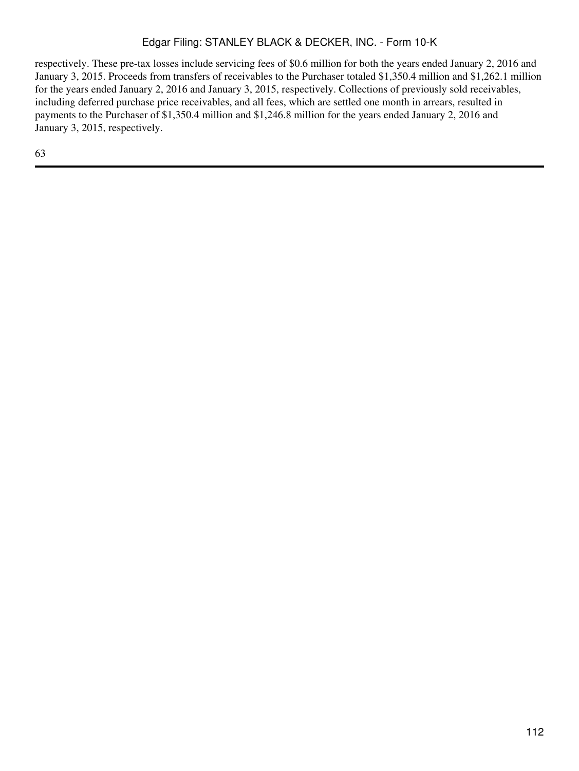respectively. These pre-tax losses include servicing fees of \$0.6 million for both the years ended January 2, 2016 and January 3, 2015. Proceeds from transfers of receivables to the Purchaser totaled \$1,350.4 million and \$1,262.1 million for the years ended January 2, 2016 and January 3, 2015, respectively. Collections of previously sold receivables, including deferred purchase price receivables, and all fees, which are settled one month in arrears, resulted in payments to the Purchaser of \$1,350.4 million and \$1,246.8 million for the years ended January 2, 2016 and January 3, 2015, respectively.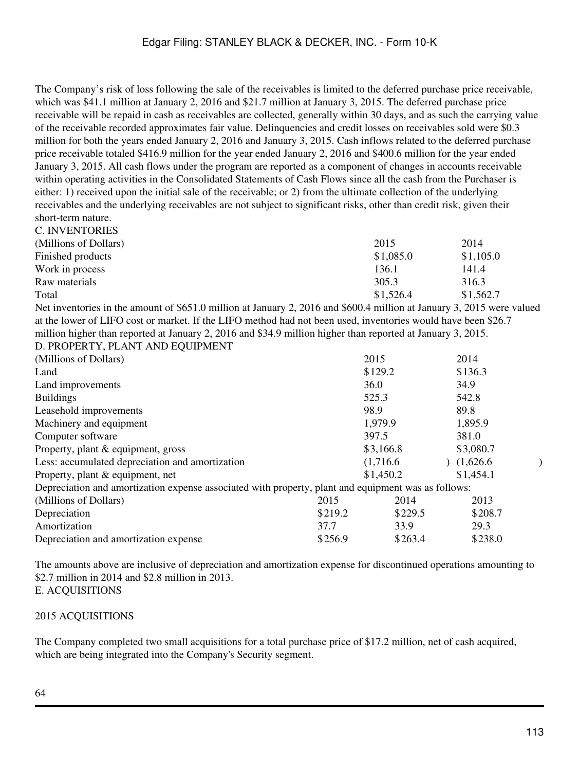The Company's risk of loss following the sale of the receivables is limited to the deferred purchase price receivable, which was \$41.1 million at January 2, 2016 and \$21.7 million at January 3, 2015. The deferred purchase price receivable will be repaid in cash as receivables are collected, generally within 30 days, and as such the carrying value of the receivable recorded approximates fair value. Delinquencies and credit losses on receivables sold were \$0.3 million for both the years ended January 2, 2016 and January 3, 2015. Cash inflows related to the deferred purchase price receivable totaled \$416.9 million for the year ended January 2, 2016 and \$400.6 million for the year ended January 3, 2015. All cash flows under the program are reported as a component of changes in accounts receivable within operating activities in the Consolidated Statements of Cash Flows since all the cash from the Purchaser is either: 1) received upon the initial sale of the receivable; or 2) from the ultimate collection of the underlying receivables and the underlying receivables are not subject to significant risks, other than credit risk, given their short-term nature.

|  |  | <b>C. INVENTORIES</b> |  |  |  |
|--|--|-----------------------|--|--|--|
|--|--|-----------------------|--|--|--|

| (Millions of Dollars) | 2015      | 2014      |
|-----------------------|-----------|-----------|
| Finished products     | \$1,085.0 | \$1,105.0 |
| Work in process       | 136.1     | 141.4     |
| Raw materials         | 305.3     | 316.3     |
| Total                 | \$1,526.4 | \$1,562.7 |

Net inventories in the amount of \$651.0 million at January 2, 2016 and \$600.4 million at January 3, 2015 were valued at the lower of LIFO cost or market. If the LIFO method had not been used, inventories would have been \$26.7 million higher than reported at January 2, 2016 and \$34.9 million higher than reported at January 3, 2015. D. PROPERTY, PLANT AND EQUIPMENT

| (Millions of Dollars)                                                                               |         | 2015      | 2014      |  |
|-----------------------------------------------------------------------------------------------------|---------|-----------|-----------|--|
| Land                                                                                                |         | \$129.2   | \$136.3   |  |
| Land improvements                                                                                   |         | 36.0      | 34.9      |  |
| <b>Buildings</b>                                                                                    |         | 525.3     | 542.8     |  |
| Leasehold improvements                                                                              |         | 98.9      | 89.8      |  |
| Machinery and equipment                                                                             |         | 1,979.9   | 1,895.9   |  |
| Computer software                                                                                   |         | 397.5     | 381.0     |  |
| Property, plant & equipment, gross                                                                  |         | \$3,166.8 | \$3,080.7 |  |
| Less: accumulated depreciation and amortization                                                     |         | (1,716.6) | (1,626.6) |  |
| Property, plant & equipment, net                                                                    |         | \$1,450.2 | \$1,454.1 |  |
| Depreciation and amortization expense associated with property, plant and equipment was as follows: |         |           |           |  |
| (Millions of Dollars)                                                                               | 2015    | 2014      | 2013      |  |
| Depreciation                                                                                        | \$219.2 | \$229.5   | \$208.7   |  |
| Amortization                                                                                        | 37.7    | 33.9      | 29.3      |  |
| Depreciation and amortization expense                                                               | \$256.9 | \$263.4   | \$238.0   |  |
|                                                                                                     |         |           |           |  |

The amounts above are inclusive of depreciation and amortization expense for discontinued operations amounting to \$2.7 million in 2014 and \$2.8 million in 2013. E. ACQUISITIONS

#### 2015 ACQUISITIONS

The Company completed two small acquisitions for a total purchase price of \$17.2 million, net of cash acquired, which are being integrated into the Company's Security segment.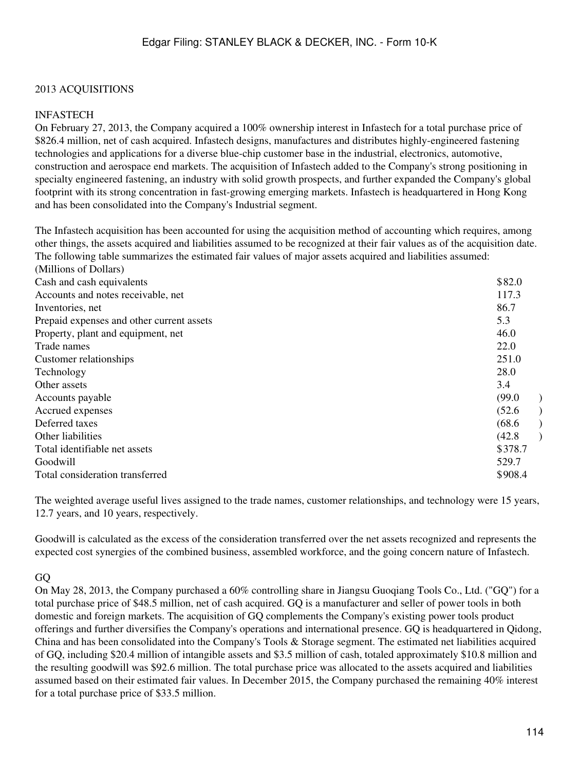## 2013 ACQUISITIONS

#### INFASTECH

On February 27, 2013, the Company acquired a 100% ownership interest in Infastech for a total purchase price of \$826.4 million, net of cash acquired. Infastech designs, manufactures and distributes highly-engineered fastening technologies and applications for a diverse blue-chip customer base in the industrial, electronics, automotive, construction and aerospace end markets. The acquisition of Infastech added to the Company's strong positioning in specialty engineered fastening, an industry with solid growth prospects, and further expanded the Company's global footprint with its strong concentration in fast-growing emerging markets. Infastech is headquartered in Hong Kong and has been consolidated into the Company's Industrial segment.

The Infastech acquisition has been accounted for using the acquisition method of accounting which requires, among other things, the assets acquired and liabilities assumed to be recognized at their fair values as of the acquisition date. The following table summarizes the estimated fair values of major assets acquired and liabilities assumed:

| (Millions of Dollars)                     |         |  |
|-------------------------------------------|---------|--|
| Cash and cash equivalents                 | \$82.0  |  |
| Accounts and notes receivable, net        | 117.3   |  |
| Inventories, net                          | 86.7    |  |
| Prepaid expenses and other current assets | 5.3     |  |
| Property, plant and equipment, net        | 46.0    |  |
| Trade names                               | 22.0    |  |
| Customer relationships                    | 251.0   |  |
| Technology                                | 28.0    |  |
| Other assets                              | 3.4     |  |
| Accounts payable                          | (99.0)  |  |
| Accrued expenses                          | (52.6)  |  |
| Deferred taxes                            | (68.6)  |  |
| Other liabilities                         | (42.8)  |  |
| Total identifiable net assets             | \$378.7 |  |
| Goodwill                                  | 529.7   |  |
| Total consideration transferred           | \$908.4 |  |
|                                           |         |  |

The weighted average useful lives assigned to the trade names, customer relationships, and technology were 15 years, 12.7 years, and 10 years, respectively.

Goodwill is calculated as the excess of the consideration transferred over the net assets recognized and represents the expected cost synergies of the combined business, assembled workforce, and the going concern nature of Infastech.

#### GQ

On May 28, 2013, the Company purchased a 60% controlling share in Jiangsu Guoqiang Tools Co., Ltd. ("GQ") for a total purchase price of \$48.5 million, net of cash acquired. GQ is a manufacturer and seller of power tools in both domestic and foreign markets. The acquisition of GQ complements the Company's existing power tools product offerings and further diversifies the Company's operations and international presence. GQ is headquartered in Qidong, China and has been consolidated into the Company's Tools & Storage segment. The estimated net liabilities acquired of GQ, including \$20.4 million of intangible assets and \$3.5 million of cash, totaled approximately \$10.8 million and the resulting goodwill was \$92.6 million. The total purchase price was allocated to the assets acquired and liabilities assumed based on their estimated fair values. In December 2015, the Company purchased the remaining 40% interest for a total purchase price of \$33.5 million.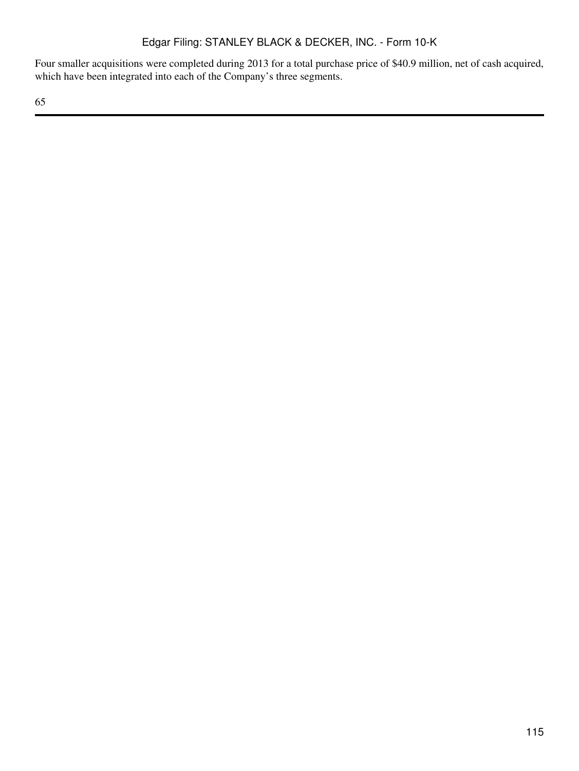Four smaller acquisitions were completed during 2013 for a total purchase price of \$40.9 million, net of cash acquired, which have been integrated into each of the Company's three segments.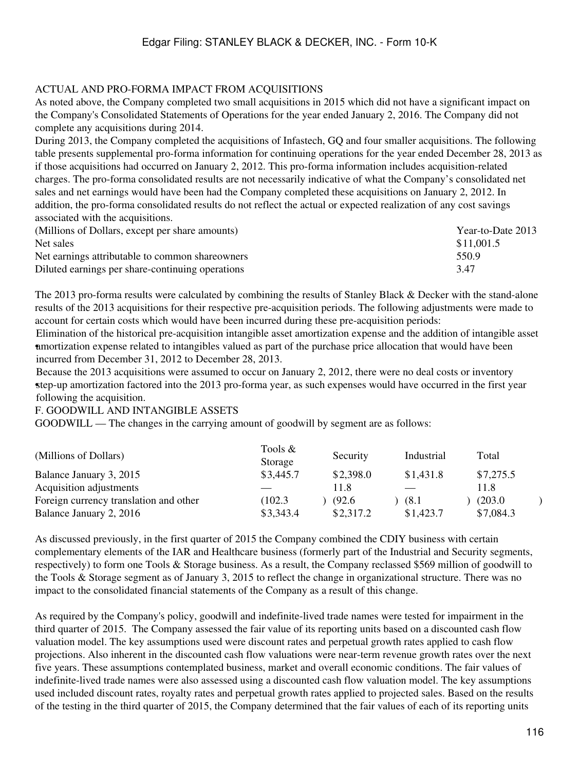#### ACTUAL AND PRO-FORMA IMPACT FROM ACQUISITIONS

As noted above, the Company completed two small acquisitions in 2015 which did not have a significant impact on the Company's Consolidated Statements of Operations for the year ended January 2, 2016. The Company did not complete any acquisitions during 2014.

During 2013, the Company completed the acquisitions of Infastech, GQ and four smaller acquisitions. The following table presents supplemental pro-forma information for continuing operations for the year ended December 28, 2013 as if those acquisitions had occurred on January 2, 2012. This pro-forma information includes acquisition-related charges. The pro-forma consolidated results are not necessarily indicative of what the Company's consolidated net sales and net earnings would have been had the Company completed these acquisitions on January 2, 2012. In addition, the pro-forma consolidated results do not reflect the actual or expected realization of any cost savings associated with the acquisitions.

| (Millions of Dollars, except per share amounts)  | Year-to-Date 2013 |
|--------------------------------------------------|-------------------|
| Net sales                                        | \$11,001.5        |
| Net earnings attributable to common shareowners  | 550.9             |
| Diluted earnings per share-continuing operations | 3.47              |

The 2013 pro-forma results were calculated by combining the results of Stanley Black & Decker with the stand-alone results of the 2013 acquisitions for their respective pre-acquisition periods. The following adjustments were made to account for certain costs which would have been incurred during these pre-acquisition periods:

• amortization expense related to intangibles valued as part of the purchase price allocation that would have been Elimination of the historical pre-acquisition intangible asset amortization expense and the addition of intangible asset incurred from December 31, 2012 to December 28, 2013.

step-up amortization factored into the 2013 pro-forma year, as such expenses would have occurred in the first year Because the 2013 acquisitions were assumed to occur on January 2, 2012, there were no deal costs or inventory following the acquisition.

F. GOODWILL AND INTANGIBLE ASSETS

GOODWILL — The changes in the carrying amount of goodwill by segment are as follows:

| Tools $\&$ | Security  | Industrial | Total     |
|------------|-----------|------------|-----------|
| \$3,445.7  | \$2,398.0 | \$1,431.8  | \$7,275.5 |
|            | 11.8      |            | 11.8      |
| (102.3)    | (92.6)    | (8.1)      | (203.0)   |
| \$3,343.4  | \$2,317.2 | \$1,423.7  | \$7,084.3 |
|            | Storage   |            |           |

As discussed previously, in the first quarter of 2015 the Company combined the CDIY business with certain complementary elements of the IAR and Healthcare business (formerly part of the Industrial and Security segments, respectively) to form one Tools & Storage business. As a result, the Company reclassed \$569 million of goodwill to the Tools & Storage segment as of January 3, 2015 to reflect the change in organizational structure. There was no impact to the consolidated financial statements of the Company as a result of this change.

As required by the Company's policy, goodwill and indefinite-lived trade names were tested for impairment in the third quarter of 2015. The Company assessed the fair value of its reporting units based on a discounted cash flow valuation model. The key assumptions used were discount rates and perpetual growth rates applied to cash flow projections. Also inherent in the discounted cash flow valuations were near-term revenue growth rates over the next five years. These assumptions contemplated business, market and overall economic conditions. The fair values of indefinite-lived trade names were also assessed using a discounted cash flow valuation model. The key assumptions used included discount rates, royalty rates and perpetual growth rates applied to projected sales. Based on the results of the testing in the third quarter of 2015, the Company determined that the fair values of each of its reporting units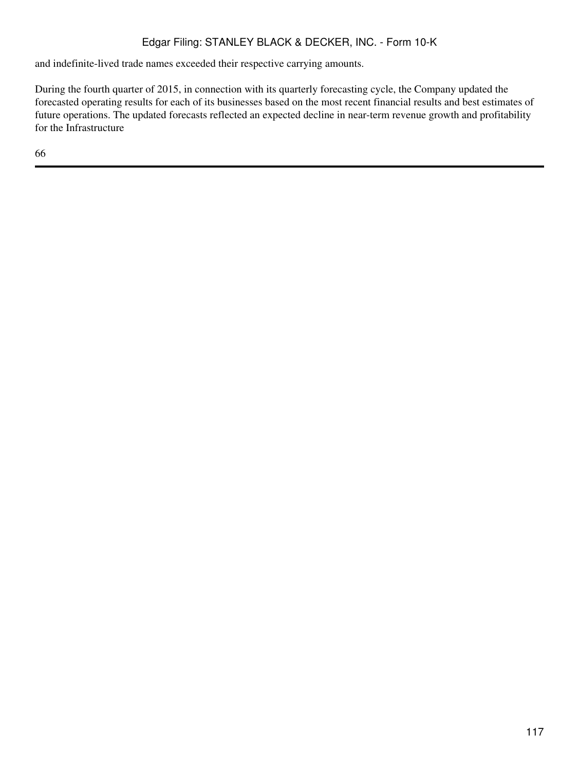and indefinite-lived trade names exceeded their respective carrying amounts.

During the fourth quarter of 2015, in connection with its quarterly forecasting cycle, the Company updated the forecasted operating results for each of its businesses based on the most recent financial results and best estimates of future operations. The updated forecasts reflected an expected decline in near-term revenue growth and profitability for the Infrastructure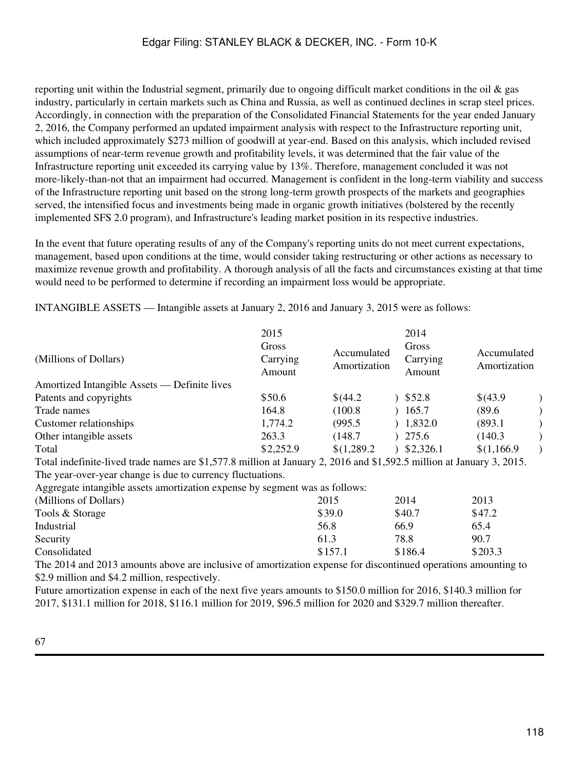reporting unit within the Industrial segment, primarily due to ongoing difficult market conditions in the oil  $\&$  gas industry, particularly in certain markets such as China and Russia, as well as continued declines in scrap steel prices. Accordingly, in connection with the preparation of the Consolidated Financial Statements for the year ended January 2, 2016, the Company performed an updated impairment analysis with respect to the Infrastructure reporting unit, which included approximately \$273 million of goodwill at year-end. Based on this analysis, which included revised assumptions of near-term revenue growth and profitability levels, it was determined that the fair value of the Infrastructure reporting unit exceeded its carrying value by 13%. Therefore, management concluded it was not more-likely-than-not that an impairment had occurred. Management is confident in the long-term viability and success of the Infrastructure reporting unit based on the strong long-term growth prospects of the markets and geographies served, the intensified focus and investments being made in organic growth initiatives (bolstered by the recently implemented SFS 2.0 program), and Infrastructure's leading market position in its respective industries.

In the event that future operating results of any of the Company's reporting units do not meet current expectations, management, based upon conditions at the time, would consider taking restructuring or other actions as necessary to maximize revenue growth and profitability. A thorough analysis of all the facts and circumstances existing at that time would need to be performed to determine if recording an impairment loss would be appropriate.

INTANGIBLE ASSETS — Intangible assets at January 2, 2016 and January 3, 2015 were as follows:

| (Millions of Dollars)                        | 2015<br>Gross<br>Carrying<br>Amount | Accumulated<br>Amortization | 2014<br>Gross<br>Carrying<br>Amount | Accumulated<br>Amortization |  |
|----------------------------------------------|-------------------------------------|-----------------------------|-------------------------------------|-----------------------------|--|
| Amortized Intangible Assets — Definite lives |                                     |                             |                                     |                             |  |
| Patents and copyrights                       | \$50.6                              | \$ (44.2)                   | \$52.8                              | \$ (43.9)                   |  |
| Trade names                                  | 164.8                               | (100.8)                     | 165.7                               | (89.6)                      |  |
| Customer relationships                       | 1,774.2                             | (995.5)                     | 1,832.0                             | (893.1)                     |  |
| Other intangible assets                      | 263.3                               | (148.7)                     | 275.6                               | (140.3)                     |  |
| Total                                        | \$2,252.9                           | \$(1,289.2)                 | \$2,326.1                           | \$(1,166.9)                 |  |

Total indefinite-lived trade names are \$1,577.8 million at January 2, 2016 and \$1,592.5 million at January 3, 2015. The year-over-year change is due to currency fluctuations.

| Aggregate intangible assets amortization expense by segment was as follows: |         |         |         |
|-----------------------------------------------------------------------------|---------|---------|---------|
| (Millions of Dollars)                                                       | 2015    | 2014    | 2013    |
| Tools & Storage                                                             | \$39.0  | \$40.7  | \$47.2  |
| Industrial                                                                  | 56.8    | 66.9    | 65.4    |
| Security                                                                    | 61.3    | 78.8    | 90.7    |
| Consolidated                                                                | \$157.1 | \$186.4 | \$203.3 |
|                                                                             |         |         |         |

The 2014 and 2013 amounts above are inclusive of amortization expense for discontinued operations amounting to \$2.9 million and \$4.2 million, respectively.

Future amortization expense in each of the next five years amounts to \$150.0 million for 2016, \$140.3 million for 2017, \$131.1 million for 2018, \$116.1 million for 2019, \$96.5 million for 2020 and \$329.7 million thereafter.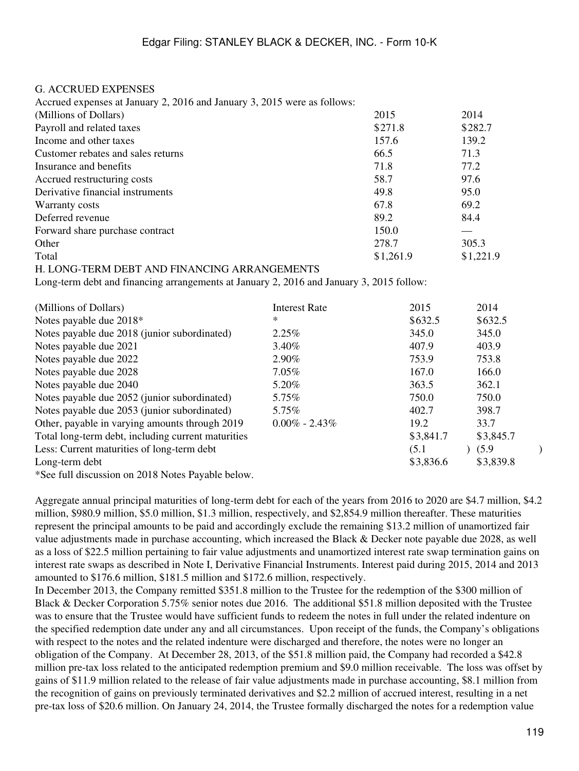#### G. ACCRUED EXPENSES

| Accrued expenses at January 2, 2016 and January 3, 2015 were as follows: |           |           |
|--------------------------------------------------------------------------|-----------|-----------|
| (Millions of Dollars)                                                    | 2015      | 2014      |
| Payroll and related taxes                                                | \$271.8   | \$282.7   |
| Income and other taxes                                                   | 157.6     | 139.2     |
| Customer rebates and sales returns                                       | 66.5      | 71.3      |
| Insurance and benefits                                                   | 71.8      | 77.2      |
| Accrued restructuring costs                                              | 58.7      | 97.6      |
| Derivative financial instruments                                         | 49.8      | 95.0      |
| Warranty costs                                                           | 67.8      | 69.2      |
| Deferred revenue                                                         | 89.2      | 84.4      |
| Forward share purchase contract                                          | 150.0     |           |
| Other                                                                    | 278.7     | 305.3     |
| Total                                                                    | \$1,261.9 | \$1,221.9 |
| IL LOUG BRDLLDRDE LUD FULLUGUIG LDD LUGRLED FRO                          |           |           |

H. LONG-TERM DEBT AND FINANCING ARRANGEMENTS

Long-term debt and financing arrangements at January 2, 2016 and January 3, 2015 follow:

| (Millions of Dollars)                              | <b>Interest Rate</b> | 2015      | 2014      |  |
|----------------------------------------------------|----------------------|-----------|-----------|--|
| Notes payable due 2018*                            | $\ast$               | \$632.5   | \$632.5   |  |
| Notes payable due 2018 (junior subordinated)       | 2.25%                | 345.0     | 345.0     |  |
| Notes payable due 2021                             | $3.40\%$             | 407.9     | 403.9     |  |
| Notes payable due 2022                             | 2.90%                | 753.9     | 753.8     |  |
| Notes payable due 2028                             | $7.05\%$             | 167.0     | 166.0     |  |
| Notes payable due 2040                             | 5.20%                | 363.5     | 362.1     |  |
| Notes payable due 2052 (junior subordinated)       | 5.75%                | 750.0     | 750.0     |  |
| Notes payable due 2053 (junior subordinated)       | 5.75%                | 402.7     | 398.7     |  |
| Other, payable in varying amounts through 2019     | $0.00\%$ - 2.43\%    | 19.2      | 33.7      |  |
| Total long-term debt, including current maturities |                      | \$3,841.7 | \$3,845.7 |  |
| Less: Current maturities of long-term debt         |                      | (5.1)     | (5.9)     |  |
| Long-term debt                                     |                      | \$3,836.6 | \$3,839.8 |  |
| *See full discussion on 2018 Notes Payable below.  |                      |           |           |  |

Aggregate annual principal maturities of long-term debt for each of the years from 2016 to 2020 are \$4.7 million, \$4.2 million, \$980.9 million, \$5.0 million, \$1.3 million, respectively, and \$2,854.9 million thereafter. These maturities represent the principal amounts to be paid and accordingly exclude the remaining \$13.2 million of unamortized fair value adjustments made in purchase accounting, which increased the Black & Decker note payable due 2028, as well as a loss of \$22.5 million pertaining to fair value adjustments and unamortized interest rate swap termination gains on interest rate swaps as described in Note I, Derivative Financial Instruments. Interest paid during 2015, 2014 and 2013 amounted to \$176.6 million, \$181.5 million and \$172.6 million, respectively.

In December 2013, the Company remitted \$351.8 million to the Trustee for the redemption of the \$300 million of Black & Decker Corporation 5.75% senior notes due 2016. The additional \$51.8 million deposited with the Trustee was to ensure that the Trustee would have sufficient funds to redeem the notes in full under the related indenture on the specified redemption date under any and all circumstances. Upon receipt of the funds, the Company's obligations with respect to the notes and the related indenture were discharged and therefore, the notes were no longer an obligation of the Company. At December 28, 2013, of the \$51.8 million paid, the Company had recorded a \$42.8 million pre-tax loss related to the anticipated redemption premium and \$9.0 million receivable. The loss was offset by gains of \$11.9 million related to the release of fair value adjustments made in purchase accounting, \$8.1 million from the recognition of gains on previously terminated derivatives and \$2.2 million of accrued interest, resulting in a net pre-tax loss of \$20.6 million. On January 24, 2014, the Trustee formally discharged the notes for a redemption value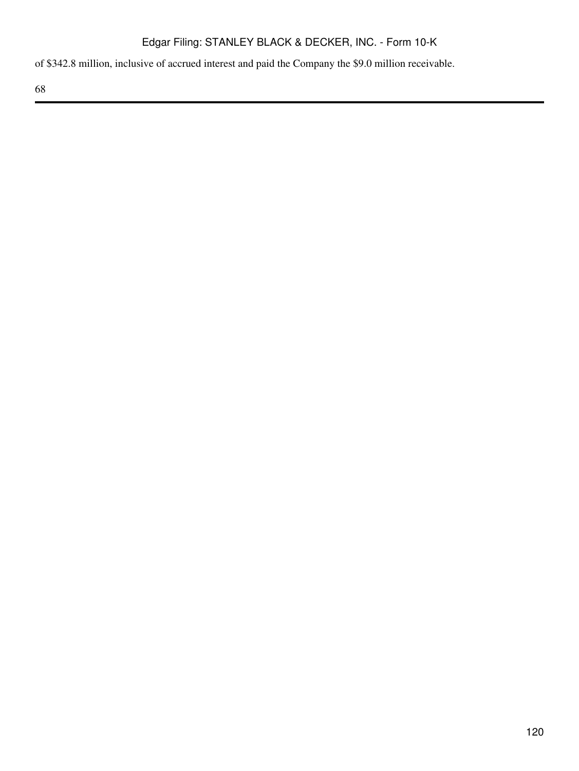of \$342.8 million, inclusive of accrued interest and paid the Company the \$9.0 million receivable.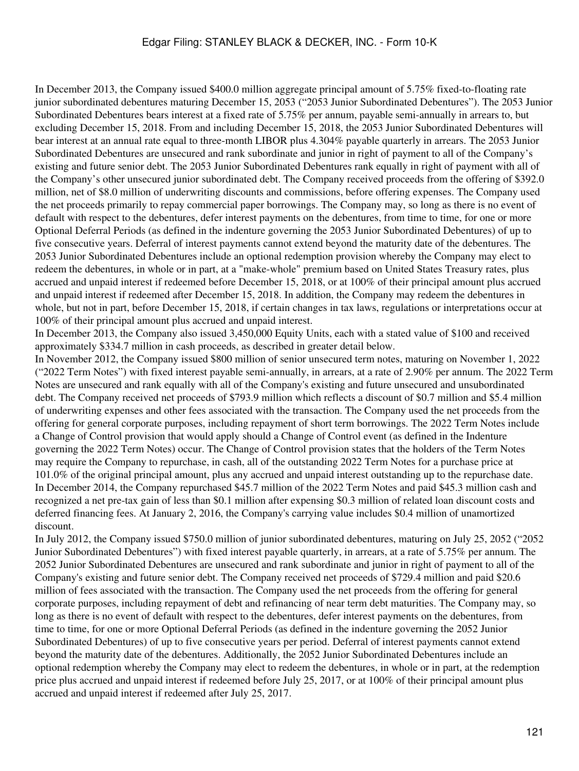In December 2013, the Company issued \$400.0 million aggregate principal amount of 5.75% fixed-to-floating rate junior subordinated debentures maturing December 15, 2053 ("2053 Junior Subordinated Debentures"). The 2053 Junior Subordinated Debentures bears interest at a fixed rate of 5.75% per annum, payable semi-annually in arrears to, but excluding December 15, 2018. From and including December 15, 2018, the 2053 Junior Subordinated Debentures will bear interest at an annual rate equal to three-month LIBOR plus 4.304% payable quarterly in arrears. The 2053 Junior Subordinated Debentures are unsecured and rank subordinate and junior in right of payment to all of the Company's existing and future senior debt. The 2053 Junior Subordinated Debentures rank equally in right of payment with all of the Company's other unsecured junior subordinated debt. The Company received proceeds from the offering of \$392.0 million, net of \$8.0 million of underwriting discounts and commissions, before offering expenses. The Company used the net proceeds primarily to repay commercial paper borrowings. The Company may, so long as there is no event of default with respect to the debentures, defer interest payments on the debentures, from time to time, for one or more Optional Deferral Periods (as defined in the indenture governing the 2053 Junior Subordinated Debentures) of up to five consecutive years. Deferral of interest payments cannot extend beyond the maturity date of the debentures. The 2053 Junior Subordinated Debentures include an optional redemption provision whereby the Company may elect to redeem the debentures, in whole or in part, at a "make-whole" premium based on United States Treasury rates, plus accrued and unpaid interest if redeemed before December 15, 2018, or at 100% of their principal amount plus accrued and unpaid interest if redeemed after December 15, 2018. In addition, the Company may redeem the debentures in whole, but not in part, before December 15, 2018, if certain changes in tax laws, regulations or interpretations occur at 100% of their principal amount plus accrued and unpaid interest.

In December 2013, the Company also issued 3,450,000 Equity Units, each with a stated value of \$100 and received approximately \$334.7 million in cash proceeds, as described in greater detail below.

In November 2012, the Company issued \$800 million of senior unsecured term notes, maturing on November 1, 2022 ("2022 Term Notes") with fixed interest payable semi-annually, in arrears, at a rate of 2.90% per annum. The 2022 Term Notes are unsecured and rank equally with all of the Company's existing and future unsecured and unsubordinated debt. The Company received net proceeds of \$793.9 million which reflects a discount of \$0.7 million and \$5.4 million of underwriting expenses and other fees associated with the transaction. The Company used the net proceeds from the offering for general corporate purposes, including repayment of short term borrowings. The 2022 Term Notes include a Change of Control provision that would apply should a Change of Control event (as defined in the Indenture governing the 2022 Term Notes) occur. The Change of Control provision states that the holders of the Term Notes may require the Company to repurchase, in cash, all of the outstanding 2022 Term Notes for a purchase price at 101.0% of the original principal amount, plus any accrued and unpaid interest outstanding up to the repurchase date. In December 2014, the Company repurchased \$45.7 million of the 2022 Term Notes and paid \$45.3 million cash and recognized a net pre-tax gain of less than \$0.1 million after expensing \$0.3 million of related loan discount costs and deferred financing fees. At January 2, 2016, the Company's carrying value includes \$0.4 million of unamortized discount.

In July 2012, the Company issued \$750.0 million of junior subordinated debentures, maturing on July 25, 2052 ("2052 Junior Subordinated Debentures") with fixed interest payable quarterly, in arrears, at a rate of 5.75% per annum. The 2052 Junior Subordinated Debentures are unsecured and rank subordinate and junior in right of payment to all of the Company's existing and future senior debt. The Company received net proceeds of \$729.4 million and paid \$20.6 million of fees associated with the transaction. The Company used the net proceeds from the offering for general corporate purposes, including repayment of debt and refinancing of near term debt maturities. The Company may, so long as there is no event of default with respect to the debentures, defer interest payments on the debentures, from time to time, for one or more Optional Deferral Periods (as defined in the indenture governing the 2052 Junior Subordinated Debentures) of up to five consecutive years per period. Deferral of interest payments cannot extend beyond the maturity date of the debentures. Additionally, the 2052 Junior Subordinated Debentures include an optional redemption whereby the Company may elect to redeem the debentures, in whole or in part, at the redemption price plus accrued and unpaid interest if redeemed before July 25, 2017, or at 100% of their principal amount plus accrued and unpaid interest if redeemed after July 25, 2017.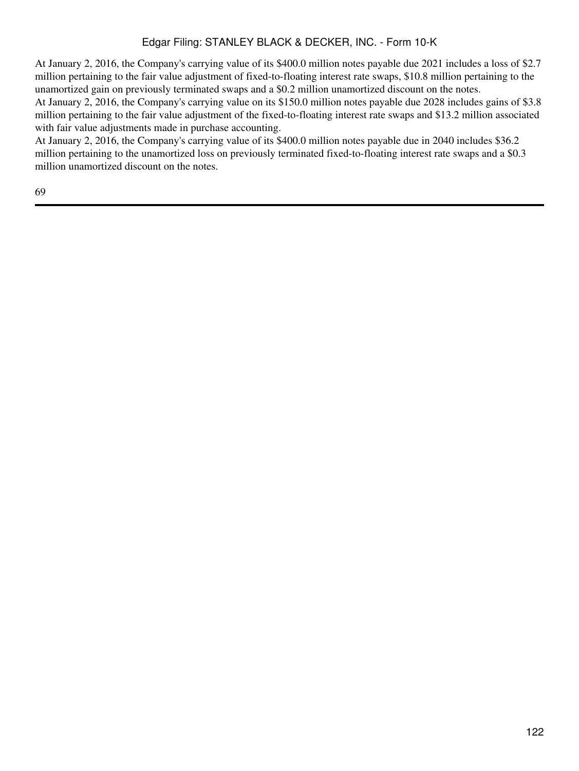At January 2, 2016, the Company's carrying value of its \$400.0 million notes payable due 2021 includes a loss of \$2.7 million pertaining to the fair value adjustment of fixed-to-floating interest rate swaps, \$10.8 million pertaining to the unamortized gain on previously terminated swaps and a \$0.2 million unamortized discount on the notes.

At January 2, 2016, the Company's carrying value on its \$150.0 million notes payable due 2028 includes gains of \$3.8 million pertaining to the fair value adjustment of the fixed-to-floating interest rate swaps and \$13.2 million associated with fair value adjustments made in purchase accounting.

At January 2, 2016, the Company's carrying value of its \$400.0 million notes payable due in 2040 includes \$36.2 million pertaining to the unamortized loss on previously terminated fixed-to-floating interest rate swaps and a \$0.3 million unamortized discount on the notes.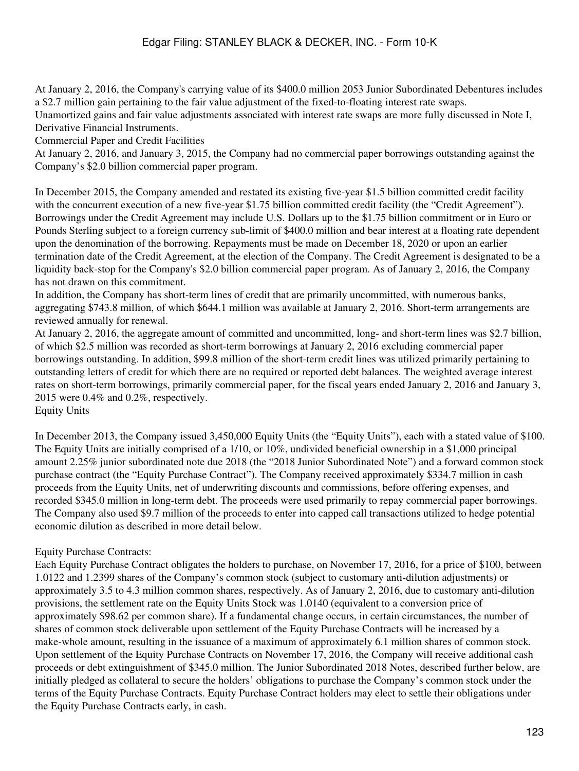At January 2, 2016, the Company's carrying value of its \$400.0 million 2053 Junior Subordinated Debentures includes a \$2.7 million gain pertaining to the fair value adjustment of the fixed-to-floating interest rate swaps.

Unamortized gains and fair value adjustments associated with interest rate swaps are more fully discussed in Note I, Derivative Financial Instruments.

Commercial Paper and Credit Facilities

At January 2, 2016, and January 3, 2015, the Company had no commercial paper borrowings outstanding against the Company's \$2.0 billion commercial paper program.

In December 2015, the Company amended and restated its existing five-year \$1.5 billion committed credit facility with the concurrent execution of a new five-year \$1.75 billion committed credit facility (the "Credit Agreement"). Borrowings under the Credit Agreement may include U.S. Dollars up to the \$1.75 billion commitment or in Euro or Pounds Sterling subject to a foreign currency sub-limit of \$400.0 million and bear interest at a floating rate dependent upon the denomination of the borrowing. Repayments must be made on December 18, 2020 or upon an earlier termination date of the Credit Agreement, at the election of the Company. The Credit Agreement is designated to be a liquidity back-stop for the Company's \$2.0 billion commercial paper program. As of January 2, 2016, the Company has not drawn on this commitment.

In addition, the Company has short-term lines of credit that are primarily uncommitted, with numerous banks, aggregating \$743.8 million, of which \$644.1 million was available at January 2, 2016. Short-term arrangements are reviewed annually for renewal.

At January 2, 2016, the aggregate amount of committed and uncommitted, long- and short-term lines was \$2.7 billion, of which \$2.5 million was recorded as short-term borrowings at January 2, 2016 excluding commercial paper borrowings outstanding. In addition, \$99.8 million of the short-term credit lines was utilized primarily pertaining to outstanding letters of credit for which there are no required or reported debt balances. The weighted average interest rates on short-term borrowings, primarily commercial paper, for the fiscal years ended January 2, 2016 and January 3, 2015 were 0.4% and 0.2%, respectively.

Equity Units

In December 2013, the Company issued 3,450,000 Equity Units (the "Equity Units"), each with a stated value of \$100. The Equity Units are initially comprised of a 1/10, or 10%, undivided beneficial ownership in a \$1,000 principal amount 2.25% junior subordinated note due 2018 (the "2018 Junior Subordinated Note") and a forward common stock purchase contract (the "Equity Purchase Contract"). The Company received approximately \$334.7 million in cash proceeds from the Equity Units, net of underwriting discounts and commissions, before offering expenses, and recorded \$345.0 million in long-term debt. The proceeds were used primarily to repay commercial paper borrowings. The Company also used \$9.7 million of the proceeds to enter into capped call transactions utilized to hedge potential economic dilution as described in more detail below.

#### Equity Purchase Contracts:

Each Equity Purchase Contract obligates the holders to purchase, on November 17, 2016, for a price of \$100, between 1.0122 and 1.2399 shares of the Company's common stock (subject to customary anti-dilution adjustments) or approximately 3.5 to 4.3 million common shares, respectively. As of January 2, 2016, due to customary anti-dilution provisions, the settlement rate on the Equity Units Stock was 1.0140 (equivalent to a conversion price of approximately \$98.62 per common share). If a fundamental change occurs, in certain circumstances, the number of shares of common stock deliverable upon settlement of the Equity Purchase Contracts will be increased by a make-whole amount, resulting in the issuance of a maximum of approximately 6.1 million shares of common stock. Upon settlement of the Equity Purchase Contracts on November 17, 2016, the Company will receive additional cash proceeds or debt extinguishment of \$345.0 million. The Junior Subordinated 2018 Notes, described further below, are initially pledged as collateral to secure the holders' obligations to purchase the Company's common stock under the terms of the Equity Purchase Contracts. Equity Purchase Contract holders may elect to settle their obligations under the Equity Purchase Contracts early, in cash.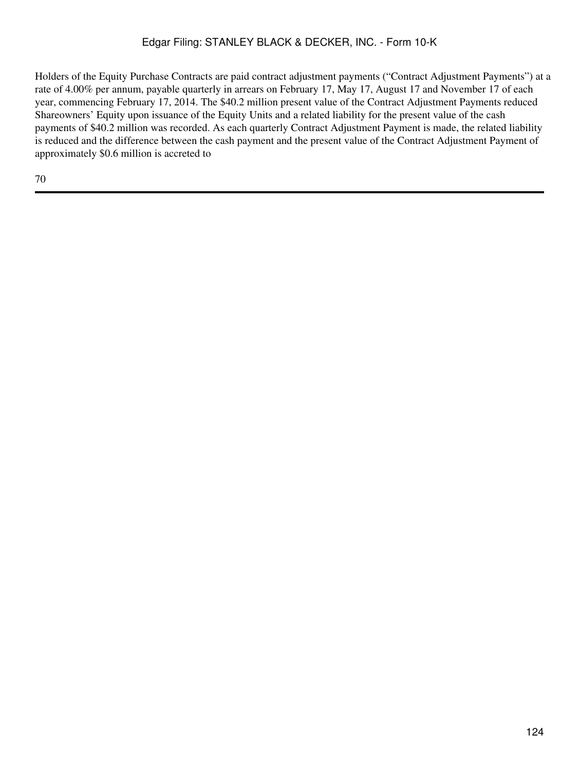Holders of the Equity Purchase Contracts are paid contract adjustment payments ("Contract Adjustment Payments") at a rate of 4.00% per annum, payable quarterly in arrears on February 17, May 17, August 17 and November 17 of each year, commencing February 17, 2014. The \$40.2 million present value of the Contract Adjustment Payments reduced Shareowners' Equity upon issuance of the Equity Units and a related liability for the present value of the cash payments of \$40.2 million was recorded. As each quarterly Contract Adjustment Payment is made, the related liability is reduced and the difference between the cash payment and the present value of the Contract Adjustment Payment of approximately \$0.6 million is accreted to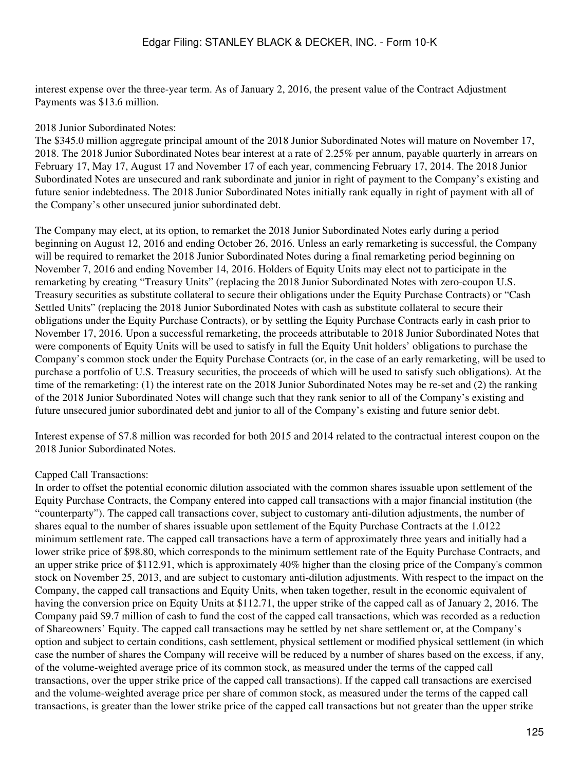interest expense over the three-year term. As of January 2, 2016, the present value of the Contract Adjustment Payments was \$13.6 million.

#### 2018 Junior Subordinated Notes:

The \$345.0 million aggregate principal amount of the 2018 Junior Subordinated Notes will mature on November 17, 2018. The 2018 Junior Subordinated Notes bear interest at a rate of 2.25% per annum, payable quarterly in arrears on February 17, May 17, August 17 and November 17 of each year, commencing February 17, 2014. The 2018 Junior Subordinated Notes are unsecured and rank subordinate and junior in right of payment to the Company's existing and future senior indebtedness. The 2018 Junior Subordinated Notes initially rank equally in right of payment with all of the Company's other unsecured junior subordinated debt.

The Company may elect, at its option, to remarket the 2018 Junior Subordinated Notes early during a period beginning on August 12, 2016 and ending October 26, 2016. Unless an early remarketing is successful, the Company will be required to remarket the 2018 Junior Subordinated Notes during a final remarketing period beginning on November 7, 2016 and ending November 14, 2016. Holders of Equity Units may elect not to participate in the remarketing by creating "Treasury Units" (replacing the 2018 Junior Subordinated Notes with zero-coupon U.S. Treasury securities as substitute collateral to secure their obligations under the Equity Purchase Contracts) or "Cash Settled Units" (replacing the 2018 Junior Subordinated Notes with cash as substitute collateral to secure their obligations under the Equity Purchase Contracts), or by settling the Equity Purchase Contracts early in cash prior to November 17, 2016. Upon a successful remarketing, the proceeds attributable to 2018 Junior Subordinated Notes that were components of Equity Units will be used to satisfy in full the Equity Unit holders' obligations to purchase the Company's common stock under the Equity Purchase Contracts (or, in the case of an early remarketing, will be used to purchase a portfolio of U.S. Treasury securities, the proceeds of which will be used to satisfy such obligations). At the time of the remarketing: (1) the interest rate on the 2018 Junior Subordinated Notes may be re-set and (2) the ranking of the 2018 Junior Subordinated Notes will change such that they rank senior to all of the Company's existing and future unsecured junior subordinated debt and junior to all of the Company's existing and future senior debt.

Interest expense of \$7.8 million was recorded for both 2015 and 2014 related to the contractual interest coupon on the 2018 Junior Subordinated Notes.

#### Capped Call Transactions:

In order to offset the potential economic dilution associated with the common shares issuable upon settlement of the Equity Purchase Contracts, the Company entered into capped call transactions with a major financial institution (the "counterparty"). The capped call transactions cover, subject to customary anti-dilution adjustments, the number of shares equal to the number of shares issuable upon settlement of the Equity Purchase Contracts at the 1.0122 minimum settlement rate. The capped call transactions have a term of approximately three years and initially had a lower strike price of \$98.80, which corresponds to the minimum settlement rate of the Equity Purchase Contracts, and an upper strike price of \$112.91, which is approximately 40% higher than the closing price of the Company's common stock on November 25, 2013, and are subject to customary anti-dilution adjustments. With respect to the impact on the Company, the capped call transactions and Equity Units, when taken together, result in the economic equivalent of having the conversion price on Equity Units at \$112.71, the upper strike of the capped call as of January 2, 2016. The Company paid \$9.7 million of cash to fund the cost of the capped call transactions, which was recorded as a reduction of Shareowners' Equity. The capped call transactions may be settled by net share settlement or, at the Company's option and subject to certain conditions, cash settlement, physical settlement or modified physical settlement (in which case the number of shares the Company will receive will be reduced by a number of shares based on the excess, if any, of the volume-weighted average price of its common stock, as measured under the terms of the capped call transactions, over the upper strike price of the capped call transactions). If the capped call transactions are exercised and the volume-weighted average price per share of common stock, as measured under the terms of the capped call transactions, is greater than the lower strike price of the capped call transactions but not greater than the upper strike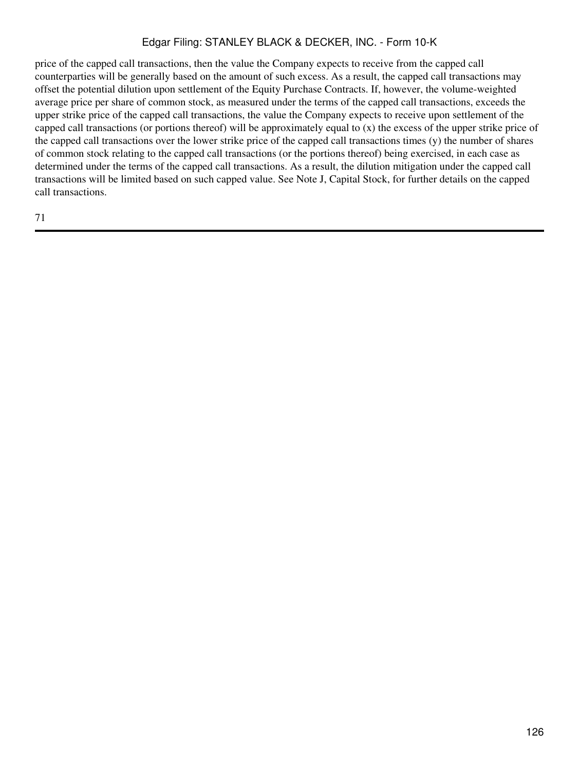price of the capped call transactions, then the value the Company expects to receive from the capped call counterparties will be generally based on the amount of such excess. As a result, the capped call transactions may offset the potential dilution upon settlement of the Equity Purchase Contracts. If, however, the volume-weighted average price per share of common stock, as measured under the terms of the capped call transactions, exceeds the upper strike price of the capped call transactions, the value the Company expects to receive upon settlement of the capped call transactions (or portions thereof) will be approximately equal to (x) the excess of the upper strike price of the capped call transactions over the lower strike price of the capped call transactions times (y) the number of shares of common stock relating to the capped call transactions (or the portions thereof) being exercised, in each case as determined under the terms of the capped call transactions. As a result, the dilution mitigation under the capped call transactions will be limited based on such capped value. See Note J, Capital Stock, for further details on the capped call transactions.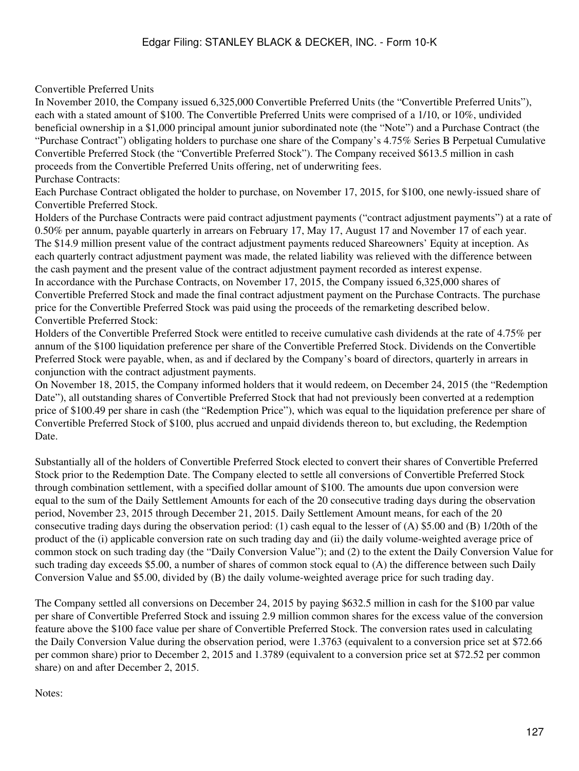#### Convertible Preferred Units

In November 2010, the Company issued 6,325,000 Convertible Preferred Units (the "Convertible Preferred Units"), each with a stated amount of \$100. The Convertible Preferred Units were comprised of a 1/10, or 10%, undivided beneficial ownership in a \$1,000 principal amount junior subordinated note (the "Note") and a Purchase Contract (the "Purchase Contract") obligating holders to purchase one share of the Company's 4.75% Series B Perpetual Cumulative Convertible Preferred Stock (the "Convertible Preferred Stock"). The Company received \$613.5 million in cash proceeds from the Convertible Preferred Units offering, net of underwriting fees. Purchase Contracts:

Each Purchase Contract obligated the holder to purchase, on November 17, 2015, for \$100, one newly-issued share of Convertible Preferred Stock.

Holders of the Purchase Contracts were paid contract adjustment payments ("contract adjustment payments") at a rate of 0.50% per annum, payable quarterly in arrears on February 17, May 17, August 17 and November 17 of each year. The \$14.9 million present value of the contract adjustment payments reduced Shareowners' Equity at inception. As each quarterly contract adjustment payment was made, the related liability was relieved with the difference between the cash payment and the present value of the contract adjustment payment recorded as interest expense. In accordance with the Purchase Contracts, on November 17, 2015, the Company issued 6,325,000 shares of Convertible Preferred Stock and made the final contract adjustment payment on the Purchase Contracts. The purchase price for the Convertible Preferred Stock was paid using the proceeds of the remarketing described below. Convertible Preferred Stock:

Holders of the Convertible Preferred Stock were entitled to receive cumulative cash dividends at the rate of 4.75% per annum of the \$100 liquidation preference per share of the Convertible Preferred Stock. Dividends on the Convertible Preferred Stock were payable, when, as and if declared by the Company's board of directors, quarterly in arrears in conjunction with the contract adjustment payments.

On November 18, 2015, the Company informed holders that it would redeem, on December 24, 2015 (the "Redemption Date"), all outstanding shares of Convertible Preferred Stock that had not previously been converted at a redemption price of \$100.49 per share in cash (the "Redemption Price"), which was equal to the liquidation preference per share of Convertible Preferred Stock of \$100, plus accrued and unpaid dividends thereon to, but excluding, the Redemption Date.

Substantially all of the holders of Convertible Preferred Stock elected to convert their shares of Convertible Preferred Stock prior to the Redemption Date. The Company elected to settle all conversions of Convertible Preferred Stock through combination settlement, with a specified dollar amount of \$100. The amounts due upon conversion were equal to the sum of the Daily Settlement Amounts for each of the 20 consecutive trading days during the observation period, November 23, 2015 through December 21, 2015. Daily Settlement Amount means, for each of the 20 consecutive trading days during the observation period: (1) cash equal to the lesser of (A) \$5.00 and (B) 1/20th of the product of the (i) applicable conversion rate on such trading day and (ii) the daily volume-weighted average price of common stock on such trading day (the "Daily Conversion Value"); and (2) to the extent the Daily Conversion Value for such trading day exceeds \$5.00, a number of shares of common stock equal to (A) the difference between such Daily Conversion Value and \$5.00, divided by (B) the daily volume-weighted average price for such trading day.

The Company settled all conversions on December 24, 2015 by paying \$632.5 million in cash for the \$100 par value per share of Convertible Preferred Stock and issuing 2.9 million common shares for the excess value of the conversion feature above the \$100 face value per share of Convertible Preferred Stock. The conversion rates used in calculating the Daily Conversion Value during the observation period, were 1.3763 (equivalent to a conversion price set at \$72.66 per common share) prior to December 2, 2015 and 1.3789 (equivalent to a conversion price set at \$72.52 per common share) on and after December 2, 2015.

Notes: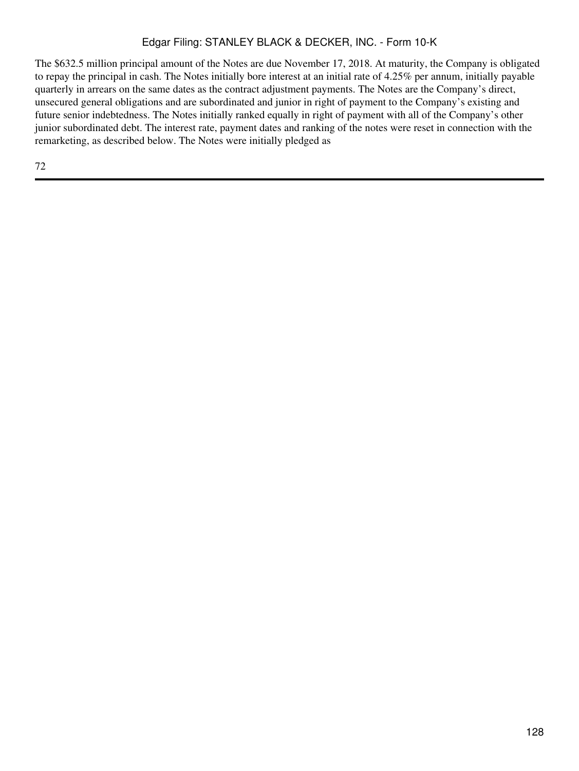The \$632.5 million principal amount of the Notes are due November 17, 2018. At maturity, the Company is obligated to repay the principal in cash. The Notes initially bore interest at an initial rate of 4.25% per annum, initially payable quarterly in arrears on the same dates as the contract adjustment payments. The Notes are the Company's direct, unsecured general obligations and are subordinated and junior in right of payment to the Company's existing and future senior indebtedness. The Notes initially ranked equally in right of payment with all of the Company's other junior subordinated debt. The interest rate, payment dates and ranking of the notes were reset in connection with the remarketing, as described below. The Notes were initially pledged as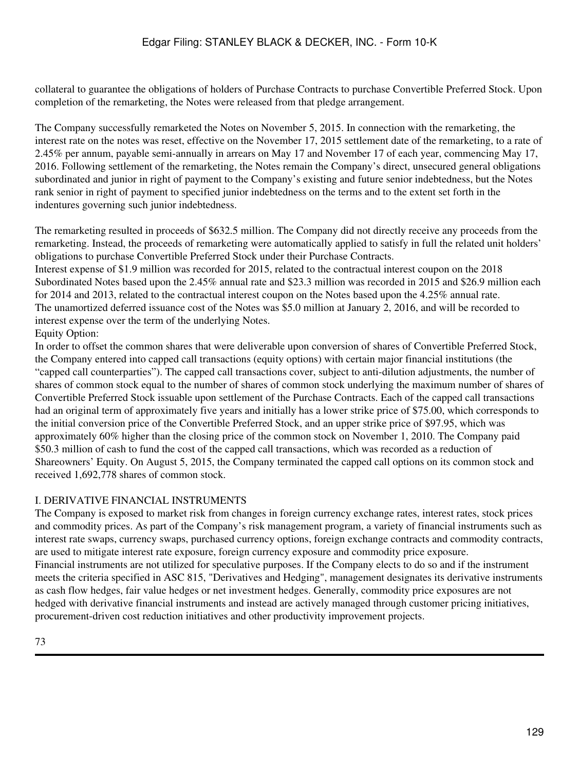collateral to guarantee the obligations of holders of Purchase Contracts to purchase Convertible Preferred Stock. Upon completion of the remarketing, the Notes were released from that pledge arrangement.

The Company successfully remarketed the Notes on November 5, 2015. In connection with the remarketing, the interest rate on the notes was reset, effective on the November 17, 2015 settlement date of the remarketing, to a rate of 2.45% per annum, payable semi-annually in arrears on May 17 and November 17 of each year, commencing May 17, 2016. Following settlement of the remarketing, the Notes remain the Company's direct, unsecured general obligations subordinated and junior in right of payment to the Company's existing and future senior indebtedness, but the Notes rank senior in right of payment to specified junior indebtedness on the terms and to the extent set forth in the indentures governing such junior indebtedness.

The remarketing resulted in proceeds of \$632.5 million. The Company did not directly receive any proceeds from the remarketing. Instead, the proceeds of remarketing were automatically applied to satisfy in full the related unit holders' obligations to purchase Convertible Preferred Stock under their Purchase Contracts.

Interest expense of \$1.9 million was recorded for 2015, related to the contractual interest coupon on the 2018 Subordinated Notes based upon the 2.45% annual rate and \$23.3 million was recorded in 2015 and \$26.9 million each for 2014 and 2013, related to the contractual interest coupon on the Notes based upon the 4.25% annual rate. The unamortized deferred issuance cost of the Notes was \$5.0 million at January 2, 2016, and will be recorded to interest expense over the term of the underlying Notes.

## Equity Option:

In order to offset the common shares that were deliverable upon conversion of shares of Convertible Preferred Stock, the Company entered into capped call transactions (equity options) with certain major financial institutions (the "capped call counterparties"). The capped call transactions cover, subject to anti-dilution adjustments, the number of shares of common stock equal to the number of shares of common stock underlying the maximum number of shares of Convertible Preferred Stock issuable upon settlement of the Purchase Contracts. Each of the capped call transactions had an original term of approximately five years and initially has a lower strike price of \$75.00, which corresponds to the initial conversion price of the Convertible Preferred Stock, and an upper strike price of \$97.95, which was approximately 60% higher than the closing price of the common stock on November 1, 2010. The Company paid \$50.3 million of cash to fund the cost of the capped call transactions, which was recorded as a reduction of Shareowners' Equity. On August 5, 2015, the Company terminated the capped call options on its common stock and received 1,692,778 shares of common stock.

#### I. DERIVATIVE FINANCIAL INSTRUMENTS

The Company is exposed to market risk from changes in foreign currency exchange rates, interest rates, stock prices and commodity prices. As part of the Company's risk management program, a variety of financial instruments such as interest rate swaps, currency swaps, purchased currency options, foreign exchange contracts and commodity contracts, are used to mitigate interest rate exposure, foreign currency exposure and commodity price exposure. Financial instruments are not utilized for speculative purposes. If the Company elects to do so and if the instrument meets the criteria specified in ASC 815, "Derivatives and Hedging", management designates its derivative instruments as cash flow hedges, fair value hedges or net investment hedges. Generally, commodity price exposures are not hedged with derivative financial instruments and instead are actively managed through customer pricing initiatives, procurement-driven cost reduction initiatives and other productivity improvement projects.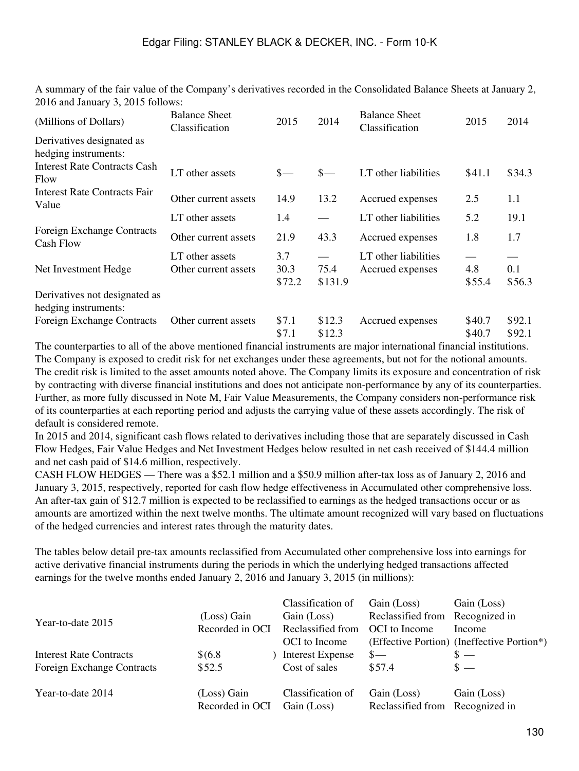| (Millions of Dollars)                                 | <b>Balance Sheet</b><br>Classification | 2015            | 2014             | <b>Balance Sheet</b><br>Classification | 2015             | 2014             |
|-------------------------------------------------------|----------------------------------------|-----------------|------------------|----------------------------------------|------------------|------------------|
| Derivatives designated as                             |                                        |                 |                  |                                        |                  |                  |
| hedging instruments:                                  |                                        |                 |                  |                                        |                  |                  |
| <b>Interest Rate Contracts Cash</b><br>Flow           | LT other assets                        | $\frac{\ }{s-}$ | $s-$             | LT other liabilities                   | \$41.1           | \$34.3           |
| <b>Interest Rate Contracts Fair</b><br>Value          | Other current assets                   | 14.9            | 13.2             | Accrued expenses                       | 2.5              | 1.1              |
|                                                       | LT other assets                        | 1.4             |                  | LT other liabilities                   | 5.2              | 19.1             |
| <b>Foreign Exchange Contracts</b><br>Cash Flow        | Other current assets                   | 21.9            | 43.3             | Accrued expenses                       | 1.8              | 1.7              |
|                                                       | LT other assets                        | 3.7             |                  | LT other liabilities                   |                  |                  |
| Net Investment Hedge                                  | Other current assets                   | 30.3<br>\$72.2  | 75.4<br>\$131.9  | Accrued expenses                       | 4.8<br>\$55.4    | 0.1<br>\$56.3    |
| Derivatives not designated as<br>hedging instruments: |                                        |                 |                  |                                        |                  |                  |
| <b>Foreign Exchange Contracts</b>                     | Other current assets                   | \$7.1<br>\$7.1  | \$12.3<br>\$12.3 | Accrued expenses                       | \$40.7<br>\$40.7 | \$92.1<br>\$92.1 |

A summary of the fair value of the Company's derivatives recorded in the Consolidated Balance Sheets at January 2, 2016 and January 3, 2015 follows:

The counterparties to all of the above mentioned financial instruments are major international financial institutions. The Company is exposed to credit risk for net exchanges under these agreements, but not for the notional amounts. The credit risk is limited to the asset amounts noted above. The Company limits its exposure and concentration of risk by contracting with diverse financial institutions and does not anticipate non-performance by any of its counterparties. Further, as more fully discussed in Note M, Fair Value Measurements, the Company considers non-performance risk of its counterparties at each reporting period and adjusts the carrying value of these assets accordingly. The risk of default is considered remote.

In 2015 and 2014, significant cash flows related to derivatives including those that are separately discussed in Cash Flow Hedges, Fair Value Hedges and Net Investment Hedges below resulted in net cash received of \$144.4 million and net cash paid of \$14.6 million, respectively.

CASH FLOW HEDGES — There was a \$52.1 million and a \$50.9 million after-tax loss as of January 2, 2016 and January 3, 2015, respectively, reported for cash flow hedge effectiveness in Accumulated other comprehensive loss. An after-tax gain of \$12.7 million is expected to be reclassified to earnings as the hedged transactions occur or as amounts are amortized within the next twelve months. The ultimate amount recognized will vary based on fluctuations of the hedged currencies and interest rates through the maturity dates.

The tables below detail pre-tax amounts reclassified from Accumulated other comprehensive loss into earnings for active derivative financial instruments during the periods in which the underlying hedged transactions affected earnings for the twelve months ended January 2, 2016 and January 3, 2015 (in millions):

|                                |                 | Classification of       | Gain (Loss)       | Gain (Loss)                                |
|--------------------------------|-----------------|-------------------------|-------------------|--------------------------------------------|
| Year-to-date 2015              | (Loss) Gain     | Gain (Loss)             | Reclassified from | Recognized in                              |
|                                | Recorded in OCI | Reclassified from       | OCI to Income     | Income                                     |
|                                |                 | OCI to Income           |                   | (Effective Portion) (Ineffective Portion*) |
| <b>Interest Rate Contracts</b> | \$ (6.8)        | <b>Interest Expense</b> | $S-$              | $\mathbb{S}$ —                             |
| Foreign Exchange Contracts     | \$52.5          | Cost of sales           | \$57.4            | $\mathbf{s}$ —                             |
| Year-to-date 2014              | (Loss) Gain     | Classification of       | Gain (Loss)       | Gain (Loss)                                |
|                                | Recorded in OCI | Gain (Loss)             | Reclassified from | Recognized in                              |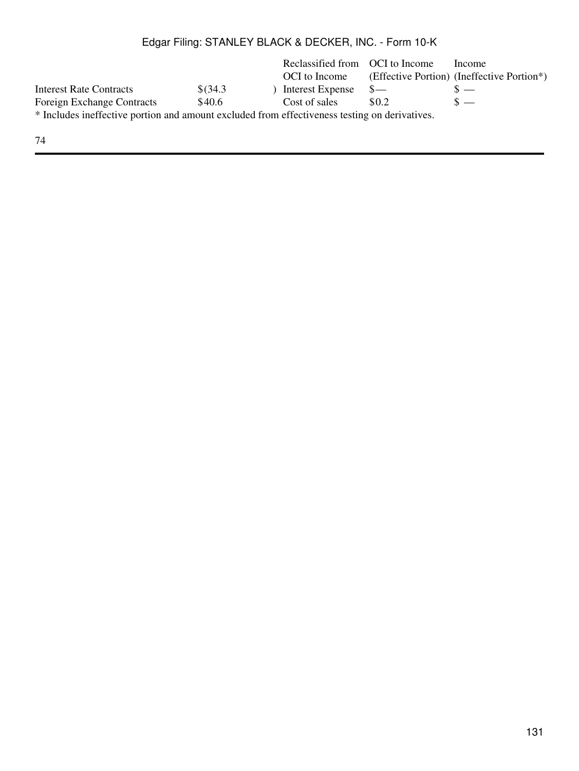|                                                                                               |            |  | Reclassified from OCI to Income |       | Income                                     |  |  |
|-----------------------------------------------------------------------------------------------|------------|--|---------------------------------|-------|--------------------------------------------|--|--|
|                                                                                               |            |  | OCI to Income                   |       | (Effective Portion) (Ineffective Portion*) |  |  |
| <b>Interest Rate Contracts</b>                                                                | $$$ (34.3) |  | Interest Expense                | $S-$  | $s =$                                      |  |  |
| Foreign Exchange Contracts                                                                    | \$40.6     |  | Cost of sales                   | \$0.2 | $\mathbf{s} =$                             |  |  |
| * Includes ineffective portion and amount excluded from effectiveness testing on derivatives. |            |  |                                 |       |                                            |  |  |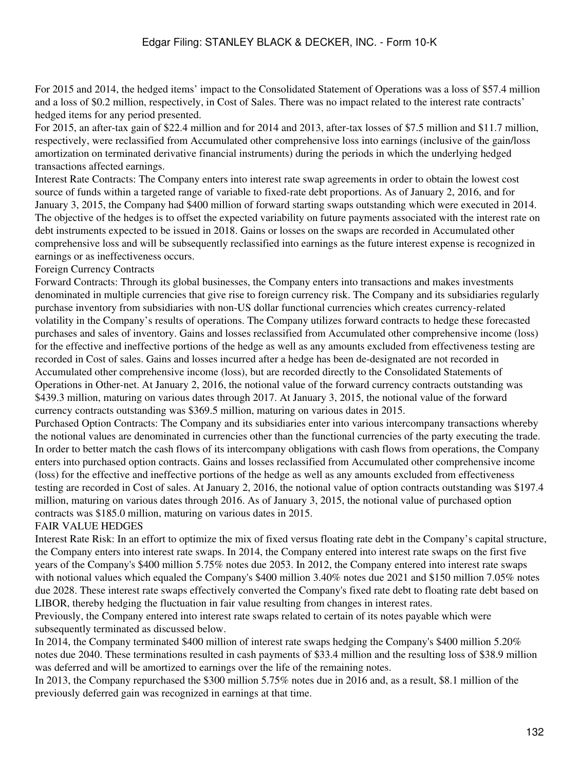For 2015 and 2014, the hedged items' impact to the Consolidated Statement of Operations was a loss of \$57.4 million and a loss of \$0.2 million, respectively, in Cost of Sales. There was no impact related to the interest rate contracts' hedged items for any period presented.

For 2015, an after-tax gain of \$22.4 million and for 2014 and 2013, after-tax losses of \$7.5 million and \$11.7 million, respectively, were reclassified from Accumulated other comprehensive loss into earnings (inclusive of the gain/loss amortization on terminated derivative financial instruments) during the periods in which the underlying hedged transactions affected earnings.

Interest Rate Contracts: The Company enters into interest rate swap agreements in order to obtain the lowest cost source of funds within a targeted range of variable to fixed-rate debt proportions. As of January 2, 2016, and for January 3, 2015, the Company had \$400 million of forward starting swaps outstanding which were executed in 2014. The objective of the hedges is to offset the expected variability on future payments associated with the interest rate on debt instruments expected to be issued in 2018. Gains or losses on the swaps are recorded in Accumulated other comprehensive loss and will be subsequently reclassified into earnings as the future interest expense is recognized in earnings or as ineffectiveness occurs.

#### Foreign Currency Contracts

Forward Contracts: Through its global businesses, the Company enters into transactions and makes investments denominated in multiple currencies that give rise to foreign currency risk. The Company and its subsidiaries regularly purchase inventory from subsidiaries with non-US dollar functional currencies which creates currency-related volatility in the Company's results of operations. The Company utilizes forward contracts to hedge these forecasted purchases and sales of inventory. Gains and losses reclassified from Accumulated other comprehensive income (loss) for the effective and ineffective portions of the hedge as well as any amounts excluded from effectiveness testing are recorded in Cost of sales. Gains and losses incurred after a hedge has been de-designated are not recorded in Accumulated other comprehensive income (loss), but are recorded directly to the Consolidated Statements of Operations in Other-net. At January 2, 2016, the notional value of the forward currency contracts outstanding was \$439.3 million, maturing on various dates through 2017. At January 3, 2015, the notional value of the forward currency contracts outstanding was \$369.5 million, maturing on various dates in 2015.

Purchased Option Contracts: The Company and its subsidiaries enter into various intercompany transactions whereby the notional values are denominated in currencies other than the functional currencies of the party executing the trade. In order to better match the cash flows of its intercompany obligations with cash flows from operations, the Company enters into purchased option contracts. Gains and losses reclassified from Accumulated other comprehensive income (loss) for the effective and ineffective portions of the hedge as well as any amounts excluded from effectiveness testing are recorded in Cost of sales. At January 2, 2016, the notional value of option contracts outstanding was \$197.4 million, maturing on various dates through 2016. As of January 3, 2015, the notional value of purchased option contracts was \$185.0 million, maturing on various dates in 2015.

#### FAIR VALUE HEDGES

Interest Rate Risk: In an effort to optimize the mix of fixed versus floating rate debt in the Company's capital structure, the Company enters into interest rate swaps. In 2014, the Company entered into interest rate swaps on the first five years of the Company's \$400 million 5.75% notes due 2053. In 2012, the Company entered into interest rate swaps with notional values which equaled the Company's \$400 million 3.40% notes due 2021 and \$150 million 7.05% notes due 2028. These interest rate swaps effectively converted the Company's fixed rate debt to floating rate debt based on LIBOR, thereby hedging the fluctuation in fair value resulting from changes in interest rates.

Previously, the Company entered into interest rate swaps related to certain of its notes payable which were subsequently terminated as discussed below.

In 2014, the Company terminated \$400 million of interest rate swaps hedging the Company's \$400 million 5.20% notes due 2040. These terminations resulted in cash payments of \$33.4 million and the resulting loss of \$38.9 million was deferred and will be amortized to earnings over the life of the remaining notes.

In 2013, the Company repurchased the \$300 million 5.75% notes due in 2016 and, as a result, \$8.1 million of the previously deferred gain was recognized in earnings at that time.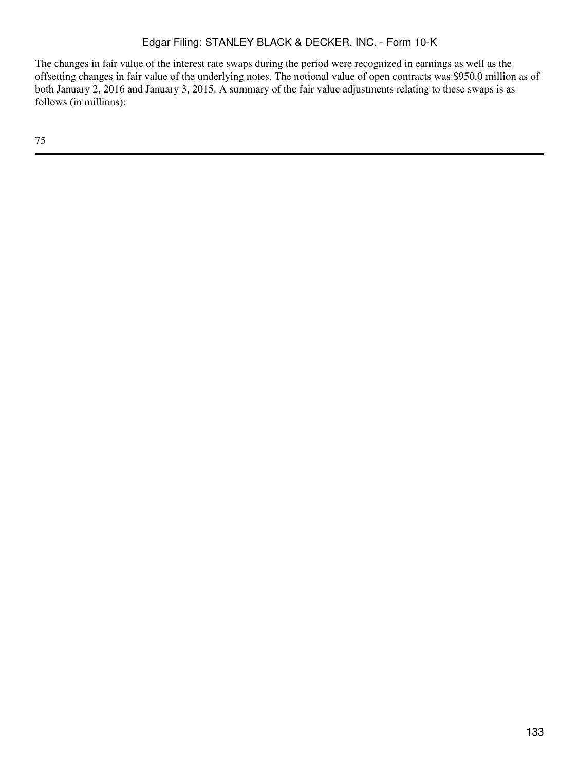The changes in fair value of the interest rate swaps during the period were recognized in earnings as well as the offsetting changes in fair value of the underlying notes. The notional value of open contracts was \$950.0 million as of both January 2, 2016 and January 3, 2015. A summary of the fair value adjustments relating to these swaps is as follows (in millions):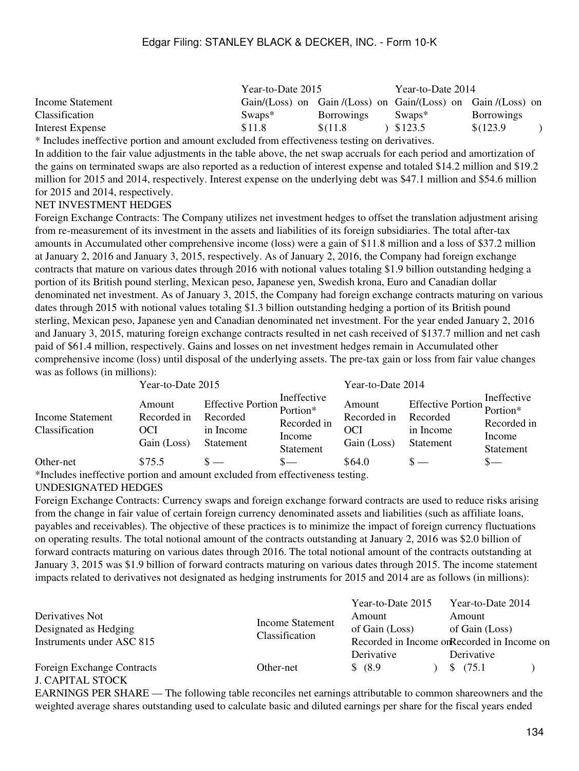|                                                                                             | Year-to-Date 2015  |                                                             | Year-to-Date 2014 |                   |  |
|---------------------------------------------------------------------------------------------|--------------------|-------------------------------------------------------------|-------------------|-------------------|--|
| Income Statement                                                                            |                    | Gain/(Loss) on Gain/(Loss) on Gain/(Loss) on Gain/(Loss) on |                   |                   |  |
| Classification                                                                              | Swaps <sup>*</sup> | <b>Borrowings</b>                                           | Swaps*            | <b>Borrowings</b> |  |
| <b>Interest Expense</b>                                                                     | \$11.8             | \$(11.8                                                     | 5123.5            | \$(123.9)         |  |
| st Leabed en La Charles namben and amazent andreded from affectiveness texting on designate |                    |                                                             |                   |                   |  |

\* Includes ineffective portion and amount excluded from effectiveness testing on derivatives. In addition to the fair value adjustments in the table above, the net swap accruals for each period and amortization of the gains on terminated swaps are also reported as a reduction of interest expense and totaled \$14.2 million and \$19.2 million for 2015 and 2014, respectively. Interest expense on the underlying debt was \$47.1 million and \$54.6 million for 2015 and 2014, respectively.

#### NET INVESTMENT HEDGES

Foreign Exchange Contracts: The Company utilizes net investment hedges to offset the translation adjustment arising from re-measurement of its investment in the assets and liabilities of its foreign subsidiaries. The total after-tax amounts in Accumulated other comprehensive income (loss) were a gain of \$11.8 million and a loss of \$37.2 million at January 2, 2016 and January 3, 2015, respectively. As of January 2, 2016, the Company had foreign exchange contracts that mature on various dates through 2016 with notional values totaling \$1.9 billion outstanding hedging a portion of its British pound sterling, Mexican peso, Japanese yen, Swedish krona, Euro and Canadian dollar denominated net investment. As of January 3, 2015, the Company had foreign exchange contracts maturing on various dates through 2015 with notional values totaling \$1.3 billion outstanding hedging a portion of its British pound sterling, Mexican peso, Japanese yen and Canadian denominated net investment. For the year ended January 2, 2016 and January 3, 2015, maturing foreign exchange contracts resulted in net cash received of \$137.7 million and net cash paid of \$61.4 million, respectively. Gains and losses on net investment hedges remain in Accumulated other comprehensive income (loss) until disposal of the underlying assets. The pre-tax gain or loss from fair value changes was as follows (in millions):

|                                    | Year-to-Date 2015                           |                                                                     |                                           | Year-to-Date 2014                           |                                                                                 |                                    |
|------------------------------------|---------------------------------------------|---------------------------------------------------------------------|-------------------------------------------|---------------------------------------------|---------------------------------------------------------------------------------|------------------------------------|
| Income Statement<br>Classification | Amount<br>Recorded in<br>OCI<br>Gain (Loss) | Effective Portion<br>Portion*<br>Recorded<br>in Income<br>Statement | Recorded in<br>Income<br><b>Statement</b> | Amount<br>Recorded in<br>OCI<br>Gain (Loss) | Effective Portion Ineffective<br>Portion*<br>Recorded<br>in Income<br>Statement | Recorded in<br>Income<br>Statement |
| Other-net                          | \$75.5                                      |                                                                     | $S-$                                      | \$64.0                                      |                                                                                 |                                    |

\*Includes ineffective portion and amount excluded from effectiveness testing.

#### UNDESIGNATED HEDGES

Foreign Exchange Contracts: Currency swaps and foreign exchange forward contracts are used to reduce risks arising from the change in fair value of certain foreign currency denominated assets and liabilities (such as affiliate loans, payables and receivables). The objective of these practices is to minimize the impact of foreign currency fluctuations on operating results. The total notional amount of the contracts outstanding at January 2, 2016 was \$2.0 billion of forward contracts maturing on various dates through 2016. The total notional amount of the contracts outstanding at January 3, 2015 was \$1.9 billion of forward contracts maturing on various dates through 2015. The income statement impacts related to derivatives not designated as hedging instruments for 2015 and 2014 are as follows (in millions):

|                            |                       | Year-to-Date 2015                           | Year-to-Date 2014       |  |
|----------------------------|-----------------------|---------------------------------------------|-------------------------|--|
| Derivatives Not            | Income Statement      | Amount                                      | Amount                  |  |
| Designated as Hedging      | <b>Classification</b> | of Gain (Loss)                              | of Gain (Loss)          |  |
| Instruments under ASC 815  |                       | Recorded in Income on Recorded in Income on |                         |  |
|                            |                       | Derivative                                  | Derivative              |  |
| Foreign Exchange Contracts | Other-net             | \$ (8.9)                                    | (75.1)<br><sup>\$</sup> |  |

J. CAPITAL STOCK

EARNINGS PER SHARE — The following table reconciles net earnings attributable to common shareowners and the weighted average shares outstanding used to calculate basic and diluted earnings per share for the fiscal years ended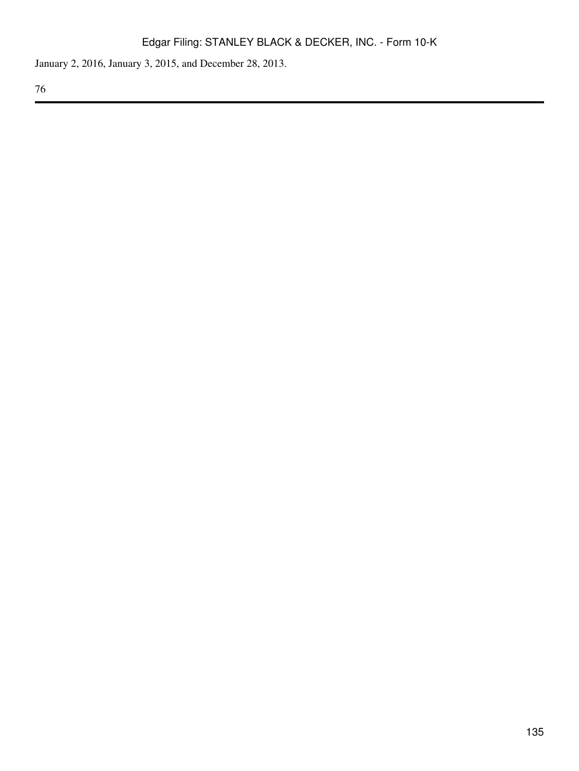January 2, 2016, January 3, 2015, and December 28, 2013.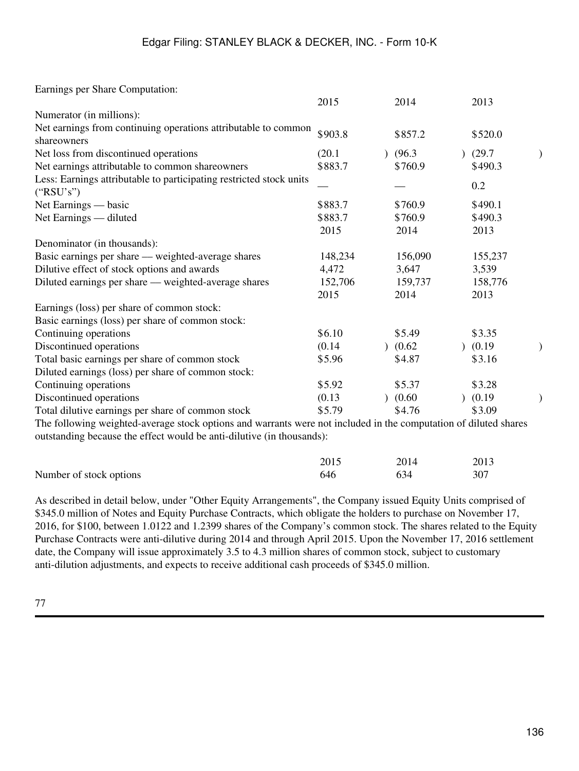| Earnings per Share Computation:                                                  |         |                                                                                                                                                                                                                                                                                                                |         |  |
|----------------------------------------------------------------------------------|---------|----------------------------------------------------------------------------------------------------------------------------------------------------------------------------------------------------------------------------------------------------------------------------------------------------------------|---------|--|
|                                                                                  | 2015    | 2014                                                                                                                                                                                                                                                                                                           | 2013    |  |
| Numerator (in millions):                                                         |         |                                                                                                                                                                                                                                                                                                                |         |  |
| Net earnings from continuing operations attributable to common<br>shareowners    | \$903.8 | \$857.2                                                                                                                                                                                                                                                                                                        | \$520.0 |  |
| Net loss from discontinued operations                                            | (20.1)  | (96.3)                                                                                                                                                                                                                                                                                                         | (29.7)  |  |
| Net earnings attributable to common shareowners                                  | \$883.7 | \$760.9                                                                                                                                                                                                                                                                                                        | \$490.3 |  |
| Less: Earnings attributable to participating restricted stock units<br>("RSU's") |         |                                                                                                                                                                                                                                                                                                                | 0.2     |  |
| Net Earnings — basic                                                             | \$883.7 | \$760.9                                                                                                                                                                                                                                                                                                        | \$490.1 |  |
| Net Earnings — diluted                                                           | \$883.7 | \$760.9                                                                                                                                                                                                                                                                                                        | \$490.3 |  |
|                                                                                  | 2015    | 2014                                                                                                                                                                                                                                                                                                           | 2013    |  |
| Denominator (in thousands):                                                      |         |                                                                                                                                                                                                                                                                                                                |         |  |
| Basic earnings per share — weighted-average shares                               | 148,234 | 156,090                                                                                                                                                                                                                                                                                                        | 155,237 |  |
| Dilutive effect of stock options and awards                                      | 4,472   | 3,647                                                                                                                                                                                                                                                                                                          | 3,539   |  |
| Diluted earnings per share - weighted-average shares                             | 152,706 | 159,737                                                                                                                                                                                                                                                                                                        | 158,776 |  |
|                                                                                  | 2015    | 2014                                                                                                                                                                                                                                                                                                           | 2013    |  |
| Earnings (loss) per share of common stock:                                       |         |                                                                                                                                                                                                                                                                                                                |         |  |
| Basic earnings (loss) per share of common stock:                                 |         |                                                                                                                                                                                                                                                                                                                |         |  |
| Continuing operations                                                            | \$6.10  | \$5.49                                                                                                                                                                                                                                                                                                         | \$3.35  |  |
| Discontinued operations                                                          | (0.14)  | (0.62)                                                                                                                                                                                                                                                                                                         | (0.19)  |  |
| Total basic earnings per share of common stock                                   | \$5.96  | \$4.87                                                                                                                                                                                                                                                                                                         | \$3.16  |  |
| Diluted earnings (loss) per share of common stock:                               |         |                                                                                                                                                                                                                                                                                                                |         |  |
| Continuing operations                                                            | \$5.92  | \$5.37                                                                                                                                                                                                                                                                                                         | \$3.28  |  |
| Discontinued operations                                                          | (0.13)  | (0.60)                                                                                                                                                                                                                                                                                                         | (0.19)  |  |
| Total dilutive earnings per share of common stock                                | \$5.79  | \$4.76                                                                                                                                                                                                                                                                                                         | \$3.09  |  |
| $\sim$ 11 $\sim$ 1 $\sim$ 1 $\sim$ 1 $\sim$ 1 $\sim$ 1                           |         | $\mathcal{L}$ and the set of $\mathcal{L}$ and $\mathcal{L}$ and $\mathcal{L}$ and $\mathcal{L}$ and $\mathcal{L}$ and $\mathcal{L}$ and $\mathcal{L}$ and $\mathcal{L}$ and $\mathcal{L}$ and $\mathcal{L}$ and $\mathcal{L}$ and $\mathcal{L}$ and $\mathcal{L}$ and $\mathcal{L}$ and $\mathcal{L}$ and $\$ |         |  |

The following weighted-average stock options and warrants were not included in the computation of diluted shares outstanding because the effect would be anti-dilutive (in thousands):

|                         | 2015 | 2014 | 2013 |
|-------------------------|------|------|------|
| Number of stock options | 646  | 634  | 307  |

As described in detail below, under "Other Equity Arrangements", the Company issued Equity Units comprised of \$345.0 million of Notes and Equity Purchase Contracts, which obligate the holders to purchase on November 17, 2016, for \$100, between 1.0122 and 1.2399 shares of the Company's common stock. The shares related to the Equity Purchase Contracts were anti-dilutive during 2014 and through April 2015. Upon the November 17, 2016 settlement date, the Company will issue approximately 3.5 to 4.3 million shares of common stock, subject to customary anti-dilution adjustments, and expects to receive additional cash proceeds of \$345.0 million.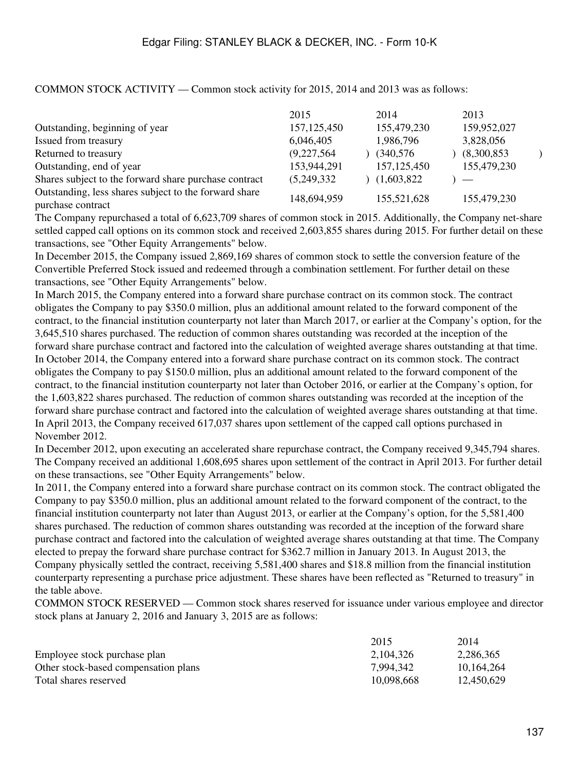| COMMON STOCK ACTIVITY — Common stock activity for 2015, 2014 and 2013 was as follows: |  |  |
|---------------------------------------------------------------------------------------|--|--|
|---------------------------------------------------------------------------------------|--|--|

|                                                                            | 2015          | 2014          | 2013        |  |
|----------------------------------------------------------------------------|---------------|---------------|-------------|--|
| Outstanding, beginning of year                                             | 157, 125, 450 | 155,479,230   | 159,952,027 |  |
| Issued from treasury                                                       | 6,046,405     | 1,986,796     | 3,828,056   |  |
| Returned to treasury                                                       | (9,227,564)   | (340, 576)    | (8,300,853) |  |
| Outstanding, end of year                                                   | 153,944,291   | 157, 125, 450 | 155,479,230 |  |
| Shares subject to the forward share purchase contract                      | (5,249,332)   | (1,603,822)   |             |  |
| Outstanding, less shares subject to the forward share<br>purchase contract | 148,694,959   | 155,521,628   | 155,479,230 |  |
|                                                                            |               |               |             |  |

The Company repurchased a total of 6,623,709 shares of common stock in 2015. Additionally, the Company net-share settled capped call options on its common stock and received 2,603,855 shares during 2015. For further detail on these transactions, see "Other Equity Arrangements" below.

In December 2015, the Company issued 2,869,169 shares of common stock to settle the conversion feature of the Convertible Preferred Stock issued and redeemed through a combination settlement. For further detail on these transactions, see "Other Equity Arrangements" below.

In March 2015, the Company entered into a forward share purchase contract on its common stock. The contract obligates the Company to pay \$350.0 million, plus an additional amount related to the forward component of the contract, to the financial institution counterparty not later than March 2017, or earlier at the Company's option, for the 3,645,510 shares purchased. The reduction of common shares outstanding was recorded at the inception of the forward share purchase contract and factored into the calculation of weighted average shares outstanding at that time. In October 2014, the Company entered into a forward share purchase contract on its common stock. The contract obligates the Company to pay \$150.0 million, plus an additional amount related to the forward component of the contract, to the financial institution counterparty not later than October 2016, or earlier at the Company's option, for the 1,603,822 shares purchased. The reduction of common shares outstanding was recorded at the inception of the forward share purchase contract and factored into the calculation of weighted average shares outstanding at that time. In April 2013, the Company received 617,037 shares upon settlement of the capped call options purchased in November 2012.

In December 2012, upon executing an accelerated share repurchase contract, the Company received 9,345,794 shares. The Company received an additional 1,608,695 shares upon settlement of the contract in April 2013. For further detail on these transactions, see "Other Equity Arrangements" below.

In 2011, the Company entered into a forward share purchase contract on its common stock. The contract obligated the Company to pay \$350.0 million, plus an additional amount related to the forward component of the contract, to the financial institution counterparty not later than August 2013, or earlier at the Company's option, for the 5,581,400 shares purchased. The reduction of common shares outstanding was recorded at the inception of the forward share purchase contract and factored into the calculation of weighted average shares outstanding at that time. The Company elected to prepay the forward share purchase contract for \$362.7 million in January 2013. In August 2013, the Company physically settled the contract, receiving 5,581,400 shares and \$18.8 million from the financial institution counterparty representing a purchase price adjustment. These shares have been reflected as "Returned to treasury" in the table above.

COMMON STOCK RESERVED — Common stock shares reserved for issuance under various employee and director stock plans at January 2, 2016 and January 3, 2015 are as follows:

|                                      | 2015       | 2014       |
|--------------------------------------|------------|------------|
| Employee stock purchase plan         | 2,104,326  | 2,286,365  |
| Other stock-based compensation plans | 7.994.342  | 10.164.264 |
| Total shares reserved                | 10.098.668 | 12.450.629 |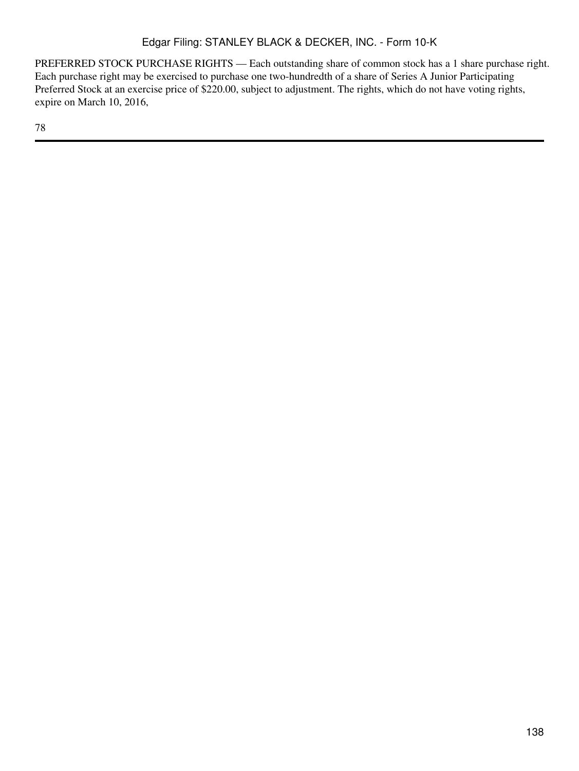PREFERRED STOCK PURCHASE RIGHTS — Each outstanding share of common stock has a 1 share purchase right. Each purchase right may be exercised to purchase one two-hundredth of a share of Series A Junior Participating Preferred Stock at an exercise price of \$220.00, subject to adjustment. The rights, which do not have voting rights, expire on March 10, 2016,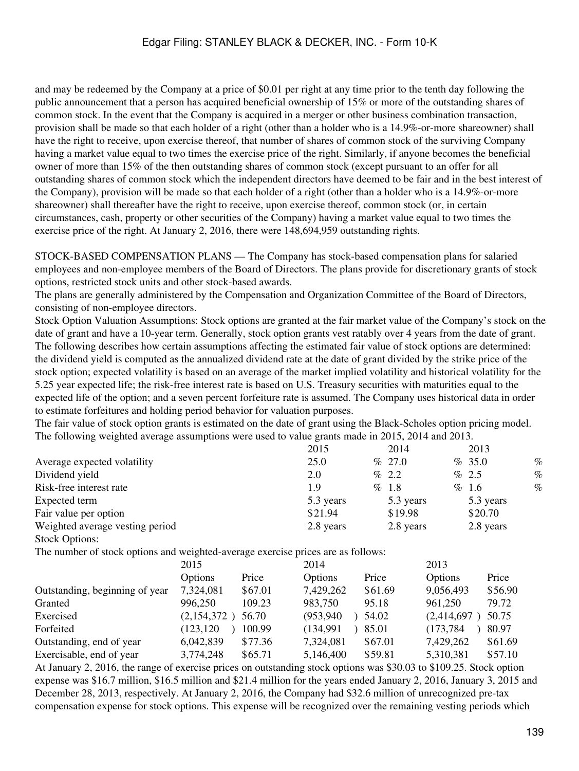and may be redeemed by the Company at a price of \$0.01 per right at any time prior to the tenth day following the public announcement that a person has acquired beneficial ownership of 15% or more of the outstanding shares of common stock. In the event that the Company is acquired in a merger or other business combination transaction, provision shall be made so that each holder of a right (other than a holder who is a 14.9%-or-more shareowner) shall have the right to receive, upon exercise thereof, that number of shares of common stock of the surviving Company having a market value equal to two times the exercise price of the right. Similarly, if anyone becomes the beneficial owner of more than 15% of the then outstanding shares of common stock (except pursuant to an offer for all outstanding shares of common stock which the independent directors have deemed to be fair and in the best interest of the Company), provision will be made so that each holder of a right (other than a holder who is a 14.9%-or-more shareowner) shall thereafter have the right to receive, upon exercise thereof, common stock (or, in certain circumstances, cash, property or other securities of the Company) having a market value equal to two times the exercise price of the right. At January 2, 2016, there were 148,694,959 outstanding rights.

STOCK-BASED COMPENSATION PLANS — The Company has stock-based compensation plans for salaried employees and non-employee members of the Board of Directors. The plans provide for discretionary grants of stock options, restricted stock units and other stock-based awards.

The plans are generally administered by the Compensation and Organization Committee of the Board of Directors, consisting of non-employee directors.

Stock Option Valuation Assumptions: Stock options are granted at the fair market value of the Company's stock on the date of grant and have a 10-year term. Generally, stock option grants vest ratably over 4 years from the date of grant. The following describes how certain assumptions affecting the estimated fair value of stock options are determined: the dividend yield is computed as the annualized dividend rate at the date of grant divided by the strike price of the stock option; expected volatility is based on an average of the market implied volatility and historical volatility for the 5.25 year expected life; the risk-free interest rate is based on U.S. Treasury securities with maturities equal to the expected life of the option; and a seven percent forfeiture rate is assumed. The Company uses historical data in order to estimate forfeitures and holding period behavior for valuation purposes.

The fair value of stock option grants is estimated on the date of grant using the Black-Scholes option pricing model. The following weighted average assumptions were used to value grants made in 2015, 2014 and 2013.

|                                 | 2015      | 2014      | 2013      |      |
|---------------------------------|-----------|-----------|-----------|------|
| Average expected volatility     | 25.0      | % 27.0    | % 35.0    | $\%$ |
| Dividend yield                  | 2.0       | $\%$ 2.2  | % 2.5     | $\%$ |
| Risk-free interest rate         | 1.9       | %1.8      | % 1.6     | $\%$ |
| Expected term                   | 5.3 years | 5.3 years | 5.3 years |      |
| Fair value per option           | \$21.94   | \$19.98   | \$20.70   |      |
| Weighted average vesting period | 2.8 years | 2.8 years | 2.8 years |      |
| <b>Stock Options:</b>           |           |           |           |      |
|                                 |           |           |           |      |

The number of stock options and weighted-average exercise prices are as follows:

|                                | 2015        |         | 2014       |         | 2013        |         |
|--------------------------------|-------------|---------|------------|---------|-------------|---------|
|                                | Options     | Price   | Options    | Price   | Options     | Price   |
| Outstanding, beginning of year | 7,324,081   | \$67.01 | 7,429,262  | \$61.69 | 9,056,493   | \$56.90 |
| Granted                        | 996,250     | 109.23  | 983,750    | 95.18   | 961,250     | 79.72   |
| Exercised                      | (2,154,372) | 56.70   | (953, 940) | 54.02   | (2,414,697) | 50.75   |
| Forfeited                      | (123, 120)  | 100.99  | (134,991)  | 85.01   | (173, 784)  | 80.97   |
| Outstanding, end of year       | 6,042,839   | \$77.36 | 7,324,081  | \$67.01 | 7,429,262   | \$61.69 |
| Exercisable, end of year       | 3,774,248   | \$65.71 | 5,146,400  | \$59.81 | 5,310,381   | \$57.10 |

At January 2, 2016, the range of exercise prices on outstanding stock options was \$30.03 to \$109.25. Stock option expense was \$16.7 million, \$16.5 million and \$21.4 million for the years ended January 2, 2016, January 3, 2015 and December 28, 2013, respectively. At January 2, 2016, the Company had \$32.6 million of unrecognized pre-tax compensation expense for stock options. This expense will be recognized over the remaining vesting periods which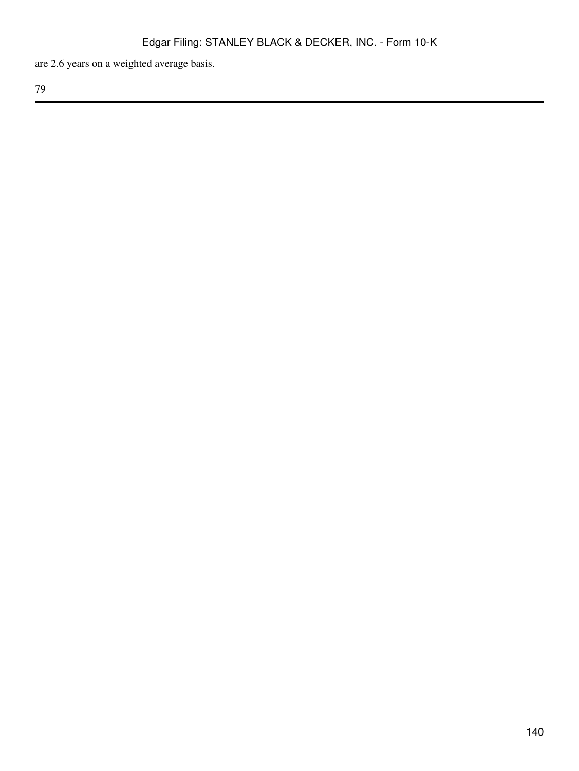are 2.6 years on a weighted average basis.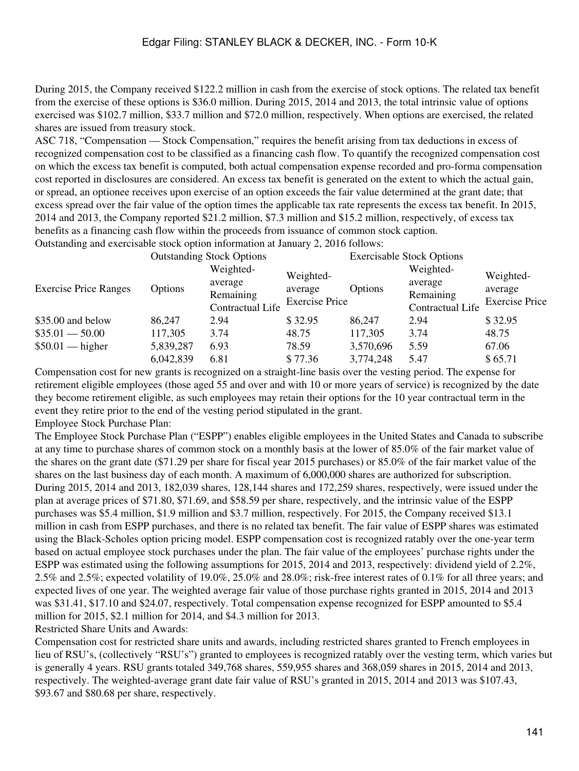During 2015, the Company received \$122.2 million in cash from the exercise of stock options. The related tax benefit from the exercise of these options is \$36.0 million. During 2015, 2014 and 2013, the total intrinsic value of options exercised was \$102.7 million, \$33.7 million and \$72.0 million, respectively. When options are exercised, the related shares are issued from treasury stock.

ASC 718, "Compensation — Stock Compensation," requires the benefit arising from tax deductions in excess of recognized compensation cost to be classified as a financing cash flow. To quantify the recognized compensation cost on which the excess tax benefit is computed, both actual compensation expense recorded and pro-forma compensation cost reported in disclosures are considered. An excess tax benefit is generated on the extent to which the actual gain, or spread, an optionee receives upon exercise of an option exceeds the fair value determined at the grant date; that excess spread over the fair value of the option times the applicable tax rate represents the excess tax benefit. In 2015, 2014 and 2013, the Company reported \$21.2 million, \$7.3 million and \$15.2 million, respectively, of excess tax benefits as a financing cash flow within the proceeds from issuance of common stock caption.

Outstanding and exercisable stock option information at January 2, 2016 follows:

|                              |           | <b>Outstanding Stock Options</b>                      |                                               | <b>Exercisable Stock Options</b> |                                                       |                                               |
|------------------------------|-----------|-------------------------------------------------------|-----------------------------------------------|----------------------------------|-------------------------------------------------------|-----------------------------------------------|
| <b>Exercise Price Ranges</b> | Options   | Weighted-<br>average<br>Remaining<br>Contractual Life | Weighted-<br>average<br><b>Exercise Price</b> | Options                          | Weighted-<br>average<br>Remaining<br>Contractual Life | Weighted-<br>average<br><b>Exercise Price</b> |
| $$35.00$ and below           | 86,247    | 2.94                                                  | \$32.95                                       | 86,247                           | 2.94                                                  | \$32.95                                       |
| $\$35.01 - 50.00$            | 117,305   | 3.74                                                  | 48.75                                         | 117,305                          | 3.74                                                  | 48.75                                         |
| $$50.01$ — higher            | 5,839,287 | 6.93                                                  | 78.59                                         | 3,570,696                        | 5.59                                                  | 67.06                                         |
|                              | 6,042,839 | 6.81                                                  | \$77.36                                       | 3,774,248                        | 5.47                                                  | \$65.71                                       |

Compensation cost for new grants is recognized on a straight-line basis over the vesting period. The expense for retirement eligible employees (those aged 55 and over and with 10 or more years of service) is recognized by the date they become retirement eligible, as such employees may retain their options for the 10 year contractual term in the event they retire prior to the end of the vesting period stipulated in the grant.

Employee Stock Purchase Plan:

The Employee Stock Purchase Plan ("ESPP") enables eligible employees in the United States and Canada to subscribe at any time to purchase shares of common stock on a monthly basis at the lower of 85.0% of the fair market value of the shares on the grant date (\$71.29 per share for fiscal year 2015 purchases) or 85.0% of the fair market value of the shares on the last business day of each month. A maximum of 6,000,000 shares are authorized for subscription. During 2015, 2014 and 2013, 182,039 shares, 128,144 shares and 172,259 shares, respectively, were issued under the plan at average prices of \$71.80, \$71.69, and \$58.59 per share, respectively, and the intrinsic value of the ESPP purchases was \$5.4 million, \$1.9 million and \$3.7 million, respectively. For 2015, the Company received \$13.1 million in cash from ESPP purchases, and there is no related tax benefit. The fair value of ESPP shares was estimated using the Black-Scholes option pricing model. ESPP compensation cost is recognized ratably over the one-year term based on actual employee stock purchases under the plan. The fair value of the employees' purchase rights under the ESPP was estimated using the following assumptions for 2015, 2014 and 2013, respectively: dividend yield of 2.2%, 2.5% and 2.5%; expected volatility of 19.0%, 25.0% and 28.0%; risk-free interest rates of 0.1% for all three years; and expected lives of one year. The weighted average fair value of those purchase rights granted in 2015, 2014 and 2013 was \$31.41, \$17.10 and \$24.07, respectively. Total compensation expense recognized for ESPP amounted to \$5.4 million for 2015, \$2.1 million for 2014, and \$4.3 million for 2013.

Restricted Share Units and Awards:

Compensation cost for restricted share units and awards, including restricted shares granted to French employees in lieu of RSU's, (collectively "RSU's") granted to employees is recognized ratably over the vesting term, which varies but is generally 4 years. RSU grants totaled 349,768 shares, 559,955 shares and 368,059 shares in 2015, 2014 and 2013, respectively. The weighted-average grant date fair value of RSU's granted in 2015, 2014 and 2013 was \$107.43, \$93.67 and \$80.68 per share, respectively.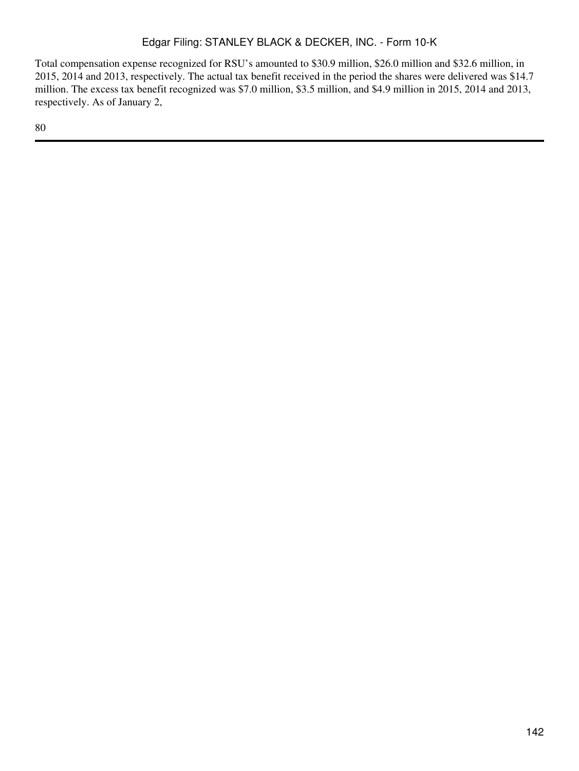Total compensation expense recognized for RSU's amounted to \$30.9 million, \$26.0 million and \$32.6 million, in 2015, 2014 and 2013, respectively. The actual tax benefit received in the period the shares were delivered was \$14.7 million. The excess tax benefit recognized was \$7.0 million, \$3.5 million, and \$4.9 million in 2015, 2014 and 2013, respectively. As of January 2,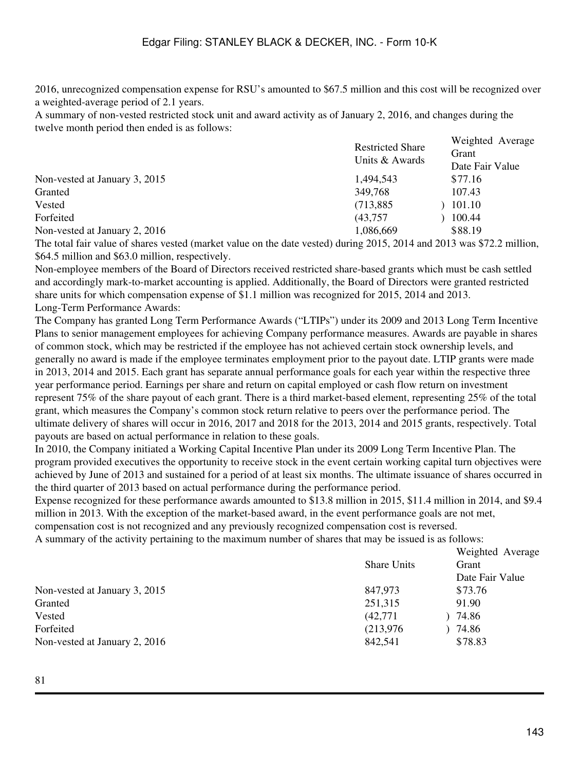2016, unrecognized compensation expense for RSU's amounted to \$67.5 million and this cost will be recognized over a weighted-average period of 2.1 years.

A summary of non-vested restricted stock unit and award activity as of January 2, 2016, and changes during the twelve month period then ended is as follows:

| <b>Restricted Share</b><br>Units & Awards | Weighted Average<br>Grant<br>Date Fair Value |
|-------------------------------------------|----------------------------------------------|
| 1,494,543                                 | \$77.16                                      |
| 349,768                                   | 107.43                                       |
| (713, 885)                                | 101.10                                       |
| (43.757)                                  | 100.44                                       |
| 1,086,669                                 | \$88.19                                      |
|                                           |                                              |

The total fair value of shares vested (market value on the date vested) during 2015, 2014 and 2013 was \$72.2 million, \$64.5 million and \$63.0 million, respectively.

Non-employee members of the Board of Directors received restricted share-based grants which must be cash settled and accordingly mark-to-market accounting is applied. Additionally, the Board of Directors were granted restricted share units for which compensation expense of \$1.1 million was recognized for 2015, 2014 and 2013. Long-Term Performance Awards:

The Company has granted Long Term Performance Awards ("LTIPs") under its 2009 and 2013 Long Term Incentive Plans to senior management employees for achieving Company performance measures. Awards are payable in shares of common stock, which may be restricted if the employee has not achieved certain stock ownership levels, and generally no award is made if the employee terminates employment prior to the payout date. LTIP grants were made in 2013, 2014 and 2015. Each grant has separate annual performance goals for each year within the respective three year performance period. Earnings per share and return on capital employed or cash flow return on investment represent 75% of the share payout of each grant. There is a third market-based element, representing 25% of the total grant, which measures the Company's common stock return relative to peers over the performance period. The ultimate delivery of shares will occur in 2016, 2017 and 2018 for the 2013, 2014 and 2015 grants, respectively. Total payouts are based on actual performance in relation to these goals.

In 2010, the Company initiated a Working Capital Incentive Plan under its 2009 Long Term Incentive Plan. The program provided executives the opportunity to receive stock in the event certain working capital turn objectives were achieved by June of 2013 and sustained for a period of at least six months. The ultimate issuance of shares occurred in the third quarter of 2013 based on actual performance during the performance period.

Expense recognized for these performance awards amounted to \$13.8 million in 2015, \$11.4 million in 2014, and \$9.4 million in 2013. With the exception of the market-based award, in the event performance goals are not met, compensation cost is not recognized and any previously recognized compensation cost is reversed.

A summary of the activity pertaining to the maximum number of shares that may be issued is as follows:

|                               |                    | Weighted Average |
|-------------------------------|--------------------|------------------|
|                               | <b>Share Units</b> | Grant            |
|                               |                    | Date Fair Value  |
| Non-vested at January 3, 2015 | 847,973            | \$73.76          |
| Granted                       | 251,315            | 91.90            |
| Vested                        | (42, 771)          | 74.86            |
| Forfeited                     | (213, 976)         | 74.86            |
| Non-vested at January 2, 2016 | 842,541            | \$78.83          |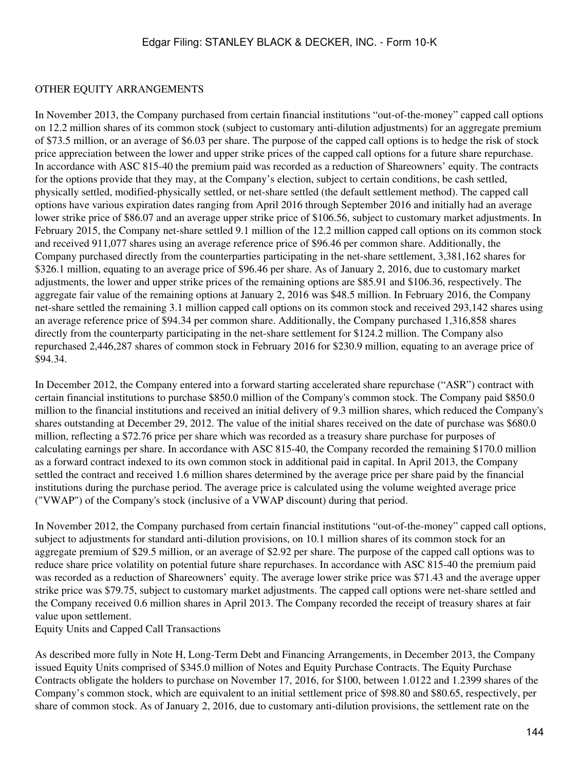#### OTHER EQUITY ARRANGEMENTS

In November 2013, the Company purchased from certain financial institutions "out-of-the-money" capped call options on 12.2 million shares of its common stock (subject to customary anti-dilution adjustments) for an aggregate premium of \$73.5 million, or an average of \$6.03 per share. The purpose of the capped call options is to hedge the risk of stock price appreciation between the lower and upper strike prices of the capped call options for a future share repurchase. In accordance with ASC 815-40 the premium paid was recorded as a reduction of Shareowners' equity. The contracts for the options provide that they may, at the Company's election, subject to certain conditions, be cash settled, physically settled, modified-physically settled, or net-share settled (the default settlement method). The capped call options have various expiration dates ranging from April 2016 through September 2016 and initially had an average lower strike price of \$86.07 and an average upper strike price of \$106.56, subject to customary market adjustments. In February 2015, the Company net-share settled 9.1 million of the 12.2 million capped call options on its common stock and received 911,077 shares using an average reference price of \$96.46 per common share. Additionally, the Company purchased directly from the counterparties participating in the net-share settlement, 3,381,162 shares for \$326.1 million, equating to an average price of \$96.46 per share. As of January 2, 2016, due to customary market adjustments, the lower and upper strike prices of the remaining options are \$85.91 and \$106.36, respectively. The aggregate fair value of the remaining options at January 2, 2016 was \$48.5 million. In February 2016, the Company net-share settled the remaining 3.1 million capped call options on its common stock and received 293,142 shares using an average reference price of \$94.34 per common share. Additionally, the Company purchased 1,316,858 shares directly from the counterparty participating in the net-share settlement for \$124.2 million. The Company also repurchased 2,446,287 shares of common stock in February 2016 for \$230.9 million, equating to an average price of \$94.34.

In December 2012, the Company entered into a forward starting accelerated share repurchase ("ASR") contract with certain financial institutions to purchase \$850.0 million of the Company's common stock. The Company paid \$850.0 million to the financial institutions and received an initial delivery of 9.3 million shares, which reduced the Company's shares outstanding at December 29, 2012. The value of the initial shares received on the date of purchase was \$680.0 million, reflecting a \$72.76 price per share which was recorded as a treasury share purchase for purposes of calculating earnings per share. In accordance with ASC 815-40, the Company recorded the remaining \$170.0 million as a forward contract indexed to its own common stock in additional paid in capital. In April 2013, the Company settled the contract and received 1.6 million shares determined by the average price per share paid by the financial institutions during the purchase period. The average price is calculated using the volume weighted average price ("VWAP") of the Company's stock (inclusive of a VWAP discount) during that period.

In November 2012, the Company purchased from certain financial institutions "out-of-the-money" capped call options, subject to adjustments for standard anti-dilution provisions, on 10.1 million shares of its common stock for an aggregate premium of \$29.5 million, or an average of \$2.92 per share. The purpose of the capped call options was to reduce share price volatility on potential future share repurchases. In accordance with ASC 815-40 the premium paid was recorded as a reduction of Shareowners' equity. The average lower strike price was \$71.43 and the average upper strike price was \$79.75, subject to customary market adjustments. The capped call options were net-share settled and the Company received 0.6 million shares in April 2013. The Company recorded the receipt of treasury shares at fair value upon settlement.

Equity Units and Capped Call Transactions

As described more fully in Note H, Long-Term Debt and Financing Arrangements, in December 2013, the Company issued Equity Units comprised of \$345.0 million of Notes and Equity Purchase Contracts. The Equity Purchase Contracts obligate the holders to purchase on November 17, 2016, for \$100, between 1.0122 and 1.2399 shares of the Company's common stock, which are equivalent to an initial settlement price of \$98.80 and \$80.65, respectively, per share of common stock. As of January 2, 2016, due to customary anti-dilution provisions, the settlement rate on the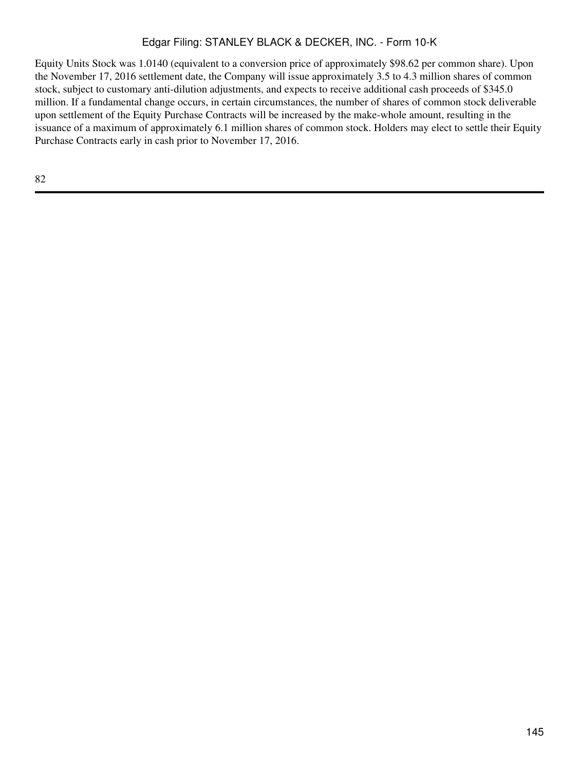Equity Units Stock was 1.0140 (equivalent to a conversion price of approximately \$98.62 per common share). Upon the November 17, 2016 settlement date, the Company will issue approximately 3.5 to 4.3 million shares of common stock, subject to customary anti-dilution adjustments, and expects to receive additional cash proceeds of \$345.0 million. If a fundamental change occurs, in certain circumstances, the number of shares of common stock deliverable upon settlement of the Equity Purchase Contracts will be increased by the make-whole amount, resulting in the issuance of a maximum of approximately 6.1 million shares of common stock. Holders may elect to settle their Equity Purchase Contracts early in cash prior to November 17, 2016.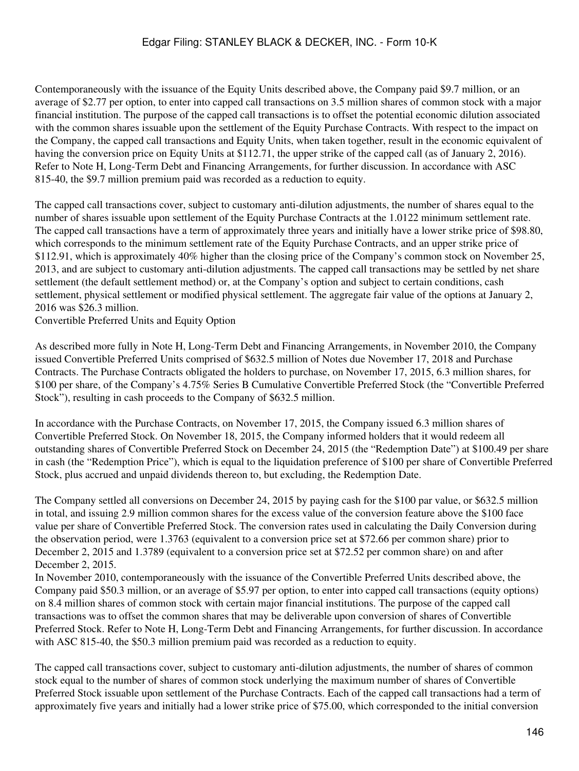Contemporaneously with the issuance of the Equity Units described above, the Company paid \$9.7 million, or an average of \$2.77 per option, to enter into capped call transactions on 3.5 million shares of common stock with a major financial institution. The purpose of the capped call transactions is to offset the potential economic dilution associated with the common shares issuable upon the settlement of the Equity Purchase Contracts. With respect to the impact on the Company, the capped call transactions and Equity Units, when taken together, result in the economic equivalent of having the conversion price on Equity Units at \$112.71, the upper strike of the capped call (as of January 2, 2016). Refer to Note H, Long-Term Debt and Financing Arrangements, for further discussion. In accordance with ASC 815-40, the \$9.7 million premium paid was recorded as a reduction to equity.

The capped call transactions cover, subject to customary anti-dilution adjustments, the number of shares equal to the number of shares issuable upon settlement of the Equity Purchase Contracts at the 1.0122 minimum settlement rate. The capped call transactions have a term of approximately three years and initially have a lower strike price of \$98.80, which corresponds to the minimum settlement rate of the Equity Purchase Contracts, and an upper strike price of \$112.91, which is approximately 40% higher than the closing price of the Company's common stock on November 25, 2013, and are subject to customary anti-dilution adjustments. The capped call transactions may be settled by net share settlement (the default settlement method) or, at the Company's option and subject to certain conditions, cash settlement, physical settlement or modified physical settlement. The aggregate fair value of the options at January 2, 2016 was \$26.3 million.

Convertible Preferred Units and Equity Option

As described more fully in Note H, Long-Term Debt and Financing Arrangements, in November 2010, the Company issued Convertible Preferred Units comprised of \$632.5 million of Notes due November 17, 2018 and Purchase Contracts. The Purchase Contracts obligated the holders to purchase, on November 17, 2015, 6.3 million shares, for \$100 per share, of the Company's 4.75% Series B Cumulative Convertible Preferred Stock (the "Convertible Preferred Stock"), resulting in cash proceeds to the Company of \$632.5 million.

In accordance with the Purchase Contracts, on November 17, 2015, the Company issued 6.3 million shares of Convertible Preferred Stock. On November 18, 2015, the Company informed holders that it would redeem all outstanding shares of Convertible Preferred Stock on December 24, 2015 (the "Redemption Date") at \$100.49 per share in cash (the "Redemption Price"), which is equal to the liquidation preference of \$100 per share of Convertible Preferred Stock, plus accrued and unpaid dividends thereon to, but excluding, the Redemption Date.

The Company settled all conversions on December 24, 2015 by paying cash for the \$100 par value, or \$632.5 million in total, and issuing 2.9 million common shares for the excess value of the conversion feature above the \$100 face value per share of Convertible Preferred Stock. The conversion rates used in calculating the Daily Conversion during the observation period, were 1.3763 (equivalent to a conversion price set at \$72.66 per common share) prior to December 2, 2015 and 1.3789 (equivalent to a conversion price set at \$72.52 per common share) on and after December 2, 2015.

In November 2010, contemporaneously with the issuance of the Convertible Preferred Units described above, the Company paid \$50.3 million, or an average of \$5.97 per option, to enter into capped call transactions (equity options) on 8.4 million shares of common stock with certain major financial institutions. The purpose of the capped call transactions was to offset the common shares that may be deliverable upon conversion of shares of Convertible Preferred Stock. Refer to Note H, Long-Term Debt and Financing Arrangements, for further discussion. In accordance with ASC 815-40, the \$50.3 million premium paid was recorded as a reduction to equity.

The capped call transactions cover, subject to customary anti-dilution adjustments, the number of shares of common stock equal to the number of shares of common stock underlying the maximum number of shares of Convertible Preferred Stock issuable upon settlement of the Purchase Contracts. Each of the capped call transactions had a term of approximately five years and initially had a lower strike price of \$75.00, which corresponded to the initial conversion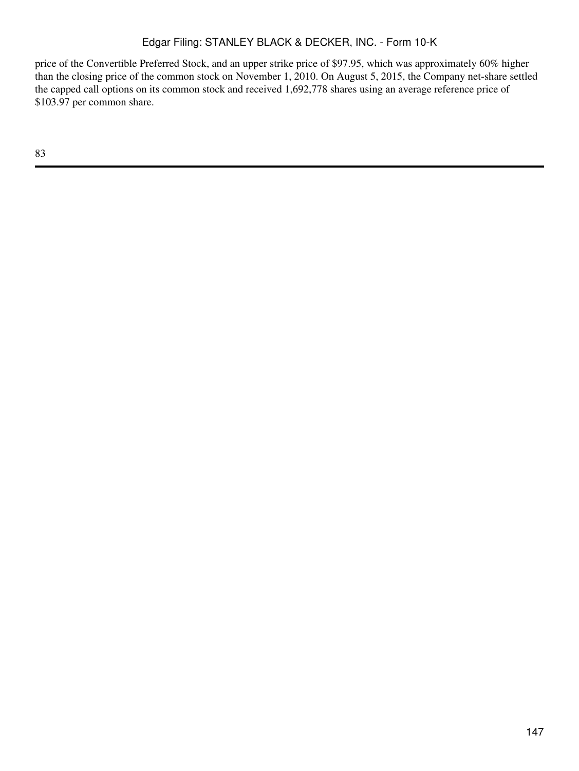price of the Convertible Preferred Stock, and an upper strike price of \$97.95, which was approximately 60% higher than the closing price of the common stock on November 1, 2010. On August 5, 2015, the Company net-share settled the capped call options on its common stock and received 1,692,778 shares using an average reference price of \$103.97 per common share.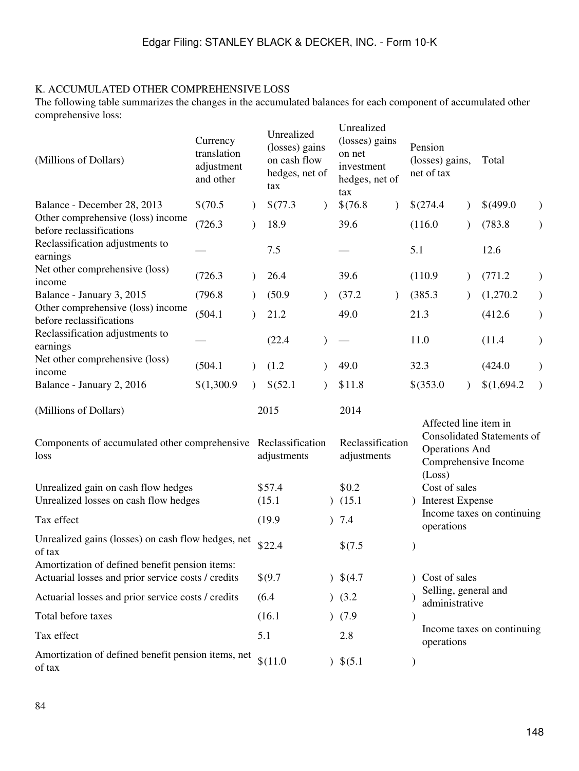### K. ACCUMULATED OTHER COMPREHENSIVE LOSS

The following table summarizes the changes in the accumulated balances for each component of accumulated other comprehensive loss: Unrealized

| (Millions of Dollars)                                                                                | Currency<br>translation<br>adjustment<br>and other |               | Unrealized<br>(losses) gains<br>on cash flow<br>hedges, net of<br>tax |               | Unreanzed<br>(losses) gains<br>on net<br>investment<br>hedges, net of<br>tax |                                          | Pension<br>(losses) gains,<br>net of tax                                                                              |                                        |  | Total       |               |
|------------------------------------------------------------------------------------------------------|----------------------------------------------------|---------------|-----------------------------------------------------------------------|---------------|------------------------------------------------------------------------------|------------------------------------------|-----------------------------------------------------------------------------------------------------------------------|----------------------------------------|--|-------------|---------------|
| Balance - December 28, 2013                                                                          | \$(70.5)                                           |               | \$(77.3)                                                              | $\mathcal{L}$ | \$(76.8)                                                                     |                                          | \$(274.4)                                                                                                             |                                        |  | \$(499.0    |               |
| Other comprehensive (loss) income<br>before reclassifications                                        | (726.3)                                            |               | 18.9                                                                  |               | 39.6                                                                         |                                          | (116.0)                                                                                                               | $\lambda$                              |  | (783.8)     |               |
| Reclassification adjustments to<br>earnings                                                          |                                                    |               | 7.5                                                                   |               |                                                                              |                                          | 5.1                                                                                                                   |                                        |  | 12.6        |               |
| Net other comprehensive (loss)<br>income                                                             | (726.3)                                            |               | 26.4                                                                  |               | 39.6                                                                         |                                          | (110.9)                                                                                                               |                                        |  | (771.2)     |               |
| Balance - January 3, 2015                                                                            | (796.8)                                            | $\lambda$     | (50.9)                                                                | $\mathcal{L}$ | (37.2)<br>$\lambda$                                                          |                                          | (385.3)                                                                                                               | $\lambda$                              |  | (1,270.2)   |               |
| Other comprehensive (loss) income<br>before reclassifications                                        | (504.1)                                            |               | 21.2                                                                  |               | 49.0                                                                         |                                          | 21.3                                                                                                                  |                                        |  | (412.6)     |               |
| Reclassification adjustments to<br>earnings                                                          |                                                    |               | (22.4)                                                                | $\lambda$     |                                                                              |                                          | 11.0                                                                                                                  |                                        |  | (11.4)      |               |
| Net other comprehensive (loss)<br>income                                                             | (504.1)                                            | $\lambda$     | (1.2)                                                                 |               | 49.0                                                                         |                                          | 32.3                                                                                                                  |                                        |  | (424.0)     |               |
| Balance - January 2, 2016                                                                            | \$(1,300.9)                                        | $\mathcal{L}$ | \$ (52.1)                                                             | $\mathcal{L}$ | \$11.8                                                                       |                                          | $$$ (353.0)                                                                                                           | $\lambda$                              |  | \$(1,694.2) | $\mathcal{E}$ |
| (Millions of Dollars)                                                                                |                                                    |               | 2015                                                                  |               | 2014                                                                         |                                          |                                                                                                                       |                                        |  |             |               |
| Components of accumulated other comprehensive Reclassification<br>loss                               |                                                    |               | adjustments                                                           |               | Reclassification<br>adjustments                                              |                                          | Affected line item in<br><b>Consolidated Statements of</b><br><b>Operations And</b><br>Comprehensive Income<br>(Loss) |                                        |  |             |               |
| Unrealized gain on cash flow hedges                                                                  |                                                    |               | \$57.4                                                                |               | \$0.2\$                                                                      |                                          | Cost of sales                                                                                                         |                                        |  |             |               |
| Unrealized losses on cash flow hedges                                                                |                                                    |               | (15.1)                                                                |               | (15.1)                                                                       |                                          | <b>Interest Expense</b>                                                                                               |                                        |  |             |               |
| Tax effect                                                                                           |                                                    |               | (19.9)                                                                |               | 7.4                                                                          |                                          | Income taxes on continuing<br>operations                                                                              |                                        |  |             |               |
| Unrealized gains (losses) on cash flow hedges, net<br>of tax                                         |                                                    |               | \$22.4                                                                |               | \$(7.5)                                                                      |                                          | $\mathcal{E}$                                                                                                         |                                        |  |             |               |
| Amortization of defined benefit pension items:<br>Actuarial losses and prior service costs / credits |                                                    |               | \$(9.7)                                                               |               | 3(4.7)                                                                       |                                          | Cost of sales                                                                                                         |                                        |  |             |               |
| Actuarial losses and prior service costs / credits                                                   |                                                    |               | (6.4)                                                                 |               | $)$ (3.2)                                                                    |                                          |                                                                                                                       | Selling, general and<br>administrative |  |             |               |
| Total before taxes                                                                                   |                                                    |               | (16.1)                                                                | $\lambda$     | (7.9)                                                                        |                                          |                                                                                                                       |                                        |  |             |               |
| Tax effect                                                                                           |                                                    |               | 5.1                                                                   |               | 2.8                                                                          | Income taxes on continuing<br>operations |                                                                                                                       |                                        |  |             |               |
| Amortization of defined benefit pension items, net<br>of tax                                         |                                                    |               | \$(11.0)                                                              | $\lambda$     | \$ (5.1)                                                                     |                                          | $\mathcal{E}$                                                                                                         |                                        |  |             |               |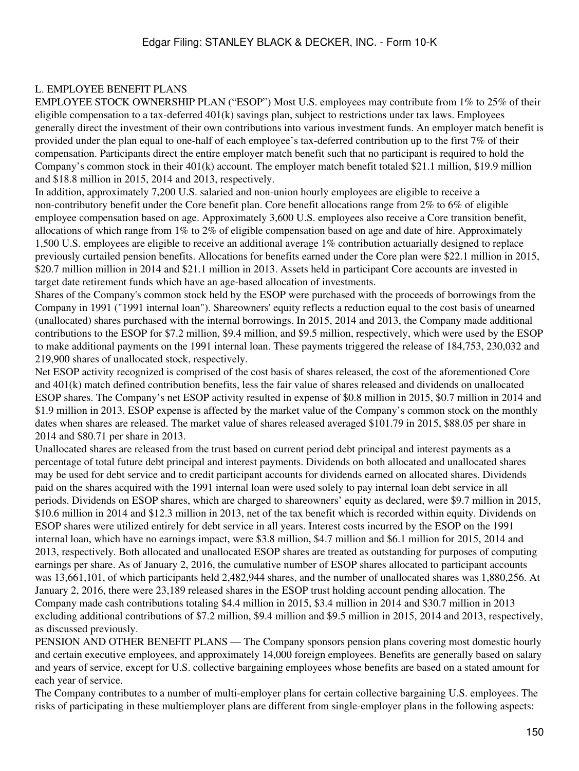## L. EMPLOYEE BENEFIT PLANS

EMPLOYEE STOCK OWNERSHIP PLAN ("ESOP") Most U.S. employees may contribute from 1% to 25% of their eligible compensation to a tax-deferred 401(k) savings plan, subject to restrictions under tax laws. Employees generally direct the investment of their own contributions into various investment funds. An employer match benefit is provided under the plan equal to one-half of each employee's tax-deferred contribution up to the first 7% of their compensation. Participants direct the entire employer match benefit such that no participant is required to hold the Company's common stock in their 401(k) account. The employer match benefit totaled \$21.1 million, \$19.9 million and \$18.8 million in 2015, 2014 and 2013, respectively.

In addition, approximately 7,200 U.S. salaried and non-union hourly employees are eligible to receive a non-contributory benefit under the Core benefit plan. Core benefit allocations range from 2% to 6% of eligible employee compensation based on age. Approximately 3,600 U.S. employees also receive a Core transition benefit, allocations of which range from 1% to 2% of eligible compensation based on age and date of hire. Approximately 1,500 U.S. employees are eligible to receive an additional average 1% contribution actuarially designed to replace previously curtailed pension benefits. Allocations for benefits earned under the Core plan were \$22.1 million in 2015, \$20.7 million million in 2014 and \$21.1 million in 2013. Assets held in participant Core accounts are invested in target date retirement funds which have an age-based allocation of investments.

Shares of the Company's common stock held by the ESOP were purchased with the proceeds of borrowings from the Company in 1991 ("1991 internal loan"). Shareowners' equity reflects a reduction equal to the cost basis of unearned (unallocated) shares purchased with the internal borrowings. In 2015, 2014 and 2013, the Company made additional contributions to the ESOP for \$7.2 million, \$9.4 million, and \$9.5 million, respectively, which were used by the ESOP to make additional payments on the 1991 internal loan. These payments triggered the release of 184,753, 230,032 and 219,900 shares of unallocated stock, respectively.

Net ESOP activity recognized is comprised of the cost basis of shares released, the cost of the aforementioned Core and 401(k) match defined contribution benefits, less the fair value of shares released and dividends on unallocated ESOP shares. The Company's net ESOP activity resulted in expense of \$0.8 million in 2015, \$0.7 million in 2014 and \$1.9 million in 2013. ESOP expense is affected by the market value of the Company's common stock on the monthly dates when shares are released. The market value of shares released averaged \$101.79 in 2015, \$88.05 per share in 2014 and \$80.71 per share in 2013.

Unallocated shares are released from the trust based on current period debt principal and interest payments as a percentage of total future debt principal and interest payments. Dividends on both allocated and unallocated shares may be used for debt service and to credit participant accounts for dividends earned on allocated shares. Dividends paid on the shares acquired with the 1991 internal loan were used solely to pay internal loan debt service in all periods. Dividends on ESOP shares, which are charged to shareowners' equity as declared, were \$9.7 million in 2015, \$10.6 million in 2014 and \$12.3 million in 2013, net of the tax benefit which is recorded within equity. Dividends on ESOP shares were utilized entirely for debt service in all years. Interest costs incurred by the ESOP on the 1991 internal loan, which have no earnings impact, were \$3.8 million, \$4.7 million and \$6.1 million for 2015, 2014 and 2013, respectively. Both allocated and unallocated ESOP shares are treated as outstanding for purposes of computing earnings per share. As of January 2, 2016, the cumulative number of ESOP shares allocated to participant accounts was 13,661,101, of which participants held 2,482,944 shares, and the number of unallocated shares was 1,880,256. At January 2, 2016, there were 23,189 released shares in the ESOP trust holding account pending allocation. The Company made cash contributions totaling \$4.4 million in 2015, \$3.4 million in 2014 and \$30.7 million in 2013 excluding additional contributions of \$7.2 million, \$9.4 million and \$9.5 million in 2015, 2014 and 2013, respectively, as discussed previously.

PENSION AND OTHER BENEFIT PLANS — The Company sponsors pension plans covering most domestic hourly and certain executive employees, and approximately 14,000 foreign employees. Benefits are generally based on salary and years of service, except for U.S. collective bargaining employees whose benefits are based on a stated amount for each year of service.

The Company contributes to a number of multi-employer plans for certain collective bargaining U.S. employees. The risks of participating in these multiemployer plans are different from single-employer plans in the following aspects: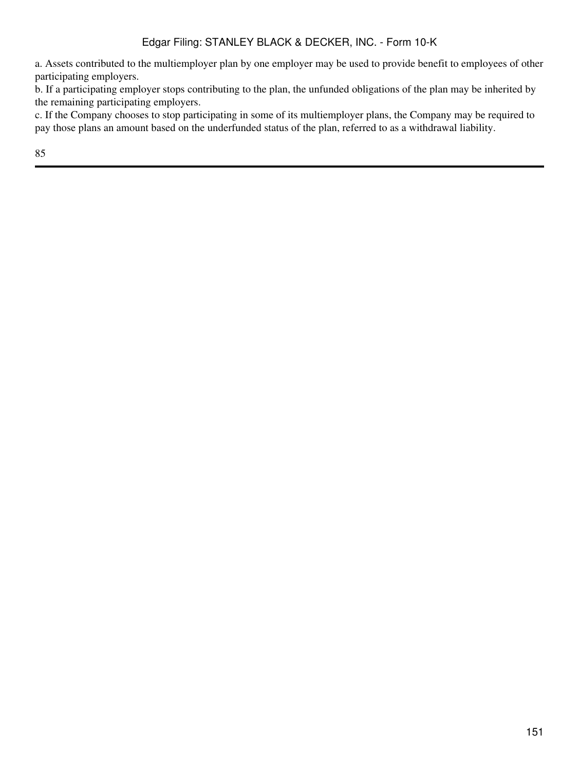a. Assets contributed to the multiemployer plan by one employer may be used to provide benefit to employees of other participating employers.

b. If a participating employer stops contributing to the plan, the unfunded obligations of the plan may be inherited by the remaining participating employers.

c. If the Company chooses to stop participating in some of its multiemployer plans, the Company may be required to pay those plans an amount based on the underfunded status of the plan, referred to as a withdrawal liability.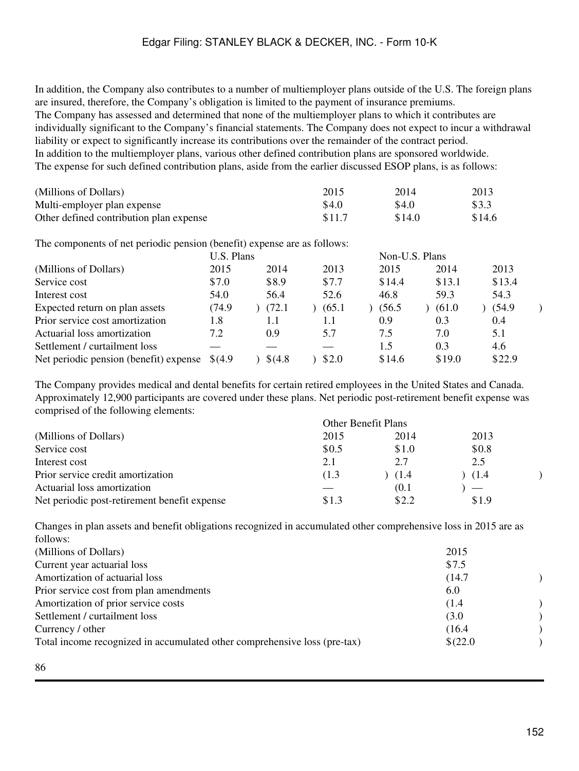In addition, the Company also contributes to a number of multiemployer plans outside of the U.S. The foreign plans are insured, therefore, the Company's obligation is limited to the payment of insurance premiums. The Company has assessed and determined that none of the multiemployer plans to which it contributes are individually significant to the Company's financial statements. The Company does not expect to incur a withdrawal liability or expect to significantly increase its contributions over the remainder of the contract period. In addition to the multiemployer plans, various other defined contribution plans are sponsored worldwide. The expense for such defined contribution plans, aside from the earlier discussed ESOP plans, is as follows:

| (Millions of Dollars)                   | 2015   | 2014   | 2013   |
|-----------------------------------------|--------|--------|--------|
| Multi-employer plan expense             | \$4.0  | \$4.0  | \$3.3  |
| Other defined contribution plan expense | \$11.7 | \$14.0 | \$14.6 |

The components of net periodic pension (benefit) expense are as follows:

|                                                   | U.S. Plans |         |        |        | Non-U.S. Plans |        |  |  |  |
|---------------------------------------------------|------------|---------|--------|--------|----------------|--------|--|--|--|
| (Millions of Dollars)                             | 2015       | 2014    | 2013   | 2015   | 2014           | 2013   |  |  |  |
| Service cost                                      | \$7.0      | \$8.9   | \$7.7  | \$14.4 | \$13.1         | \$13.4 |  |  |  |
| Interest cost                                     | 54.0       | 56.4    | 52.6   | 46.8   | 59.3           | 54.3   |  |  |  |
| Expected return on plan assets                    | (74.9      | (72.1   | (65.1) | (56.5) | (61.0)         | (54.9) |  |  |  |
| Prior service cost amortization                   | 1.8        | 1.1     | 1.1    | 0.9    | 0.3            | 0.4    |  |  |  |
| Actuarial loss amortization                       | 7.2        | 0.9     | 5.7    | 7.5    | 7.0            | 5.1    |  |  |  |
| Settlement / curtailment loss                     |            |         |        | 1.5    | 0.3            | 4.6    |  |  |  |
| Net periodic pension (benefit) expense $\$$ (4.9) |            | \$(4.8) | \$2.0  | \$14.6 | \$19.0         | \$22.9 |  |  |  |

The Company provides medical and dental benefits for certain retired employees in the United States and Canada. Approximately 12,900 participants are covered under these plans. Net periodic post-retirement benefit expense was comprised of the following elements:

|                                              |       | <b>Other Benefit Plans</b> |       |  |
|----------------------------------------------|-------|----------------------------|-------|--|
| (Millions of Dollars)                        | 2015  | 2014                       | 2013  |  |
| Service cost                                 | \$0.5 | \$1.0                      | \$0.8 |  |
| Interest cost                                | 2.1   | 2.7                        | 2.5   |  |
| Prior service credit amortization            | (1.3) | (1.4)                      | (1.4) |  |
| Actuarial loss amortization                  |       | (0.1)                      |       |  |
| Net periodic post-retirement benefit expense | \$1.3 | \$2.2                      | \$1.9 |  |

Changes in plan assets and benefit obligations recognized in accumulated other comprehensive loss in 2015 are as follows:

| (Millions of Dollars)                                                     | 2015         |  |
|---------------------------------------------------------------------------|--------------|--|
| Current year actuarial loss                                               | \$7.5        |  |
| Amortization of actuarial loss                                            | (14.7)       |  |
| Prior service cost from plan amendments                                   | 6.0          |  |
| Amortization of prior service costs                                       | (1.4)        |  |
| Settlement / curtailment loss                                             | (3.0)        |  |
| Currency / other                                                          | (16.4)       |  |
| Total income recognized in accumulated other comprehensive loss (pre-tax) | $$^{(22.0)}$ |  |
|                                                                           |              |  |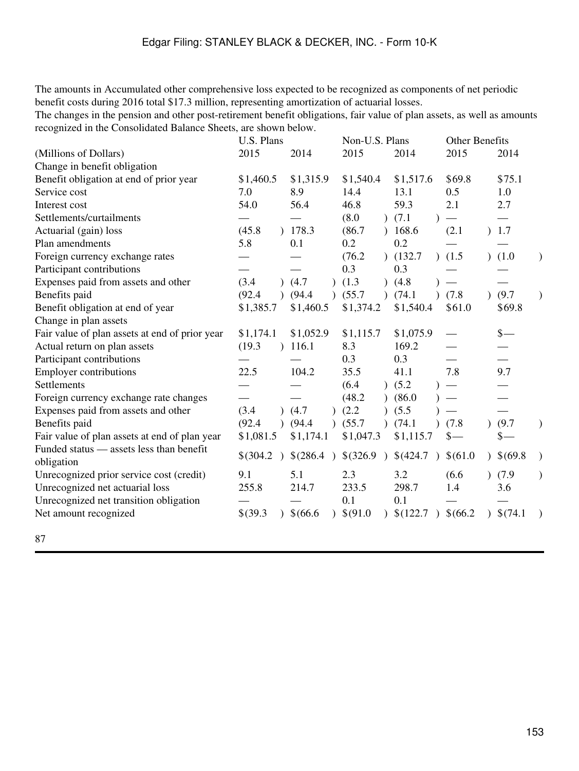The amounts in Accumulated other comprehensive loss expected to be recognized as components of net periodic benefit costs during 2016 total \$17.3 million, representing amortization of actuarial losses.

The changes in the pension and other post-retirement benefit obligations, fair value of plan assets, as well as amounts recognized in the Consolidated Balance Sheets, are shown below.

|                                                        | U.S. Plans          |           | Non-U.S. Plans     |           | <b>Other Benefits</b> |                            |  |
|--------------------------------------------------------|---------------------|-----------|--------------------|-----------|-----------------------|----------------------------|--|
| (Millions of Dollars)                                  | 2015                | 2014      | 2015               | 2014      | 2015                  | 2014                       |  |
| Change in benefit obligation                           |                     |           |                    |           |                       |                            |  |
| Benefit obligation at end of prior year                | \$1,460.5           | \$1,315.9 | \$1,540.4          | \$1,517.6 | \$69.8                | \$75.1                     |  |
| Service cost                                           | 7.0                 | 8.9       | 14.4               | 13.1      | 0.5                   | 1.0                        |  |
| Interest cost                                          | 54.0                | 56.4      | 46.8               | 59.3      | 2.1                   | 2.7                        |  |
| Settlements/curtailments                               |                     |           | (8.0)              | ) (7.1)   |                       |                            |  |
| Actuarial (gain) loss                                  | (45.8)              | ) 178.3   | (86.7)             | 168.6     | (2.1)                 | 1.7                        |  |
| Plan amendments                                        | 5.8                 | 0.1       | 0.2                | 0.2       |                       |                            |  |
| Foreign currency exchange rates                        |                     |           | (76.2)             | (132.7)   | (1.5)                 | (1.0)<br>$\mathcal{F}$     |  |
| Participant contributions                              |                     |           | 0.3                | 0.3       |                       |                            |  |
| Expenses paid from assets and other                    | (3.4)               | (4.7)     | (1.3)              | (4.8)     |                       |                            |  |
| Benefits paid                                          | (92.4)<br>$\lambda$ | (94.4)    | (55.7)             | (74.1)    | (7.8)                 | (9.7)<br>$\mathcal{E}$     |  |
| Benefit obligation at end of year                      | \$1,385.7           | \$1,460.5 | \$1,374.2          | \$1,540.4 | \$61.0                | \$69.8                     |  |
| Change in plan assets                                  |                     |           |                    |           |                       |                            |  |
| Fair value of plan assets at end of prior year         | \$1,174.1           | \$1,052.9 | \$1,115.7          | \$1,075.9 |                       | $\frac{\ }{s-}$            |  |
| Actual return on plan assets                           | (19.3)              | 116.1     | 8.3                | 169.2     |                       |                            |  |
| Participant contributions                              |                     |           | 0.3                | 0.3       |                       |                            |  |
| <b>Employer contributions</b>                          | 22.5                | 104.2     | 35.5               | 41.1      | 7.8                   | 9.7                        |  |
| Settlements                                            |                     |           | (6.4)<br>$\lambda$ | (5.2)     |                       |                            |  |
| Foreign currency exchange rate changes                 |                     |           | (48.2)             | (86.0)    |                       |                            |  |
| Expenses paid from assets and other                    | (3.4)               | (4.7)     | (2.2)              | (5.5)     |                       |                            |  |
| Benefits paid                                          | (92.4)              | (94.4)    | (55.7)             | (74.1)    | (7.8)                 | (9.7)<br>$\lambda$         |  |
| Fair value of plan assets at end of plan year          | \$1,081.5           | \$1,174.1 | \$1,047.3          | \$1,115.7 | $\frac{\ }{s-}$       | $\frac{\ }{\ }$            |  |
| Funded status — assets less than benefit<br>obligation | \$(304.2)           | \$(286.4) | \$(326.9)          | \$(424.7) | \$ (61.0)             | \$ (69.8)<br>$\mathcal{L}$ |  |
| Unrecognized prior service cost (credit)               | 9.1                 | 5.1       | 2.3                | 3.2       | (6.6)                 | (7.9)<br>$\lambda$         |  |
| Unrecognized net actuarial loss                        | 255.8               | 214.7     | 233.5              | 298.7     | 1.4                   | 3.6                        |  |
| Unrecognized net transition obligation                 |                     |           | 0.1                | 0.1       |                       |                            |  |
| Net amount recognized                                  | $$$ (39.3)          | \$ (66.6) | \$(91.0)           | \$(122.7) | \$ (66.2)             | 3(74.1)<br>$\lambda$       |  |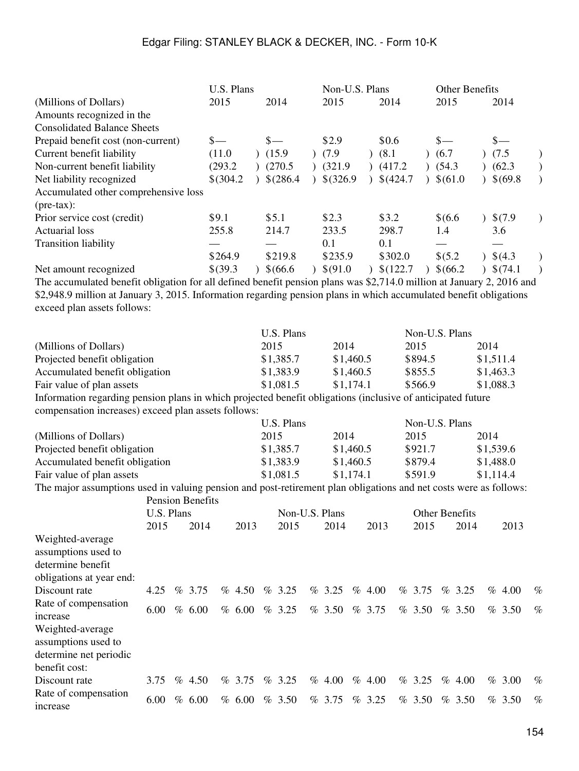|                                      | U.S. Plans |                | Non-U.S. Plans |                      | <b>Other Benefits</b> |            |           |  |          |  |
|--------------------------------------|------------|----------------|----------------|----------------------|-----------------------|------------|-----------|--|----------|--|
| (Millions of Dollars)                | 2015       | 2014           |                | 2015                 |                       | 2014       | 2015      |  | 2014     |  |
| Amounts recognized in the            |            |                |                |                      |                       |            |           |  |          |  |
| <b>Consolidated Balance Sheets</b>   |            |                |                |                      |                       |            |           |  |          |  |
| Prepaid benefit cost (non-current)   | $S-$       | $\mathbf{s}$ — |                | \$2.9                |                       | \$0.6      | $S-$      |  | $S-$     |  |
| Current benefit liability            | (11.0)     | (15.9)         |                | (7.9)                |                       | (8.1)      | (6.7)     |  | (7.5)    |  |
| Non-current benefit liability        | (293.2)    | (270.5)        |                | (321.9)              |                       | (417.2)    | (54.3)    |  | (62.3)   |  |
| Net liability recognized             | \$(304.2)  | \$(286.4)      |                | $\frac{\$(326.9)}{}$ |                       | \$ (424.7) | \$ (61.0) |  | 3(69.8)  |  |
| Accumulated other comprehensive loss |            |                |                |                      |                       |            |           |  |          |  |
| $(\text{pre-tax})$ :                 |            |                |                |                      |                       |            |           |  |          |  |
| Prior service cost (credit)          | \$9.1      | \$5.1          |                | \$2.3                |                       | \$3.2      | \$ (6.6)  |  | 3(7.9)   |  |
| <b>Actuarial loss</b>                | 255.8      | 214.7          |                | 233.5                |                       | 298.7      | 1.4       |  | 3.6      |  |
| <b>Transition liability</b>          |            |                |                | 0.1                  |                       | 0.1        |           |  |          |  |
|                                      | \$264.9    | \$219.8        |                | \$235.9              |                       | \$302.0    | \$ (5.2)  |  | 3(4.3)   |  |
| Net amount recognized                | $$$ (39.3) | \$ (66.6)      |                | \$(91.0)             |                       | \$(122.7)  | \$ (66.2) |  | \$(74.1) |  |

The accumulated benefit obligation for all defined benefit pension plans was \$2,714.0 million at January 2, 2016 and \$2,948.9 million at January 3, 2015. Information regarding pension plans in which accumulated benefit obligations exceed plan assets follows:

|                                                                                                                  | U.S. Plans |           | Non-U.S. Plans |           |  |
|------------------------------------------------------------------------------------------------------------------|------------|-----------|----------------|-----------|--|
| (Millions of Dollars)                                                                                            | 2015       | 2014      | 2015           | 2014      |  |
| Projected benefit obligation                                                                                     | \$1,385.7  | \$1,460.5 | \$894.5        | \$1,511.4 |  |
| Accumulated benefit obligation                                                                                   | \$1,383.9  | \$1,460.5 | \$855.5        | \$1,463.3 |  |
| Fair value of plan assets                                                                                        | \$1,081.5  | \$1,174.1 | \$566.9        | \$1,088.3 |  |
| The contract of the contract of the contract of the contract of the contract of the first of contributed for the |            |           |                |           |  |

Information regarding pension plans in which projected benefit obligations (inclusive of anticipated future compensation increases) exceed plan assets follows:

|                                | U.S. Plans |           | Non-U.S. Plans |           |  |  |
|--------------------------------|------------|-----------|----------------|-----------|--|--|
| (Millions of Dollars)          | 2015       | 2014      | 2015           | 2014      |  |  |
| Projected benefit obligation   | \$1,385.7  | \$1,460.5 | \$921.7        | \$1,539.6 |  |  |
| Accumulated benefit obligation | \$1,383.9  | \$1,460.5 | \$879.4        | \$1,488.0 |  |  |
| Fair value of plan assets      | \$1,081.5  | \$1,174.1 | \$591.9        | \$1,114.4 |  |  |

The major assumptions used in valuing pension and post-retirement plan obligations and net costs were as follows:

|                                               |            |      | Pension Benefits |      |           |      |                |      |        |      |        |      |        |      |                |      |           |      |
|-----------------------------------------------|------------|------|------------------|------|-----------|------|----------------|------|--------|------|--------|------|--------|------|----------------|------|-----------|------|
|                                               | U.S. Plans |      |                  |      |           |      | Non-U.S. Plans |      |        |      |        |      |        |      | Other Benefits |      |           |      |
|                                               | 2015       |      | 2014             |      | 2013      |      | 2015           |      | 2014   |      | 2013   |      | 2015   |      | 2014           |      | 2013      |      |
| Weighted-average<br>assumptions used to       |            |      |                  |      |           |      |                |      |        |      |        |      |        |      |                |      |           |      |
| determine benefit<br>obligations at year end: |            |      |                  |      |           |      |                |      |        |      |        |      |        |      |                |      |           |      |
| Discount rate                                 | 4.25       | $\%$ | 3.75             | $\%$ | 4.50      | $\%$ | 3.25           | $\%$ | 3.25   | $\%$ | 4.00   | $\%$ | 3.75   | $\%$ | 3.25           | $\%$ | 4.00      | $\%$ |
| Rate of compensation<br>increase              | 6.00       |      | % 6.00           |      | % 6.00    | $\%$ | 3.25           |      | % 3.50 |      | % 3.75 |      | % 3.50 | $\%$ | 3.50           | $\%$ | 3.50      | $\%$ |
| Weighted-average<br>assumptions used to       |            |      |                  |      |           |      |                |      |        |      |        |      |        |      |                |      |           |      |
| determine net periodic<br>benefit cost:       |            |      |                  |      |           |      |                |      |        |      |        |      |        |      |                |      |           |      |
| Discount rate                                 | 3.75       | $\%$ | 4.50             |      | $\%$ 3.75 | $\%$ | 3.25           | $\%$ | 4.00   |      | % 4.00 |      | % 3.25 | $\%$ | 4.00           |      | $\%$ 3.00 | $\%$ |
| Rate of compensation<br>increase              | 6.00       | $\%$ | 6.00             | $\%$ | 6.00      | $\%$ | 3.50           | $\%$ | 3.75   | $\%$ | 3.25   | $\%$ | 3.50   | $\%$ | 3.50           | $\%$ | 3.50      | $\%$ |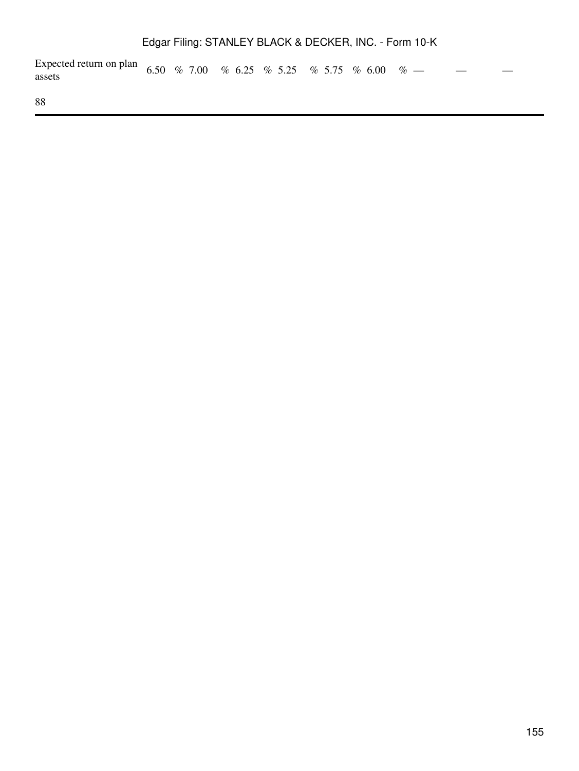Expected return on plan  $\mu$  assets 6.50 % 7.00 % 6.25 % 5.25 % 5.75 % 6.00 % — —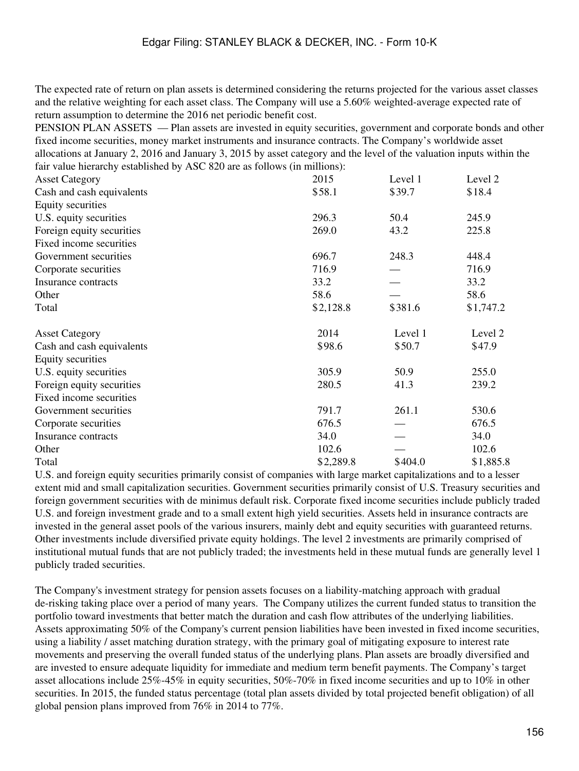The expected rate of return on plan assets is determined considering the returns projected for the various asset classes and the relative weighting for each asset class. The Company will use a 5.60% weighted-average expected rate of return assumption to determine the 2016 net periodic benefit cost.

PENSION PLAN ASSETS — Plan assets are invested in equity securities, government and corporate bonds and other fixed income securities, money market instruments and insurance contracts. The Company's worldwide asset allocations at January 2, 2016 and January 3, 2015 by asset category and the level of the valuation inputs within the fair value hierarchy established by ASC 820 are as follows (in millions):

| <b>Asset Category</b>     | 2015      | Level 1 | Level 2   |
|---------------------------|-----------|---------|-----------|
| Cash and cash equivalents | \$58.1    | \$39.7  | \$18.4    |
| Equity securities         |           |         |           |
| U.S. equity securities    | 296.3     | 50.4    | 245.9     |
| Foreign equity securities | 269.0     | 43.2    | 225.8     |
| Fixed income securities   |           |         |           |
| Government securities     | 696.7     | 248.3   | 448.4     |
| Corporate securities      | 716.9     |         | 716.9     |
| Insurance contracts       | 33.2      |         | 33.2      |
| Other                     | 58.6      |         | 58.6      |
| Total                     | \$2,128.8 | \$381.6 | \$1,747.2 |
| <b>Asset Category</b>     | 2014      | Level 1 | Level 2   |
| Cash and cash equivalents | \$98.6    | \$50.7  | \$47.9    |
| Equity securities         |           |         |           |
| U.S. equity securities    | 305.9     | 50.9    | 255.0     |
| Foreign equity securities | 280.5     | 41.3    | 239.2     |
| Fixed income securities   |           |         |           |
| Government securities     | 791.7     | 261.1   | 530.6     |
| Corporate securities      | 676.5     |         | 676.5     |
| Insurance contracts       | 34.0      |         | 34.0      |
| Other                     | 102.6     |         | 102.6     |
| Total                     | \$2,289.8 | \$404.0 | \$1,885.8 |

U.S. and foreign equity securities primarily consist of companies with large market capitalizations and to a lesser extent mid and small capitalization securities. Government securities primarily consist of U.S. Treasury securities and foreign government securities with de minimus default risk. Corporate fixed income securities include publicly traded U.S. and foreign investment grade and to a small extent high yield securities. Assets held in insurance contracts are invested in the general asset pools of the various insurers, mainly debt and equity securities with guaranteed returns. Other investments include diversified private equity holdings. The level 2 investments are primarily comprised of institutional mutual funds that are not publicly traded; the investments held in these mutual funds are generally level 1 publicly traded securities.

The Company's investment strategy for pension assets focuses on a liability-matching approach with gradual de-risking taking place over a period of many years. The Company utilizes the current funded status to transition the portfolio toward investments that better match the duration and cash flow attributes of the underlying liabilities. Assets approximating 50% of the Company's current pension liabilities have been invested in fixed income securities, using a liability / asset matching duration strategy, with the primary goal of mitigating exposure to interest rate movements and preserving the overall funded status of the underlying plans. Plan assets are broadly diversified and are invested to ensure adequate liquidity for immediate and medium term benefit payments. The Company's target asset allocations include 25%-45% in equity securities, 50%-70% in fixed income securities and up to 10% in other securities. In 2015, the funded status percentage (total plan assets divided by total projected benefit obligation) of all global pension plans improved from 76% in 2014 to 77%.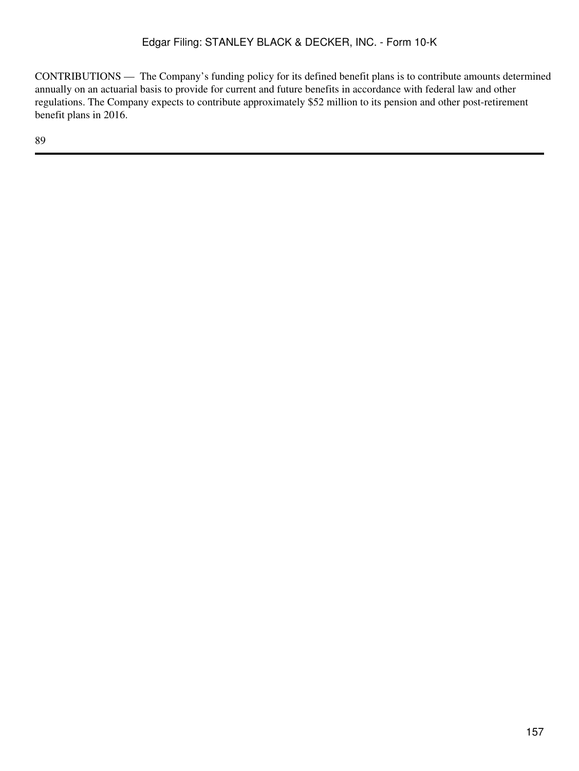CONTRIBUTIONS — The Company's funding policy for its defined benefit plans is to contribute amounts determined annually on an actuarial basis to provide for current and future benefits in accordance with federal law and other regulations. The Company expects to contribute approximately \$52 million to its pension and other post-retirement benefit plans in 2016.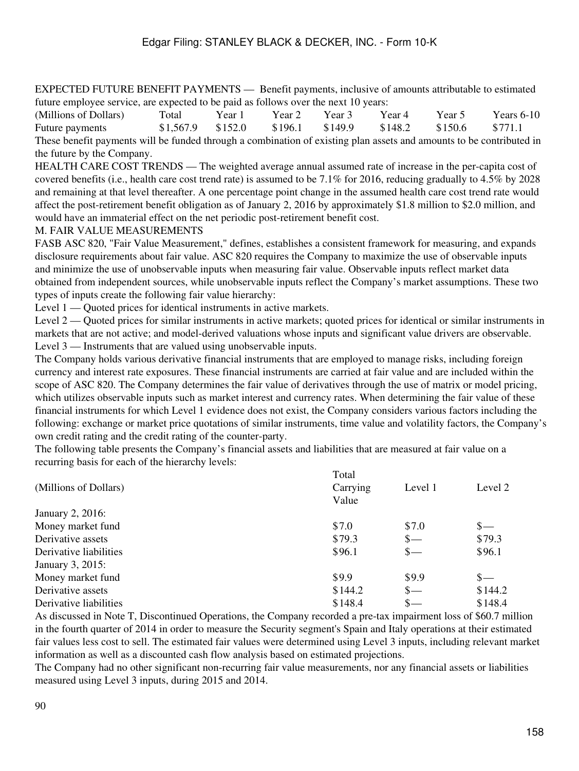EXPECTED FUTURE BENEFIT PAYMENTS — Benefit payments, inclusive of amounts attributable to estimated future employee service, are expected to be paid as follows over the next 10 years:

(Millions of Dollars) Total Year 1 Year 2 Year 3 Year 4 Year 5 Years 6-10 Future payments \$1,567.9 \$152.0 \$196.1 \$149.9 \$148.2 \$150.6 \$771.1 These benefit payments will be funded through a combination of existing plan assets and amounts to be contributed in the future by the Company.

HEALTH CARE COST TRENDS — The weighted average annual assumed rate of increase in the per-capita cost of covered benefits (i.e., health care cost trend rate) is assumed to be 7.1% for 2016, reducing gradually to 4.5% by 2028 and remaining at that level thereafter. A one percentage point change in the assumed health care cost trend rate would affect the post-retirement benefit obligation as of January 2, 2016 by approximately \$1.8 million to \$2.0 million, and would have an immaterial effect on the net periodic post-retirement benefit cost.

M. FAIR VALUE MEASUREMENTS

FASB ASC 820, "Fair Value Measurement," defines, establishes a consistent framework for measuring, and expands disclosure requirements about fair value. ASC 820 requires the Company to maximize the use of observable inputs and minimize the use of unobservable inputs when measuring fair value. Observable inputs reflect market data obtained from independent sources, while unobservable inputs reflect the Company's market assumptions. These two types of inputs create the following fair value hierarchy:

Level 1 — Quoted prices for identical instruments in active markets.

Level 2 — Quoted prices for similar instruments in active markets; quoted prices for identical or similar instruments in markets that are not active; and model-derived valuations whose inputs and significant value drivers are observable. Level 3 — Instruments that are valued using unobservable inputs.

The Company holds various derivative financial instruments that are employed to manage risks, including foreign currency and interest rate exposures. These financial instruments are carried at fair value and are included within the scope of ASC 820. The Company determines the fair value of derivatives through the use of matrix or model pricing, which utilizes observable inputs such as market interest and currency rates. When determining the fair value of these financial instruments for which Level 1 evidence does not exist, the Company considers various factors including the following: exchange or market price quotations of similar instruments, time value and volatility factors, the Company's own credit rating and the credit rating of the counter-party.

The following table presents the Company's financial assets and liabilities that are measured at fair value on a recurring basis for each of the hierarchy levels:

|                        | Total    |                 |         |
|------------------------|----------|-----------------|---------|
| (Millions of Dollars)  | Carrying | Level 1         | Level 2 |
|                        | Value    |                 |         |
| January 2, 2016:       |          |                 |         |
| Money market fund      | \$7.0    | \$7.0           |         |
| Derivative assets      | \$79.3   | $\frac{\S}{\S}$ | \$79.3  |
| Derivative liabilities | \$96.1   | $\frac{1}{2}$   | \$96.1  |
| January 3, 2015:       |          |                 |         |
| Money market fund      | \$9.9    | \$9.9           | $S-$    |
| Derivative assets      | \$144.2  | $s-$            | \$144.2 |
| Derivative liabilities | \$148.4  | $s-$            | \$148.4 |
|                        |          |                 |         |

As discussed in Note T, Discontinued Operations, the Company recorded a pre-tax impairment loss of \$60.7 million in the fourth quarter of 2014 in order to measure the Security segment's Spain and Italy operations at their estimated fair values less cost to sell. The estimated fair values were determined using Level 3 inputs, including relevant market information as well as a discounted cash flow analysis based on estimated projections.

The Company had no other significant non-recurring fair value measurements, nor any financial assets or liabilities measured using Level 3 inputs, during 2015 and 2014.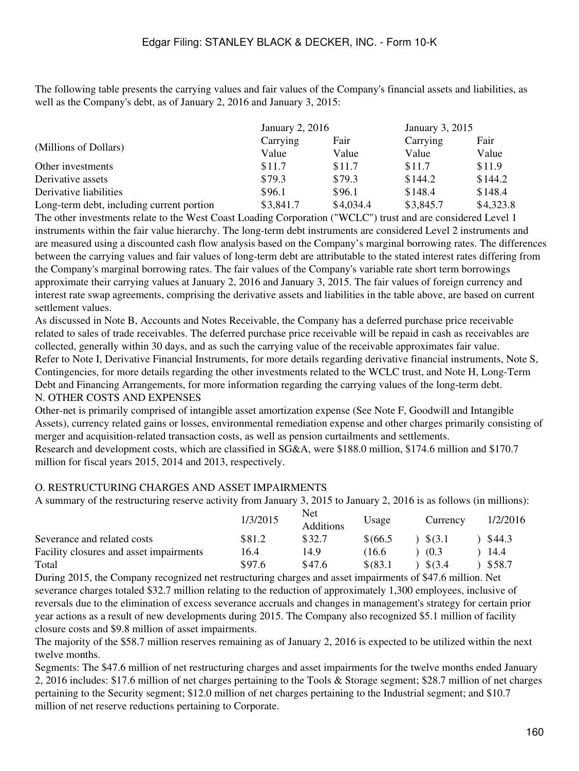The following table presents the carrying values and fair values of the Company's financial assets and liabilities, as well as the Company's debt, as of January 2, 2016 and January 3, 2015:

|                                           | January 2, 2016 |           |           | January 3, 2015 |  |  |
|-------------------------------------------|-----------------|-----------|-----------|-----------------|--|--|
| (Millions of Dollars)                     | Carrying        | Fair      | Carrying  | Fair            |  |  |
|                                           | Value           | Value     | Value     | Value           |  |  |
| Other investments                         | \$11.7          | \$11.7    | \$11.7    | \$11.9          |  |  |
| Derivative assets                         | \$79.3          | \$79.3    | \$144.2   | \$144.2         |  |  |
| Derivative liabilities                    | \$96.1          | \$96.1    | \$148.4   | \$148.4         |  |  |
| Long-term debt, including current portion | \$3,841.7       | \$4,034.4 | \$3,845.7 | \$4,323.8       |  |  |

The other investments relate to the West Coast Loading Corporation ("WCLC") trust and are considered Level 1 instruments within the fair value hierarchy. The long-term debt instruments are considered Level 2 instruments and are measured using a discounted cash flow analysis based on the Company's marginal borrowing rates. The differences between the carrying values and fair values of long-term debt are attributable to the stated interest rates differing from the Company's marginal borrowing rates. The fair values of the Company's variable rate short term borrowings approximate their carrying values at January 2, 2016 and January 3, 2015. The fair values of foreign currency and interest rate swap agreements, comprising the derivative assets and liabilities in the table above, are based on current settlement values.

As discussed in Note B, Accounts and Notes Receivable, the Company has a deferred purchase price receivable related to sales of trade receivables. The deferred purchase price receivable will be repaid in cash as receivables are collected, generally within 30 days, and as such the carrying value of the receivable approximates fair value. Refer to Note I, Derivative Financial Instruments, for more details regarding derivative financial instruments, Note S, Contingencies, for more details regarding the other investments related to the WCLC trust, and Note H, Long-Term Debt and Financing Arrangements, for more information regarding the carrying values of the long-term debt. N. OTHER COSTS AND EXPENSES

Other-net is primarily comprised of intangible asset amortization expense (See Note F, Goodwill and Intangible Assets), currency related gains or losses, environmental remediation expense and other charges primarily consisting of merger and acquisition-related transaction costs, as well as pension curtailments and settlements.

Research and development costs, which are classified in SG&A, were \$188.0 million, \$174.6 million and \$170.7 million for fiscal years 2015, 2014 and 2013, respectively.

#### O. RESTRUCTURING CHARGES AND ASSET IMPAIRMENTS

A summary of the restructuring reserve activity from January 3, 2015 to January 2, 2016 is as follows (in millions):

|                                         | 1/3/2015 | Net<br><b>Additions</b> | Usage      | Currency | 1/2/2016 |
|-----------------------------------------|----------|-------------------------|------------|----------|----------|
| Severance and related costs             | \$81.2   | \$32.7                  | \$ (66.5)  | \$63.1   | \$44.3   |
| Facility closures and asset impairments | 16.4     | 14.9                    | (16.6      | (0.3)    | 14.4     |
| Total                                   | \$97.6   | \$47.6                  | $$$ (83.1) | \$63.4   | \$58.7   |

During 2015, the Company recognized net restructuring charges and asset impairments of \$47.6 million. Net severance charges totaled \$32.7 million relating to the reduction of approximately 1,300 employees, inclusive of reversals due to the elimination of excess severance accruals and changes in management's strategy for certain prior year actions as a result of new developments during 2015. The Company also recognized \$5.1 million of facility closure costs and \$9.8 million of asset impairments.

The majority of the \$58.7 million reserves remaining as of January 2, 2016 is expected to be utilized within the next twelve months.

Segments: The \$47.6 million of net restructuring charges and asset impairments for the twelve months ended January 2, 2016 includes: \$17.6 million of net charges pertaining to the Tools & Storage segment; \$28.7 million of net charges pertaining to the Security segment; \$12.0 million of net charges pertaining to the Industrial segment; and \$10.7 million of net reserve reductions pertaining to Corporate.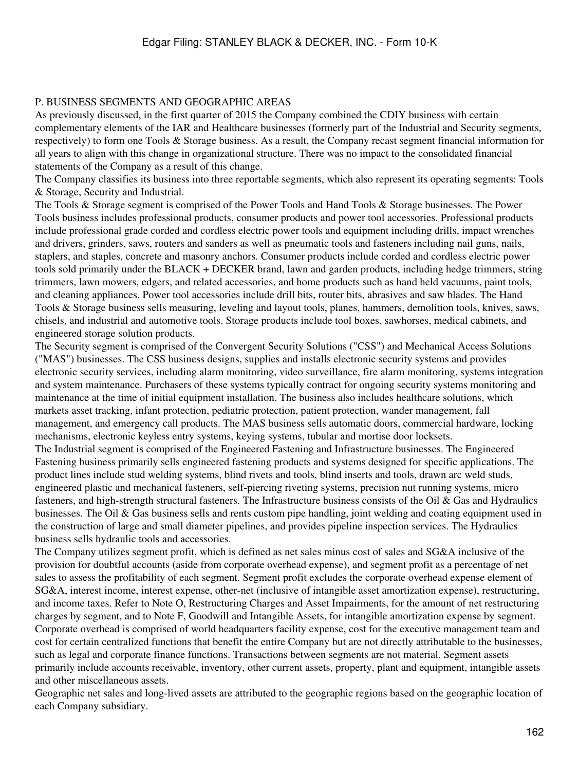#### P. BUSINESS SEGMENTS AND GEOGRAPHIC AREAS

As previously discussed, in the first quarter of 2015 the Company combined the CDIY business with certain complementary elements of the IAR and Healthcare businesses (formerly part of the Industrial and Security segments, respectively) to form one Tools & Storage business. As a result, the Company recast segment financial information for all years to align with this change in organizational structure. There was no impact to the consolidated financial statements of the Company as a result of this change.

The Company classifies its business into three reportable segments, which also represent its operating segments: Tools & Storage, Security and Industrial.

The Tools & Storage segment is comprised of the Power Tools and Hand Tools & Storage businesses. The Power Tools business includes professional products, consumer products and power tool accessories. Professional products include professional grade corded and cordless electric power tools and equipment including drills, impact wrenches and drivers, grinders, saws, routers and sanders as well as pneumatic tools and fasteners including nail guns, nails, staplers, and staples, concrete and masonry anchors. Consumer products include corded and cordless electric power tools sold primarily under the BLACK + DECKER brand, lawn and garden products, including hedge trimmers, string trimmers, lawn mowers, edgers, and related accessories, and home products such as hand held vacuums, paint tools, and cleaning appliances. Power tool accessories include drill bits, router bits, abrasives and saw blades. The Hand Tools & Storage business sells measuring, leveling and layout tools, planes, hammers, demolition tools, knives, saws, chisels, and industrial and automotive tools. Storage products include tool boxes, sawhorses, medical cabinets, and engineered storage solution products.

The Security segment is comprised of the Convergent Security Solutions ("CSS") and Mechanical Access Solutions ("MAS") businesses. The CSS business designs, supplies and installs electronic security systems and provides electronic security services, including alarm monitoring, video surveillance, fire alarm monitoring, systems integration and system maintenance. Purchasers of these systems typically contract for ongoing security systems monitoring and maintenance at the time of initial equipment installation. The business also includes healthcare solutions, which markets asset tracking, infant protection, pediatric protection, patient protection, wander management, fall management, and emergency call products. The MAS business sells automatic doors, commercial hardware, locking mechanisms, electronic keyless entry systems, keying systems, tubular and mortise door locksets.

The Industrial segment is comprised of the Engineered Fastening and Infrastructure businesses. The Engineered Fastening business primarily sells engineered fastening products and systems designed for specific applications. The product lines include stud welding systems, blind rivets and tools, blind inserts and tools, drawn arc weld studs, engineered plastic and mechanical fasteners, self-piercing riveting systems, precision nut running systems, micro fasteners, and high-strength structural fasteners. The Infrastructure business consists of the Oil & Gas and Hydraulics businesses. The Oil & Gas business sells and rents custom pipe handling, joint welding and coating equipment used in the construction of large and small diameter pipelines, and provides pipeline inspection services. The Hydraulics business sells hydraulic tools and accessories.

The Company utilizes segment profit, which is defined as net sales minus cost of sales and SG&A inclusive of the provision for doubtful accounts (aside from corporate overhead expense), and segment profit as a percentage of net sales to assess the profitability of each segment. Segment profit excludes the corporate overhead expense element of SG&A, interest income, interest expense, other-net (inclusive of intangible asset amortization expense), restructuring, and income taxes. Refer to Note O, Restructuring Charges and Asset Impairments, for the amount of net restructuring charges by segment, and to Note F, Goodwill and Intangible Assets, for intangible amortization expense by segment. Corporate overhead is comprised of world headquarters facility expense, cost for the executive management team and cost for certain centralized functions that benefit the entire Company but are not directly attributable to the businesses, such as legal and corporate finance functions. Transactions between segments are not material. Segment assets primarily include accounts receivable, inventory, other current assets, property, plant and equipment, intangible assets and other miscellaneous assets.

Geographic net sales and long-lived assets are attributed to the geographic regions based on the geographic location of each Company subsidiary.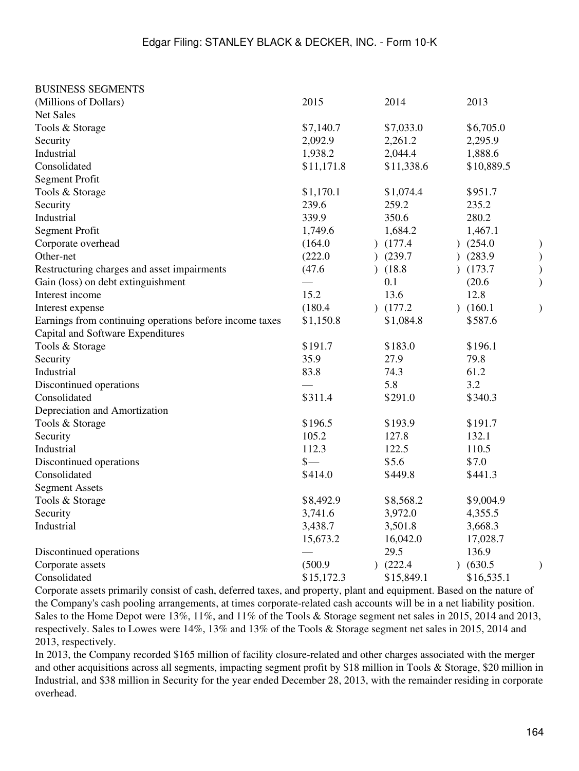| 2015            | 2014       | 2013                                               |
|-----------------|------------|----------------------------------------------------|
|                 |            |                                                    |
| \$7,140.7       | \$7,033.0  | \$6,705.0                                          |
| 2,092.9         | 2,261.2    | 2,295.9                                            |
| 1,938.2         | 2,044.4    | 1,888.6                                            |
| \$11,171.8      | \$11,338.6 | \$10,889.5                                         |
|                 |            |                                                    |
| \$1,170.1       | \$1,074.4  | \$951.7                                            |
| 239.6           | 259.2      | 235.2                                              |
| 339.9           | 350.6      | 280.2                                              |
| 1,749.6         | 1,684.2    | 1,467.1                                            |
| (164.0)         |            | )(254.0)<br>)                                      |
| (222.0)         |            | $\big)$<br>(283.9)                                 |
| (47.6)          |            | (173.7)                                            |
|                 | 0.1        | (20.6)<br>$\mathcal{E}$                            |
| 15.2            | 13.6       | 12.8                                               |
| (180.4)         |            | (160.1)<br>$\mathcal{)}$                           |
| \$1,150.8       | \$1,084.8  | \$587.6                                            |
|                 |            |                                                    |
| \$191.7         | \$183.0    | \$196.1                                            |
| 35.9            | 27.9       | 79.8                                               |
| 83.8            | 74.3       | 61.2                                               |
|                 | 5.8        | 3.2                                                |
| \$311.4         | \$291.0    | \$340.3                                            |
|                 |            |                                                    |
| \$196.5         | \$193.9    | \$191.7                                            |
| 105.2           | 127.8      | 132.1                                              |
| 112.3           | 122.5      | 110.5                                              |
| $\frac{\S}{\S}$ | \$5.6      | \$7.0                                              |
| \$414.0         | \$449.8    | \$441.3                                            |
|                 |            |                                                    |
| \$8,492.9       | \$8,568.2  | \$9,004.9                                          |
| 3,741.6         | 3,972.0    | 4,355.5                                            |
| 3,438.7         | 3,501.8    | 3,668.3                                            |
| 15,673.2        | 16,042.0   | 17,028.7                                           |
|                 | 29.5       | 136.9                                              |
| (500.9)         |            | (630.5)<br>$\mathcal{E}$                           |
| \$15,172.3      | \$15,849.1 | \$16,535.1                                         |
|                 |            | (177.4)<br>(239.7)<br>(18.8)<br>(177.2)<br>(222.4) |

Corporate assets primarily consist of cash, deferred taxes, and property, plant and equipment. Based on the nature of the Company's cash pooling arrangements, at times corporate-related cash accounts will be in a net liability position. Sales to the Home Depot were 13%, 11%, and 11% of the Tools & Storage segment net sales in 2015, 2014 and 2013, respectively. Sales to Lowes were 14%, 13% and 13% of the Tools & Storage segment net sales in 2015, 2014 and 2013, respectively.

In 2013, the Company recorded \$165 million of facility closure-related and other charges associated with the merger and other acquisitions across all segments, impacting segment profit by \$18 million in Tools & Storage, \$20 million in Industrial, and \$38 million in Security for the year ended December 28, 2013, with the remainder residing in corporate overhead.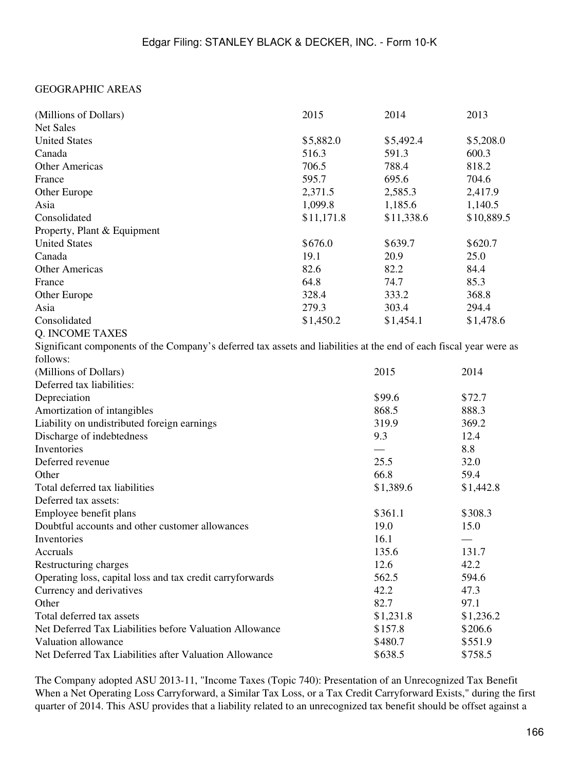#### GEOGRAPHIC AREAS

| (Millions of Dollars)                                                                                              | 2015       | 2014       | 2013       |
|--------------------------------------------------------------------------------------------------------------------|------------|------------|------------|
| Net Sales                                                                                                          |            |            |            |
| <b>United States</b>                                                                                               | \$5,882.0  | \$5,492.4  | \$5,208.0  |
| Canada                                                                                                             | 516.3      | 591.3      | 600.3      |
| <b>Other Americas</b>                                                                                              | 706.5      | 788.4      | 818.2      |
| France                                                                                                             | 595.7      | 695.6      | 704.6      |
| Other Europe                                                                                                       | 2,371.5    | 2,585.3    | 2,417.9    |
| Asia                                                                                                               | 1,099.8    | 1,185.6    | 1,140.5    |
| Consolidated                                                                                                       | \$11,171.8 | \$11,338.6 | \$10,889.5 |
| Property, Plant & Equipment                                                                                        |            |            |            |
| <b>United States</b>                                                                                               | \$676.0    | \$639.7    | \$620.7    |
| Canada                                                                                                             | 19.1       | 20.9       | 25.0       |
| <b>Other Americas</b>                                                                                              | 82.6       | 82.2       | 84.4       |
| France                                                                                                             | 64.8       | 74.7       | 85.3       |
| Other Europe                                                                                                       | 328.4      | 333.2      | 368.8      |
| Asia                                                                                                               | 279.3      | 303.4      | 294.4      |
| Consolidated                                                                                                       | \$1,450.2  | \$1,454.1  | \$1,478.6  |
| Q. INCOME TAXES                                                                                                    |            |            |            |
| Significant components of the Company's deferred tax assets and liabilities at the end of each fiscal year were as |            |            |            |
| follows:                                                                                                           |            |            |            |
| (Millions of Dollars)                                                                                              |            | 2015       | 2014       |
| Deferred tax liabilities:                                                                                          |            |            |            |
| Depreciation                                                                                                       |            | \$99.6     | \$72.7     |
| Amortization of intangibles                                                                                        |            | 868.5      | 888.3      |
| Liability on undistributed foreign earnings                                                                        |            | 319.9      | 369.2      |
| Discharge of indebtedness                                                                                          |            | 9.3        | 12.4       |
| Inventories                                                                                                        |            |            | 8.8        |
| Deferred revenue                                                                                                   |            | 25.5       | 32.0       |
| Other                                                                                                              |            | 66.8       | 59.4       |
| Total deferred tax liabilities                                                                                     |            | \$1,389.6  | \$1,442.8  |
| Deferred tax assets:                                                                                               |            |            |            |
| Employee benefit plans                                                                                             |            | \$361.1    | \$308.3    |
| Doubtful accounts and other customer allowances                                                                    |            | 19.0       | 15.0       |
| Inventories                                                                                                        |            | 16.1       |            |
| Accruals                                                                                                           |            | 135.6      | 131.7      |
| Restructuring charges                                                                                              |            | 12.6       | 42.2       |
| Operating loss, capital loss and tax credit carryforwards                                                          |            | 562.5      | 594.6      |
| Currency and derivatives                                                                                           |            | 42.2       | 47.3       |
| Other                                                                                                              |            | 82.7       | 97.1       |
| Total deferred tax assets                                                                                          |            | \$1,231.8  | \$1,236.2  |
| Net Deferred Tax Liabilities before Valuation Allowance                                                            |            | \$157.8    | \$206.6    |
| Valuation allowance                                                                                                |            | \$480.7    | \$551.9    |
| Net Deferred Tax Liabilities after Valuation Allowance                                                             |            | \$638.5    | \$758.5    |
|                                                                                                                    |            |            |            |

The Company adopted ASU 2013-11, "Income Taxes (Topic 740): Presentation of an Unrecognized Tax Benefit When a Net Operating Loss Carryforward, a Similar Tax Loss, or a Tax Credit Carryforward Exists," during the first quarter of 2014. This ASU provides that a liability related to an unrecognized tax benefit should be offset against a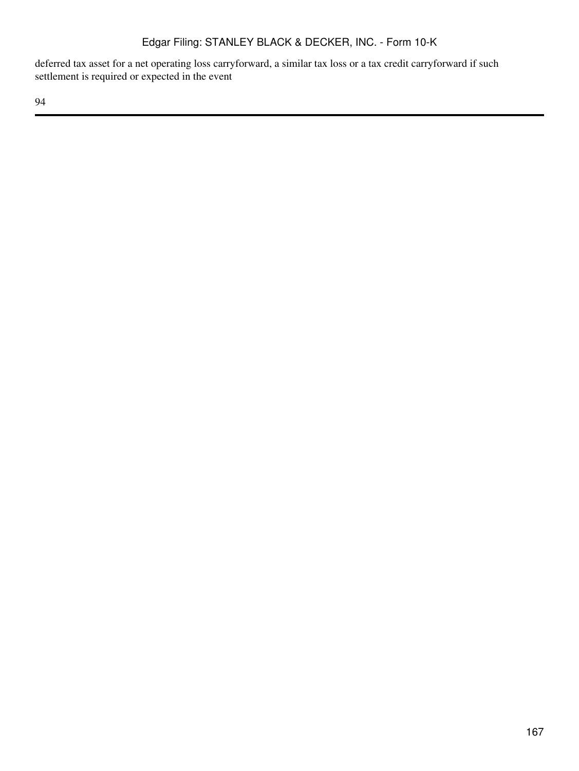deferred tax asset for a net operating loss carryforward, a similar tax loss or a tax credit carryforward if such settlement is required or expected in the event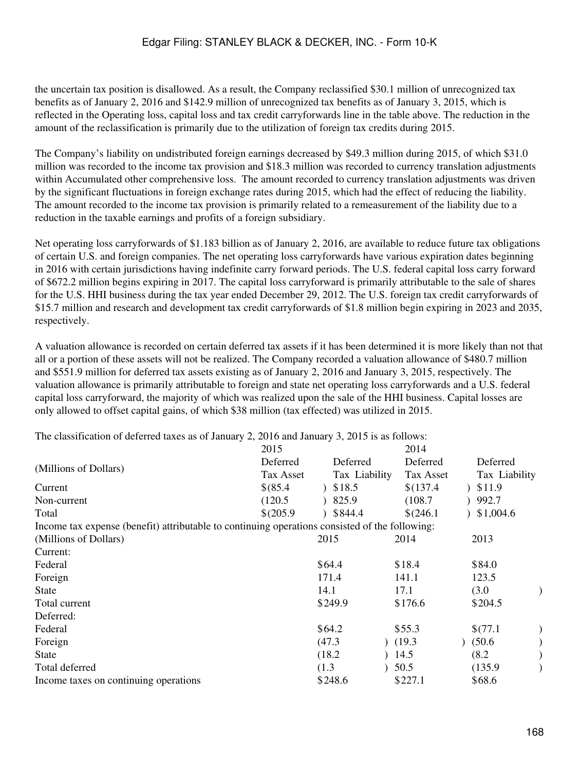the uncertain tax position is disallowed. As a result, the Company reclassified \$30.1 million of unrecognized tax benefits as of January 2, 2016 and \$142.9 million of unrecognized tax benefits as of January 3, 2015, which is reflected in the Operating loss, capital loss and tax credit carryforwards line in the table above. The reduction in the amount of the reclassification is primarily due to the utilization of foreign tax credits during 2015.

The Company's liability on undistributed foreign earnings decreased by \$49.3 million during 2015, of which \$31.0 million was recorded to the income tax provision and \$18.3 million was recorded to currency translation adjustments within Accumulated other comprehensive loss. The amount recorded to currency translation adjustments was driven by the significant fluctuations in foreign exchange rates during 2015, which had the effect of reducing the liability. The amount recorded to the income tax provision is primarily related to a remeasurement of the liability due to a reduction in the taxable earnings and profits of a foreign subsidiary.

Net operating loss carryforwards of \$1.183 billion as of January 2, 2016, are available to reduce future tax obligations of certain U.S. and foreign companies. The net operating loss carryforwards have various expiration dates beginning in 2016 with certain jurisdictions having indefinite carry forward periods. The U.S. federal capital loss carry forward of \$672.2 million begins expiring in 2017. The capital loss carryforward is primarily attributable to the sale of shares for the U.S. HHI business during the tax year ended December 29, 2012. The U.S. foreign tax credit carryforwards of \$15.7 million and research and development tax credit carryforwards of \$1.8 million begin expiring in 2023 and 2035, respectively.

A valuation allowance is recorded on certain deferred tax assets if it has been determined it is more likely than not that all or a portion of these assets will not be realized. The Company recorded a valuation allowance of \$480.7 million and \$551.9 million for deferred tax assets existing as of January 2, 2016 and January 3, 2015, respectively. The valuation allowance is primarily attributable to foreign and state net operating loss carryforwards and a U.S. federal capital loss carryforward, the majority of which was realized upon the sale of the HHI business. Capital losses are only allowed to offset capital gains, of which \$38 million (tax effected) was utilized in 2015.

The classification of deferred taxes as of January 2, 2016 and January 3, 2015 is as follows:

|                                                                                                | 2015          |         |               | 2014      |               |  |
|------------------------------------------------------------------------------------------------|---------------|---------|---------------|-----------|---------------|--|
|                                                                                                | Deferred      |         | Deferred      | Deferred  | Deferred      |  |
| (Millions of Dollars)                                                                          | Tax Asset     |         | Tax Liability | Tax Asset | Tax Liability |  |
| Current                                                                                        | \$ (85.4)     |         | 35.5          | \$(137.4) | 311.9         |  |
| Non-current                                                                                    | (120.5)       |         | 825.9         | (108.7)   | 992.7         |  |
| Total                                                                                          | $$^{(205.9)}$ |         | 3844.4        | \$(246.1) | 31,004.6      |  |
| Income tax expense (benefit) attributable to continuing operations consisted of the following: |               |         |               |           |               |  |
| (Millions of Dollars)                                                                          |               | 2015    |               | 2014      | 2013          |  |
| Current:                                                                                       |               |         |               |           |               |  |
| Federal                                                                                        |               | \$64.4  |               | \$18.4    | \$84.0        |  |
| Foreign                                                                                        |               | 171.4   |               | 141.1     | 123.5         |  |
| <b>State</b>                                                                                   |               | 14.1    |               | 17.1      | (3.0)         |  |
| Total current                                                                                  |               | \$249.9 |               | \$176.6   | \$204.5       |  |
| Deferred:                                                                                      |               |         |               |           |               |  |
| Federal                                                                                        |               | \$64.2  |               | \$55.3    | \$(77.1)      |  |
| Foreign                                                                                        |               | (47.3)  |               | (19.3)    | (50.6)        |  |
| <b>State</b>                                                                                   |               | (18.2)  |               | 14.5      | (8.2)         |  |
| Total deferred                                                                                 |               | (1.3)   |               | 50.5      | (135.9)       |  |
| Income taxes on continuing operations                                                          |               | \$248.6 |               | \$227.1   | \$68.6        |  |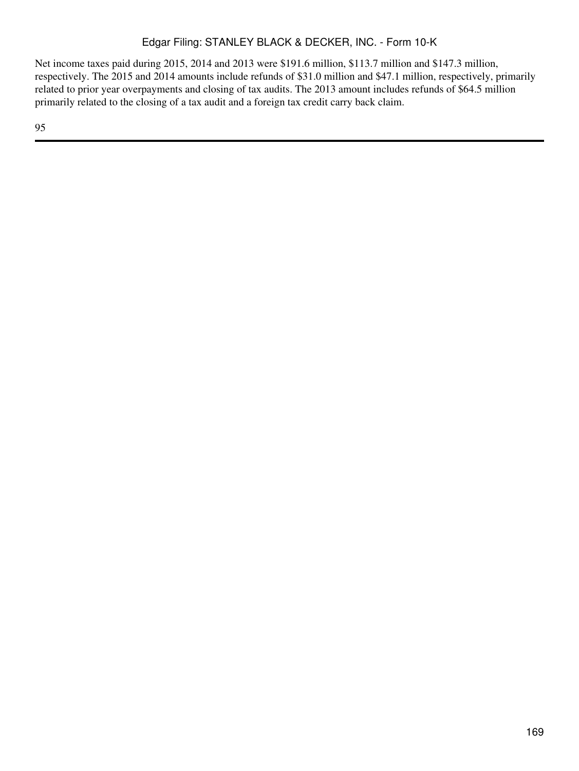Net income taxes paid during 2015, 2014 and 2013 were \$191.6 million, \$113.7 million and \$147.3 million, respectively. The 2015 and 2014 amounts include refunds of \$31.0 million and \$47.1 million, respectively, primarily related to prior year overpayments and closing of tax audits. The 2013 amount includes refunds of \$64.5 million primarily related to the closing of a tax audit and a foreign tax credit carry back claim.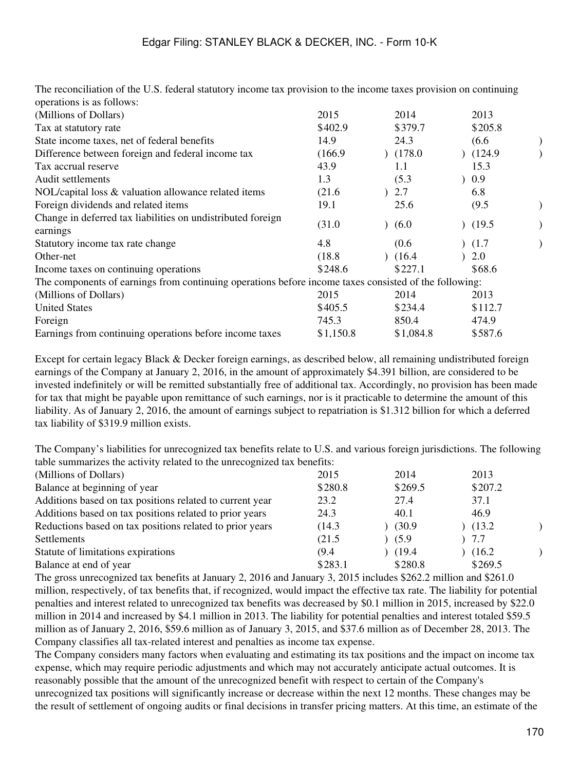| The reconciliation of the U.S. federal statutory income tax provision to the income taxes provision on continuing |           |           |         |  |
|-------------------------------------------------------------------------------------------------------------------|-----------|-----------|---------|--|
| operations is as follows:                                                                                         |           |           |         |  |
| (Millions of Dollars)                                                                                             | 2015      | 2014      | 2013    |  |
| Tax at statutory rate                                                                                             | \$402.9   | \$379.7   | \$205.8 |  |
| State income taxes, net of federal benefits                                                                       | 14.9      | 24.3      | (6.6)   |  |
| Difference between foreign and federal income tax                                                                 | (166.9)   | (178.0)   | (124.9) |  |
| Tax accrual reserve                                                                                               | 43.9      | 1.1       | 15.3    |  |
| Audit settlements                                                                                                 | 1.3       | (5.3)     | 0.9     |  |
| NOL/capital loss & valuation allowance related items                                                              | (21.6)    | 2.7       | 6.8     |  |
| Foreign dividends and related items                                                                               | 19.1      | 25.6      | (9.5)   |  |
| Change in deferred tax liabilities on undistributed foreign<br>earnings                                           | (31.0)    | (6.0)     | (19.5)  |  |
| Statutory income tax rate change                                                                                  | 4.8       | (0.6)     | (1.7)   |  |
| Other-net                                                                                                         | (18.8)    | (16.4)    | 2.0     |  |
| Income taxes on continuing operations                                                                             | \$248.6   | \$227.1   | \$68.6  |  |
| The components of earnings from continuing operations before income taxes consisted of the following:             |           |           |         |  |
| (Millions of Dollars)                                                                                             | 2015      | 2014      | 2013    |  |
| <b>United States</b>                                                                                              | \$405.5   | \$234.4   | \$112.7 |  |
| Foreign                                                                                                           | 745.3     | 850.4     | 474.9   |  |
| Earnings from continuing operations before income taxes                                                           | \$1,150.8 | \$1,084.8 | \$587.6 |  |

Except for certain legacy Black & Decker foreign earnings, as described below, all remaining undistributed foreign earnings of the Company at January 2, 2016, in the amount of approximately \$4.391 billion, are considered to be invested indefinitely or will be remitted substantially free of additional tax. Accordingly, no provision has been made for tax that might be payable upon remittance of such earnings, nor is it practicable to determine the amount of this liability. As of January 2, 2016, the amount of earnings subject to repatriation is \$1.312 billion for which a deferred tax liability of \$319.9 million exists.

The Company's liabilities for unrecognized tax benefits relate to U.S. and various foreign jurisdictions. The following table summarizes the activity related to the unrecognized tax benefits:

| (Millions of Dollars)                                    | 2015    | 2014    | 2013    |  |
|----------------------------------------------------------|---------|---------|---------|--|
| Balance at beginning of year                             | \$280.8 | \$269.5 | \$207.2 |  |
| Additions based on tax positions related to current year | 23.2    | 27.4    | 37.1    |  |
| Additions based on tax positions related to prior years  | 24.3    | 40.1    | 46.9    |  |
| Reductions based on tax positions related to prior years | (14.3)  | (30.9)  | (13.2)  |  |
| Settlements                                              | (21.5)  | (5.9)   | 7.7     |  |
| Statute of limitations expirations                       | (9.4)   | (19.4)  | (16.2)  |  |
| Balance at end of year                                   | \$283.1 | \$280.8 | \$269.5 |  |
|                                                          |         |         |         |  |

The gross unrecognized tax benefits at January 2, 2016 and January 3, 2015 includes \$262.2 million and \$261.0 million, respectively, of tax benefits that, if recognized, would impact the effective tax rate. The liability for potential penalties and interest related to unrecognized tax benefits was decreased by \$0.1 million in 2015, increased by \$22.0 million in 2014 and increased by \$4.1 million in 2013. The liability for potential penalties and interest totaled \$59.5 million as of January 2, 2016, \$59.6 million as of January 3, 2015, and \$37.6 million as of December 28, 2013. The Company classifies all tax-related interest and penalties as income tax expense.

The Company considers many factors when evaluating and estimating its tax positions and the impact on income tax expense, which may require periodic adjustments and which may not accurately anticipate actual outcomes. It is reasonably possible that the amount of the unrecognized benefit with respect to certain of the Company's unrecognized tax positions will significantly increase or decrease within the next 12 months. These changes may be the result of settlement of ongoing audits or final decisions in transfer pricing matters. At this time, an estimate of the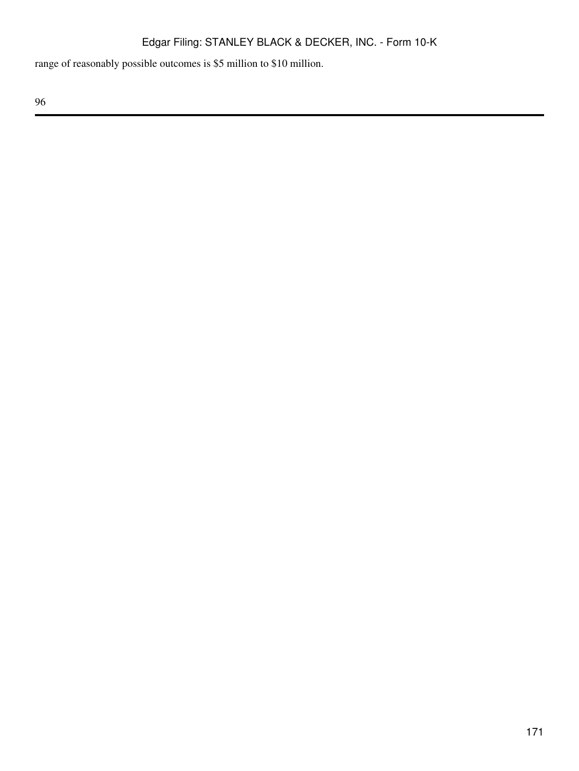range of reasonably possible outcomes is \$5 million to \$10 million.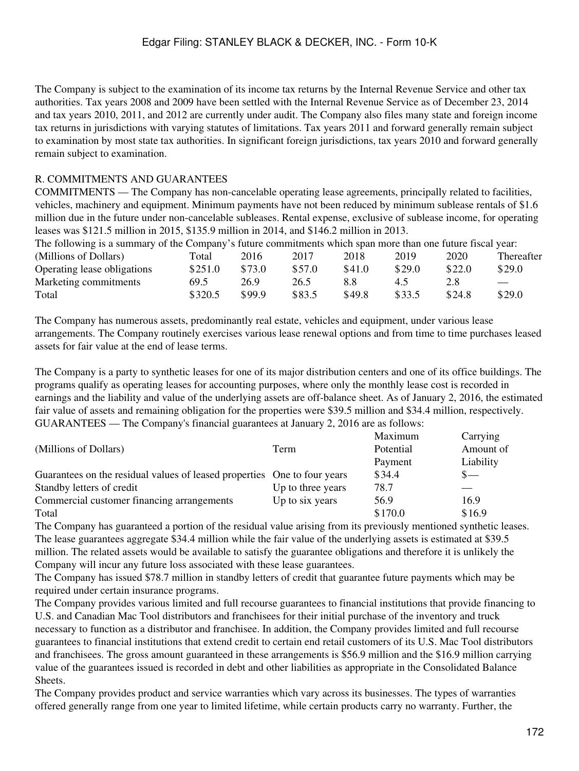The Company is subject to the examination of its income tax returns by the Internal Revenue Service and other tax authorities. Tax years 2008 and 2009 have been settled with the Internal Revenue Service as of December 23, 2014 and tax years 2010, 2011, and 2012 are currently under audit. The Company also files many state and foreign income tax returns in jurisdictions with varying statutes of limitations. Tax years 2011 and forward generally remain subject to examination by most state tax authorities. In significant foreign jurisdictions, tax years 2010 and forward generally remain subject to examination.

## R. COMMITMENTS AND GUARANTEES

COMMITMENTS — The Company has non-cancelable operating lease agreements, principally related to facilities, vehicles, machinery and equipment. Minimum payments have not been reduced by minimum sublease rentals of \$1.6 million due in the future under non-cancelable subleases. Rental expense, exclusive of sublease income, for operating leases was \$121.5 million in 2015, \$135.9 million in 2014, and \$146.2 million in 2013.

| The following is a summary of the Company's future commitments which span more than one future fiscal year: |         |        |        |        |        |        |            |
|-------------------------------------------------------------------------------------------------------------|---------|--------|--------|--------|--------|--------|------------|
| (Millions of Dollars)                                                                                       | Total   | 2016   | 2017   | 2018   | 2019   | 2020   | Thereafter |
| Operating lease obligations                                                                                 | \$251.0 | \$73.0 | \$57.0 | \$41.0 | \$29.0 | \$22.0 | \$29.0     |
| Marketing commitments                                                                                       | 69.5    | 26.9   | 26.5   | 8.8    | 4.5    | 2.8    |            |
| Total                                                                                                       | \$320.5 | \$99.9 | \$83.5 | \$49.8 | \$33.5 | \$24.8 | \$29.0     |

The Company has numerous assets, predominantly real estate, vehicles and equipment, under various lease arrangements. The Company routinely exercises various lease renewal options and from time to time purchases leased assets for fair value at the end of lease terms.

The Company is a party to synthetic leases for one of its major distribution centers and one of its office buildings. The programs qualify as operating leases for accounting purposes, where only the monthly lease cost is recorded in earnings and the liability and value of the underlying assets are off-balance sheet. As of January 2, 2016, the estimated fair value of assets and remaining obligation for the properties were \$39.5 million and \$34.4 million, respectively. GUARANTEES — The Company's financial guarantees at January 2, 2016 are as follows:

|                                                                          |                   | Maximum   | Carrying  |
|--------------------------------------------------------------------------|-------------------|-----------|-----------|
| (Millions of Dollars)                                                    | Term              | Potential | Amount of |
|                                                                          |                   | Payment   | Liability |
| Guarantees on the residual values of leased properties One to four years |                   | \$34.4    | $S-$      |
| Standby letters of credit                                                | Up to three years | 78.7      |           |
| Commercial customer financing arrangements                               | Up to six years   | 56.9      | 16.9      |
| Total                                                                    |                   | \$170.0   | \$16.9    |

The Company has guaranteed a portion of the residual value arising from its previously mentioned synthetic leases. The lease guarantees aggregate \$34.4 million while the fair value of the underlying assets is estimated at \$39.5 million. The related assets would be available to satisfy the guarantee obligations and therefore it is unlikely the Company will incur any future loss associated with these lease guarantees.

The Company has issued \$78.7 million in standby letters of credit that guarantee future payments which may be required under certain insurance programs.

The Company provides various limited and full recourse guarantees to financial institutions that provide financing to U.S. and Canadian Mac Tool distributors and franchisees for their initial purchase of the inventory and truck necessary to function as a distributor and franchisee. In addition, the Company provides limited and full recourse guarantees to financial institutions that extend credit to certain end retail customers of its U.S. Mac Tool distributors and franchisees. The gross amount guaranteed in these arrangements is \$56.9 million and the \$16.9 million carrying value of the guarantees issued is recorded in debt and other liabilities as appropriate in the Consolidated Balance Sheets.

The Company provides product and service warranties which vary across its businesses. The types of warranties offered generally range from one year to limited lifetime, while certain products carry no warranty. Further, the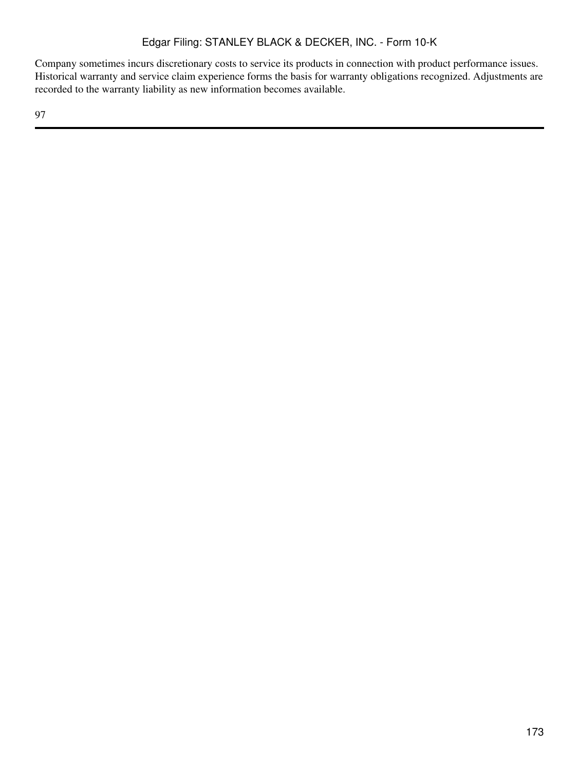Company sometimes incurs discretionary costs to service its products in connection with product performance issues. Historical warranty and service claim experience forms the basis for warranty obligations recognized. Adjustments are recorded to the warranty liability as new information becomes available.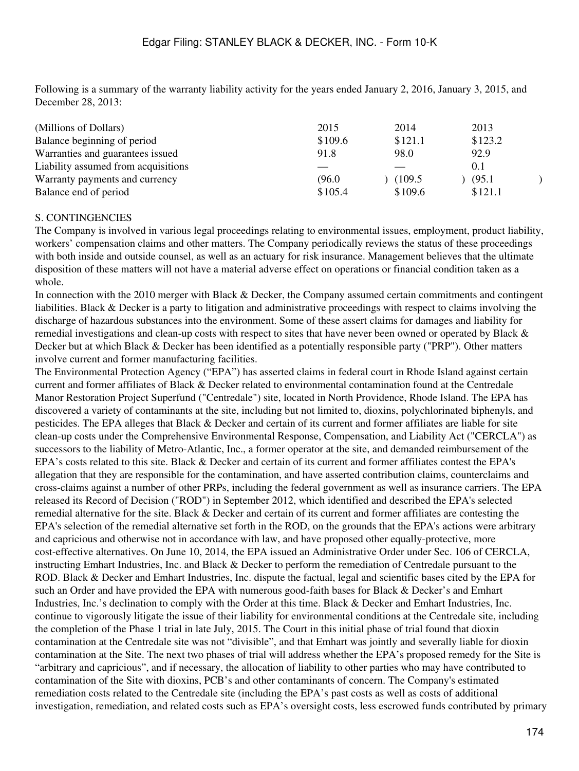Following is a summary of the warranty liability activity for the years ended January 2, 2016, January 3, 2015, and December 28, 2013:

| (Millions of Dollars)               | 2015    | 2014    | 2013    |  |
|-------------------------------------|---------|---------|---------|--|
| Balance beginning of period         | \$109.6 | \$121.1 | \$123.2 |  |
| Warranties and guarantees issued    | 91.8    | 98.0    | 92.9    |  |
| Liability assumed from acquisitions |         |         | 0.1     |  |
| Warranty payments and currency      | (96.0)  | (109.5  | (95.1)  |  |
| Balance end of period               | \$105.4 | \$109.6 | \$121.1 |  |
|                                     |         |         |         |  |

#### S. CONTINGENCIES

The Company is involved in various legal proceedings relating to environmental issues, employment, product liability, workers' compensation claims and other matters. The Company periodically reviews the status of these proceedings with both inside and outside counsel, as well as an actuary for risk insurance. Management believes that the ultimate disposition of these matters will not have a material adverse effect on operations or financial condition taken as a whole.

In connection with the 2010 merger with Black & Decker, the Company assumed certain commitments and contingent liabilities. Black & Decker is a party to litigation and administrative proceedings with respect to claims involving the discharge of hazardous substances into the environment. Some of these assert claims for damages and liability for remedial investigations and clean-up costs with respect to sites that have never been owned or operated by Black & Decker but at which Black & Decker has been identified as a potentially responsible party ("PRP"). Other matters involve current and former manufacturing facilities.

The Environmental Protection Agency ("EPA") has asserted claims in federal court in Rhode Island against certain current and former affiliates of Black & Decker related to environmental contamination found at the Centredale Manor Restoration Project Superfund ("Centredale") site, located in North Providence, Rhode Island. The EPA has discovered a variety of contaminants at the site, including but not limited to, dioxins, polychlorinated biphenyls, and pesticides. The EPA alleges that Black & Decker and certain of its current and former affiliates are liable for site clean-up costs under the Comprehensive Environmental Response, Compensation, and Liability Act ("CERCLA") as successors to the liability of Metro-Atlantic, Inc., a former operator at the site, and demanded reimbursement of the EPA's costs related to this site. Black & Decker and certain of its current and former affiliates contest the EPA's allegation that they are responsible for the contamination, and have asserted contribution claims, counterclaims and cross-claims against a number of other PRPs, including the federal government as well as insurance carriers. The EPA released its Record of Decision ("ROD") in September 2012, which identified and described the EPA's selected remedial alternative for the site. Black & Decker and certain of its current and former affiliates are contesting the EPA's selection of the remedial alternative set forth in the ROD, on the grounds that the EPA's actions were arbitrary and capricious and otherwise not in accordance with law, and have proposed other equally-protective, more cost-effective alternatives. On June 10, 2014, the EPA issued an Administrative Order under Sec. 106 of CERCLA, instructing Emhart Industries, Inc. and Black & Decker to perform the remediation of Centredale pursuant to the ROD. Black & Decker and Emhart Industries, Inc. dispute the factual, legal and scientific bases cited by the EPA for such an Order and have provided the EPA with numerous good-faith bases for Black & Decker's and Emhart Industries, Inc.'s declination to comply with the Order at this time. Black & Decker and Emhart Industries, Inc. continue to vigorously litigate the issue of their liability for environmental conditions at the Centredale site, including the completion of the Phase 1 trial in late July, 2015. The Court in this initial phase of trial found that dioxin contamination at the Centredale site was not "divisible", and that Emhart was jointly and severally liable for dioxin contamination at the Site. The next two phases of trial will address whether the EPA's proposed remedy for the Site is "arbitrary and capricious", and if necessary, the allocation of liability to other parties who may have contributed to contamination of the Site with dioxins, PCB's and other contaminants of concern. The Company's estimated remediation costs related to the Centredale site (including the EPA's past costs as well as costs of additional investigation, remediation, and related costs such as EPA's oversight costs, less escrowed funds contributed by primary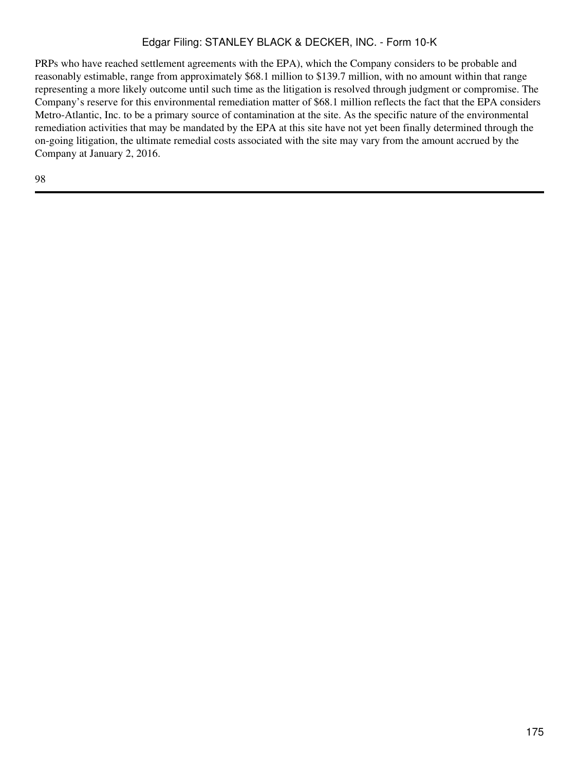PRPs who have reached settlement agreements with the EPA), which the Company considers to be probable and reasonably estimable, range from approximately \$68.1 million to \$139.7 million, with no amount within that range representing a more likely outcome until such time as the litigation is resolved through judgment or compromise. The Company's reserve for this environmental remediation matter of \$68.1 million reflects the fact that the EPA considers Metro-Atlantic, Inc. to be a primary source of contamination at the site. As the specific nature of the environmental remediation activities that may be mandated by the EPA at this site have not yet been finally determined through the on-going litigation, the ultimate remedial costs associated with the site may vary from the amount accrued by the Company at January 2, 2016.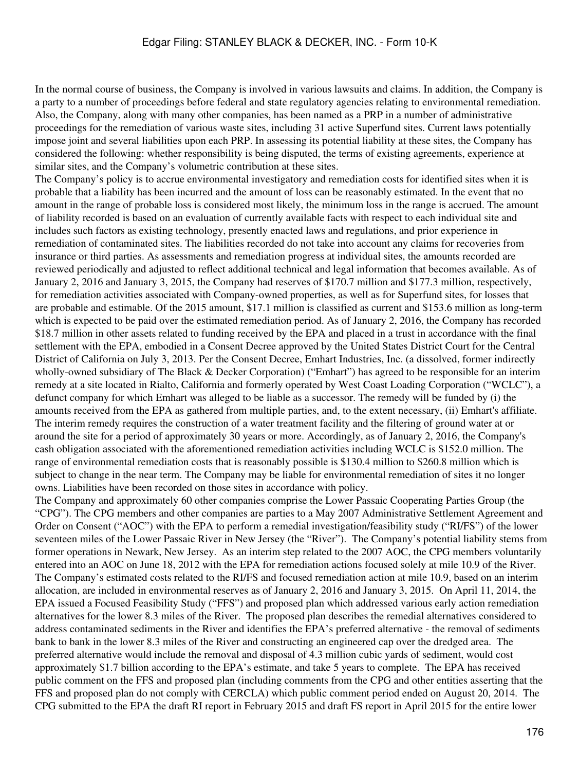In the normal course of business, the Company is involved in various lawsuits and claims. In addition, the Company is a party to a number of proceedings before federal and state regulatory agencies relating to environmental remediation. Also, the Company, along with many other companies, has been named as a PRP in a number of administrative proceedings for the remediation of various waste sites, including 31 active Superfund sites. Current laws potentially impose joint and several liabilities upon each PRP. In assessing its potential liability at these sites, the Company has considered the following: whether responsibility is being disputed, the terms of existing agreements, experience at similar sites, and the Company's volumetric contribution at these sites.

The Company's policy is to accrue environmental investigatory and remediation costs for identified sites when it is probable that a liability has been incurred and the amount of loss can be reasonably estimated. In the event that no amount in the range of probable loss is considered most likely, the minimum loss in the range is accrued. The amount of liability recorded is based on an evaluation of currently available facts with respect to each individual site and includes such factors as existing technology, presently enacted laws and regulations, and prior experience in remediation of contaminated sites. The liabilities recorded do not take into account any claims for recoveries from insurance or third parties. As assessments and remediation progress at individual sites, the amounts recorded are reviewed periodically and adjusted to reflect additional technical and legal information that becomes available. As of January 2, 2016 and January 3, 2015, the Company had reserves of \$170.7 million and \$177.3 million, respectively, for remediation activities associated with Company-owned properties, as well as for Superfund sites, for losses that are probable and estimable. Of the 2015 amount, \$17.1 million is classified as current and \$153.6 million as long-term which is expected to be paid over the estimated remediation period. As of January 2, 2016, the Company has recorded \$18.7 million in other assets related to funding received by the EPA and placed in a trust in accordance with the final settlement with the EPA, embodied in a Consent Decree approved by the United States District Court for the Central District of California on July 3, 2013. Per the Consent Decree, Emhart Industries, Inc. (a dissolved, former indirectly wholly-owned subsidiary of The Black & Decker Corporation) ("Emhart") has agreed to be responsible for an interim remedy at a site located in Rialto, California and formerly operated by West Coast Loading Corporation ("WCLC"), a defunct company for which Emhart was alleged to be liable as a successor. The remedy will be funded by (i) the amounts received from the EPA as gathered from multiple parties, and, to the extent necessary, (ii) Emhart's affiliate. The interim remedy requires the construction of a water treatment facility and the filtering of ground water at or around the site for a period of approximately 30 years or more. Accordingly, as of January 2, 2016, the Company's cash obligation associated with the aforementioned remediation activities including WCLC is \$152.0 million. The range of environmental remediation costs that is reasonably possible is \$130.4 million to \$260.8 million which is subject to change in the near term. The Company may be liable for environmental remediation of sites it no longer owns. Liabilities have been recorded on those sites in accordance with policy.

The Company and approximately 60 other companies comprise the Lower Passaic Cooperating Parties Group (the "CPG"). The CPG members and other companies are parties to a May 2007 Administrative Settlement Agreement and Order on Consent ("AOC") with the EPA to perform a remedial investigation/feasibility study ("RI/FS") of the lower seventeen miles of the Lower Passaic River in New Jersey (the "River"). The Company's potential liability stems from former operations in Newark, New Jersey. As an interim step related to the 2007 AOC, the CPG members voluntarily entered into an AOC on June 18, 2012 with the EPA for remediation actions focused solely at mile 10.9 of the River. The Company's estimated costs related to the RI/FS and focused remediation action at mile 10.9, based on an interim allocation, are included in environmental reserves as of January 2, 2016 and January 3, 2015. On April 11, 2014, the EPA issued a Focused Feasibility Study ("FFS") and proposed plan which addressed various early action remediation alternatives for the lower 8.3 miles of the River. The proposed plan describes the remedial alternatives considered to address contaminated sediments in the River and identifies the EPA's preferred alternative - the removal of sediments bank to bank in the lower 8.3 miles of the River and constructing an engineered cap over the dredged area. The preferred alternative would include the removal and disposal of 4.3 million cubic yards of sediment, would cost approximately \$1.7 billion according to the EPA's estimate, and take 5 years to complete. The EPA has received public comment on the FFS and proposed plan (including comments from the CPG and other entities asserting that the FFS and proposed plan do not comply with CERCLA) which public comment period ended on August 20, 2014. The CPG submitted to the EPA the draft RI report in February 2015 and draft FS report in April 2015 for the entire lower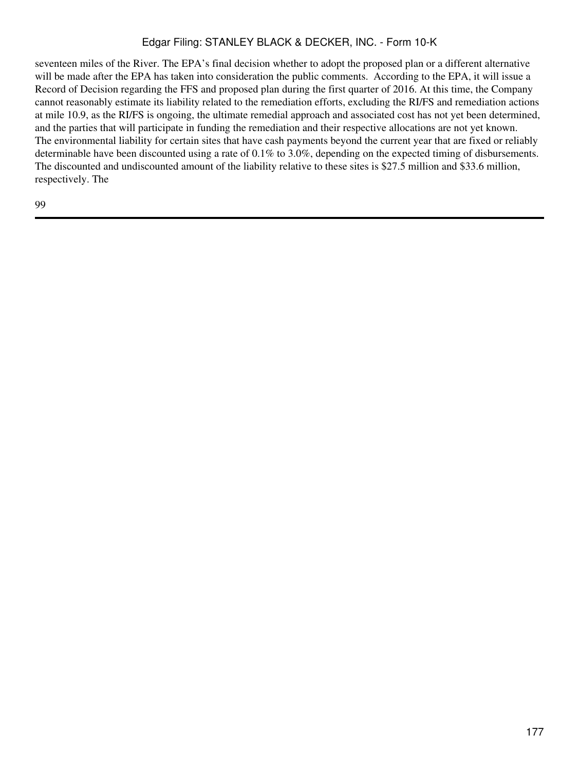seventeen miles of the River. The EPA's final decision whether to adopt the proposed plan or a different alternative will be made after the EPA has taken into consideration the public comments. According to the EPA, it will issue a Record of Decision regarding the FFS and proposed plan during the first quarter of 2016. At this time, the Company cannot reasonably estimate its liability related to the remediation efforts, excluding the RI/FS and remediation actions at mile 10.9, as the RI/FS is ongoing, the ultimate remedial approach and associated cost has not yet been determined, and the parties that will participate in funding the remediation and their respective allocations are not yet known. The environmental liability for certain sites that have cash payments beyond the current year that are fixed or reliably determinable have been discounted using a rate of 0.1% to 3.0%, depending on the expected timing of disbursements. The discounted and undiscounted amount of the liability relative to these sites is \$27.5 million and \$33.6 million, respectively. The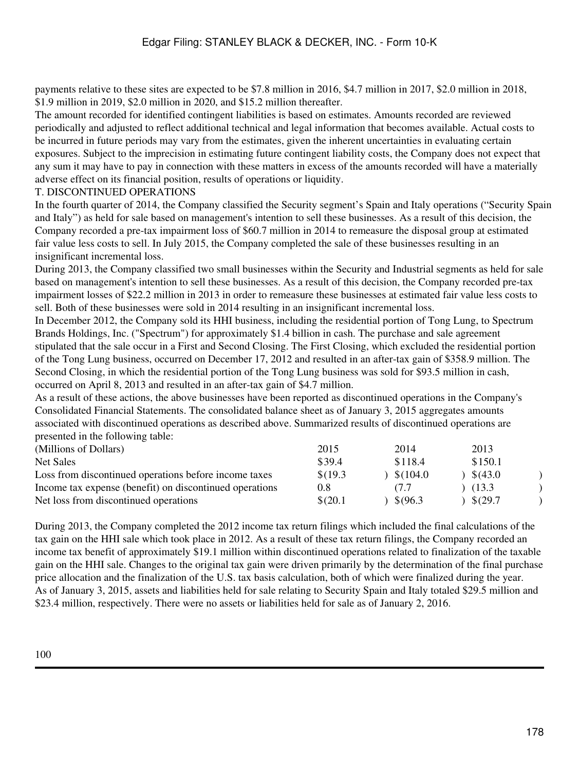payments relative to these sites are expected to be \$7.8 million in 2016, \$4.7 million in 2017, \$2.0 million in 2018, \$1.9 million in 2019, \$2.0 million in 2020, and \$15.2 million thereafter.

The amount recorded for identified contingent liabilities is based on estimates. Amounts recorded are reviewed periodically and adjusted to reflect additional technical and legal information that becomes available. Actual costs to be incurred in future periods may vary from the estimates, given the inherent uncertainties in evaluating certain exposures. Subject to the imprecision in estimating future contingent liability costs, the Company does not expect that any sum it may have to pay in connection with these matters in excess of the amounts recorded will have a materially adverse effect on its financial position, results of operations or liquidity.

#### T. DISCONTINUED OPERATIONS

In the fourth quarter of 2014, the Company classified the Security segment's Spain and Italy operations ("Security Spain and Italy") as held for sale based on management's intention to sell these businesses. As a result of this decision, the Company recorded a pre-tax impairment loss of \$60.7 million in 2014 to remeasure the disposal group at estimated fair value less costs to sell. In July 2015, the Company completed the sale of these businesses resulting in an insignificant incremental loss.

During 2013, the Company classified two small businesses within the Security and Industrial segments as held for sale based on management's intention to sell these businesses. As a result of this decision, the Company recorded pre-tax impairment losses of \$22.2 million in 2013 in order to remeasure these businesses at estimated fair value less costs to sell. Both of these businesses were sold in 2014 resulting in an insignificant incremental loss.

In December 2012, the Company sold its HHI business, including the residential portion of Tong Lung, to Spectrum Brands Holdings, Inc. ("Spectrum") for approximately \$1.4 billion in cash. The purchase and sale agreement stipulated that the sale occur in a First and Second Closing. The First Closing, which excluded the residential portion of the Tong Lung business, occurred on December 17, 2012 and resulted in an after-tax gain of \$358.9 million. The Second Closing, in which the residential portion of the Tong Lung business was sold for \$93.5 million in cash, occurred on April 8, 2013 and resulted in an after-tax gain of \$4.7 million.

As a result of these actions, the above businesses have been reported as discontinued operations in the Company's Consolidated Financial Statements. The consolidated balance sheet as of January 3, 2015 aggregates amounts associated with discontinued operations as described above. Summarized results of discontinued operations are presented in the following table:

| (Millions of Dollars)                                   | 2015     | 2014     | 2013      |  |
|---------------------------------------------------------|----------|----------|-----------|--|
| <b>Net Sales</b>                                        | \$39.4   | \$118.4  | \$150.1   |  |
| Loss from discontinued operations before income taxes   | \$(19.3) | \$(104.0 | \$ (43.0) |  |
| Income tax expense (benefit) on discontinued operations | 0.8      | (7.7)    | (13.3)    |  |
| Net loss from discontinued operations                   | \$(20.1) | \$696.3  | \$(29.7)  |  |

During 2013, the Company completed the 2012 income tax return filings which included the final calculations of the tax gain on the HHI sale which took place in 2012. As a result of these tax return filings, the Company recorded an income tax benefit of approximately \$19.1 million within discontinued operations related to finalization of the taxable gain on the HHI sale. Changes to the original tax gain were driven primarily by the determination of the final purchase price allocation and the finalization of the U.S. tax basis calculation, both of which were finalized during the year. As of January 3, 2015, assets and liabilities held for sale relating to Security Spain and Italy totaled \$29.5 million and \$23.4 million, respectively. There were no assets or liabilities held for sale as of January 2, 2016.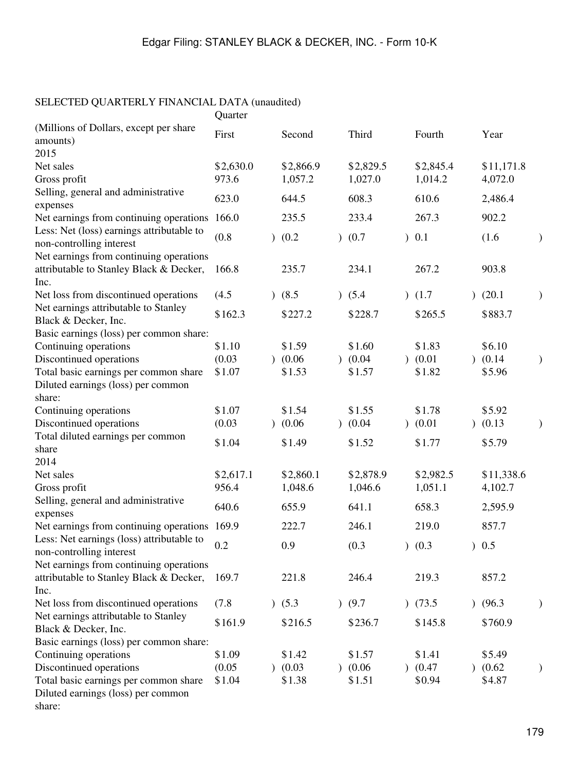#### SELECTED QUARTERLY FINANCIAL DATA (unaudited)

|                                                                             | Quarter          |                  |                      |                  |               |            |               |
|-----------------------------------------------------------------------------|------------------|------------------|----------------------|------------------|---------------|------------|---------------|
| (Millions of Dollars, except per share<br>amounts)                          | First            | Second           | Third                | Fourth           |               | Year       |               |
| 2015                                                                        |                  |                  |                      |                  |               |            |               |
| Net sales                                                                   | \$2,630.0        | \$2,866.9        | \$2,829.5            | \$2,845.4        |               | \$11,171.8 |               |
| Gross profit                                                                | 973.6            | 1,057.2          | 1,027.0              | 1,014.2          |               | 4,072.0    |               |
| Selling, general and administrative<br>expenses                             | 623.0            | 644.5            | 608.3                | 610.6            |               | 2,486.4    |               |
| Net earnings from continuing operations                                     | 166.0            | 235.5            | 233.4                | 267.3            |               | 902.2      |               |
| Less: Net (loss) earnings attributable to<br>non-controlling interest       | (0.8)            | $)$ (0.2)        | (0.7)                | 0.1              |               | (1.6)      | $\mathcal{E}$ |
| Net earnings from continuing operations                                     |                  |                  |                      |                  |               |            |               |
| attributable to Stanley Black & Decker,                                     | 166.8            | 235.7            | 234.1                | 267.2            |               | 903.8      |               |
| Inc.                                                                        |                  |                  |                      |                  |               |            |               |
| Net loss from discontinued operations                                       | (4.5)            | $)$ (8.5)        | $)$ (5.4)            | (1.7)            |               | (20.1)     | $\mathcal{E}$ |
| Net earnings attributable to Stanley                                        | \$162.3          | \$227.2          | \$228.7              | \$265.5          |               | \$883.7    |               |
| Black & Decker, Inc.                                                        |                  |                  |                      |                  |               |            |               |
| Basic earnings (loss) per common share:                                     |                  |                  |                      |                  |               | \$6.10     |               |
| Continuing operations<br>Discontinued operations                            | \$1.10<br>(0.03) | \$1.59<br>(0.06) | \$1.60<br>$)$ (0.04) | \$1.83<br>(0.01) | $\mathcal{L}$ | (0.14)     |               |
| Total basic earnings per common share                                       | \$1.07           | \$1.53           | \$1.57               | \$1.82           |               | \$5.96     | $\mathcal{E}$ |
| Diluted earnings (loss) per common<br>share:                                |                  |                  |                      |                  |               |            |               |
| Continuing operations                                                       | \$1.07           | \$1.54           | \$1.55               | \$1.78           |               | \$5.92     |               |
| Discontinued operations                                                     | (0.03)           | (0.06)           | $)$ (0.04)           | (0.01)           | $\mathcal{L}$ | (0.13)     | $\mathcal{E}$ |
| Total diluted earnings per common                                           |                  |                  |                      |                  |               |            |               |
| share                                                                       | \$1.04           | \$1.49           | \$1.52               | \$1.77           |               | \$5.79     |               |
| 2014                                                                        |                  |                  |                      |                  |               |            |               |
| Net sales                                                                   | \$2,617.1        | \$2,860.1        | \$2,878.9            | \$2,982.5        |               | \$11,338.6 |               |
| Gross profit                                                                | 956.4            | 1,048.6          | 1,046.6              | 1,051.1          |               | 4,102.7    |               |
| Selling, general and administrative<br>expenses                             | 640.6            | 655.9            | 641.1                | 658.3            |               | 2,595.9    |               |
| Net earnings from continuing operations                                     | 169.9            | 222.7            | 246.1                | 219.0            |               | 857.7      |               |
| Less: Net earnings (loss) attributable to<br>non-controlling interest       | 0.2              | 0.9              | (0.3)                | (0.3)            |               | 0.5        |               |
| Net earnings from continuing operations                                     |                  |                  |                      |                  |               |            |               |
| attributable to Stanley Black & Decker,                                     | 169.7            | 221.8            | 246.4                | 219.3            |               | 857.2      |               |
| Inc.                                                                        |                  |                  |                      |                  |               |            |               |
| Net loss from discontinued operations                                       | (7.8)            | (5.3)            | (9.7)                | (73.5)           |               | (96.3)     | $\mathcal{Y}$ |
| Net earnings attributable to Stanley<br>Black & Decker, Inc.                | \$161.9          | \$216.5          | \$236.7              | \$145.8          |               | \$760.9    |               |
| Basic earnings (loss) per common share:                                     |                  |                  |                      |                  |               |            |               |
| Continuing operations                                                       | \$1.09           | \$1.42           | \$1.57               | \$1.41           |               | \$5.49     |               |
| Discontinued operations                                                     | (0.05)           | (0.03)           | (0.06)               | (0.47)           | $\mathcal{L}$ | (0.62)     | $\mathcal{E}$ |
| Total basic earnings per common share<br>Diluted earnings (loss) per common | \$1.04           | \$1.38           | \$1.51               | \$0.94           |               | \$4.87     |               |
| share:                                                                      |                  |                  |                      |                  |               |            |               |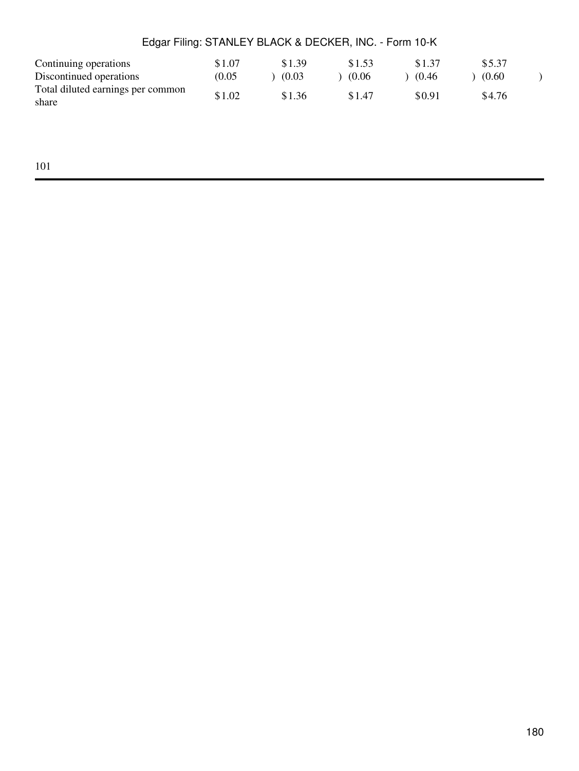| Edgar Filing: STANLEY BLACK & DECKER, INC. - Form 10-K |        |        |        |        |        |  |
|--------------------------------------------------------|--------|--------|--------|--------|--------|--|
| Continuing operations                                  | \$1.07 | \$1.39 | \$1.53 | \$1.37 | \$5.37 |  |
| Discontinued operations                                | (0.05) | (0.03) | (0.06) | (0.46) | (0.60) |  |
| Total diluted earnings per common<br>share             | \$1.02 | \$1.36 | \$1.47 | \$0.91 | \$4.76 |  |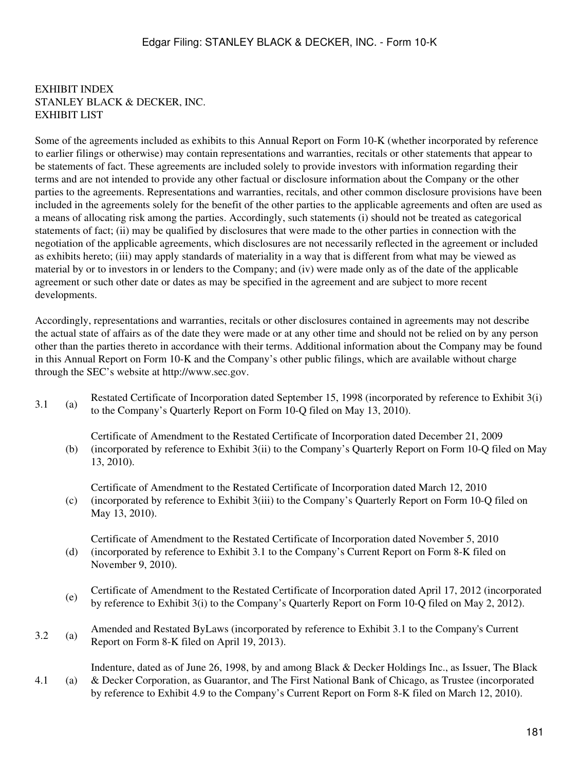### EXHIBIT INDEX STANLEY BLACK & DECKER, INC. EXHIBIT LIST

Some of the agreements included as exhibits to this Annual Report on Form 10-K (whether incorporated by reference to earlier filings or otherwise) may contain representations and warranties, recitals or other statements that appear to be statements of fact. These agreements are included solely to provide investors with information regarding their terms and are not intended to provide any other factual or disclosure information about the Company or the other parties to the agreements. Representations and warranties, recitals, and other common disclosure provisions have been included in the agreements solely for the benefit of the other parties to the applicable agreements and often are used as a means of allocating risk among the parties. Accordingly, such statements (i) should not be treated as categorical statements of fact; (ii) may be qualified by disclosures that were made to the other parties in connection with the negotiation of the applicable agreements, which disclosures are not necessarily reflected in the agreement or included as exhibits hereto; (iii) may apply standards of materiality in a way that is different from what may be viewed as material by or to investors in or lenders to the Company; and (iv) were made only as of the date of the applicable agreement or such other date or dates as may be specified in the agreement and are subject to more recent developments.

Accordingly, representations and warranties, recitals or other disclosures contained in agreements may not describe the actual state of affairs as of the date they were made or at any other time and should not be relied on by any person other than the parties thereto in accordance with their terms. Additional information about the Company may be found in this Annual Report on Form 10-K and the Company's other public filings, which are available without charge through the SEC's website at http://www.sec.gov.

- 3.1 (a) Restated Certificate of Incorporation dated September 15, 1998 (incorporated by reference to Exhibit 3(i) to the Company's Quarterly Report on Form 10-Q filed on May 13, 2010).
	- (b) Certificate of Amendment to the Restated Certificate of Incorporation dated December 21, 2009 (incorporated by reference to Exhibit 3(ii) to the Company's Quarterly Report on Form 10-Q filed on May 13, 2010).

 $(c)$ Certificate of Amendment to the Restated Certificate of Incorporation dated March 12, 2010 (incorporated by reference to Exhibit 3(iii) to the Company's Quarterly Report on Form 10-Q filed on May 13, 2010).

(d) Certificate of Amendment to the Restated Certificate of Incorporation dated November 5, 2010 (incorporated by reference to Exhibit 3.1 to the Company's Current Report on Form 8-K filed on November 9, 2010).

- (e) Certificate of Amendment to the Restated Certificate of Incorporation dated April 17, 2012 (incorporated by reference to Exhibit 3(i) to the Company's Quarterly Report on Form 10-Q filed on May 2, 2012).
- 3.2 (a) Amended and Restated ByLaws (incorporated by reference to Exhibit 3.1 to the Company's Current Report on Form 8-K filed on April 19, 2013).

4.1 (a) Indenture, dated as of June 26, 1998, by and among Black & Decker Holdings Inc., as Issuer, The Black & Decker Corporation, as Guarantor, and The First National Bank of Chicago, as Trustee (incorporated by reference to Exhibit 4.9 to the Company's Current Report on Form 8-K filed on March 12, 2010).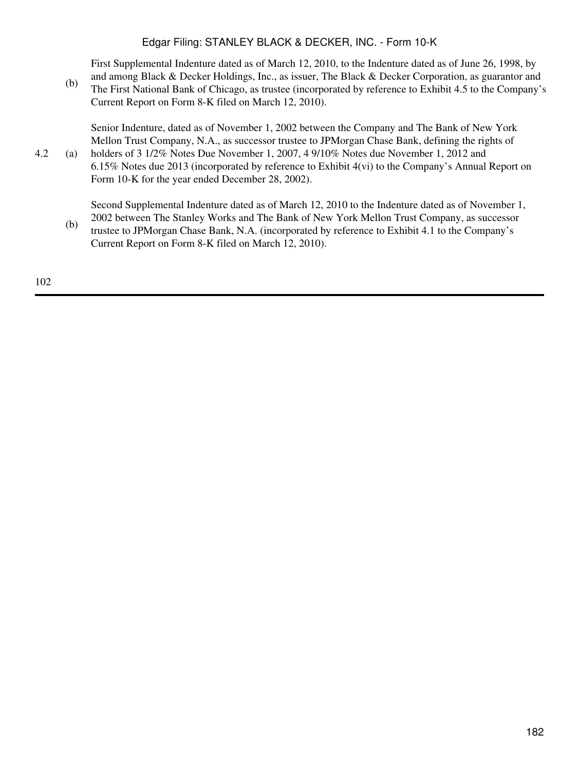First Supplemental Indenture dated as of March 12, 2010, to the Indenture dated as of June 26, 1998, by

(b) and among Black & Decker Holdings, Inc., as issuer, The Black & Decker Corporation, as guarantor and The First National Bank of Chicago, as trustee (incorporated by reference to Exhibit 4.5 to the Company's Current Report on Form 8-K filed on March 12, 2010).

Senior Indenture, dated as of November 1, 2002 between the Company and The Bank of New York Mellon Trust Company, N.A., as successor trustee to JPMorgan Chase Bank, defining the rights of

4.2 (a) holders of 3 1/2% Notes Due November 1, 2007, 4 9/10% Notes due November 1, 2012 and 6.15% Notes due 2013 (incorporated by reference to Exhibit 4(vi) to the Company's Annual Report on Form 10-K for the year ended December 28, 2002).

> Second Supplemental Indenture dated as of March 12, 2010 to the Indenture dated as of November 1, 2002 between The Stanley Works and The Bank of New York Mellon Trust Company, as successor

(b) trustee to JPMorgan Chase Bank, N.A. (incorporated by reference to Exhibit 4.1 to the Company's Current Report on Form 8-K filed on March 12, 2010).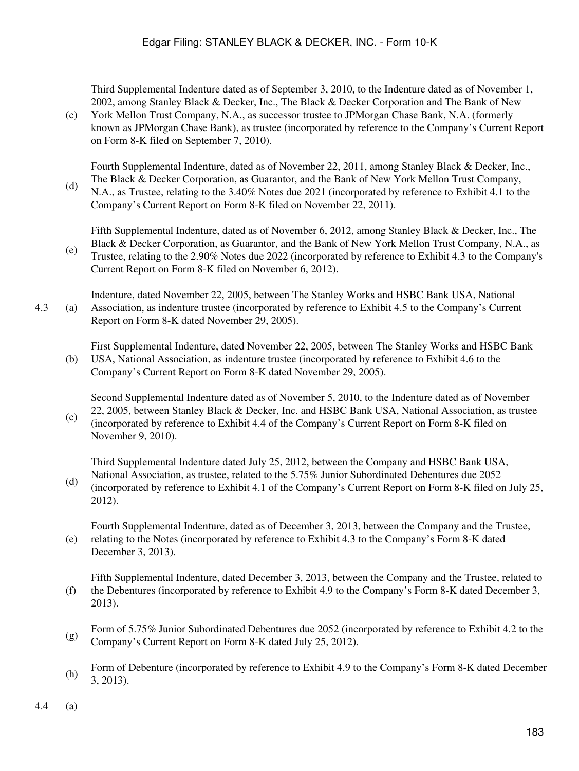Third Supplemental Indenture dated as of September 3, 2010, to the Indenture dated as of November 1, 2002, among Stanley Black & Decker, Inc., The Black & Decker Corporation and The Bank of New

 $(c)$ York Mellon Trust Company, N.A., as successor trustee to JPMorgan Chase Bank, N.A. (formerly known as JPMorgan Chase Bank), as trustee (incorporated by reference to the Company's Current Report on Form 8-K filed on September 7, 2010).

Fourth Supplemental Indenture, dated as of November 22, 2011, among Stanley Black & Decker, Inc.,

(d) The Black & Decker Corporation, as Guarantor, and the Bank of New York Mellon Trust Company, N.A., as Trustee, relating to the 3.40% Notes due 2021 (incorporated by reference to Exhibit 4.1 to the Company's Current Report on Form 8-K filed on November 22, 2011).

Fifth Supplemental Indenture, dated as of November 6, 2012, among Stanley Black & Decker, Inc., The Black & Decker Corporation, as Guarantor, and the Bank of New York Mellon Trust Company, N.A., as

(e) Trustee, relating to the 2.90% Notes due 2022 (incorporated by reference to Exhibit 4.3 to the Company's Current Report on Form 8-K filed on November 6, 2012).

4.3 (a) Indenture, dated November 22, 2005, between The Stanley Works and HSBC Bank USA, National Association, as indenture trustee (incorporated by reference to Exhibit 4.5 to the Company's Current Report on Form 8-K dated November 29, 2005).

First Supplemental Indenture, dated November 22, 2005, between The Stanley Works and HSBC Bank

(b) USA, National Association, as indenture trustee (incorporated by reference to Exhibit 4.6 to the Company's Current Report on Form 8-K dated November 29, 2005).

Second Supplemental Indenture dated as of November 5, 2010, to the Indenture dated as of November 22, 2005, between Stanley Black & Decker, Inc. and HSBC Bank USA, National Association, as trustee

(c) (incorporated by reference to Exhibit 4.4 of the Company's Current Report on Form 8-K filed on November 9, 2010).

(d) Third Supplemental Indenture dated July 25, 2012, between the Company and HSBC Bank USA, National Association, as trustee, related to the 5.75% Junior Subordinated Debentures due 2052 (incorporated by reference to Exhibit 4.1 of the Company's Current Report on Form 8-K filed on July 25, 2012).

(e) Fourth Supplemental Indenture, dated as of December 3, 2013, between the Company and the Trustee, relating to the Notes (incorporated by reference to Exhibit 4.3 to the Company's Form 8-K dated December 3, 2013).

(f) Fifth Supplemental Indenture, dated December 3, 2013, between the Company and the Trustee, related to the Debentures (incorporated by reference to Exhibit 4.9 to the Company's Form 8-K dated December 3, 2013).

- (g) Form of 5.75% Junior Subordinated Debentures due 2052 (incorporated by reference to Exhibit 4.2 to the Company's Current Report on Form 8-K dated July 25, 2012).
- (h) Form of Debenture (incorporated by reference to Exhibit 4.9 to the Company's Form 8-K dated December  $\alpha$  2.0013) 3, 2013).

4.4 (a)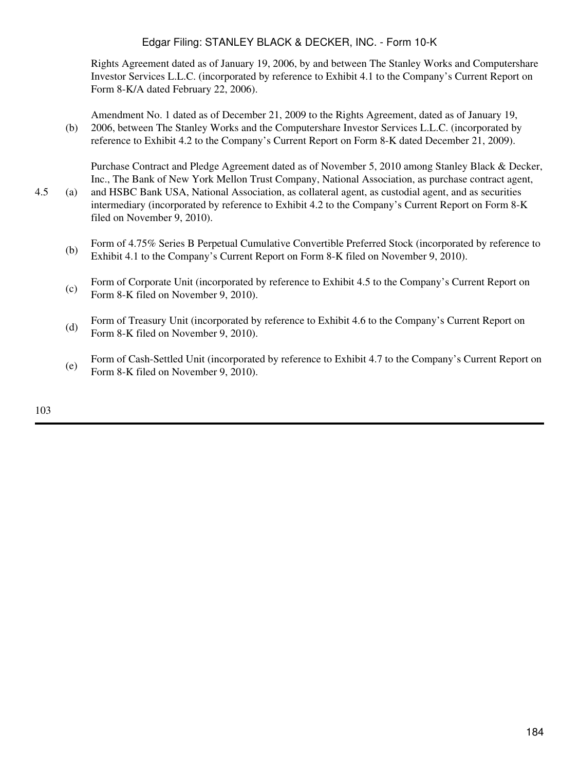Rights Agreement dated as of January 19, 2006, by and between The Stanley Works and Computershare Investor Services L.L.C. (incorporated by reference to Exhibit 4.1 to the Company's Current Report on Form 8-K/A dated February 22, 2006).

(b) Amendment No. 1 dated as of December 21, 2009 to the Rights Agreement, dated as of January 19, 2006, between The Stanley Works and the Computershare Investor Services L.L.C. (incorporated by reference to Exhibit 4.2 to the Company's Current Report on Form 8-K dated December 21, 2009).

Purchase Contract and Pledge Agreement dated as of November 5, 2010 among Stanley Black & Decker, Inc., The Bank of New York Mellon Trust Company, National Association, as purchase contract agent,

- 4.5 (a) and HSBC Bank USA, National Association, as collateral agent, as custodial agent, and as securities intermediary (incorporated by reference to Exhibit 4.2 to the Company's Current Report on Form 8-K filed on November 9, 2010).
	- (b) Form of 4.75% Series B Perpetual Cumulative Convertible Preferred Stock (incorporated by reference to Exhibit 4.1 to the Company's Current Report on Form 8-K filed on November 9, 2010).
	- (c) Form of Corporate Unit (incorporated by reference to Exhibit 4.5 to the Company's Current Report on Form 8-K filed on November 9, 2010).
	- (d) Form of Treasury Unit (incorporated by reference to Exhibit 4.6 to the Company's Current Report on Form 8-K filed on November 9, 2010).
	- (e) Form of Cash-Settled Unit (incorporated by reference to Exhibit 4.7 to the Company's Current Report on Form 8-K filed on November 9, 2010).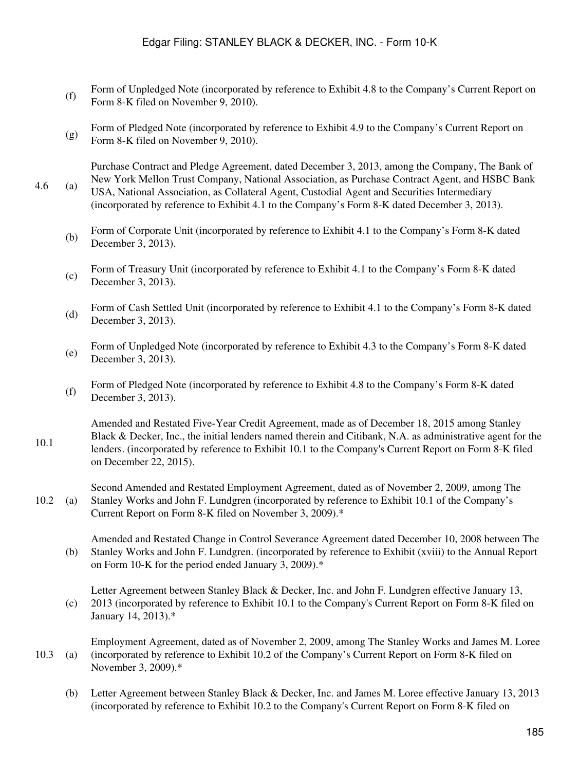- (f) Form of Unpledged Note (incorporated by reference to Exhibit 4.8 to the Company's Current Report on Form 8-K filed on November 9, 2010).
- (g) Form of Pledged Note (incorporated by reference to Exhibit 4.9 to the Company's Current Report on Form 8-K filed on November 9, 2010).

Purchase Contract and Pledge Agreement, dated December 3, 2013, among the Company, The Bank of New York Mellon Trust Company, National Association, as Purchase Contract Agent, and HSBC Bank

- 4.6 (a) USA, National Association, as Collateral Agent, Custodial Agent and Securities Intermediary (incorporated by reference to Exhibit 4.1 to the Company's Form 8-K dated December 3, 2013).
	- (b) Form of Corporate Unit (incorporated by reference to Exhibit 4.1 to the Company's Form 8-K dated December 3, 2013).
	- (c) Form of Treasury Unit (incorporated by reference to Exhibit 4.1 to the Company's Form 8-K dated December 3, 2013).
	- (d) Form of Cash Settled Unit (incorporated by reference to Exhibit 4.1 to the Company's Form 8-K dated December 3, 2013).
	- (e) Form of Unpledged Note (incorporated by reference to Exhibit 4.3 to the Company's Form 8-K dated December 3, 2013).
	- (f) Form of Pledged Note (incorporated by reference to Exhibit 4.8 to the Company's Form 8-K dated December 3, 2013).

10.1 Amended and Restated Five-Year Credit Agreement, made as of December 18, 2015 among Stanley Black & Decker, Inc., the initial lenders named therein and Citibank, N.A. as administrative agent for the lenders. (incorporated by reference to Exhibit 10.1 to the Company's Current Report on Form 8-K filed on December 22, 2015).

 $10.2$  (a) Second Amended and Restated Employment Agreement, dated as of November 2, 2009, among The Stanley Works and John F. Lundgren (incorporated by reference to Exhibit 10.1 of the Company's Current Report on Form 8-K filed on November 3, 2009).\*

(b) Amended and Restated Change in Control Severance Agreement dated December 10, 2008 between The Stanley Works and John F. Lundgren. (incorporated by reference to Exhibit (xviii) to the Annual Report on Form 10-K for the period ended January 3, 2009).\*

Letter Agreement between Stanley Black & Decker, Inc. and John F. Lundgren effective January 13,

(c) 2013 (incorporated by reference to Exhibit 10.1 to the Company's Current Report on Form 8-K filed on January 14, 2013).\*

10.3 (a) Employment Agreement, dated as of November 2, 2009, among The Stanley Works and James M. Loree (incorporated by reference to Exhibit 10.2 of the Company's Current Report on Form 8-K filed on November 3, 2009).\*

(b) Letter Agreement between Stanley Black & Decker, Inc. and James M. Loree effective January 13, 2013 (incorporated by reference to Exhibit 10.2 to the Company's Current Report on Form 8-K filed on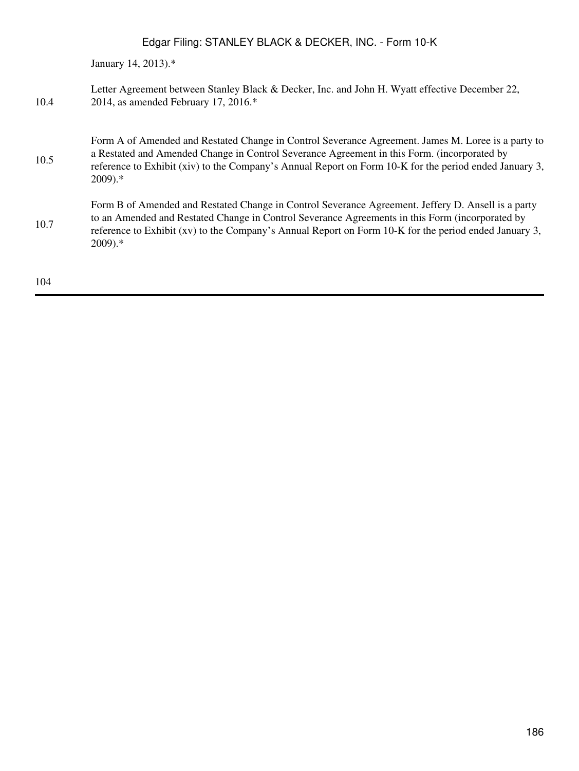January 14, 2013).\*

| 10.4 | Letter Agreement between Stanley Black & Decker, Inc. and John H. Wyatt effective December 22,<br>2014, as amended February 17, 2016. $*$                                                                                                                                                                                    |
|------|------------------------------------------------------------------------------------------------------------------------------------------------------------------------------------------------------------------------------------------------------------------------------------------------------------------------------|
| 10.5 | Form A of Amended and Restated Change in Control Severance Agreement. James M. Loree is a party to<br>a Restated and Amended Change in Control Severance Agreement in this Form. (incorporated by<br>reference to Exhibit (xiv) to the Company's Annual Report on Form 10-K for the period ended January 3,<br>$2009$ ).*    |
| 10.7 | Form B of Amended and Restated Change in Control Severance Agreement. Jeffery D. Ansell is a party<br>to an Amended and Restated Change in Control Severance Agreements in this Form (incorporated by<br>reference to Exhibit (xv) to the Company's Annual Report on Form 10-K for the period ended January 3,<br>$2009$ ).* |
|      |                                                                                                                                                                                                                                                                                                                              |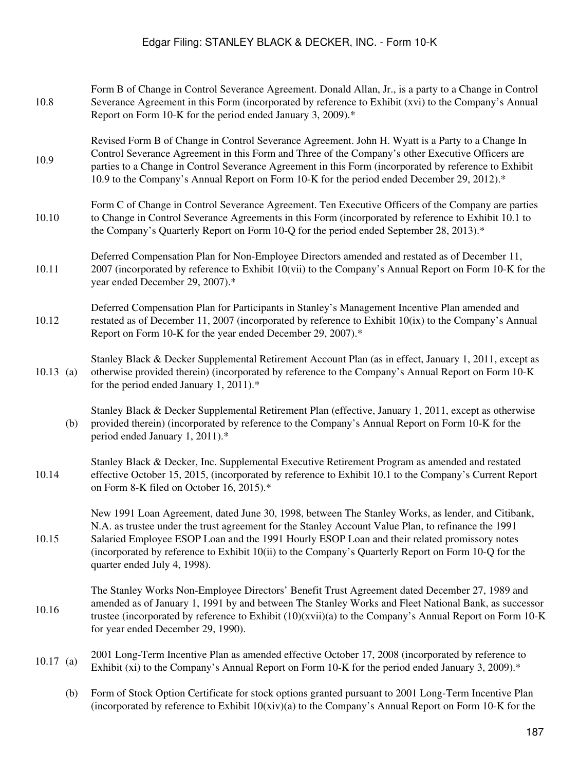| 10.8        | Form B of Change in Control Severance Agreement. Donald Allan, Jr., is a party to a Change in Control<br>Severance Agreement in this Form (incorporated by reference to Exhibit (xvi) to the Company's Annual<br>Report on Form 10-K for the period ended January 3, 2009).*                                                                                                                                                                    |
|-------------|-------------------------------------------------------------------------------------------------------------------------------------------------------------------------------------------------------------------------------------------------------------------------------------------------------------------------------------------------------------------------------------------------------------------------------------------------|
| 10.9        | Revised Form B of Change in Control Severance Agreement. John H. Wyatt is a Party to a Change In<br>Control Severance Agreement in this Form and Three of the Company's other Executive Officers are<br>parties to a Change in Control Severance Agreement in this Form (incorporated by reference to Exhibit<br>10.9 to the Company's Annual Report on Form 10-K for the period ended December 29, 2012).*                                     |
| 10.10       | Form C of Change in Control Severance Agreement. Ten Executive Officers of the Company are parties<br>to Change in Control Severance Agreements in this Form (incorporated by reference to Exhibit 10.1 to<br>the Company's Quarterly Report on Form 10-Q for the period ended September 28, 2013).*                                                                                                                                            |
| 10.11       | Deferred Compensation Plan for Non-Employee Directors amended and restated as of December 11,<br>2007 (incorporated by reference to Exhibit 10(vii) to the Company's Annual Report on Form 10-K for the<br>year ended December 29, 2007).*                                                                                                                                                                                                      |
| 10.12       | Deferred Compensation Plan for Participants in Stanley's Management Incentive Plan amended and<br>restated as of December 11, 2007 (incorporated by reference to Exhibit 10(ix) to the Company's Annual<br>Report on Form 10-K for the year ended December 29, 2007).*                                                                                                                                                                          |
| $10.13$ (a) | Stanley Black & Decker Supplemental Retirement Account Plan (as in effect, January 1, 2011, except as<br>otherwise provided therein) (incorporated by reference to the Company's Annual Report on Form 10-K<br>for the period ended January 1, 2011).*                                                                                                                                                                                          |
| (b)         | Stanley Black & Decker Supplemental Retirement Plan (effective, January 1, 2011, except as otherwise<br>provided therein) (incorporated by reference to the Company's Annual Report on Form 10-K for the<br>period ended January 1, 2011).*                                                                                                                                                                                                     |
| 10.14       | Stanley Black & Decker, Inc. Supplemental Executive Retirement Program as amended and restated<br>effective October 15, 2015, (incorporated by reference to Exhibit 10.1 to the Company's Current Report<br>on Form 8-K filed on October 16, 2015).*                                                                                                                                                                                            |
| 10.15       | New 1991 Loan Agreement, dated June 30, 1998, between The Stanley Works, as lender, and Citibank,<br>N.A. as trustee under the trust agreement for the Stanley Account Value Plan, to refinance the 1991<br>Salaried Employee ESOP Loan and the 1991 Hourly ESOP Loan and their related promissory notes<br>(incorporated by reference to Exhibit 10(ii) to the Company's Quarterly Report on Form 10-Q for the<br>quarter ended July 4, 1998). |
| 10.16       | The Stanley Works Non-Employee Directors' Benefit Trust Agreement dated December 27, 1989 and<br>amended as of January 1, 1991 by and between The Stanley Works and Fleet National Bank, as successor<br>trustee (incorporated by reference to Exhibit (10)(xvii)(a) to the Company's Annual Report on Form 10-K<br>for year ended December 29, 1990).                                                                                          |
| $10.17$ (a) | 2001 Long-Term Incentive Plan as amended effective October 17, 2008 (incorporated by reference to<br>Exhibit (xi) to the Company's Annual Report on Form 10-K for the period ended January 3, 2009).*                                                                                                                                                                                                                                           |

(b) Form of Stock Option Certificate for stock options granted pursuant to 2001 Long-Term Incentive Plan (incorporated by reference to Exhibit 10(xiv)(a) to the Company's Annual Report on Form 10-K for the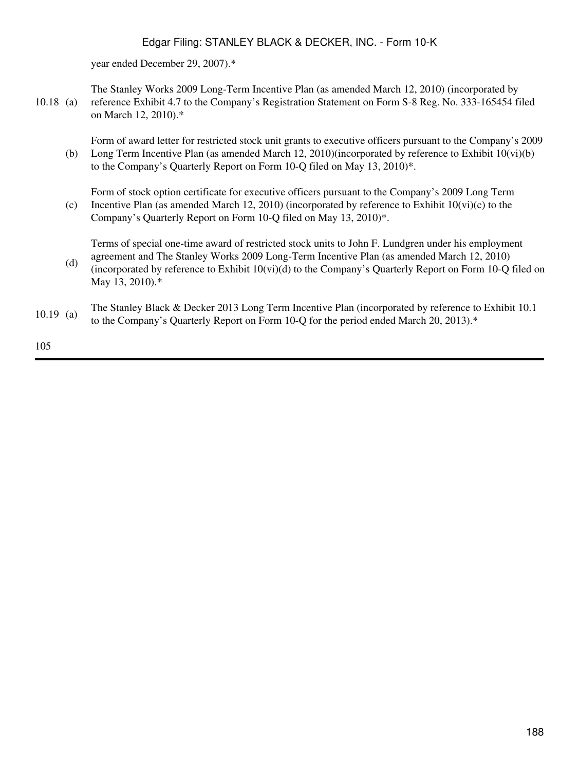year ended December 29, 2007).\*

10.18 (a) The Stanley Works 2009 Long-Term Incentive Plan (as amended March 12, 2010) (incorporated by reference Exhibit 4.7 to the Company's Registration Statement on Form S-8 Reg. No. 333-165454 filed on March 12, 2010).\*

(b) Form of award letter for restricted stock unit grants to executive officers pursuant to the Company's 2009 Long Term Incentive Plan (as amended March 12, 2010)(incorporated by reference to Exhibit 10(vi)(b) to the Company's Quarterly Report on Form 10-Q filed on May 13, 2010)\*.

(c) Form of stock option certificate for executive officers pursuant to the Company's 2009 Long Term Incentive Plan (as amended March 12, 2010) (incorporated by reference to Exhibit  $10(vi)(c)$  to the Company's Quarterly Report on Form 10-Q filed on May 13, 2010)\*.

Terms of special one-time award of restricted stock units to John F. Lundgren under his employment agreement and The Stanley Works 2009 Long-Term Incentive Plan (as amended March 12, 2010)

- (d) (incorporated by reference to Exhibit 10(vi)(d) to the Company's Quarterly Report on Form 10-Q filed on May 13, 2010).\*
- 10.19 (a) The Stanley Black & Decker 2013 Long Term Incentive Plan (incorporated by reference to Exhibit 10.1 to the Company's Quarterly Report on Form 10-Q for the period ended March 20, 2013).\*

105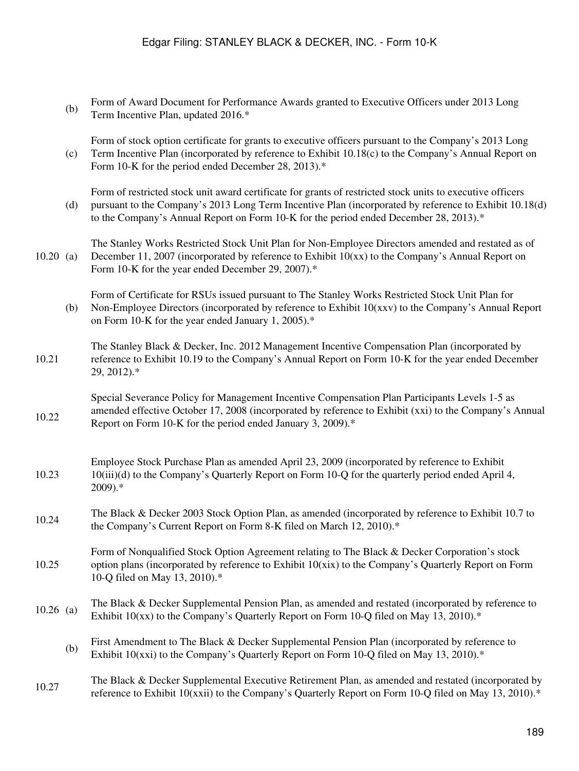(b) Form of Award Document for Performance Awards granted to Executive Officers under 2013 Long<br>
The Mass and the 2016 \* Term Incentive Plan, updated 2016.\*

|             | (c) | Form of stock option certificate for grants to executive officers pursuant to the Company's 2013 Long<br>Term Incentive Plan (incorporated by reference to Exhibit 10.18(c) to the Company's Annual Report on<br>Form 10-K for the period ended December 28, 2013).*                                          |
|-------------|-----|---------------------------------------------------------------------------------------------------------------------------------------------------------------------------------------------------------------------------------------------------------------------------------------------------------------|
|             | (d) | Form of restricted stock unit award certificate for grants of restricted stock units to executive officers<br>pursuant to the Company's 2013 Long Term Incentive Plan (incorporated by reference to Exhibit 10.18(d)<br>to the Company's Annual Report on Form 10-K for the period ended December 28, 2013).* |
| $10.20$ (a) |     | The Stanley Works Restricted Stock Unit Plan for Non-Employee Directors amended and restated as of<br>December 11, 2007 (incorporated by reference to Exhibit $10(xx)$ to the Company's Annual Report on<br>Form 10-K for the year ended December 29, 2007).*                                                 |
|             | (b) | Form of Certificate for RSUs issued pursuant to The Stanley Works Restricted Stock Unit Plan for<br>Non-Employee Directors (incorporated by reference to Exhibit $10(xxy)$ to the Company's Annual Report<br>on Form 10-K for the year ended January 1, 2005).*                                               |
| 10.21       |     | The Stanley Black & Decker, Inc. 2012 Management Incentive Compensation Plan (incorporated by<br>reference to Exhibit 10.19 to the Company's Annual Report on Form 10-K for the year ended December<br>$29, 2012$ .*                                                                                          |
| 10.22       |     | Special Severance Policy for Management Incentive Compensation Plan Participants Levels 1-5 as<br>amended effective October 17, 2008 (incorporated by reference to Exhibit (xxi) to the Company's Annual<br>Report on Form 10-K for the period ended January 3, 2009).*                                       |
| 10.23       |     | Employee Stock Purchase Plan as amended April 23, 2009 (incorporated by reference to Exhibit<br>10(iii)(d) to the Company's Quarterly Report on Form 10-Q for the quarterly period ended April 4,<br>$2009$ .*                                                                                                |
| 10.24       |     | The Black & Decker 2003 Stock Option Plan, as amended (incorporated by reference to Exhibit 10.7 to<br>the Company's Current Report on Form 8-K filed on March 12, 2010).*                                                                                                                                    |
| 10.25       |     | Form of Nonqualified Stock Option Agreement relating to The Black & Decker Corporation's stock<br>option plans (incorporated by reference to Exhibit 10(xix) to the Company's Quarterly Report on Form<br>10-Q filed on May 13, 2010).*                                                                       |
| $10.26$ (a) |     | The Black & Decker Supplemental Pension Plan, as amended and restated (incorporated by reference to<br>Exhibit $10(xx)$ to the Company's Quarterly Report on Form 10-Q filed on May 13, 2010).*                                                                                                               |
|             | (b) | First Amendment to The Black & Decker Supplemental Pension Plan (incorporated by reference to<br>Exhibit 10(xxi) to the Company's Quarterly Report on Form 10-Q filed on May 13, 2010).*                                                                                                                      |
| 10.27       |     | The Black & Decker Supplemental Executive Retirement Plan, as amended and restated (incorporated by<br>reference to Exhibit $10(xxii)$ to the Company's Quarterly Report on Form 10-Q filed on May 13, 2010).*                                                                                                |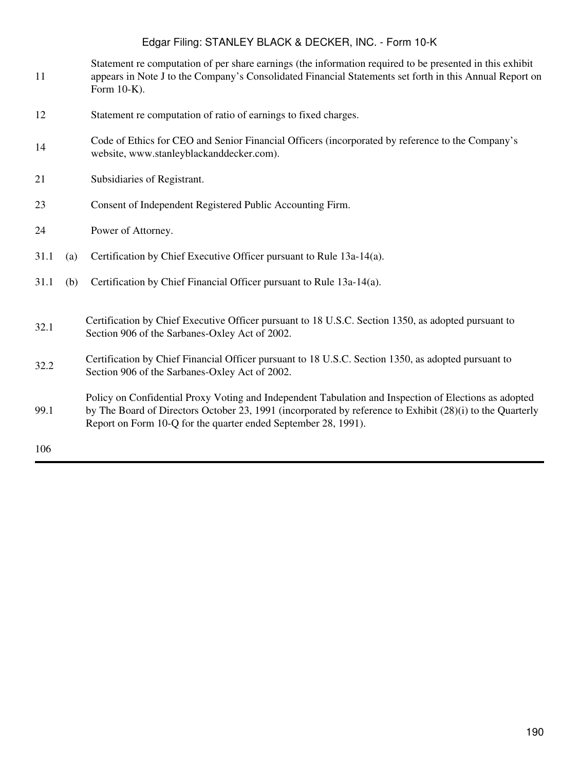| 11   |     | Statement re computation of per share earnings (the information required to be presented in this exhibit<br>appears in Note J to the Company's Consolidated Financial Statements set forth in this Annual Report on<br>Form 10-K).                                                   |
|------|-----|--------------------------------------------------------------------------------------------------------------------------------------------------------------------------------------------------------------------------------------------------------------------------------------|
| 12   |     | Statement re computation of ratio of earnings to fixed charges.                                                                                                                                                                                                                      |
| 14   |     | Code of Ethics for CEO and Senior Financial Officers (incorporated by reference to the Company's<br>website, www.stanleyblackanddecker.com).                                                                                                                                         |
| 21   |     | Subsidiaries of Registrant.                                                                                                                                                                                                                                                          |
| 23   |     | Consent of Independent Registered Public Accounting Firm.                                                                                                                                                                                                                            |
| 24   |     | Power of Attorney.                                                                                                                                                                                                                                                                   |
| 31.1 | (a) | Certification by Chief Executive Officer pursuant to Rule 13a-14(a).                                                                                                                                                                                                                 |
| 31.1 | (b) | Certification by Chief Financial Officer pursuant to Rule 13a-14(a).                                                                                                                                                                                                                 |
| 32.1 |     | Certification by Chief Executive Officer pursuant to 18 U.S.C. Section 1350, as adopted pursuant to<br>Section 906 of the Sarbanes-Oxley Act of 2002.                                                                                                                                |
| 32.2 |     | Certification by Chief Financial Officer pursuant to 18 U.S.C. Section 1350, as adopted pursuant to<br>Section 906 of the Sarbanes-Oxley Act of 2002.                                                                                                                                |
| 99.1 |     | Policy on Confidential Proxy Voting and Independent Tabulation and Inspection of Elections as adopted<br>by The Board of Directors October 23, 1991 (incorporated by reference to Exhibit (28)(i) to the Quarterly<br>Report on Form 10-Q for the quarter ended September 28, 1991). |
| 106  |     |                                                                                                                                                                                                                                                                                      |